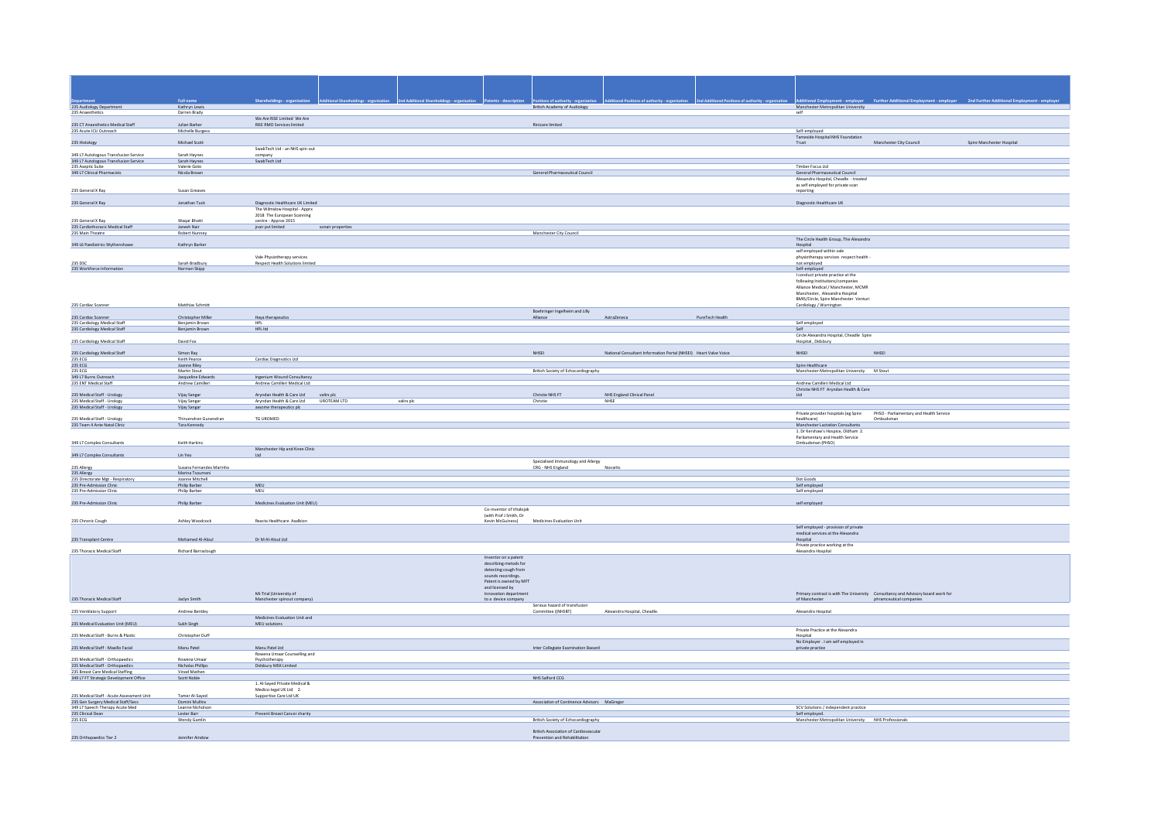| Full name<br>Shareholdings - organi<br>Additional Employment - employer<br>Manchester Metropolitan University<br>235 Audiology Department<br>British Academy of Audiology<br>Kathryn Lewis<br>self                                                                                   |                                                                                            |
|--------------------------------------------------------------------------------------------------------------------------------------------------------------------------------------------------------------------------------------------------------------------------------------|--------------------------------------------------------------------------------------------|
|                                                                                                                                                                                                                                                                                      |                                                                                            |
|                                                                                                                                                                                                                                                                                      |                                                                                            |
|                                                                                                                                                                                                                                                                                      |                                                                                            |
|                                                                                                                                                                                                                                                                                      | <b>Further Additional Employment - employer</b><br>2nd Further Additional Employment - emp |
| 235 Anaesthetics<br>Darren Brady                                                                                                                                                                                                                                                     |                                                                                            |
| We Are RiSE Limited We Are                                                                                                                                                                                                                                                           |                                                                                            |
| 235 CT Anaesthetics Medical Staff<br>Julian Barker<br>RiSE RMO Services limited<br>Rinicare limited<br>235 Acute ICU Outreach<br>Michelle Burgess<br>Self-employed                                                                                                                   |                                                                                            |
| Tameside Hospital NHS Foundation                                                                                                                                                                                                                                                     |                                                                                            |
| 235 Histology<br>Michael Scott<br>Trust                                                                                                                                                                                                                                              | Manchester City Council<br>Spire Manchester Hospital                                       |
| SwabTech Ltd - an NHS spin-out<br>349 L7 Autologous Transfusion Service<br>Sarah Haynes                                                                                                                                                                                              |                                                                                            |
| company<br>349 L7 Autologous Transfusion Service<br>Sarah Haynes<br>SwabTech Ltd                                                                                                                                                                                                     |                                                                                            |
| 235 Aseptic Suite<br>Valerie Got<br>Timber Focus Ltd                                                                                                                                                                                                                                 |                                                                                            |
| General Pharmaceutical Council<br>349 L7 Clinical Pharmacists<br>Nicola Brown<br>General Pharmaceutical Council                                                                                                                                                                      |                                                                                            |
| Alexandra Hospital, Cheadle - treated                                                                                                                                                                                                                                                |                                                                                            |
| as self employed for private scan<br>235 General X Ray<br>Susan Greaves<br>reporting                                                                                                                                                                                                 |                                                                                            |
|                                                                                                                                                                                                                                                                                      |                                                                                            |
| 235 General X Ray<br>Jonathan Tuck<br>Diagnostic Healthcare UK Limited<br>Diagnostic Healthcare UK                                                                                                                                                                                   |                                                                                            |
| The Wilmslow Hospital - Apprx                                                                                                                                                                                                                                                        |                                                                                            |
| 2018 The European Scanning                                                                                                                                                                                                                                                           |                                                                                            |
| 235 General X Ray<br>Waqar Bhatti<br>centre - Approx 2015<br>235 Cardiothoracic Medical Staff<br>Janesh Nair<br>jnair pvt limited<br>sonair properties                                                                                                                               |                                                                                            |
| Manchester City Council<br>235 Main Theatre<br>Robert Nunney                                                                                                                                                                                                                         |                                                                                            |
| The Circle Health Group, The Alexandra                                                                                                                                                                                                                                               |                                                                                            |
| 349 L6 Paediatrics Wythenshawe<br>Kathryn Barker<br>Hospital<br>self employed within vale                                                                                                                                                                                            |                                                                                            |
| Vale Physiotherapy services<br>physiotherapy services respect health                                                                                                                                                                                                                 |                                                                                            |
| 235.050<br>Sarah Bradbury<br><b>Respect Health Solutions limited</b><br>not employed                                                                                                                                                                                                 |                                                                                            |
| 235 Workforce Information<br>Norman Skipp<br>Self-employed                                                                                                                                                                                                                           |                                                                                            |
| I conduct private practice at the                                                                                                                                                                                                                                                    |                                                                                            |
| following Institutions/companies<br>Alliance Medical / Manchester, MCMR                                                                                                                                                                                                              |                                                                                            |
| Manchester, Alexandra Hospital                                                                                                                                                                                                                                                       |                                                                                            |
| BMIS/Circle, Spire Manchester Venturi                                                                                                                                                                                                                                                |                                                                                            |
| 235 Cardiac Scanner<br>Matthias Schmitt<br>Cardiology / Warrington                                                                                                                                                                                                                   |                                                                                            |
| Boehringer Ingelheim and Lilly                                                                                                                                                                                                                                                       |                                                                                            |
| PureTech Health<br>235 Cardiac Scanner<br>Christopher Miller<br>Haya therapeutics<br>Alliance<br>AstraZeneca<br>235 Cardiology Medical Staff<br>Benjamin Brown<br>HPL<br>Self employed                                                                                               |                                                                                            |
| 235 Cardiology Medical Staff<br>Benjamin Brown<br>HPL ltd<br>Self                                                                                                                                                                                                                    |                                                                                            |
| Circle Alexandra Hospital, Cheadle Spire                                                                                                                                                                                                                                             |                                                                                            |
| 235 Cardiology Medical Staff<br>David Fox<br>Hospital, Didsbury                                                                                                                                                                                                                      |                                                                                            |
| 235 Cardiology Medical Staff<br>NHSEI<br>National Consultant Information Portal (NHSEI) Heart Valve Voice<br>NHSEL<br>Simon Ray                                                                                                                                                      | NHSEI                                                                                      |
| 235 ECG<br>Keith Pearce<br>Cardiac Diagnsotics Ltd                                                                                                                                                                                                                                   |                                                                                            |
| 235 ECG<br>Joanne Riley<br>Spire Healthcare                                                                                                                                                                                                                                          |                                                                                            |
| 235 ECG<br>Martin Stout<br>British Society of Echocardiography<br>Manchester Metropolitan University M Stout                                                                                                                                                                         |                                                                                            |
|                                                                                                                                                                                                                                                                                      |                                                                                            |
| 349 L7 Burns Outreach<br>Jacqueline Edwards<br>Ingenium Wound Consultancy                                                                                                                                                                                                            |                                                                                            |
| 235 ENT Medical Staff<br>Andrew Camilleri Medical Ltd<br>Andrew Camilleri<br>Andrew Camilleri Medical Ltd                                                                                                                                                                            |                                                                                            |
| Christie NHS FT Aryndan Health & Care                                                                                                                                                                                                                                                |                                                                                            |
| 235 Medical Staff - Urology<br>Vijay Sangar<br>Aryndan Health & Care Ltd valirx plc<br>Christie NHS FT<br>NHS England Clinical Panel<br>$_{\text{Ltd}}$<br>UROTEAM LTD<br>235 Medical Staff - Urology<br>Vijay Sangar<br>Arvndan Health & Care Ltd<br>valirx plc<br>Christie<br>NHSE |                                                                                            |
| 235 Medical Staff - Urology<br>axsome therapeutics plc<br>Vijay Sangar                                                                                                                                                                                                               |                                                                                            |
|                                                                                                                                                                                                                                                                                      | Private provider hospitals (eg Spire PHSO - Parliamentary and Health Service               |
| 235 Medical Staff - Urology<br>Thiruendran Gunendran<br>TG UROMED<br>healthcare)<br>235 Team 4 Ante Natal Clinic<br>Tara Kennedy                                                                                                                                                     | Ombudsman                                                                                  |
| Manchester Lactation Consultants<br>1. Dr Kershaw's Hospice, Oldham 2.                                                                                                                                                                                                               |                                                                                            |
| Parliamentary and Health Service                                                                                                                                                                                                                                                     |                                                                                            |
| Ombudsman (PHSO)<br>349 L7 Complex Consultants<br>Keith Harkins                                                                                                                                                                                                                      |                                                                                            |
| Manchester Hip and Knee Clinic<br>349 L7 Complex Consultants<br>Lin Yeo<br>1td.                                                                                                                                                                                                      |                                                                                            |
|                                                                                                                                                                                                                                                                                      |                                                                                            |
| Specialised Immunology and Allergy<br>235 Allergy<br>Susana Fernandes Marinho<br>CRG - NHS England<br>Novartis                                                                                                                                                                       |                                                                                            |
| 235 Allergy                                                                                                                                                                                                                                                                          |                                                                                            |
| Marina Tsoumani<br>Joanne Mitchell<br>235 Directorate Mgt - Respiratory<br>Dot Goods<br>MEU                                                                                                                                                                                          |                                                                                            |
| 235 Pre-Admission Clinic<br>Philip Barber<br>Self employed<br>235 Pre-Admission Clinic<br>Philip Barber<br>MEU<br>Self employed                                                                                                                                                      |                                                                                            |
|                                                                                                                                                                                                                                                                                      |                                                                                            |
| 235 Pre-Admission Clinic<br>Philip Barber<br>Medicines Evaluation Unit (MEU)<br>self employed                                                                                                                                                                                        |                                                                                            |
| Co-inventor of Vitalojak<br>(with Prof J Smith, Dr                                                                                                                                                                                                                                   |                                                                                            |
| Kevin McGuiness)<br>Medicines Evaluation Unit<br>235 Chronic Cough<br>Ashley Woodcock<br>Reacta Healthcare Axalbion                                                                                                                                                                  |                                                                                            |
| Self employed - provision of private                                                                                                                                                                                                                                                 |                                                                                            |
| medical services at the Alexandra                                                                                                                                                                                                                                                    |                                                                                            |
| Dr M Al-Aloul Ltd<br>235 Transplant Centre<br>Mohamed Al-Aloul<br>Hospital                                                                                                                                                                                                           |                                                                                            |
| Private practice working at the<br>235 Thoracic Medical Staff<br>Richard Barraclough<br>Alexandra Hospital                                                                                                                                                                           |                                                                                            |
| Inventor on a patent                                                                                                                                                                                                                                                                 |                                                                                            |
| describing metods for                                                                                                                                                                                                                                                                |                                                                                            |
| detecting cough from                                                                                                                                                                                                                                                                 |                                                                                            |
| sounds recordings.<br>Patent is owned by MFT                                                                                                                                                                                                                                         |                                                                                            |
| and licensed by                                                                                                                                                                                                                                                                      |                                                                                            |
| Mi-Trial (University of<br>Innovation department                                                                                                                                                                                                                                     | Primary contract is with The University Consultancy and Advisory board work for            |
| 235 Thoracic Medical Staff<br>Jaclyn Smith<br>Manchester spinout company)<br>to a device company<br>of Manchester                                                                                                                                                                    | phramceutical companies                                                                    |
| Serious hazard of transfusion<br>Alexandra Hospital, Cheadle.<br>Andrew Bentley<br>Alexandra Hospital<br>Committee ((NHSBT)                                                                                                                                                          |                                                                                            |
| 235 Ventilatory Support<br>Medicines Evaluation Unit and                                                                                                                                                                                                                             |                                                                                            |
| 235 Medical Evaluation Unit (MEU)<br>Sukh Singh<br>MEU solutions                                                                                                                                                                                                                     |                                                                                            |
| Private Practice at the Alexandra                                                                                                                                                                                                                                                    |                                                                                            |
| 235 Medical Staff - Burns & Plastic<br>Christopher Duff<br>Hospital                                                                                                                                                                                                                  |                                                                                            |
| No Employer . I am self employed in<br>Manu Patel<br>Inter Collegiate Examination Baoard                                                                                                                                                                                             |                                                                                            |
| 235 Medical Staff - Maxillo Facial<br>Manu Patel Ltd<br>private practice<br>Rowena Umaar Counselling and                                                                                                                                                                             |                                                                                            |
| 235 Medical Staff - Orthopaedics<br>Rowena Umaar<br>Psychotherapy                                                                                                                                                                                                                    |                                                                                            |
| 235 Medical Staff - Orthopaedics<br>Nicholas Phillips<br>Didsbury MSK Limited                                                                                                                                                                                                        |                                                                                            |
| 235 Breast Care Medical Staffing<br>Vinod Mathen                                                                                                                                                                                                                                     |                                                                                            |
| 349 L7 FT Strategic Development Office<br>Scott Noble<br>NHS Salford CCG<br>1. Al-Saved Private Medical &                                                                                                                                                                            |                                                                                            |
| Medico-legal UK Ltd 2.                                                                                                                                                                                                                                                               |                                                                                            |
| 235 Medical Staff - Acute Assessment Unit<br>Tamer Al-Sayed<br>Supportive Care Ltd UK                                                                                                                                                                                                |                                                                                            |
| 235 Gen Surgery Medical Staff/Secs<br>Domini Mullins<br>Association of Continence Advisors MaGregor                                                                                                                                                                                  |                                                                                            |
| SCV Solutions / independent practice<br>349 L7 Speech Therapy Acute Med<br>Leanne Nicholson<br>235 Clinical Dean<br>Prevent Breast Cancer charity<br>Lester Barr<br>Self employed.                                                                                                   |                                                                                            |
| 235 ECG<br>Wendy Gamlin<br>British Society of Echocardiography<br>Manchester Metropolitan University NHS Professionals                                                                                                                                                               |                                                                                            |
| British Association of Cardiovascular                                                                                                                                                                                                                                                |                                                                                            |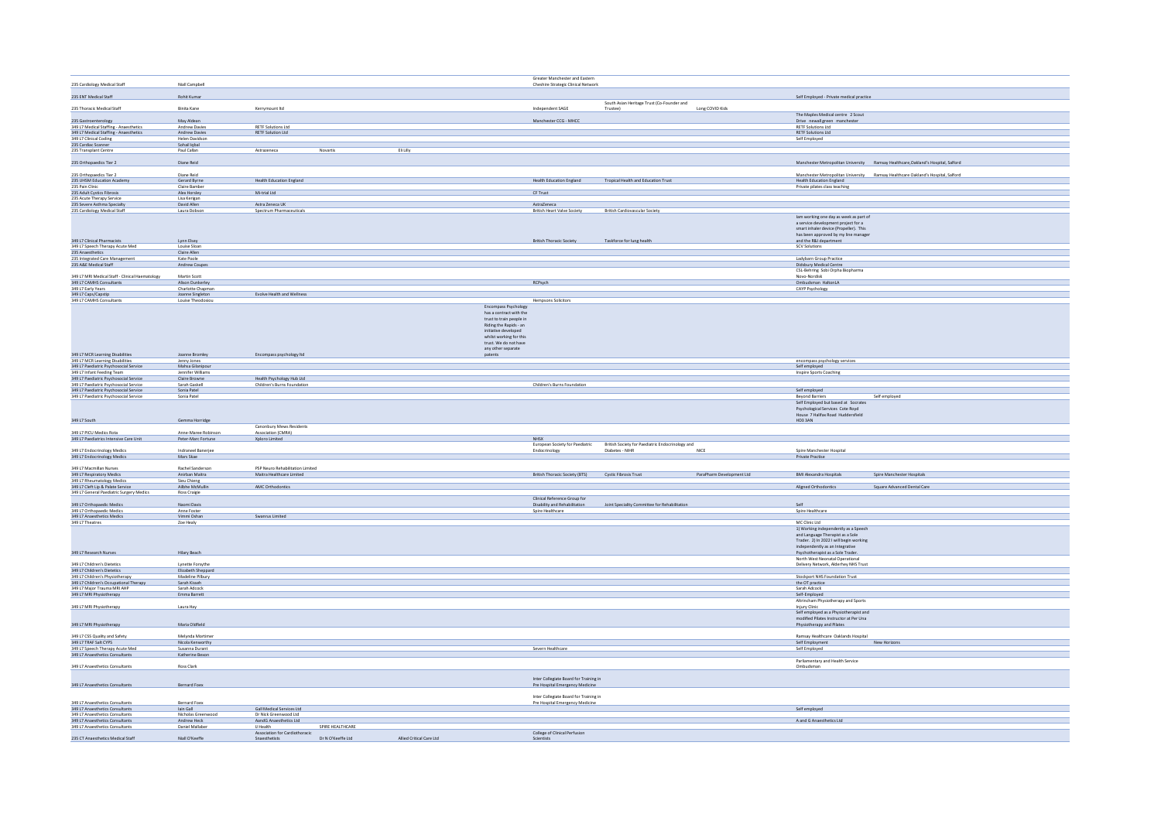|                                                                                  |                                        |                                                          |                                       |                          |                                                                                                                                                                                                         | Greater Manchester and Eastern                                            |                                                              |                           |                                                                                                                                                                                                                                |                                                                                   |
|----------------------------------------------------------------------------------|----------------------------------------|----------------------------------------------------------|---------------------------------------|--------------------------|---------------------------------------------------------------------------------------------------------------------------------------------------------------------------------------------------------|---------------------------------------------------------------------------|--------------------------------------------------------------|---------------------------|--------------------------------------------------------------------------------------------------------------------------------------------------------------------------------------------------------------------------------|-----------------------------------------------------------------------------------|
| 235 Cardiology Medical Staff                                                     | Niall Campbell                         |                                                          |                                       |                          |                                                                                                                                                                                                         | Cheshire Strategic Clinical Network                                       |                                                              |                           |                                                                                                                                                                                                                                |                                                                                   |
|                                                                                  |                                        |                                                          |                                       |                          |                                                                                                                                                                                                         |                                                                           |                                                              |                           |                                                                                                                                                                                                                                |                                                                                   |
| 235 ENT Medical Staff                                                            | Rohit Kumar                            |                                                          |                                       |                          |                                                                                                                                                                                                         |                                                                           |                                                              |                           | Self Employed - Private medical practice                                                                                                                                                                                       |                                                                                   |
| 235 Thoracic Medical Staff                                                       | Binita Kane                            | Kerrymount Itd                                           |                                       |                          |                                                                                                                                                                                                         | Independent SAGE                                                          | South Asian Heritage Trust (Co-Founder and<br>Trustee)       | Long COVID Kids           |                                                                                                                                                                                                                                |                                                                                   |
|                                                                                  |                                        |                                                          |                                       |                          |                                                                                                                                                                                                         |                                                                           |                                                              |                           | The Maples Medical centre 2 Scout                                                                                                                                                                                              |                                                                                   |
| 235 Gastroenterology                                                             | May Aldean                             |                                                          |                                       |                          |                                                                                                                                                                                                         | Manchester CCG - MHCC                                                     |                                                              |                           | Drive newall green manchester                                                                                                                                                                                                  |                                                                                   |
| 349 L7 Medical Staffing - Anaesthetics<br>349 L7 Medical Staffing - Anaesthetics | <b>Andrew Davies</b><br>Andrew Davies  | <b>RETF Solutions Ltd</b><br><b>RETF Solution Ltd</b>    |                                       |                          |                                                                                                                                                                                                         |                                                                           |                                                              |                           | <b>RETF Solutions Ltd</b><br><b>RETF Solutions Ltd</b>                                                                                                                                                                         |                                                                                   |
| 349 L7 Clinical Coding                                                           | Helen Davidson                         |                                                          |                                       |                          |                                                                                                                                                                                                         |                                                                           |                                                              |                           | Self Employed                                                                                                                                                                                                                  |                                                                                   |
| 235 Cardiac Scanner                                                              | Sohail Iqbal                           |                                                          |                                       |                          |                                                                                                                                                                                                         |                                                                           |                                                              |                           |                                                                                                                                                                                                                                |                                                                                   |
| 235 Transplant Centre                                                            | Paul Callan                            | Astrazeneca                                              | Novartis                              | Eli Lilly                |                                                                                                                                                                                                         |                                                                           |                                                              |                           |                                                                                                                                                                                                                                |                                                                                   |
| 235 Orthopaedics Tier 2                                                          | Diane Reid                             |                                                          |                                       |                          |                                                                                                                                                                                                         |                                                                           |                                                              |                           |                                                                                                                                                                                                                                | Manchester Metropolitan University Ramsay Healthcare, Oakland's Hospital, Salford |
|                                                                                  |                                        |                                                          |                                       |                          |                                                                                                                                                                                                         |                                                                           |                                                              |                           |                                                                                                                                                                                                                                |                                                                                   |
| 235 Orthopaedics Tier 2                                                          | Diane Reid                             |                                                          |                                       |                          |                                                                                                                                                                                                         |                                                                           |                                                              |                           |                                                                                                                                                                                                                                | Manchester Metropolitan University Ramsay Healthcare Oakland's Hospital, Salford  |
| 235 UHSM Education Academy<br>235 Pain Clinic                                    | Gerard Byrne<br>Claire Bamber          | <b>Health Education England</b>                          |                                       |                          |                                                                                                                                                                                                         |                                                                           | Health Education England Tropical Health and Education Trust |                           | Health Education England<br>Private pilates class teaching                                                                                                                                                                     |                                                                                   |
| 235 Adult Cystics Fibrosis                                                       | Alex Horsley                           | Mi-trial Ltd                                             |                                       |                          |                                                                                                                                                                                                         | CF Trust                                                                  |                                                              |                           |                                                                                                                                                                                                                                |                                                                                   |
| 235 Acute Therapy Service                                                        | Lisa Kerigan<br>David Allen            |                                                          |                                       |                          |                                                                                                                                                                                                         |                                                                           |                                                              |                           |                                                                                                                                                                                                                                |                                                                                   |
| 235 Severe Asthma Specialty<br>235 Cardiology Medical Staff                      | Laura Dobson                           | Astra Zeneca UK<br>Spectrum Pharmaceuticals              |                                       |                          |                                                                                                                                                                                                         | AstraZeneca<br><b>British Heart Valve Society</b>                         | British Cardiovascular Society                               |                           |                                                                                                                                                                                                                                |                                                                                   |
|                                                                                  | Lynn Elsey                             |                                                          |                                       |                          |                                                                                                                                                                                                         | <b>British Thoracic Society</b>                                           | Taskforce for lung health                                    |                           | lam working one day as week as part of<br>a service development project for a<br>smart inhaler device (Propeller). This<br>has been approved by my line manager<br>and the R&I department                                      |                                                                                   |
| 349 L7 Clinical Pharmacists<br>349 L7 Speech Therapy Acute Med                   | Louise Sloan                           |                                                          |                                       |                          |                                                                                                                                                                                                         |                                                                           |                                                              |                           | <b>SCV Solutions</b>                                                                                                                                                                                                           |                                                                                   |
| 235 Anaesthetics                                                                 | Claire Allen                           |                                                          |                                       |                          |                                                                                                                                                                                                         |                                                                           |                                                              |                           |                                                                                                                                                                                                                                |                                                                                   |
| 235 Integrated Care Management<br>235 A&E Medical Staff                          | Kate Poole<br>Andrew Coupes            |                                                          |                                       |                          |                                                                                                                                                                                                         |                                                                           |                                                              |                           | Ladybarn Group Practice<br>Didsbury Medical Centre                                                                                                                                                                             |                                                                                   |
|                                                                                  |                                        |                                                          |                                       |                          |                                                                                                                                                                                                         |                                                                           |                                                              |                           | CSL-Behring Sobi Orpha Biopharma                                                                                                                                                                                               |                                                                                   |
| 349 L7 MRI Medical Staff - Clinical Haematology                                  | Martin Scott                           |                                                          |                                       |                          |                                                                                                                                                                                                         |                                                                           |                                                              |                           | Novo-Nordisk                                                                                                                                                                                                                   |                                                                                   |
| 349 L7 CAMHS Consultants<br>349 L7 Early Years                                   | Alison Dunkerley<br>Charlotte Chapman  |                                                          |                                       |                          |                                                                                                                                                                                                         | RCPsych                                                                   |                                                              |                           | Ombudsman HaltonLA<br>CAYP Psychology                                                                                                                                                                                          |                                                                                   |
| 349 L7 Caps/Capstip                                                              | Joanne Singleton                       | Evolve Health and Wellness                               |                                       |                          |                                                                                                                                                                                                         |                                                                           |                                                              |                           |                                                                                                                                                                                                                                |                                                                                   |
| 349 L7 CAMHS Consultants                                                         | Louise Theodosiou                      |                                                          |                                       |                          |                                                                                                                                                                                                         | <b>Hempsons Solicitors</b>                                                |                                                              |                           |                                                                                                                                                                                                                                |                                                                                   |
| 349 L7 MCR Learning Disabilities                                                 |                                        |                                                          |                                       |                          | Encompass Psychology<br>has a contract with the<br>trust to train people in<br>Riding the Rapids - an<br>initiative developed<br>whilst working for this<br>trust. We do not have<br>any other separate |                                                                           |                                                              |                           |                                                                                                                                                                                                                                |                                                                                   |
| 349 L7 MCR Learning Disabilities                                                 | Joanne Bromley<br>Jenny Jones          | Encompass psychology Itd                                 |                                       |                          | patents                                                                                                                                                                                                 |                                                                           |                                                              |                           | encompass psychology services                                                                                                                                                                                                  |                                                                                   |
| 349 L7 Paediatric Psychosocial Service                                           | Mahsa Gilanipou                        |                                                          |                                       |                          |                                                                                                                                                                                                         |                                                                           |                                                              |                           | Self employed                                                                                                                                                                                                                  |                                                                                   |
| 349 L7 Infant Feeding Team                                                       | Jennifer Williams                      |                                                          |                                       |                          |                                                                                                                                                                                                         |                                                                           |                                                              |                           | Inspire Sports Coaching                                                                                                                                                                                                        |                                                                                   |
| 349 L7 Paediatric Psychosocial Service<br>349 L7 Paediatric Psychosocial Service | Claire Browne<br>Sarah Gaskell         | Health Psychology Hub Ltd<br>Children's Burns Foundation |                                       |                          |                                                                                                                                                                                                         | Children's Burns Foundation                                               |                                                              |                           |                                                                                                                                                                                                                                |                                                                                   |
| 349 L7 Paediatric Psychosocial Service                                           | Sonia Patel                            |                                                          |                                       |                          |                                                                                                                                                                                                         |                                                                           |                                                              |                           | Self employed                                                                                                                                                                                                                  |                                                                                   |
| 349 L7 Paediatric Psychosocial Service                                           | Sonia Patel                            |                                                          |                                       |                          |                                                                                                                                                                                                         |                                                                           |                                                              |                           | <b>Beyond Barriers</b>                                                                                                                                                                                                         | Self employed                                                                     |
| 349 L7 South                                                                     | Gemma Horridge                         |                                                          |                                       |                          |                                                                                                                                                                                                         |                                                                           |                                                              |                           | Self Employed but based at Socrates<br>Psychological Services Cote Royd<br>House 7 Halifax Road Huddersfield<br>HD3 3AN                                                                                                        |                                                                                   |
| 349 L7 PICU Medics Rota                                                          | Anne-Maree Robinson                    | Canonbury Mews Residents<br>Association (CMRA)           |                                       |                          |                                                                                                                                                                                                         |                                                                           |                                                              |                           |                                                                                                                                                                                                                                |                                                                                   |
| 349 L7 Paediatrics Intensive Care Unit                                           | Peter-Marc Fortune                     | Xploro Limited                                           |                                       |                          |                                                                                                                                                                                                         | <b>NHSX</b>                                                               |                                                              |                           |                                                                                                                                                                                                                                |                                                                                   |
|                                                                                  |                                        |                                                          |                                       |                          |                                                                                                                                                                                                         | European Society for Paediatric                                           | British Society for Paediatric Endocrinology and             |                           |                                                                                                                                                                                                                                |                                                                                   |
| 349 L7 Endocrinology Medics                                                      | Indraneel Banerjee                     |                                                          |                                       |                          |                                                                                                                                                                                                         | Endocrinology                                                             | Diabetes - NIHR                                              | <b>NICE</b>               | Spire Manchester Hospital                                                                                                                                                                                                      |                                                                                   |
| 349 L7 Endocrinology Medics                                                      | Mars Skae                              |                                                          |                                       |                          |                                                                                                                                                                                                         |                                                                           |                                                              |                           | Private Practise                                                                                                                                                                                                               |                                                                                   |
| 349 L7 Macmillan Nurses                                                          | Rachel Sandersor                       | PSP Neuro Rehabilitation Limited                         |                                       |                          |                                                                                                                                                                                                         |                                                                           |                                                              |                           |                                                                                                                                                                                                                                |                                                                                   |
| 349 L7 Respiratory Medics<br>349 L7 Rheumatology Medics                          | Anirban Maitra<br>Sieu Chieng          | Maitra Healthcare Limited                                |                                       |                          |                                                                                                                                                                                                         | British Thoracic Society (BTS) Cystic Fibrosis Trust                      |                                                              | ParaPharm Development Ltd | <b>BMI Alexandra Hospitals</b>                                                                                                                                                                                                 | Spire Manchester Hospitals                                                        |
|                                                                                  | Ailbhe McMulli                         | AMC Orthodontics                                         |                                       |                          |                                                                                                                                                                                                         |                                                                           |                                                              |                           | Aligned Orthodontics                                                                                                                                                                                                           | Square Advanced Dental Care                                                       |
| 349 L7 Cleft Lip & Palate Service<br>349 L7 General Paediatric Surgery Medics    | Ross Craigie                           |                                                          |                                       |                          |                                                                                                                                                                                                         |                                                                           |                                                              |                           |                                                                                                                                                                                                                                |                                                                                   |
|                                                                                  |                                        |                                                          |                                       |                          |                                                                                                                                                                                                         | Clinical Reference Group for                                              |                                                              |                           |                                                                                                                                                                                                                                |                                                                                   |
| 349 L7 Orthopaedic Medics                                                        | Naomi Davis                            |                                                          |                                       |                          |                                                                                                                                                                                                         | Disability and Rehabilitation                                             | Joint Speciality Committee for Rehabilitation                |                           | Self                                                                                                                                                                                                                           |                                                                                   |
| 349 L7 Orthopaedic Medics<br>349 L7 Anaesthetics Medics                          | Anne Foster<br>Vimmi Oshan             | Swanrus Limited                                          |                                       |                          |                                                                                                                                                                                                         | Spire Healthcare                                                          |                                                              |                           | Spire Healthcare                                                                                                                                                                                                               |                                                                                   |
| 349 L7 Theatres                                                                  | Zoe Healy                              |                                                          |                                       |                          |                                                                                                                                                                                                         |                                                                           |                                                              |                           | MC Clinic Ltd                                                                                                                                                                                                                  |                                                                                   |
| 349 L7 Research Nurses                                                           | Hilary Beach                           |                                                          |                                       |                          |                                                                                                                                                                                                         |                                                                           |                                                              |                           | 1) Working independently as a Speech<br>and Language Therapist as a Sole<br>Trader. 2) In 2022 I will begin working<br>independently as an Integrative<br>Psychotherapist as a Sole Trader.<br>North West Neonatal Operational |                                                                                   |
| 349 L7 Children's Dietetics<br>349 L7 Children's Dietetics                       | Lynette Forsythe<br>Elizabeth Sheppard |                                                          |                                       |                          |                                                                                                                                                                                                         |                                                                           |                                                              |                           | Delivery Network, Alderhey NHS Trust                                                                                                                                                                                           |                                                                                   |
|                                                                                  | Madeline Pilbury                       |                                                          |                                       |                          |                                                                                                                                                                                                         |                                                                           |                                                              |                           | Stockport NHS Foundation Trust                                                                                                                                                                                                 |                                                                                   |
| 349 L7 Children's Physiotherapy<br>349 L7 Children's Occupational Therapy        | Sarah Kisseh                           |                                                          |                                       |                          |                                                                                                                                                                                                         |                                                                           |                                                              |                           | the OT practice                                                                                                                                                                                                                |                                                                                   |
| 349 L7 Major Trauma MRI AHP                                                      | Sarah Adcock                           |                                                          |                                       |                          |                                                                                                                                                                                                         |                                                                           |                                                              |                           | Sarah Adcock                                                                                                                                                                                                                   |                                                                                   |
| 349 L7 MRI Physiotherapy                                                         | Emma Barret                            |                                                          |                                       |                          |                                                                                                                                                                                                         |                                                                           |                                                              |                           | Self-Employed<br>Altrincham Physiotherapy and Sports                                                                                                                                                                           |                                                                                   |
| 349 L7 MRI Physiotherapy                                                         | Laura Hay                              |                                                          |                                       |                          |                                                                                                                                                                                                         |                                                                           |                                                              |                           | Injury Clinic<br>Self employed as a Physiotherapist and<br>modified Pilates Instructor at Per Una                                                                                                                              |                                                                                   |
| 349 L7 MRI Physiotherapy                                                         | Maria Oldfield                         |                                                          |                                       |                          |                                                                                                                                                                                                         |                                                                           |                                                              |                           | Physiotherapy and Pilates                                                                                                                                                                                                      |                                                                                   |
| 349 L7 CSS Quality and Safety                                                    | Melynda Mortimer                       |                                                          |                                       |                          |                                                                                                                                                                                                         |                                                                           |                                                              |                           | Ramsay Healthcare Oaklands Hospital                                                                                                                                                                                            |                                                                                   |
| 349 L7 TRAF Salt CYPS<br>349 L7 Speech Therapy Acute Med                         | Nicola Kenworthy<br>Susanna Durant     |                                                          |                                       |                          |                                                                                                                                                                                                         | Severn Healthcare                                                         |                                                              |                           | Self Employment<br>Self Employed                                                                                                                                                                                               | New Horizons                                                                      |
| 349 L7 Anaesthetics Consultants                                                  | Katherine Bexon                        |                                                          |                                       |                          |                                                                                                                                                                                                         |                                                                           |                                                              |                           |                                                                                                                                                                                                                                |                                                                                   |
| 349 L7 Anaesthetics Consultants                                                  | Ross Clark                             |                                                          |                                       |                          |                                                                                                                                                                                                         |                                                                           |                                                              |                           | Parliamentary and Health Service<br>Ombudsman                                                                                                                                                                                  |                                                                                   |
| 349 L7 Anaesthetics Consultants                                                  | Bernard Foex                           |                                                          |                                       |                          |                                                                                                                                                                                                         | Inter Collegiate Board for Training in<br>Pre Hospital Emergency Medicine |                                                              |                           |                                                                                                                                                                                                                                |                                                                                   |
| 349 L7 Anaesthetics Consultants                                                  | Bernard Foex                           |                                                          |                                       |                          |                                                                                                                                                                                                         | Inter Collegiate Board for Training in<br>Pre Hospital Emergency Medicine |                                                              |                           |                                                                                                                                                                                                                                |                                                                                   |
| 349 L7 Anaesthetics Consultants                                                  | lain Gall                              | Gall Medical Services Ltd                                |                                       |                          |                                                                                                                                                                                                         |                                                                           |                                                              |                           | Self employed                                                                                                                                                                                                                  |                                                                                   |
|                                                                                  |                                        |                                                          |                                       |                          |                                                                                                                                                                                                         |                                                                           |                                                              |                           |                                                                                                                                                                                                                                |                                                                                   |
| 349 L7 Anaesthetics Consultants                                                  | Nicholas Greenwood                     | Dr Nick Greenwood Ltd                                    |                                       |                          |                                                                                                                                                                                                         |                                                                           |                                                              |                           |                                                                                                                                                                                                                                |                                                                                   |
| 349 L7 Anaesthetics Consultants                                                  | Andrew Heck<br>Daniel Mallaber         | AandG Anaesthetics Ltd<br>IJ Health                      |                                       |                          |                                                                                                                                                                                                         |                                                                           |                                                              |                           | A and G Anaesthetics Ltd                                                                                                                                                                                                       |                                                                                   |
| 349 L7 Anaesthetics Consultants<br>235 CT Anaesthetics Medical Staff             | Niall O'Keeffe                         | Association for Cardiothoracic<br>Snaesthetists          | SPIRE HEALTHCARE<br>Dr N O'Keeffe Ltd | Allied Critical Care Ltd |                                                                                                                                                                                                         | College of Clinical Perfusion                                             |                                                              |                           |                                                                                                                                                                                                                                |                                                                                   |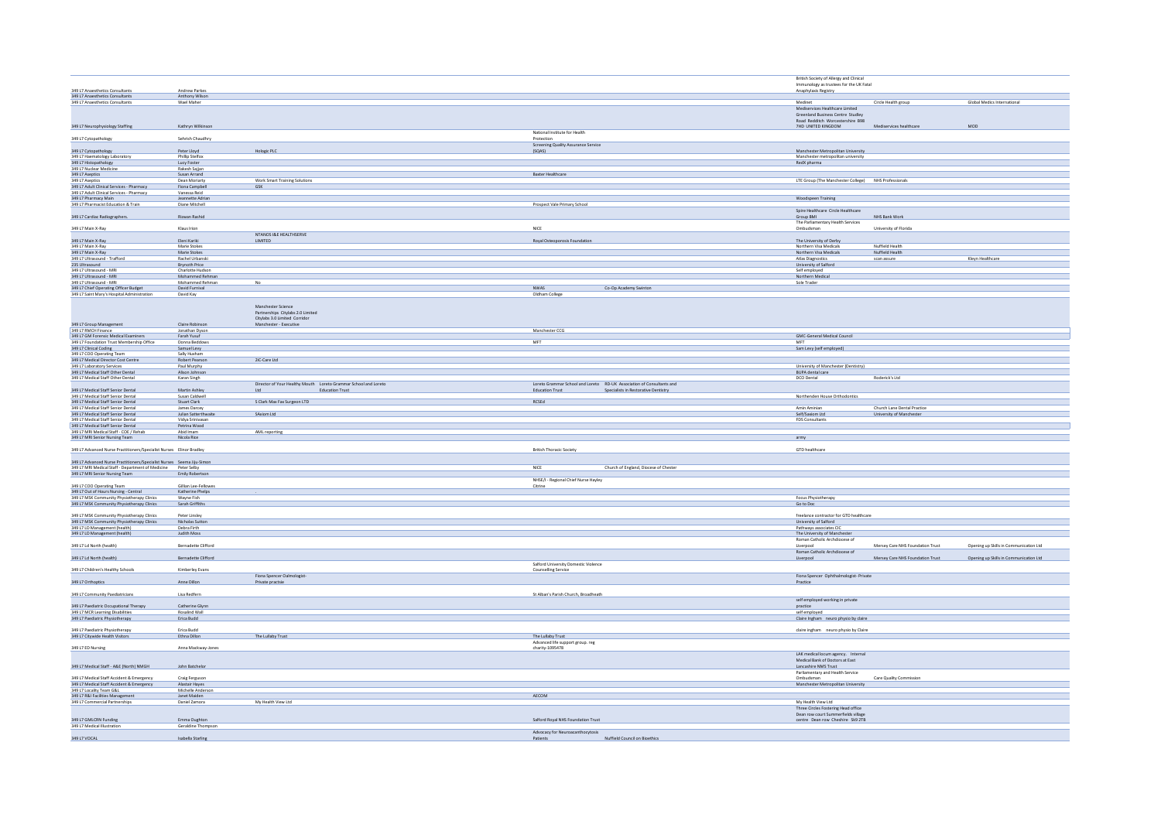|                                                                                     |                                     |                                                                 |                                                                       | British Society of Allergy and Clinical                   |                                  |                                        |
|-------------------------------------------------------------------------------------|-------------------------------------|-----------------------------------------------------------------|-----------------------------------------------------------------------|-----------------------------------------------------------|----------------------------------|----------------------------------------|
|                                                                                     |                                     |                                                                 |                                                                       | Immunology as trustees for the UK Fatal                   |                                  |                                        |
| 349 L7 Anaesthetics Consultants<br>349 L7 Anaesthetics Consultants                  | Andrew Parkes<br>Anthony Wilson     |                                                                 |                                                                       | Anaphylaxis Registry                                      |                                  |                                        |
| 349 L7 Anaesthetics Consultants                                                     | Wael Maher                          |                                                                 |                                                                       | Medinet                                                   | Circle Health group              | Global Medics International            |
|                                                                                     |                                     |                                                                 |                                                                       | Mediservices Healthcare Limited                           |                                  |                                        |
|                                                                                     |                                     |                                                                 |                                                                       | Greenland Business Centre Studley                         |                                  |                                        |
|                                                                                     |                                     |                                                                 |                                                                       | Road Redditch Worcestershire B98                          |                                  |                                        |
| 349 L7 Neurophysiology Staffing                                                     | Kathryn Wilkinson                   |                                                                 |                                                                       | 7HD UNITED KINGDOM                                        | Mediservices healthcare          | MOD                                    |
|                                                                                     |                                     |                                                                 | National Institute for Health                                         |                                                           |                                  |                                        |
| 349 L7 Cytopathology                                                                | Sehrish Chaudhry                    |                                                                 | Protection                                                            |                                                           |                                  |                                        |
|                                                                                     |                                     |                                                                 | Screening Quality Assurance Service                                   |                                                           |                                  |                                        |
| 349 L7 Cytopathology                                                                | Peter Lloyd                         | Hologic PLC                                                     | (SQAS)                                                                | Manchester Metropolitan University                        |                                  |                                        |
|                                                                                     | Phillip Stelfox                     |                                                                 |                                                                       |                                                           |                                  |                                        |
| 349 L7 Haematology Laboratory<br>349 L7 Histopathology                              | Lucy Foster                         |                                                                 |                                                                       | Manchester metropolitan university<br>RedX pharma         |                                  |                                        |
|                                                                                     | Rakesh Sajjan                       |                                                                 |                                                                       |                                                           |                                  |                                        |
| 349 L7 Nuclear Medicine                                                             | Susan Arrand                        |                                                                 | Baxter Healthcare                                                     |                                                           |                                  |                                        |
| 349 L7 Aseptics                                                                     | <b>Dean Moriarty</b>                | Work Smart Training Solutions                                   |                                                                       | LTE Group (The Manchester College) NHS Professionals      |                                  |                                        |
| 349 L7 Adult Clinical Services - Pharmacy                                           | Fiona Campbel                       | GSK                                                             |                                                                       |                                                           |                                  |                                        |
| 349 L7 Adult Clinical Services - Pharmacy                                           | Vanessa Reid                        |                                                                 |                                                                       |                                                           |                                  |                                        |
| 349 L7 Pharmacy Main                                                                | Jeannette Adria                     |                                                                 |                                                                       | Woodspeen Training                                        |                                  |                                        |
| 349 L7 Pharmacist Education & Train                                                 | Diane Mitchell                      |                                                                 | Prospect Vale Primary School                                          |                                                           |                                  |                                        |
|                                                                                     |                                     |                                                                 |                                                                       | Spire Healthcare Circle Healthcare                        |                                  |                                        |
| 349 L7 Cardiac Radiographers.                                                       | Rizwan Rashid                       |                                                                 |                                                                       | Group BMI                                                 | NHS Bank Work                    |                                        |
|                                                                                     |                                     |                                                                 |                                                                       | The Parliamentary Health Services                         |                                  |                                        |
| 349 L7 Main X-Ray                                                                   | Klaus Irion                         |                                                                 | NICE                                                                  | Ombudsman                                                 | University of Florida            |                                        |
|                                                                                     |                                     | NTANOS I&E HEALTHSERVE                                          |                                                                       |                                                           |                                  |                                        |
| 349 L7 Main X-Ray                                                                   | Eleni Kariki                        | LIMITED                                                         | Royal Osteoporosis Foundation                                         | The University of Derby                                   |                                  |                                        |
| 349 L7 Main X-Ray                                                                   | Marie Stokes                        |                                                                 |                                                                       | Northern Visa Medicals                                    | Nuffield Health                  |                                        |
| 349 L7 Main X-Ray                                                                   | Marie Stokes                        |                                                                 |                                                                       | Northern Visa Medicals                                    | Nuffield Health                  |                                        |
| 349 L7 Ultrasound - Trafford                                                        | Rachel Urbanski                     |                                                                 |                                                                       | Atlas Diagnostics                                         | scan assure                      | Kleyn Healthcare                       |
| 235 Ultrasound                                                                      | <b>Brynoth Price</b>                |                                                                 |                                                                       | University of Salford                                     |                                  |                                        |
| 349 L7 Ultrasound - MRI                                                             | Charlotte Hudson                    |                                                                 |                                                                       | Self employed<br>Northern Medical                         |                                  |                                        |
| 349 L7 Ultrasound - MRI                                                             | Mohammed Rehmar                     |                                                                 |                                                                       |                                                           |                                  |                                        |
| 349 L7 Ultrasound - MRI<br>349 L7 Chief Operating Officer Budget                    | Mohammed Rehman<br>David Furnival   | No                                                              |                                                                       | Sole Trader                                               |                                  |                                        |
|                                                                                     |                                     |                                                                 | <b>NWAS</b><br>Co-Op Academy Swinton                                  |                                                           |                                  |                                        |
| 349 L7 Saint Mary's Hospital Administration                                         | David Kay                           |                                                                 | Oldham College                                                        |                                                           |                                  |                                        |
|                                                                                     |                                     |                                                                 |                                                                       |                                                           |                                  |                                        |
|                                                                                     |                                     | Manchester Science                                              |                                                                       |                                                           |                                  |                                        |
|                                                                                     |                                     | Partnerships Citylabs 2.0 Limited                               |                                                                       |                                                           |                                  |                                        |
|                                                                                     |                                     | Citylabs 3.0 Limited Corridor                                   |                                                                       |                                                           |                                  |                                        |
|                                                                                     | Claire Robinson                     | Manchester - Executive                                          |                                                                       |                                                           |                                  |                                        |
| 349 L7 Group Management<br>349 L7 RMCH Finance                                      | Jonathan Dyson                      |                                                                 | Manchester CCG                                                        |                                                           |                                  |                                        |
| 349 L7 GM Forensic Medical Examiners                                                | Farah Yusuf                         |                                                                 |                                                                       | <b>GMC-General Medical Council</b>                        |                                  |                                        |
| 349 L7 Foundation Trust Membership Office<br>349 L7 Clinical Coding                 | Donna Beddows                       |                                                                 | MFT                                                                   | MFT                                                       |                                  |                                        |
|                                                                                     | Samuel Levy                         |                                                                 |                                                                       | Sam Levy (self employed)                                  |                                  |                                        |
|                                                                                     | Sally Huxham                        |                                                                 |                                                                       |                                                           |                                  |                                        |
| 349 L7 COO Operating Team<br>349 L7 Medical Director Cost Centre                    | <b>Robert Pearson</b>               | 2iC-Care Ltd                                                    |                                                                       |                                                           |                                  |                                        |
| 349 L7 Laboratory Services                                                          | Paul Murphy                         |                                                                 |                                                                       | University of Manchester (Dentistry)                      |                                  |                                        |
| 349 L7 Medical Staff Other Dental                                                   | Alison Johnson                      |                                                                 |                                                                       | BUPA dental care                                          |                                  |                                        |
| 349 L7 Medical Staff Other Dental                                                   | Karan Singh                         |                                                                 |                                                                       | DCO Dental                                                | Roderick's Ltd                   |                                        |
|                                                                                     |                                     | Director of Your Healthy Mouth Loreto Grammar School and Loreto | Loreto Grammar School and Loreto RD-UK Association of Consultants and |                                                           |                                  |                                        |
| 349 L7 Medical Staff Senior Dental                                                  | Martin Ashley                       | <b>Education Trust</b>                                          | Education Trust<br>Specialists in Restorative Dentistry               |                                                           |                                  |                                        |
| 349 L7 Medical Staff Senior Dental<br>349 L7 Medical Staff Senior Dental            | Susan Caldwell<br>Stuart Clark      |                                                                 |                                                                       | Northenden House Orthodontics                             |                                  |                                        |
|                                                                                     |                                     | S Clark Max Fax Surgeon LTD                                     | RCSEd                                                                 |                                                           |                                  |                                        |
|                                                                                     | James Darcey                        |                                                                 |                                                                       | Amin Aminian                                              | Church Lane Dental Practice      |                                        |
| 349 L7 Medical Staff Senior Dental                                                  |                                     |                                                                 |                                                                       |                                                           |                                  |                                        |
| 349 L7 Medical Staff Senior Dental                                                  | Julian Satterthwait                 | SAxiom Ltd                                                      |                                                                       | Self/Saxiom Ltd                                           | University of Manchester         |                                        |
| 349 L7 Medical Staff Senior Dental                                                  | Vidya Srinivasan                    |                                                                 |                                                                       | FDS Consultants                                           |                                  |                                        |
| 349 L7 Medical Staff Senior Dental                                                  | Petrina Wood                        |                                                                 |                                                                       |                                                           |                                  |                                        |
| 349 L7 MRI Medical Staff - COE / Rehab                                              | Abid Imam                           | AML reporting                                                   |                                                                       |                                                           |                                  |                                        |
| 349 L7 MRI Senior Nursing Team                                                      | Nicola Rice                         |                                                                 |                                                                       | army                                                      |                                  |                                        |
|                                                                                     |                                     |                                                                 |                                                                       |                                                           |                                  |                                        |
| 349 L7 Advanced Nurse Practitioners/Specialist Nurses Elinor Bradley                |                                     |                                                                 | <b>British Thoracic Society</b>                                       | GTD healthcare                                            |                                  |                                        |
|                                                                                     |                                     |                                                                 |                                                                       |                                                           |                                  |                                        |
| 349 L7 Advanced Nurse Practitioners/Specialist Nurses Seema Jiju-Simon              |                                     |                                                                 |                                                                       |                                                           |                                  |                                        |
| 349 L7 MRI Medical Staff - Department of Medicine Peter Selby                       |                                     |                                                                 | $\ensuremath{\mathsf{NICE}}$<br>Church of England, Diocese of Chester |                                                           |                                  |                                        |
| 349 L7 MRI Senior Nursing Team                                                      | Emily Robertson                     |                                                                 |                                                                       |                                                           |                                  |                                        |
|                                                                                     |                                     |                                                                 | NHSE/I - Regional Chief Nurse Hayley                                  |                                                           |                                  |                                        |
| 349 L7 COO Operating Team                                                           | Gillian Lee-Fellower                |                                                                 | Citrine                                                               |                                                           |                                  |                                        |
|                                                                                     | Katherine Phelps                    |                                                                 |                                                                       |                                                           |                                  |                                        |
| 349 L7 Out of Hours Nursing - Central<br>349 L7 MSK Community Physiotherapy Clinics | Wayne Fish                          |                                                                 |                                                                       | Focus Physiotherapy                                       |                                  |                                        |
| 349 L7 MSK Community Physiotherapy Clinics                                          | Sarah Griffiths                     |                                                                 |                                                                       | Go to Doc                                                 |                                  |                                        |
|                                                                                     |                                     |                                                                 |                                                                       |                                                           |                                  |                                        |
| 349 L7 MSK Community Physiotherapy Clinics                                          | Peter Linsley                       |                                                                 |                                                                       | freelance contractor for GTD healthcare                   |                                  |                                        |
| 349 L7 MSK Community Physiotherapy Clinics                                          | Nicholas Sutton                     |                                                                 |                                                                       | University of Salford                                     |                                  |                                        |
| 349 L7 LD Management (health)                                                       | Debra Firth                         |                                                                 |                                                                       | Pathways associates CIC                                   |                                  |                                        |
| 349 L7 LD Management (health)                                                       | Judith Moss                         |                                                                 |                                                                       | The University of Manchester                              |                                  |                                        |
|                                                                                     | Bernadette Clifford                 |                                                                 |                                                                       | Roman Catholic Archdiocese of                             |                                  |                                        |
| 349 L7 Ld North (health)                                                            |                                     |                                                                 |                                                                       | Liverpool                                                 | Mersey Care NHS Foundation Trust | Opening up Skills in Communication Ltd |
|                                                                                     |                                     |                                                                 |                                                                       | Roman Catholic Archdiocese of                             |                                  |                                        |
| 349 L7 Ld North (health)                                                            | Bernadette Clifford                 |                                                                 |                                                                       | Liverpool                                                 | Mersey Care NHS Foundation Trust | Opening up Skills in Communication Ltd |
|                                                                                     |                                     |                                                                 | Salford University Domestic Violence                                  |                                                           |                                  |                                        |
| 349 L7 Children's Healthy Schools                                                   | Kimberley Evans                     |                                                                 | <b>Counselling Service</b>                                            |                                                           |                                  |                                        |
|                                                                                     | Anne Dillon                         | Fiona Spencer Oalmologist-                                      |                                                                       | Fiona Spencer Ophthalmologist-Private                     |                                  |                                        |
| 349 L7 Orthoptics                                                                   |                                     | Private practsie                                                |                                                                       | $\label{eq:particle} \text{Practice}$                     |                                  |                                        |
| 349 L7 Community Paediatricians                                                     | Lisa Redfern                        |                                                                 | St Alban's Parish Church, Broadheath                                  |                                                           |                                  |                                        |
|                                                                                     |                                     |                                                                 |                                                                       |                                                           |                                  |                                        |
|                                                                                     | Catherine Glynr                     |                                                                 |                                                                       | self employed working in private                          |                                  |                                        |
| 349 L7 Paediatric Occupational Therapy<br>349 L7 MCR Learning Disabilities          | Rosalind Wall                       |                                                                 |                                                                       | practice<br>self employed                                 |                                  |                                        |
|                                                                                     | Erica Budd                          |                                                                 |                                                                       |                                                           |                                  |                                        |
| 349 L7 Paediatric Physiotherapy                                                     |                                     |                                                                 |                                                                       | Claire Ingham neuro physio by claire                      |                                  |                                        |
| 349 L7 Paediatric Physiotherapy                                                     | Erica Budd                          |                                                                 |                                                                       |                                                           |                                  |                                        |
|                                                                                     | Ethna Dillon                        |                                                                 | The Lullaby Trust                                                     | claire ingham neuro physio by Claire                      |                                  |                                        |
| 349 L7 Citywide Health Visitors                                                     |                                     | The Lullaby Trust                                               |                                                                       |                                                           |                                  |                                        |
|                                                                                     | Anna Mackway-Jones                  |                                                                 | Advanced life support group. reg<br>charity-1095478                   |                                                           |                                  |                                        |
| 349 L7 ED Nursing                                                                   |                                     |                                                                 |                                                                       |                                                           |                                  |                                        |
|                                                                                     |                                     |                                                                 |                                                                       | LAK medical locum agency. Internal                        |                                  |                                        |
|                                                                                     | John Batchelor                      |                                                                 |                                                                       | Medical Bank of Doctors at East<br>Lancashire NMS Trust   |                                  |                                        |
| 349 L7 Medical Staff - A&E (North) NMGH                                             |                                     |                                                                 |                                                                       |                                                           |                                  |                                        |
|                                                                                     |                                     |                                                                 |                                                                       | Parliamentary and Health Service                          |                                  |                                        |
| 349 L7 Medical Staff Accident & Emergency                                           | Craig Ferguson                      |                                                                 |                                                                       | Ombudsman                                                 | Care Quality Commission          |                                        |
| 349 L7 Medical Staff Accident & Emergency<br>349 L7 Locality Team G&L               | Alastair Hayes<br>Michelle Anderson |                                                                 |                                                                       | Manchester Metropolitan University                        |                                  |                                        |
|                                                                                     | anet Maider                         |                                                                 |                                                                       |                                                           |                                  |                                        |
| 349 L7 R&I Facilities Managem                                                       |                                     |                                                                 | AECOM                                                                 |                                                           |                                  |                                        |
| 349 L7 Commercial Partnerships                                                      | Daniel Zamora                       | My Health View Ltd                                              |                                                                       | My Health View Ltd<br>Three Circles Fostering Head office |                                  |                                        |
|                                                                                     |                                     |                                                                 |                                                                       |                                                           |                                  |                                        |
|                                                                                     |                                     |                                                                 |                                                                       | Dean row court Summerfields village                       |                                  |                                        |
| 349 L7 GMLCRN Funding<br>349 L7 Medical Illustration                                | Emma Oughton<br>Geraldine Thompson  |                                                                 | Salford Royal NHS Foundation Trust                                    | centre Dean row Cheshire Sk9 2TB                          |                                  |                                        |
| 349 L7 VOCAL                                                                        | Isabella Starling                   |                                                                 | Advocacy for Neuroacanthocytosis<br>Nuffield Council on Bioethics     |                                                           |                                  |                                        |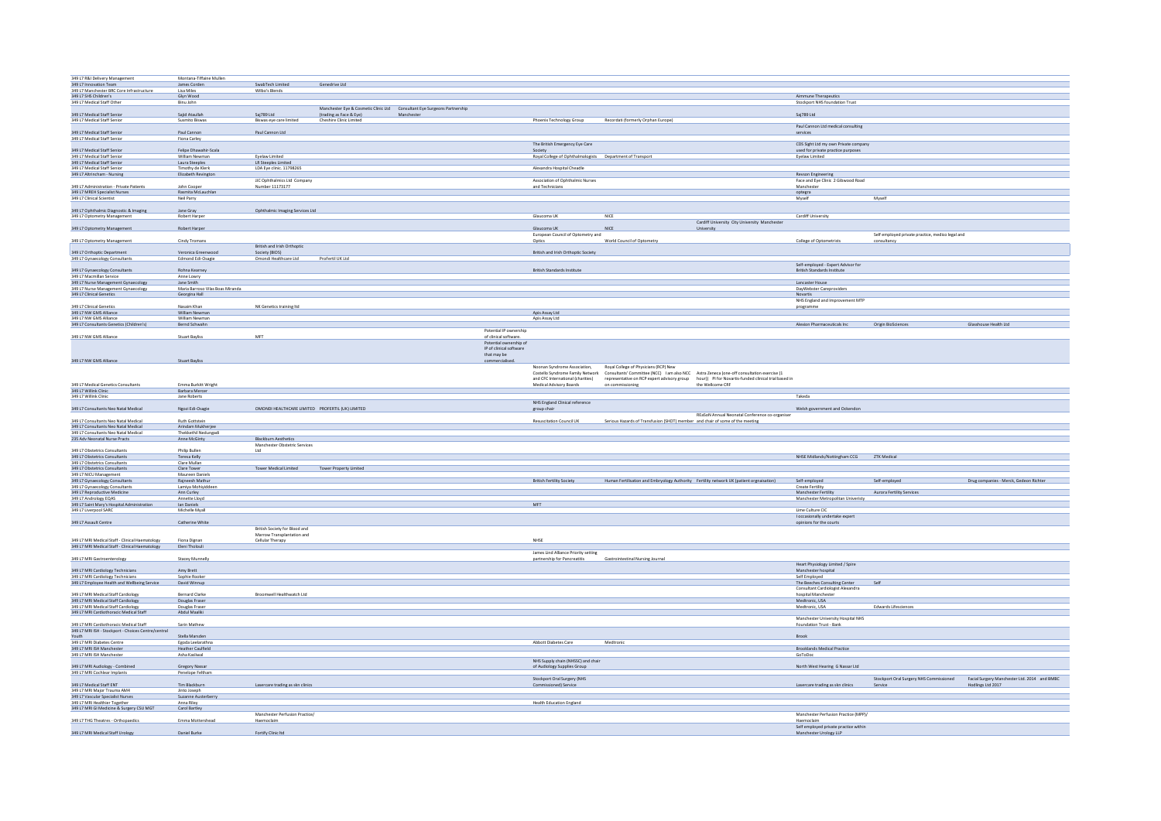| 349 L7 R&I Delivery Management                                                 | Montana-Tiffaine Mullen          |                                                  |                                                                           |           |                         |                                                           |                                                                                          |                                                                                                                            |                                                                 |                                                  |                                              |
|--------------------------------------------------------------------------------|----------------------------------|--------------------------------------------------|---------------------------------------------------------------------------|-----------|-------------------------|-----------------------------------------------------------|------------------------------------------------------------------------------------------|----------------------------------------------------------------------------------------------------------------------------|-----------------------------------------------------------------|--------------------------------------------------|----------------------------------------------|
| 349 L7 Innovation Team                                                         | James Corden                     | SwabTech Limited                                 | Genedrive Ltd                                                             |           |                         |                                                           |                                                                                          |                                                                                                                            |                                                                 |                                                  |                                              |
| 349 L7 Manchester BRC Core Infrastructure                                      | Lisa Miles                       | Wilho's Rlends                                   |                                                                           |           |                         |                                                           |                                                                                          |                                                                                                                            |                                                                 |                                                  |                                              |
| 349 L7 SHS Children's                                                          | Glyn Wood                        |                                                  |                                                                           |           |                         |                                                           |                                                                                          |                                                                                                                            | Aimmune Therapeutics                                            |                                                  |                                              |
| 349 L7 Medical Staff Other                                                     | Binu John                        |                                                  |                                                                           |           |                         |                                                           |                                                                                          |                                                                                                                            | Stockport NHS foundation Trust                                  |                                                  |                                              |
|                                                                                |                                  |                                                  | Manchester Eye & Cosmetic Clinic Ltd  Consultant Eye Surgeons Partnership |           |                         |                                                           |                                                                                          |                                                                                                                            |                                                                 |                                                  |                                              |
|                                                                                | Saiid Ataullah                   | Sai789 Ltd                                       | (trading as Face & Eye)                                                   | Mancheste |                         |                                                           |                                                                                          |                                                                                                                            | Sai789 Itd                                                      |                                                  |                                              |
| 349 L7 Medical Staff Senior<br>349 L7 Medical Staff Senior                     | Susmito Biswas                   | Biswas eye care limited                          | Cheshire Clinic Limited                                                   |           |                         | Phoenix Technology Group                                  | Recordati (formerly Orphan Europe)                                                       |                                                                                                                            |                                                                 |                                                  |                                              |
|                                                                                |                                  |                                                  |                                                                           |           |                         |                                                           |                                                                                          |                                                                                                                            | Paul Cannon Ltd medical consulting                              |                                                  |                                              |
|                                                                                |                                  |                                                  |                                                                           |           |                         |                                                           |                                                                                          |                                                                                                                            |                                                                 |                                                  |                                              |
| 349 L7 Medical Staff Senior                                                    | Paul Cannon                      | Paul Cannon Ltd                                  |                                                                           |           |                         |                                                           |                                                                                          |                                                                                                                            | services                                                        |                                                  |                                              |
| 349 L7 Medical Staff Senior                                                    | Fiona Carley                     |                                                  |                                                                           |           |                         |                                                           |                                                                                          |                                                                                                                            |                                                                 |                                                  |                                              |
|                                                                                |                                  |                                                  |                                                                           |           |                         | The British Emergency Eye Care                            |                                                                                          |                                                                                                                            | CDS Sight Ltd my own Private company                            |                                                  |                                              |
| 349 L7 Medical Staff Senior                                                    | Felipe Dhawahir-Scala            |                                                  |                                                                           |           |                         | Society                                                   |                                                                                          |                                                                                                                            | used for private practice purposes                              |                                                  |                                              |
|                                                                                | William Newman                   | Eyelaw Limited                                   |                                                                           |           |                         | Royal College of Ophthalmologists Department of Transport |                                                                                          |                                                                                                                            | <b>Eyelaw Limited</b>                                           |                                                  |                                              |
| 349 L7 Medical Staff Senior<br>349 L7 Medical Staff Senior                     | Laura Steeples                   | <b>LR Steeples Limited</b>                       |                                                                           |           |                         |                                                           |                                                                                          |                                                                                                                            |                                                                 |                                                  |                                              |
|                                                                                |                                  |                                                  |                                                                           |           |                         |                                                           |                                                                                          |                                                                                                                            |                                                                 |                                                  |                                              |
| 349 L7 Medical Staff Senior                                                    | Timothy de Klerk                 | LDA Eye clinic. 11798265                         |                                                                           |           |                         | Alexandra Hospital Cheadle                                |                                                                                          |                                                                                                                            |                                                                 |                                                  |                                              |
| 349 L7 Altrincham - Nursing                                                    | Elizabeth Revington              |                                                  |                                                                           |           |                         |                                                           |                                                                                          |                                                                                                                            | Revson Engineering                                              |                                                  |                                              |
|                                                                                |                                  | JJC Ophthalmics Ltd Company                      |                                                                           |           |                         | Association of Ophthalmic Nurses                          |                                                                                          |                                                                                                                            | Face and Eye Clinic 2 Gibwood Road                              |                                                  |                                              |
| 349 L7 Administration - Private Patients                                       | John Cooper                      | Number 11173177                                  |                                                                           |           |                         | and Technicians                                           |                                                                                          |                                                                                                                            | Manchester                                                      |                                                  |                                              |
| 349 L7 MREH Specialist Nurses                                                  | Rasmita McLauchlan               |                                                  |                                                                           |           |                         |                                                           |                                                                                          |                                                                                                                            | optegra                                                         |                                                  |                                              |
| 349 L7 Clinical Scientist                                                      | Neil Parry                       |                                                  |                                                                           |           |                         |                                                           |                                                                                          |                                                                                                                            | Myself                                                          | Myself                                           |                                              |
|                                                                                |                                  |                                                  |                                                                           |           |                         |                                                           |                                                                                          |                                                                                                                            |                                                                 |                                                  |                                              |
|                                                                                |                                  |                                                  |                                                                           |           |                         |                                                           |                                                                                          |                                                                                                                            |                                                                 |                                                  |                                              |
| 349 L7 Ophthalmic Diagnostic & Imaging                                         | Jane Gray                        | Ophthalmic Imaging Services Ltd                  |                                                                           |           |                         |                                                           |                                                                                          |                                                                                                                            |                                                                 |                                                  |                                              |
| 349 L7 Optometry Management                                                    | Robert Harper                    |                                                  |                                                                           |           |                         | Glaucoma UK                                               | NICE                                                                                     |                                                                                                                            | Cardiff University                                              |                                                  |                                              |
|                                                                                |                                  |                                                  |                                                                           |           |                         |                                                           |                                                                                          | Cardiff University City University Manchester                                                                              |                                                                 |                                                  |                                              |
| 349 L7 Optometry Management                                                    | Robert Harper                    |                                                  |                                                                           |           |                         | Glaucoma UK                                               | NICE                                                                                     | University                                                                                                                 |                                                                 |                                                  |                                              |
|                                                                                |                                  |                                                  |                                                                           |           |                         | European Council of Optometry and                         |                                                                                          |                                                                                                                            |                                                                 | Self employed private practice, medico legal and |                                              |
| 349 L7 Optometry Management                                                    | Cindy Tromans                    |                                                  |                                                                           |           |                         | Optics                                                    | World Council of Optometry                                                               |                                                                                                                            | <b>College of Optometrists</b>                                  | consultancy                                      |                                              |
|                                                                                |                                  | British and Irish Orthoptic                      |                                                                           |           |                         |                                                           |                                                                                          |                                                                                                                            |                                                                 |                                                  |                                              |
|                                                                                |                                  |                                                  |                                                                           |           |                         |                                                           |                                                                                          |                                                                                                                            |                                                                 |                                                  |                                              |
| 349 L7 Orthoptic Department                                                    | Veronica Greenwood               | Society (BIOS)                                   |                                                                           |           |                         | British and Irish Orthoptic Society                       |                                                                                          |                                                                                                                            |                                                                 |                                                  |                                              |
| 349 L7 Gynaecology Consultants                                                 | Edmond Edi-Osagie                | Omondi Healthcare Ltd                            | ProFertil UK Ltd                                                          |           |                         |                                                           |                                                                                          |                                                                                                                            |                                                                 |                                                  |                                              |
|                                                                                |                                  |                                                  |                                                                           |           |                         |                                                           |                                                                                          |                                                                                                                            | Self-employed - Expert Advisor for                              |                                                  |                                              |
| 349 L7 Gynaecology Consultants                                                 | Rohna Kearney                    |                                                  |                                                                           |           |                         | British Standards Institute                               |                                                                                          |                                                                                                                            | British Standards Institute                                     |                                                  |                                              |
| 34917 Macmillan Service                                                        | Anne Lowry                       |                                                  |                                                                           |           |                         |                                                           |                                                                                          |                                                                                                                            |                                                                 |                                                  |                                              |
| 349 L7 Nurse Management Gynaecology                                            | Jane Smith                       |                                                  |                                                                           |           |                         |                                                           |                                                                                          |                                                                                                                            | Lancaster House                                                 |                                                  |                                              |
|                                                                                |                                  |                                                  |                                                                           |           |                         |                                                           |                                                                                          |                                                                                                                            |                                                                 |                                                  |                                              |
| 349 L7 Nurse Management Gynaecology                                            | Maria Barroso Vilas Boas Miranda |                                                  |                                                                           |           |                         |                                                           |                                                                                          |                                                                                                                            | DayWebster Careproviders                                        |                                                  |                                              |
| 349 L7 Clinical Genetics                                                       | Georgina Hall                    |                                                  |                                                                           |           |                         |                                                           |                                                                                          |                                                                                                                            | <b>Novartis</b>                                                 |                                                  |                                              |
|                                                                                |                                  |                                                  |                                                                           |           |                         |                                                           |                                                                                          |                                                                                                                            | NHS England and Improvement MTP                                 |                                                  |                                              |
| 349 L7 Clinical Genetics                                                       | Nasaim Khan                      | NK Genetics training Itd                         |                                                                           |           |                         |                                                           |                                                                                          |                                                                                                                            | programme                                                       |                                                  |                                              |
| 349 L7 NW GMS Alliance                                                         | William Newman                   |                                                  |                                                                           |           |                         | Apis Assay Ltd                                            |                                                                                          |                                                                                                                            |                                                                 |                                                  |                                              |
| 349 L7 NW GMS Alliance                                                         | William Newman                   |                                                  |                                                                           |           |                         | Apis Assay Ltd                                            |                                                                                          |                                                                                                                            |                                                                 |                                                  |                                              |
| 349 L7 Consultants Genetics (Children's)                                       | Bernd Schwahn                    |                                                  |                                                                           |           |                         |                                                           |                                                                                          |                                                                                                                            | Alexion Pharmaceuticals Inc Origin BioSciences                  |                                                  | Glasshouse Health Ltd                        |
|                                                                                |                                  |                                                  |                                                                           |           |                         |                                                           |                                                                                          |                                                                                                                            |                                                                 |                                                  |                                              |
|                                                                                |                                  |                                                  |                                                                           |           | Potential IP ownership  |                                                           |                                                                                          |                                                                                                                            |                                                                 |                                                  |                                              |
| 349 L7 NW GMS Alliance                                                         | <b>Stuart Bayliss</b>            | MFT                                              |                                                                           |           | of clinical software.   |                                                           |                                                                                          |                                                                                                                            |                                                                 |                                                  |                                              |
|                                                                                |                                  |                                                  |                                                                           |           | Potential ownership of  |                                                           |                                                                                          |                                                                                                                            |                                                                 |                                                  |                                              |
|                                                                                |                                  |                                                  |                                                                           |           | IP of clinical software |                                                           |                                                                                          |                                                                                                                            |                                                                 |                                                  |                                              |
|                                                                                |                                  |                                                  |                                                                           |           | that may be             |                                                           |                                                                                          |                                                                                                                            |                                                                 |                                                  |                                              |
| 349 L7 NW GMS Alliance                                                         | <b>Stuart Bayliss</b>            |                                                  |                                                                           |           | commercialised          |                                                           |                                                                                          |                                                                                                                            |                                                                 |                                                  |                                              |
|                                                                                |                                  |                                                  |                                                                           |           |                         |                                                           |                                                                                          |                                                                                                                            |                                                                 |                                                  |                                              |
|                                                                                |                                  |                                                  |                                                                           |           |                         | Noonan Syndrome Association.                              | Royal College of Physicians (RCP) New                                                    |                                                                                                                            |                                                                 |                                                  |                                              |
|                                                                                |                                  |                                                  |                                                                           |           |                         |                                                           |                                                                                          | Costello Syndrome Family Network Consultants' Committee (NCC) I am also NCC Astra Zeneca (one-off consultation exercise (1 |                                                                 |                                                  |                                              |
|                                                                                |                                  |                                                  |                                                                           |           |                         | and CFC International (charities)                         |                                                                                          | representative on RCP expert advisory group hour)) PI for Novartis-funded clinical trial based in                          |                                                                 |                                                  |                                              |
|                                                                                | Emma Burkitt Wright              |                                                  |                                                                           |           |                         | Medical Advisory Boards                                   | on commissioning                                                                         | the Wellcome CRF                                                                                                           |                                                                 |                                                  |                                              |
| 349 L7 Medical Genetics Consultants<br>349 L7 Willink Clinic                   | <b>Barbara Mercer</b>            |                                                  |                                                                           |           |                         |                                                           |                                                                                          |                                                                                                                            |                                                                 |                                                  |                                              |
| 349 L7 Willink Clinic                                                          | Jane Roberts                     |                                                  |                                                                           |           |                         |                                                           |                                                                                          |                                                                                                                            | Takeda                                                          |                                                  |                                              |
|                                                                                |                                  |                                                  |                                                                           |           |                         | NHS England Clinical reference                            |                                                                                          |                                                                                                                            |                                                                 |                                                  |                                              |
|                                                                                | Ngozi Edi-Osagie                 | OMONDI HEALTHCARE LIMITED PROFERTIL (UK) LIMITED |                                                                           |           |                         |                                                           |                                                                                          |                                                                                                                            |                                                                 |                                                  |                                              |
| 349 L7 Consultants Neo Natal Medical                                           |                                  |                                                  |                                                                           |           |                         | group chair                                               |                                                                                          |                                                                                                                            | Welsh government and Ockendon                                   |                                                  |                                              |
|                                                                                |                                  |                                                  |                                                                           |           |                         |                                                           |                                                                                          | REaSoN Annual Neonatal Conference co-organiser                                                                             |                                                                 |                                                  |                                              |
| 349 L7 Consultants Neo Natal Medical                                           | <b>Ruth Gottstein</b>            |                                                  |                                                                           |           |                         | <b>Resuscitation Council UK</b>                           | Serious Hazards of Transfusion (SHOT) member and chair of some of the meeting            |                                                                                                                            |                                                                 |                                                  |                                              |
| 349 L7 Consultants Neo Natal Medical                                           | Arindam Mukherjee                |                                                  |                                                                           |           |                         |                                                           |                                                                                          |                                                                                                                            |                                                                 |                                                  |                                              |
| 349 L7 Consultants Neo Natal Medical                                           | Thekkethil Nedungadi             |                                                  |                                                                           |           |                         |                                                           |                                                                                          |                                                                                                                            |                                                                 |                                                  |                                              |
| 235 Adv Neonatal Nurse Practs                                                  | Anne McGinty                     | <b>Blackburn Aesthetics</b>                      |                                                                           |           |                         |                                                           |                                                                                          |                                                                                                                            |                                                                 |                                                  |                                              |
|                                                                                |                                  | Manchester Obstetric Services                    |                                                                           |           |                         |                                                           |                                                                                          |                                                                                                                            |                                                                 |                                                  |                                              |
|                                                                                | Philip Bullen                    | Ltd                                              |                                                                           |           |                         |                                                           |                                                                                          |                                                                                                                            |                                                                 |                                                  |                                              |
| 349 L7 Obstetrics Consultants<br>349 L7 Obstetrics Consultants                 |                                  |                                                  |                                                                           |           |                         |                                                           |                                                                                          |                                                                                                                            |                                                                 |                                                  |                                              |
|                                                                                | Teresa Kelly                     |                                                  |                                                                           |           |                         |                                                           |                                                                                          |                                                                                                                            | NHSE Midlands/Nottingham CCG ZTK Medical                        |                                                  |                                              |
| 349 L7 Obstetrics Consultants<br>349 L7 Obstetrics Consultants                 | Clare Mullan                     |                                                  |                                                                           |           |                         |                                                           |                                                                                          |                                                                                                                            |                                                                 |                                                  |                                              |
|                                                                                | Clare Tower                      | Tower Medical Limited Tower Property Limited     |                                                                           |           |                         |                                                           |                                                                                          |                                                                                                                            |                                                                 |                                                  |                                              |
|                                                                                | Maureen Daniel:                  |                                                  |                                                                           |           |                         |                                                           |                                                                                          |                                                                                                                            |                                                                 |                                                  |                                              |
| 349 L7 NICU Management<br>349 L7 Gynaecology Consultants                       | Rajneesh Mathur                  |                                                  |                                                                           |           |                         | <b>British Fertility Society</b>                          | Human Fertilisation and Embryology Authority Fertility network UK (patient orgnaisation) |                                                                                                                            | Self-employed                                                   | Self-employed                                    | Drug companies - Merck, Gedeon Richter       |
|                                                                                |                                  |                                                  |                                                                           |           |                         |                                                           |                                                                                          |                                                                                                                            |                                                                 |                                                  |                                              |
| 349 L7 Gynaecology Consultants<br>349 L7 Reproductive Medicine                 | Lamiya Mohiyiddeer<br>Ann Curley |                                                  |                                                                           |           |                         |                                                           |                                                                                          |                                                                                                                            | Create Fertility<br>Manchester Fertility                        | Aurora Fertility Services                        |                                              |
|                                                                                |                                  |                                                  |                                                                           |           |                         |                                                           |                                                                                          |                                                                                                                            |                                                                 |                                                  |                                              |
| 349 L7 Andrology EQAS                                                          | Annette Lloyd                    |                                                  |                                                                           |           |                         |                                                           |                                                                                          |                                                                                                                            | Manchester Metropolitan Univeristy                              |                                                  |                                              |
| 349 L7 Saint Mary's Hospital Administratio                                     | lan Daniels                      |                                                  |                                                                           |           |                         | <b>MFT</b>                                                |                                                                                          |                                                                                                                            |                                                                 |                                                  |                                              |
| 349 L7 Liverpool SARC                                                          | Michelle Myall                   |                                                  |                                                                           |           |                         |                                                           |                                                                                          |                                                                                                                            | Lime Culture CIC                                                |                                                  |                                              |
|                                                                                |                                  |                                                  |                                                                           |           |                         |                                                           |                                                                                          |                                                                                                                            | I occasionally undertake expert                                 |                                                  |                                              |
| 349 L7 Assault Centre                                                          | Catherine White                  |                                                  |                                                                           |           |                         |                                                           |                                                                                          |                                                                                                                            | opinions for the courts                                         |                                                  |                                              |
|                                                                                |                                  | British Society for Blood and                    |                                                                           |           |                         |                                                           |                                                                                          |                                                                                                                            |                                                                 |                                                  |                                              |
|                                                                                |                                  | Marrow Transplantation and                       |                                                                           |           |                         |                                                           |                                                                                          |                                                                                                                            |                                                                 |                                                  |                                              |
|                                                                                |                                  |                                                  |                                                                           |           |                         |                                                           |                                                                                          |                                                                                                                            |                                                                 |                                                  |                                              |
| 349 L7 MRI Medical Staff - Clinical Haematology                                | Fiona Dignan                     |                                                  |                                                                           |           |                         |                                                           |                                                                                          |                                                                                                                            |                                                                 |                                                  |                                              |
| 349 L7 MRI Medical Staff - Clinical Haematology                                |                                  | Cellular Therapy                                 |                                                                           |           |                         | NHSE                                                      |                                                                                          |                                                                                                                            |                                                                 |                                                  |                                              |
|                                                                                | Eleni Tholouli                   |                                                  |                                                                           |           |                         |                                                           |                                                                                          |                                                                                                                            |                                                                 |                                                  |                                              |
| 349 L7 MRI Gastroenterology                                                    |                                  |                                                  |                                                                           |           |                         |                                                           |                                                                                          |                                                                                                                            |                                                                 |                                                  |                                              |
|                                                                                |                                  |                                                  |                                                                           |           |                         | James Lind Alliance Priority setting                      |                                                                                          |                                                                                                                            |                                                                 |                                                  |                                              |
|                                                                                | <b>Stacey Munnelly</b>           |                                                  |                                                                           |           |                         | partnership for Pancreatitis                              | <b>Gastrointestinal Nursing Journal</b>                                                  |                                                                                                                            |                                                                 |                                                  |                                              |
|                                                                                |                                  |                                                  |                                                                           |           |                         |                                                           |                                                                                          |                                                                                                                            | Heart Physiology Limited / Spire                                |                                                  |                                              |
| 349 L7 MRI Cardiology Technicians                                              | Amy Brett                        |                                                  |                                                                           |           |                         |                                                           |                                                                                          |                                                                                                                            | Manchester hospital                                             |                                                  |                                              |
| 349 L7 MRI Cardiology Technicians                                              | Sophie Rooker                    |                                                  |                                                                           |           |                         |                                                           |                                                                                          |                                                                                                                            | Self Employed                                                   |                                                  |                                              |
| 349 L7 Employee Health and Wellbeing Service                                   | David Winnup                     |                                                  |                                                                           |           |                         |                                                           |                                                                                          |                                                                                                                            | The Beeches Consulting Center                                   | Self                                             |                                              |
|                                                                                |                                  |                                                  |                                                                           |           |                         |                                                           |                                                                                          |                                                                                                                            | Consultant Cardiologist Alexandra                               |                                                  |                                              |
| 349 L7 MRI Medical Staff Cardiology                                            | Bernard Clarke                   | Broomwell Healthwatch Ltd                        |                                                                           |           |                         |                                                           |                                                                                          |                                                                                                                            | hospital Manchester                                             |                                                  |                                              |
|                                                                                |                                  |                                                  |                                                                           |           |                         |                                                           |                                                                                          |                                                                                                                            |                                                                 |                                                  |                                              |
| 349 L7 MRI Medical Staff Cardiology                                            | Douglas Fraser                   |                                                  |                                                                           |           |                         |                                                           |                                                                                          |                                                                                                                            | Medtronic, USA                                                  |                                                  |                                              |
|                                                                                | Douglas Fraser                   |                                                  |                                                                           |           |                         |                                                           |                                                                                          |                                                                                                                            | Medtronic, USA                                                  | Edwards Lifesciences                             |                                              |
| 349 L7 MRI Medical Staff Cardiology<br>349 L7 MRI Cardiothoracic Medical Staff | Abdul Maaliki                    |                                                  |                                                                           |           |                         |                                                           |                                                                                          |                                                                                                                            |                                                                 |                                                  |                                              |
|                                                                                |                                  |                                                  |                                                                           |           |                         |                                                           |                                                                                          |                                                                                                                            | Manchester University Hospital NHS                              |                                                  |                                              |
| 349 L7 MRI Cardiothoracic Medical Staff                                        | Sarin Mathew                     |                                                  |                                                                           |           |                         |                                                           |                                                                                          |                                                                                                                            | Foundation Trust - Bank                                         |                                                  |                                              |
|                                                                                |                                  |                                                  |                                                                           |           |                         |                                                           |                                                                                          |                                                                                                                            |                                                                 |                                                  |                                              |
| 349 L7 MRI ISH - Stockport - Choices Centre/central<br>Youth                   | Stella Marsden                   |                                                  |                                                                           |           |                         |                                                           |                                                                                          |                                                                                                                            | Brook                                                           |                                                  |                                              |
|                                                                                |                                  |                                                  |                                                                           |           |                         |                                                           |                                                                                          |                                                                                                                            |                                                                 |                                                  |                                              |
| 349 L7 MRI Diabetes Centre                                                     | Egoda Leelarathna                |                                                  |                                                                           |           |                         | Abbott Diabetes Care                                      | Medtronic                                                                                |                                                                                                                            |                                                                 |                                                  |                                              |
| 349 L7 MRI ISH Manchester                                                      | <b>Heather Caulfield</b>         |                                                  |                                                                           |           |                         |                                                           |                                                                                          |                                                                                                                            | <b>Brooklands Medical Practice</b>                              |                                                  |                                              |
| 349 L7 MRI ISH Manchester                                                      | Asha Kasliwal                    |                                                  |                                                                           |           |                         |                                                           |                                                                                          |                                                                                                                            | GoToDoc                                                         |                                                  |                                              |
|                                                                                |                                  |                                                  |                                                                           |           |                         | NHS Supply chain (NHSSC) and chair                        |                                                                                          |                                                                                                                            |                                                                 |                                                  |                                              |
| 349 L7 MRI Audiology - Combined                                                | Gregory Nassar                   |                                                  |                                                                           |           |                         | of Audiology Supplies Group                               |                                                                                          |                                                                                                                            | North West Hearing G Nassar Ltd                                 |                                                  |                                              |
|                                                                                |                                  |                                                  |                                                                           |           |                         |                                                           |                                                                                          |                                                                                                                            |                                                                 |                                                  |                                              |
| 349 L7 MRI Cochlear Implants                                                   | Penelope Feltham                 |                                                  |                                                                           |           |                         |                                                           |                                                                                          |                                                                                                                            |                                                                 |                                                  |                                              |
|                                                                                |                                  |                                                  |                                                                           |           |                         | Stockport Oral Surgery (NHS                               |                                                                                          |                                                                                                                            |                                                                 | Stockport Oral Surgery NHS Commissioned          | Facial Surgery Manchester Ltd. 2014 and BMBC |
| 349 L7 Medical Staff ENT                                                       | Tim Blackburn                    | Lasercare trading as skn clinics                 |                                                                           |           |                         | Commissioned) Service                                     |                                                                                          |                                                                                                                            | Lasercare trading as skn clinics                                | Service                                          | Hodlings Ltd 2017                            |
| 349 L7 MRI Major Trauma AM4                                                    | Jinto Joseph                     |                                                  |                                                                           |           |                         |                                                           |                                                                                          |                                                                                                                            |                                                                 |                                                  |                                              |
| 349 L7 Vascular Specialist Nurses                                              | Suzanne Austerberry              |                                                  |                                                                           |           |                         |                                                           |                                                                                          |                                                                                                                            |                                                                 |                                                  |                                              |
| 349 L7 MRI Healthier Together                                                  | Anna Riley                       |                                                  |                                                                           |           |                         | <b>Health Education England</b>                           |                                                                                          |                                                                                                                            |                                                                 |                                                  |                                              |
| 349 L7 MRI GI Medicine & Surgery CSU MGT                                       | Carol Bartley                    |                                                  |                                                                           |           |                         |                                                           |                                                                                          |                                                                                                                            |                                                                 |                                                  |                                              |
|                                                                                |                                  | Manchester Perfusion Practice/                   |                                                                           |           |                         |                                                           |                                                                                          |                                                                                                                            | Manchester Perfusion Practice (MPP)/                            |                                                  |                                              |
|                                                                                |                                  |                                                  |                                                                           |           |                         |                                                           |                                                                                          |                                                                                                                            |                                                                 |                                                  |                                              |
| 349 L7 THG Theatres - Orthopaedics                                             | Emma Mottershead                 | Haemoclaim                                       |                                                                           |           |                         |                                                           |                                                                                          |                                                                                                                            | laemoclaim                                                      |                                                  |                                              |
| 349 L7 MRI Medical Staff Urology                                               | Daniel Burke                     | Fortify Clinic Itd                               |                                                                           |           |                         |                                                           |                                                                                          |                                                                                                                            | Self employed private practice within<br>Manchester Urology LLP |                                                  |                                              |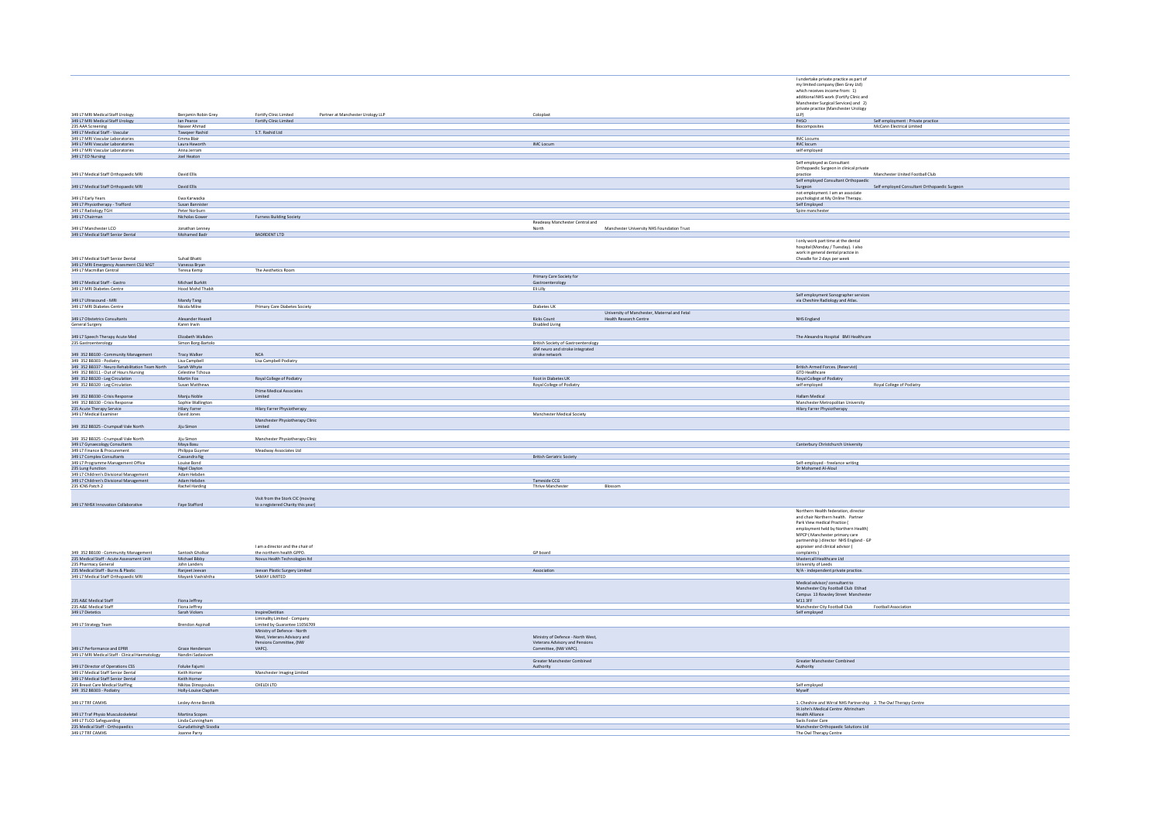|                                                                          |                                           |                                                               |                                            |                                              | I undertake private practice as part of<br>my limited company (Ben Grey Ltd) |                                                                 |
|--------------------------------------------------------------------------|-------------------------------------------|---------------------------------------------------------------|--------------------------------------------|----------------------------------------------|------------------------------------------------------------------------------|-----------------------------------------------------------------|
|                                                                          |                                           |                                                               |                                            |                                              | which receives income from: 1)                                               |                                                                 |
|                                                                          |                                           |                                                               |                                            |                                              | additional NHS work (Fortify Clinic and                                      |                                                                 |
|                                                                          |                                           |                                                               |                                            |                                              | Manchester Surgical Services) and 2)                                         |                                                                 |
|                                                                          |                                           |                                                               |                                            |                                              | private practice (Manchester Urology                                         |                                                                 |
| 349 L7 MRI Medical Staff Urology                                         | Benjamin Robin Grey                       | Fortify Clinic Limited<br>Partner at Manchester Urology LLP   | Coloplast                                  |                                              | LLP)                                                                         |                                                                 |
| 349 L7 MRI Medical Staff Urology                                         | lan Pearce                                | Fortify Clinic Limited                                        |                                            |                                              | PHSO                                                                         | Self employment : Private practice<br>McCann Electrical Limited |
| 235 AAA Screening                                                        | Naseer Ahmac                              |                                                               |                                            |                                              | Biocomposites                                                                |                                                                 |
| 349 L7 Medical Staff - Vascular<br>349 L7 MRI Vascular Laboratories      | Tawqeer Rashid<br>Emma Blair              | S.T. Rashid Ltd                                               |                                            |                                              | <b>IMC</b> Locums                                                            |                                                                 |
| 349 L7 MRI Vascular Laboratories                                         | Laura Haworth                             |                                                               | IMC Locum                                  |                                              | IMC locum                                                                    |                                                                 |
| 349 L7 MRI Vascular Laboratories                                         | Anna Jerram                               |                                                               |                                            |                                              | self employed                                                                |                                                                 |
| 349 L7 ED Nursing                                                        | Joel Heaton                               |                                                               |                                            |                                              |                                                                              |                                                                 |
|                                                                          |                                           |                                                               |                                            |                                              | Self employed as Consultant                                                  |                                                                 |
|                                                                          |                                           |                                                               |                                            |                                              | Orthopaedic Surgeon in clinical private                                      |                                                                 |
| 349 L7 Medical Staff Orthopaedic MRI                                     | David Ellis                               |                                                               |                                            |                                              | practice                                                                     | Manchester United Football Club                                 |
|                                                                          |                                           |                                                               |                                            |                                              | Self employed Consultant Orthopaedic                                         |                                                                 |
| 349 L7 Medical Staff Orthopaedic MRI                                     | David Ellis                               |                                                               |                                            |                                              | Surgeon                                                                      | Self employed Consultant Orthopaedic Surgeon                    |
|                                                                          |                                           |                                                               |                                            |                                              | not employment. I am an associate                                            |                                                                 |
| 349 L7 Early Years<br>349 L7 Physiotherapy - Trafford                    | Ewa Karwacka                              |                                                               |                                            |                                              | psychologist at My Online Therapy.                                           |                                                                 |
|                                                                          | Susan Bannister                           |                                                               |                                            |                                              | Self Employed                                                                |                                                                 |
| 349 L7 Radiology TGH                                                     | Peter Norburn                             |                                                               |                                            |                                              | Spire manchester                                                             |                                                                 |
| 349 L7 Chairman                                                          | Nicholas Gowe                             | <b>Furness Building Society</b>                               |                                            |                                              |                                                                              |                                                                 |
|                                                                          |                                           |                                                               | Readeasy Manchester Central and            |                                              |                                                                              |                                                                 |
| 349 L7 Manchester LCO                                                    | Jonathan Lenney                           | BADRDENT LTD                                                  | North                                      | Manchester University NHS Foundation Trust   |                                                                              |                                                                 |
| 349 L7 Medical Staff Senior Dental                                       | Mohamed Badr                              |                                                               |                                            |                                              |                                                                              |                                                                 |
|                                                                          |                                           |                                                               |                                            |                                              | I only work part time at the dental                                          |                                                                 |
|                                                                          |                                           |                                                               |                                            |                                              | hospital (Monday / Tuesday). I also<br>work in general dental practcie in    |                                                                 |
| 349 L7 Medical Staff Senior Dental                                       | Suhail Bhatti                             |                                                               |                                            |                                              | Cheadle for 2 days per week                                                  |                                                                 |
| 349 L7 MRI Emergency Assesment CSU MGT                                   | Vanessa Bryan                             |                                                               |                                            |                                              |                                                                              |                                                                 |
| 349 L7 Macmillan Central                                                 | Teresa Kemp                               | The Aesthetics Room                                           |                                            |                                              |                                                                              |                                                                 |
|                                                                          |                                           |                                                               | Primary Care Society for                   |                                              |                                                                              |                                                                 |
| 349 L7 Medical Staff - Gastro                                            | Michael Burkitt                           |                                                               | Gastroenterology                           |                                              |                                                                              |                                                                 |
| 349 L7 MRI Diabetes Centre                                               | Hood Mohd Thabit                          |                                                               | Eli Lilly                                  |                                              |                                                                              |                                                                 |
|                                                                          |                                           |                                                               |                                            |                                              |                                                                              |                                                                 |
| 349 L7 Ultrasound - MRI                                                  | Mandy Tang                                |                                                               |                                            |                                              | Self employment Sonographer services<br>via Cheshire Radiology and Atlas.    |                                                                 |
| 349 L7 MRI Diabetes Centre                                               | Nicola Milne                              | Primary Care Diabetes Society                                 | Diabetes UK                                |                                              |                                                                              |                                                                 |
|                                                                          |                                           |                                                               |                                            | University of Manchester, Maternal and Fetal |                                                                              |                                                                 |
| 349 L7 Obstetrics Consultants                                            | Alexander Heazell                         |                                                               | Kicks Count                                | Health Research Centre                       | NHS England                                                                  |                                                                 |
| General Surgery                                                          | Karen Irwin                               |                                                               | Disabled Living                            |                                              |                                                                              |                                                                 |
|                                                                          |                                           |                                                               |                                            |                                              |                                                                              |                                                                 |
| 349 L7 Speech Therapy Acute Med                                          | Elizabeth Walkden                         |                                                               |                                            |                                              | The Alexandra Hospital BMI Healthcare                                        |                                                                 |
| 235 Gastroenterology                                                     | Simon Borg-Bartolo                        |                                                               | <b>British Society of Gastroenterology</b> |                                              |                                                                              |                                                                 |
|                                                                          |                                           |                                                               | GM neuro and stroke integrated             |                                              |                                                                              |                                                                 |
| 349 352 BB100 - Community Management<br>349 352 BB303 - Podiatry         | Tracy Walker                              | <b>NCA</b>                                                    | stroke network                             |                                              |                                                                              |                                                                 |
|                                                                          | Lisa Campbell                             | Lisa Campbell Podiatry                                        |                                            |                                              |                                                                              |                                                                 |
| 349 352 BB337 - Neuro Rehabilitation Team North                          | Sarah Whyte                               |                                                               |                                            |                                              | British Armed Forces. (Reservist)                                            |                                                                 |
| 349 352 BB311 - Out of Hours Nursing                                     | Celestine Tchoua                          |                                                               |                                            |                                              | <b>GTD Healthcare</b>                                                        |                                                                 |
| 349 352 BB320 - Leg Circulation                                          | Martin Fox                                | Royal College of Podiatry                                     | Foot in Diabetes UK                        |                                              | Royal College of Podiatry                                                    |                                                                 |
| 349 352 BB320 - Leg Circulation                                          | Susan Matthews                            |                                                               | Royal College of Podiatry                  |                                              | self employed                                                                | Royal College of Podiatry                                       |
|                                                                          |                                           | Prime Medical Associates                                      |                                            |                                              |                                                                              |                                                                 |
| 349 352 BB330 - Crisis Response<br>349 352 BB330 - Crisis Response       | Maniu Noble                               | Limited                                                       |                                            |                                              | Hallam Medical<br>Manchester Metropolitan University                         |                                                                 |
|                                                                          | Sophie Wallington                         |                                                               |                                            |                                              | Hilary Farrer Physiotherapy                                                  |                                                                 |
| 235 Acute Therapy Service<br>349 L7 Medical Examiner                     | Hilary Farrer<br>David Jones              | Hilary Farrer Physiotherapy                                   | Manchester Medical Society                 |                                              |                                                                              |                                                                 |
|                                                                          |                                           | Manchester Physiotherapy Clinic                               |                                            |                                              |                                                                              |                                                                 |
| 349 352 BB325 - Crumpsall Vale North                                     | Jiju Simon                                | Limited                                                       |                                            |                                              |                                                                              |                                                                 |
|                                                                          |                                           |                                                               |                                            |                                              |                                                                              |                                                                 |
| 349 352 BB325 - Crumpsall Vale North                                     | <b>Fiu Simon</b>                          | Manchester Physiotherapy Clinic                               |                                            |                                              |                                                                              |                                                                 |
| 349 L7 Gynaecology Consultants                                           | Maya Basu                                 |                                                               |                                            |                                              | Canterbury Christchurch University                                           |                                                                 |
| 349 L7 Finance & Procurement                                             | Philippa Guyme                            | Meadway Associates Ltd                                        |                                            |                                              |                                                                              |                                                                 |
| 349 L7 Complex Consultants                                               | Cassandra Ng                              |                                                               | <b>British Geriatric Society</b>           |                                              |                                                                              |                                                                 |
| 349 L7 Programme Management Office                                       | Louise Bond                               |                                                               |                                            |                                              | Self-employed - freelance writing                                            |                                                                 |
| 235 Lung Function                                                        | Nigel Clayton                             |                                                               |                                            |                                              | Dr Mohamed Al-Aloul                                                          |                                                                 |
| 349 L7 Children's Divisional Management                                  | Adam Hebden                               |                                                               |                                            |                                              |                                                                              |                                                                 |
| 349 L7 Children's Divisional Management<br>235 ICNS Patch 2              | Adam Hebden                               |                                                               | Tameside CCG                               |                                              |                                                                              |                                                                 |
|                                                                          | Rachel Harding                            |                                                               | Thrive Manchester                          | Blossom                                      |                                                                              |                                                                 |
|                                                                          |                                           |                                                               |                                            |                                              |                                                                              |                                                                 |
|                                                                          |                                           | Visit from the Stork CIC (moving                              |                                            |                                              |                                                                              |                                                                 |
| 349 L7 NHSX Innovation Collaborative                                     | Faye Stafford                             | to a registered Charity this year)                            |                                            |                                              |                                                                              |                                                                 |
|                                                                          |                                           |                                                               |                                            |                                              | Northern Health federation, director                                         |                                                                 |
|                                                                          |                                           |                                                               |                                            |                                              | and chair Northern health. Partner                                           |                                                                 |
|                                                                          |                                           |                                                               |                                            |                                              | Park View medical Practice (                                                 |                                                                 |
|                                                                          |                                           |                                                               |                                            |                                              | employment held by Northern Health)                                          |                                                                 |
|                                                                          |                                           |                                                               |                                            |                                              | MPCP (Manchester primary care                                                |                                                                 |
|                                                                          |                                           |                                                               |                                            |                                              | partnership ) director NHS England - GP                                      |                                                                 |
| 349 352 BB100 - Community Management                                     | Santosh Gholkar                           | I am a director and the chair of<br>the northern health GPPO. | GP board                                   |                                              | appraiser and clinical advisor (<br>complaints)                              |                                                                 |
| 235 Medical Staff - Acute Assessment Unit                                | Michael Bibby                             | Novus Health Technologies ltd                                 |                                            |                                              | Mastercall Healthcare Ltd                                                    |                                                                 |
| 235 Pharmacy General                                                     | John Landers                              |                                                               |                                            |                                              | University of Leeds                                                          |                                                                 |
| 235 Medical Staff - Burns & Plastic                                      | Ranjeet Jeevan                            | Jeevan Plastic Surgery Limited                                | Association                                |                                              | N/A - independent private practice.                                          |                                                                 |
| 349 L7 Medical Staff Orthopaedic MRI                                     | Mayank Vashishtha                         | SAMAY LIMITED                                                 |                                            |                                              |                                                                              |                                                                 |
|                                                                          |                                           |                                                               |                                            |                                              | Medical advisor/consultant to                                                |                                                                 |
|                                                                          |                                           |                                                               |                                            |                                              | Manchester City Football Club Etihad                                         |                                                                 |
|                                                                          |                                           |                                                               |                                            |                                              | Campus 13 Rowsley Street Manchester                                          |                                                                 |
| 235 A&E Medical Staff                                                    | Fiona Jeffrey                             |                                                               |                                            |                                              | M113FF                                                                       |                                                                 |
| 235 A&E Medical Staff                                                    | Fiona Jeffrey                             |                                                               |                                            |                                              | Manchester City Football Club                                                | Football Association                                            |
| 349 L7 Dietetics                                                         | Sarah Vickers                             | InspireDietitian                                              |                                            |                                              | Self employed                                                                |                                                                 |
|                                                                          |                                           | Liminality Limited - Company                                  |                                            |                                              |                                                                              |                                                                 |
| 349 L7 Strategy Team                                                     | <b>Brendon Aspinall</b>                   | Limited by Guarantee 11056709                                 |                                            |                                              |                                                                              |                                                                 |
|                                                                          |                                           | Ministry of Defence - North                                   |                                            |                                              |                                                                              |                                                                 |
|                                                                          |                                           | West, Veterans Advisory and                                   | Ministry of Defence - North West,          |                                              |                                                                              |                                                                 |
|                                                                          |                                           | Pensions Committee, (NW                                       | Veterans Advisory and Pensions             |                                              |                                                                              |                                                                 |
| 349 L7 Performance and EPRR                                              | Grace Henderson                           | VAPC).                                                        | Committee, (NW VAPC).                      |                                              |                                                                              |                                                                 |
| 349 L7 MRI Medical Staff - Clinical Haematology                          | Nandini Sadasivam                         |                                                               |                                            |                                              |                                                                              |                                                                 |
|                                                                          |                                           |                                                               | Greater Manchester Combined                |                                              | Greater Manchester Combined                                                  |                                                                 |
| 349 L7 Director of Operations CSS                                        | Foluke Fajumi                             |                                                               | Authority                                  |                                              | Authority                                                                    |                                                                 |
| 349 L7 Medical Staff Senior Dental<br>349 L7 Medical Staff Senior Dental | Keith Horner                              | Manchester Imaging Limited                                    |                                            |                                              |                                                                              |                                                                 |
|                                                                          | Keith Horner                              |                                                               |                                            |                                              |                                                                              |                                                                 |
| 235 Breast Care Medical Staffing                                         | Nikitas Dimopoulos                        | CHELDI LTD                                                    |                                            |                                              | Self employed                                                                |                                                                 |
| 349 352 BB303 - Podiatry                                                 | Holly-Louise Clapham                      |                                                               |                                            |                                              | Myself                                                                       |                                                                 |
|                                                                          |                                           |                                                               |                                            |                                              |                                                                              |                                                                 |
| 349 L7 TRF CAMHS                                                         | Lesley-Anne Bendik                        |                                                               |                                            |                                              | 1. Cheshire and Wirral NHS Partnership 2. The Owl Therapy Centre             |                                                                 |
| 349 L7 Traf Physio Musculoskeletal                                       |                                           |                                                               |                                            |                                              | St John's Medical Centre Altrincham<br>Health Alliance                       |                                                                 |
|                                                                          |                                           |                                                               |                                            |                                              |                                                                              |                                                                 |
|                                                                          | Martina Scopes                            |                                                               |                                            |                                              |                                                                              |                                                                 |
| 349 L7 TLCO Safeguarding<br>235 Medical Staff - Orthopaedics             | Linda Cunningham<br>Gurudattsingh Sisodia |                                                               |                                            |                                              | Swiis Foster Care<br>Manchester Orthopaedic Solutions Ltd                    |                                                                 |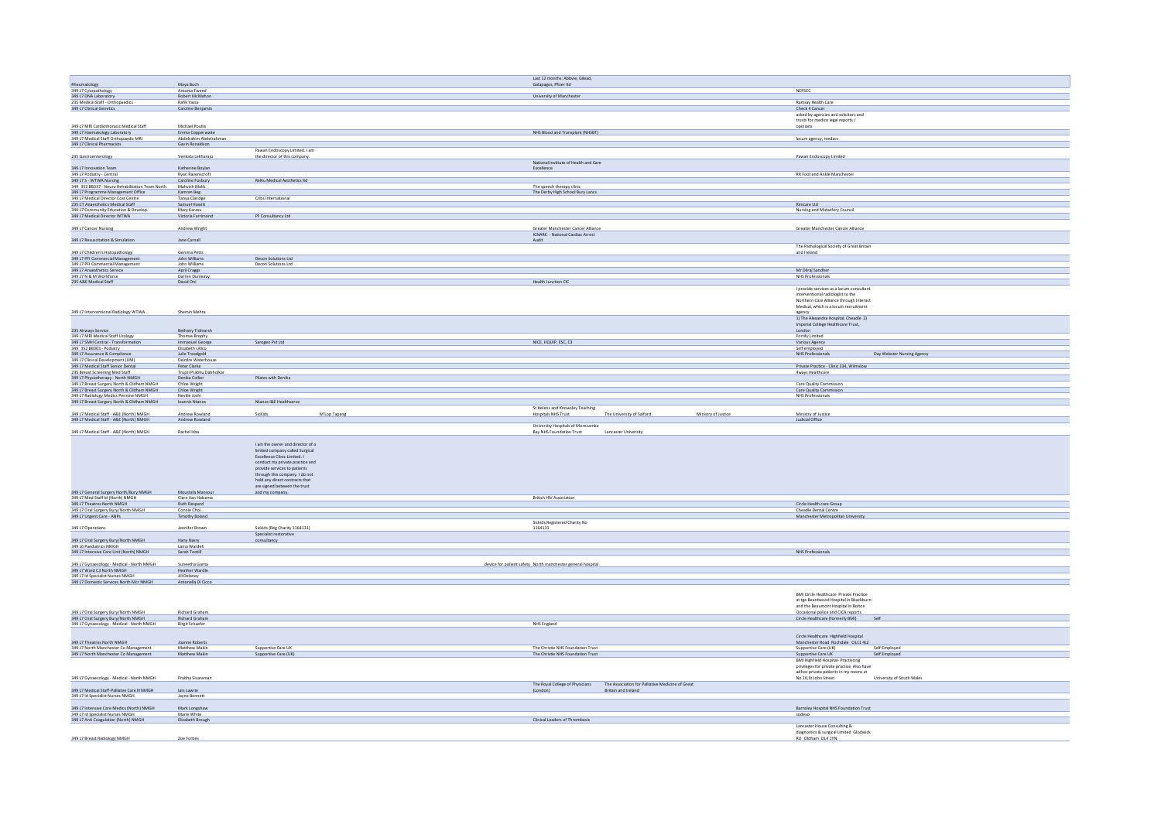|                                                                             |                                  |                                  |              | Last 12 months: Abbvie, Gilead,                             |                                                                                                         |                                                   |
|-----------------------------------------------------------------------------|----------------------------------|----------------------------------|--------------|-------------------------------------------------------------|---------------------------------------------------------------------------------------------------------|---------------------------------------------------|
| Rheumatology                                                                | Maya Buch                        |                                  |              | Galapagos, Pfizer Itd                                       |                                                                                                         |                                                   |
|                                                                             |                                  |                                  |              |                                                             |                                                                                                         | NEPSEC                                            |
| 349 L7 Cytopathology<br>349 L7 DNA Laboratory                               | Antonia Tweed<br>Robert McMahon  |                                  |              | University of Manchester                                    |                                                                                                         |                                                   |
|                                                                             |                                  |                                  |              |                                                             |                                                                                                         |                                                   |
| 235 Medical Staff - Orthopaedics<br>349 L7 Clinical Genetics                | Rafik Yassa<br>Caroline Benjamin |                                  |              |                                                             |                                                                                                         | Ramsay Health Care<br>Check 4 Cancer              |
|                                                                             |                                  |                                  |              |                                                             |                                                                                                         | asked by agencies and solicitors and              |
|                                                                             |                                  |                                  |              |                                                             |                                                                                                         |                                                   |
|                                                                             |                                  |                                  |              |                                                             |                                                                                                         | trusts for medico legal reports /                 |
| 349 L7 MRI Cardiothoracic Medical Staff                                     | Michael Poullis                  |                                  |              |                                                             |                                                                                                         | opinions                                          |
| 349 L7 Haematology Laboratory                                               | Emma Copperwaite                 |                                  |              | NHS Blood and Transplant (NHSBT)                            |                                                                                                         |                                                   |
| 349 L7 Medical Staff Orthopaedic MRI                                        | Abdelrahim Abdelrahman           |                                  |              |                                                             |                                                                                                         | locum agency, medacs                              |
| 349 L7 Clinical Pharmacists                                                 | Gavin Ronaldson                  |                                  |              |                                                             |                                                                                                         |                                                   |
|                                                                             |                                  | Pawan Endoscopy Limited. I am    |              |                                                             |                                                                                                         |                                                   |
| 235 Gastroenterology                                                        | Venkata Lekharaju                | the director of this company.    |              |                                                             |                                                                                                         | Pawan Endoscopy Limited                           |
|                                                                             |                                  |                                  |              | National Institute of Health and Care                       |                                                                                                         |                                                   |
| 349 L7 Innovation Team                                                      | Katherine Boylan                 |                                  |              | Excellence                                                  |                                                                                                         |                                                   |
|                                                                             | Ryan Ravenscroft                 |                                  |              |                                                             |                                                                                                         | RR Foot and Ankle Manchester                      |
| 349 L7 Podiatry - Central<br>349 L7 S - WTWA Nursing                        | Caroline Fosbury                 | ReNu Medical Aesthetics Itd      |              |                                                             |                                                                                                         |                                                   |
| 349 352 BB337 - Neuro Rehabilitation Team North                             | Mahvish Malik                    |                                  |              | The speech therapy clinic                                   |                                                                                                         |                                                   |
| 349 L7 Programme Management Office                                          | Kamran Beg                       |                                  |              | The Derby High School Bury Lancs                            |                                                                                                         |                                                   |
| 349 L7 Medical Director Cost Centre                                         | Tanya Claridge                   | Cribs International              |              |                                                             |                                                                                                         |                                                   |
| 235 CT Anaesthetics Medical Staff                                           | Samuel Howitt                    |                                  |              |                                                             |                                                                                                         | Rinicare Ltd                                      |
| 349 L7 Community Education & Develop.                                       | Mary Karasu                      |                                  |              |                                                             |                                                                                                         | Nursing and Midwifery Council                     |
| 349 L7 Medical Director WTWA                                                | Victoria Farrimond               | PF Consultancy Ltd               |              |                                                             |                                                                                                         |                                                   |
|                                                                             |                                  |                                  |              |                                                             |                                                                                                         |                                                   |
|                                                                             |                                  |                                  |              |                                                             |                                                                                                         |                                                   |
| 349 L7 Cancer Nursing                                                       | Andrew Wright                    |                                  |              | Greater Manchester Cancer Alliance                          |                                                                                                         | Greater Manchester Cancer Alliance                |
|                                                                             |                                  |                                  |              | ICNARC - National Cardiac Arrest                            |                                                                                                         |                                                   |
| 349 L7 Resuscitation & Simulation                                           | Jane Carnall                     |                                  |              | Audit                                                       |                                                                                                         |                                                   |
|                                                                             |                                  |                                  |              |                                                             |                                                                                                         | The Pathological Society of Great Britain         |
| 349 L7 Children's Histopathology                                            | Gemma Petts                      |                                  |              |                                                             |                                                                                                         | and Ireland                                       |
| 349 L7 PFI Commercial Management                                            | John Williams                    | Decon Solutions Ltd              |              |                                                             |                                                                                                         |                                                   |
| 349 L7 PFI Commercial Management<br>349 L7 Anaesthetics Service             | John Williams                    | Decon Solutions Ltd              |              |                                                             |                                                                                                         |                                                   |
|                                                                             | April Craggs                     |                                  |              |                                                             |                                                                                                         | Mr Dilraj Sandher                                 |
| 349 L7 N & M Workforce                                                      | Darren Dunleavy                  |                                  |              |                                                             |                                                                                                         | NHS Professionals                                 |
| 235 A&E Medical Staff                                                       | David Oni                        |                                  |              | <b>Health Junction CIC</b>                                  |                                                                                                         |                                                   |
|                                                                             |                                  |                                  |              |                                                             |                                                                                                         | I provide services as a locum consultant          |
|                                                                             |                                  |                                  |              |                                                             |                                                                                                         | interventional radiologist to the                 |
|                                                                             |                                  |                                  |              |                                                             |                                                                                                         | Northern Care Alliance through Interact           |
|                                                                             |                                  |                                  |              |                                                             |                                                                                                         | Medical, which is a locum recruitment             |
|                                                                             |                                  |                                  |              |                                                             |                                                                                                         |                                                   |
| 349 L7 Interventional Radiology WTWA                                        | Shemin Mehta                     |                                  |              |                                                             |                                                                                                         | agency<br>1) The Alexandra Hospital, Cheadle 2)   |
|                                                                             |                                  |                                  |              |                                                             |                                                                                                         |                                                   |
|                                                                             |                                  |                                  |              |                                                             |                                                                                                         | Imperial College Healthcare Trust,                |
| 235 Airways Service                                                         | Bethany Tidmarsh                 |                                  |              |                                                             |                                                                                                         | London                                            |
| 349 L7 MRI Medical Staff Urology                                            | Thomas Brophy                    |                                  |              |                                                             |                                                                                                         | Fortify Limited                                   |
| 349 L7 SMH Central - Transformation                                         | Immanuel George                  | Sarogeo Pvt Ltd                  |              | NICE, HQUIP, ESC, C3                                        |                                                                                                         | Various Agency                                    |
| 349 352 BB303 - Podiatry                                                    | Elizabeth Lillico                |                                  |              |                                                             |                                                                                                         | Self employed                                     |
| 349 L7 Assurance & Compliance                                               | Julie Treadgold                  |                                  |              |                                                             |                                                                                                         | NHS Professionals<br>Day Webster Nursing Agency   |
| 349 L7 Clinical Development (UM)                                            | Deirdre Waterhouse               |                                  |              |                                                             |                                                                                                         |                                                   |
| 349 L7 Medical Staff Senior Dental                                          | Peter Clarke                     |                                  |              |                                                             |                                                                                                         | Private Practice - Clinic 334, Wilmslow           |
| 235 Breast Screening Med Staff                                              | Trupti Prabhu Dabholkar          |                                  |              |                                                             |                                                                                                         | 4ways Healthcare                                  |
| 349 L7 Physiotherapy - North NMGH                                           |                                  | Pilates with Denika              |              |                                                             |                                                                                                         |                                                   |
|                                                                             | Denika Collier<br>Chloe Wright   |                                  |              |                                                             |                                                                                                         | Care Quality Commission                           |
| 349 L7 Breast Surgery North & Oldham NMGH                                   |                                  |                                  |              |                                                             |                                                                                                         |                                                   |
| 349 L7 Breast Surgery North & Oldham NMGH                                   | Chloe Wright<br>Neville Inshi    |                                  |              |                                                             |                                                                                                         | Care Quality Commission                           |
| 349 L7 Radiology Medics Pennine NMGH                                        |                                  |                                  |              |                                                             |                                                                                                         | NHS Professionals                                 |
| 349 L7 Breast Surgery North & Oldham NMGH                                   | Ioannis Ntanos                   | Ntanos I&E Healthserve           |              |                                                             |                                                                                                         |                                                   |
|                                                                             |                                  |                                  |              | St Helens and Knowsley Teaching                             |                                                                                                         |                                                   |
| 349 L7 Medical Staff - A&E (North) NMGH                                     | Andrew Rowland                   | SicKids                          | M'Lop Tapang |                                                             |                                                                                                         |                                                   |
|                                                                             |                                  |                                  |              | Hospitals NHS Trust                                         | The University of Salford<br>Ministry of Justice                                                        | Ministry of Justice                               |
|                                                                             |                                  |                                  |              |                                                             |                                                                                                         | Judicial Office                                   |
| 349 L7 Medical Staff - A&E (North) NMGH                                     | Andrew Rowland                   |                                  |              |                                                             |                                                                                                         |                                                   |
|                                                                             |                                  |                                  |              | University Hospitals of Morecambe                           |                                                                                                         |                                                   |
| 349 L7 Medical Staff - A&E (North) NMGH                                     | Rachel Isba                      |                                  |              | Bay NHS Foundation Trust                                    | Lancaster University                                                                                    |                                                   |
|                                                                             |                                  |                                  |              |                                                             |                                                                                                         |                                                   |
|                                                                             |                                  | I am the owner and director of a |              |                                                             |                                                                                                         |                                                   |
|                                                                             |                                  | limited company called Surgical  |              |                                                             |                                                                                                         |                                                   |
|                                                                             |                                  | Excellence Clinic Limited. I     |              |                                                             |                                                                                                         |                                                   |
|                                                                             |                                  | conduct my private practice and  |              |                                                             |                                                                                                         |                                                   |
|                                                                             |                                  | provide services to patients     |              |                                                             |                                                                                                         |                                                   |
|                                                                             |                                  | through this company. I do not   |              |                                                             |                                                                                                         |                                                   |
|                                                                             |                                  | hold any direct contracts that   |              |                                                             |                                                                                                         |                                                   |
|                                                                             |                                  | are signed between the trust     |              |                                                             |                                                                                                         |                                                   |
|                                                                             | Moustafa Mansour                 |                                  |              |                                                             |                                                                                                         |                                                   |
|                                                                             | Clare Van Halsema                | and my company.                  |              | <b>British HIV Association</b>                              |                                                                                                         |                                                   |
| 349 L7 General Surgery North/Bury NMGH<br>349 L7 Med Staff Id (North) NMGH  |                                  |                                  |              |                                                             |                                                                                                         |                                                   |
| 349 L7 Theatres North NMGH<br>349 L7 Oral Surgery Bury/North NMGH           | Ruth Despard<br>Connie Choi      |                                  |              |                                                             |                                                                                                         | Circle Health care Group<br>Cheadle Dental Centre |
|                                                                             | <b>Timothy Boland</b>            |                                  |              |                                                             |                                                                                                         | Manchester Metropolitan University                |
| 349 L7 Urgent Care - ANPs                                                   |                                  |                                  |              |                                                             |                                                                                                         |                                                   |
|                                                                             |                                  |                                  |              | Sickids Registered Charity No                               |                                                                                                         |                                                   |
| 349 L7 Operations                                                           | Jennifer Brown                   | Sickids (Reg Charity 1164131)    |              | 1164131                                                     |                                                                                                         |                                                   |
|                                                                             |                                  | Specialist restorative           |              |                                                             |                                                                                                         |                                                   |
| 349 L7 Oral Surgery Bury/North NMGH                                         | Hany Nasry                       | consultancy                      |              |                                                             |                                                                                                         |                                                   |
|                                                                             | Lama Wardeh                      |                                  |              |                                                             |                                                                                                         |                                                   |
| 349 L6 Paediatrics NMGH<br>349 L7 Intensive Care Unit (North) NMGH          | Sarah Tootill                    |                                  |              |                                                             |                                                                                                         | <b>NHS Professionals</b>                          |
|                                                                             |                                  |                                  |              |                                                             |                                                                                                         |                                                   |
| 349 L7 Gynaecology - Medical - North NMGH                                   | Suneetha Ganta                   |                                  |              | device for patient safety North manchester general hospital |                                                                                                         |                                                   |
| 349 L7 Ward C3 North NMGH                                                   | Heather Wardle                   |                                  |              |                                                             |                                                                                                         |                                                   |
|                                                                             | Jill Delaney                     |                                  |              |                                                             |                                                                                                         |                                                   |
| 349 L7 Id Specialist Nurses NMGH<br>349 L7 Domestic Services North Mcr NMGH | Antonella Di Cicco               |                                  |              |                                                             |                                                                                                         |                                                   |
|                                                                             |                                  |                                  |              |                                                             |                                                                                                         |                                                   |
|                                                                             |                                  |                                  |              |                                                             |                                                                                                         | <b>BMI Circle Healthcare Private Practice</b>     |
|                                                                             |                                  |                                  |              |                                                             |                                                                                                         | at tee Beardwood Hospital in Bkackburn            |
|                                                                             |                                  |                                  |              |                                                             |                                                                                                         | and the Beaumont Hospital in Bolton               |
|                                                                             |                                  |                                  |              |                                                             |                                                                                                         |                                                   |
|                                                                             | Richard Graham<br>Richard Graham |                                  |              |                                                             |                                                                                                         | Occasional police and CICA reports<br>Self        |
| 349 L7 Oral Surgery Bury/North NMGH<br>349 L7 Oral Surgery Bury/North NMGH  |                                  |                                  |              |                                                             |                                                                                                         | Circle Healthcare (formerly BMI)                  |
| 349 L7 Gynaecology - Medical - North NMGH                                   | <b>Birgit Schaefer</b>           |                                  |              | NHS England                                                 |                                                                                                         |                                                   |
|                                                                             |                                  |                                  |              |                                                             |                                                                                                         |                                                   |
|                                                                             |                                  |                                  |              |                                                             |                                                                                                         | Circle Healthcare Highfield Hospital              |
| 349 L7 Theatres North NMGH                                                  | Joanne Roberts                   |                                  |              |                                                             |                                                                                                         | Manchester Road Rochdale OL11 4LZ                 |
| 34917 North Manchester Co Management                                        | Matthew Makin                    | Supportive Care LIK              |              | The Christie NHS Foundation Trust                           |                                                                                                         | Supportive Care (UK)<br>Self Employed             |
| 349 L7 North Manchester Co Management                                       | Matthew Makin                    | Supportive Care (UK)             |              | The Christie NHS Foundation Trust                           |                                                                                                         | Supportive Care UK<br>Self Employed               |
|                                                                             |                                  |                                  |              |                                                             |                                                                                                         | <b>BMI Highfield Hospital- Practiscing</b>        |
|                                                                             |                                  |                                  |              |                                                             |                                                                                                         | privileges for private practice Also have         |
|                                                                             |                                  |                                  |              |                                                             |                                                                                                         | adhoc private patients in my rooms at             |
|                                                                             | Prabha Sivaraman                 |                                  |              |                                                             |                                                                                                         | No.10,St John Street<br>University of South Wales |
| 349 L7 Gynaecology - Medical - North NMGH                                   |                                  |                                  |              |                                                             |                                                                                                         |                                                   |
| 349 L7 Medical Staff-Palliatve Care N NMGH                                  | lain Lawrie                      |                                  |              | (London)                                                    | The Royal College of Physicians The Association for Palliative Medicine of Great<br>Britain and Ireland |                                                   |
|                                                                             |                                  |                                  |              |                                                             |                                                                                                         |                                                   |
| 349 L7 Id Specialist Nurses NMGH                                            | Jayne Bennett                    |                                  |              |                                                             |                                                                                                         |                                                   |
|                                                                             |                                  |                                  |              |                                                             |                                                                                                         |                                                   |
| 349 L7 Intensive Care Medics (North) NMGH                                   | Mark Longshaw                    |                                  |              |                                                             |                                                                                                         | Barnsley Hospital NHS Foundation Trust            |
| 349 L7 Id Specialist Nurses NMGH                                            | Marie White                      |                                  |              |                                                             |                                                                                                         | sodexo                                            |
| 349 L7 Anti Coagulation (North) NMGH                                        | Elizabeth Brough                 |                                  |              | Clinical Leaders of Thrombosis                              |                                                                                                         |                                                   |
|                                                                             |                                  |                                  |              |                                                             |                                                                                                         | Lancaster House Consulting &                      |
|                                                                             |                                  |                                  |              |                                                             |                                                                                                         | diagnostics & surgical Limited Glodwick           |
| 349 L7 Breast Radiology NMGH                                                | Zoe Forbes                       |                                  |              |                                                             |                                                                                                         | Rd Oldham OL4 1YN                                 |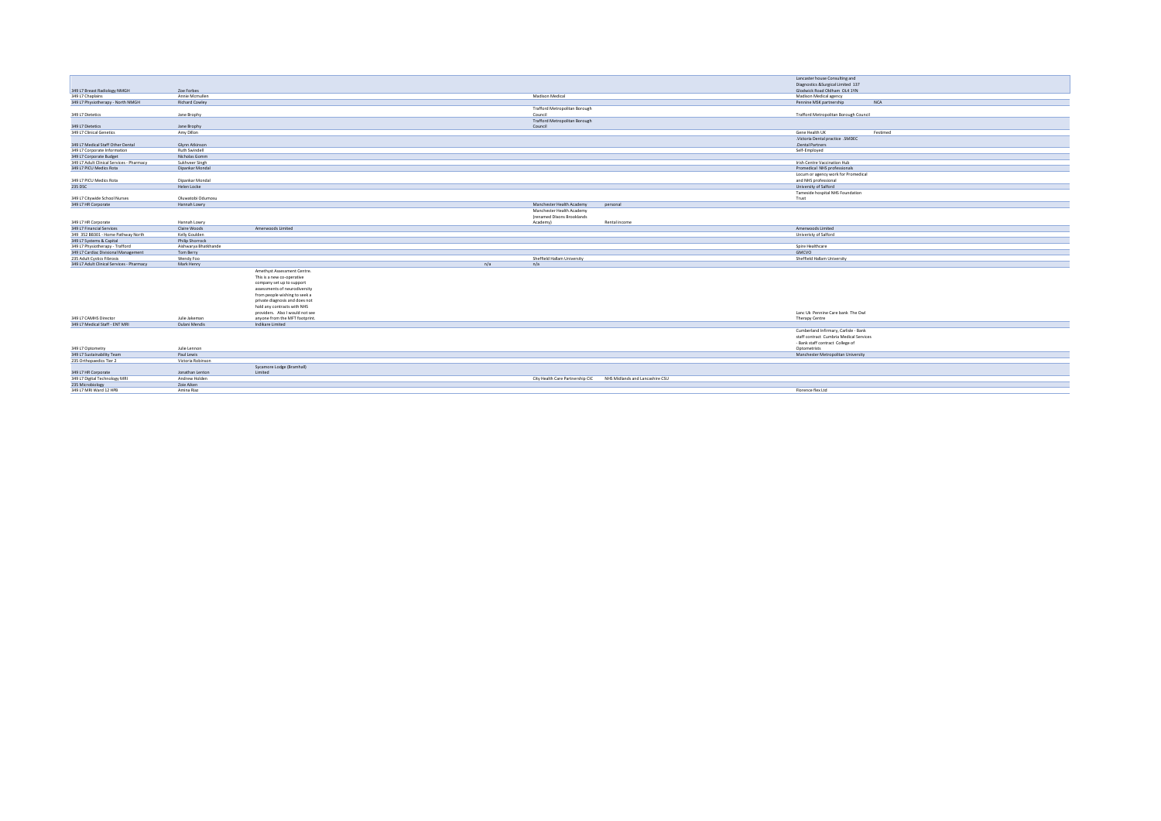|                                           |                        |                                 |     |                                      |                                 | Lancaster house Consulting and          |            |
|-------------------------------------------|------------------------|---------------------------------|-----|--------------------------------------|---------------------------------|-----------------------------------------|------------|
|                                           |                        |                                 |     |                                      |                                 | Diagnostics & Surgical Limited 137      |            |
| 349 L7 Breast Radiology NMGH              | Zoe Forbes             |                                 |     |                                      |                                 | Glodwick Road Oldham OL4 1YN            |            |
| 349 L7 Chaplains                          | Annie Mcmullen         |                                 |     | Madison Medical                      |                                 | Madison Medical agency                  |            |
| 349 L7 Physiotherapy - North NMGH         | Richard Cowley         |                                 |     |                                      |                                 | Pennine MSK partnership                 | <b>NCA</b> |
|                                           |                        |                                 |     | <b>Trafford Metropolitan Borough</b> |                                 |                                         |            |
| 349 L7 Dietetics                          | Jane Brophy            |                                 |     | Council                              |                                 | Trafford Metropolitan Borough Council   |            |
|                                           |                        |                                 |     | Trafford Metropolitan Borough        |                                 |                                         |            |
| 349 L7 Dietetics                          | Jane Brophy            |                                 |     | Council                              |                                 |                                         |            |
| 349 L7 Clinical Genetics                  | Amy Dillon             |                                 |     |                                      |                                 | Gene Health UK                          | Festimed   |
|                                           |                        |                                 |     |                                      |                                 | .Victoria Dental practice SMDEC         |            |
| 349 L7 Medical Staff Other Dental         | Glynn Atkinson         |                                 |     |                                      |                                 | .Dental Partners                        |            |
| 349 L7 Corporate Information              | Ruth Swindell          |                                 |     |                                      |                                 | Self-Employed                           |            |
| 349 L7 Corporate Budget                   | Nicholas Gomm          |                                 |     |                                      |                                 |                                         |            |
| 349 L7 Adult Clinical Services - Pharmacy | Sukhveer Singh         |                                 |     |                                      |                                 | Irish Centre Vaccination Hub            |            |
| 349 L7 PICU Medics Rota                   | Dipankar Mondal        |                                 |     |                                      |                                 | Promedical NHS professionals            |            |
|                                           |                        |                                 |     |                                      |                                 | Locum or agency work for Promedical     |            |
| 349 L7 PICU Medics Rota                   | Dipankar Mondal        |                                 |     |                                      |                                 | and NHS professional                    |            |
| 235 DSC                                   | Helen Locke            |                                 |     |                                      |                                 | University of Salford                   |            |
|                                           |                        |                                 |     |                                      |                                 | Tameside hospital NHS Foundation        |            |
| 349 L7 Citywide School Nurses             | Oluwatobi Odumosu      |                                 |     |                                      |                                 | Trust                                   |            |
| 349 L7 HR Corporate                       | Hannah Lowry           |                                 |     | Manchester Health Academy            | personal                        |                                         |            |
|                                           |                        |                                 |     | Manchester Health Academy            |                                 |                                         |            |
|                                           |                        |                                 |     | (renamed Dixons Brooklands           |                                 |                                         |            |
| 349 L7 HR Corporate                       | Hannah Lowry           |                                 |     | Academy)                             | Rental income                   |                                         |            |
| 349 L7 Financial Services                 | Claire Woods           | Amerwoods Limited               |     |                                      |                                 | Amerwoods Limited                       |            |
| 349 352 BB301 - Home Pathway North        | Kelly Goulden          |                                 |     |                                      |                                 | Univeristy of Salford                   |            |
| 349 L7 Systems & Capital                  | <b>Philip Shorrock</b> |                                 |     |                                      |                                 |                                         |            |
| 349 L7 Physiotherapy - Trafford           | Aishwarya Bhatkhande   |                                 |     |                                      |                                 | Spire Healthcare                        |            |
| 349 L7 Cardiac Divisional Management      | Tom Berry              |                                 |     |                                      |                                 | GMCVO                                   |            |
| 235 Adult Cystics Fibrosis                | Wendy Foo              |                                 |     | Sheffield Hallam University          |                                 | Sheffield Hallam University             |            |
| 349 L7 Adult Clinical Services - Pharmacy | Mark Henry             |                                 | n/a | n/a                                  |                                 |                                         |            |
|                                           |                        | Amethyst Assessment Centre.     |     |                                      |                                 |                                         |            |
|                                           |                        | This is a new co-operative      |     |                                      |                                 |                                         |            |
|                                           |                        | company set up to support       |     |                                      |                                 |                                         |            |
|                                           |                        | assessments of neurodiversity   |     |                                      |                                 |                                         |            |
|                                           |                        | from people wishing to seek a   |     |                                      |                                 |                                         |            |
|                                           |                        | private diagnosis and does not  |     |                                      |                                 |                                         |            |
|                                           |                        | hold any contracts with NHS     |     |                                      |                                 |                                         |            |
|                                           |                        | providers. Also I would not see |     |                                      |                                 | Lanc Uk Pennine Care bank The Owl       |            |
| 349 L7 CAMHS Director                     | Julie Jakeman          | anyone from the MFT footprint   |     |                                      |                                 | Therapy Centre                          |            |
| 349 L7 Medical Staff - ENT MRI            | Dulani Mendis          | Indikare Limited                |     |                                      |                                 |                                         |            |
|                                           |                        |                                 |     |                                      |                                 | Cumberland Infirmary, Carlisle - Bank   |            |
|                                           |                        |                                 |     |                                      |                                 | staff contract Cumbria Medical Services |            |
|                                           |                        |                                 |     |                                      |                                 | - Bank staff contract College of        |            |
| 349 L7 Optometry                          | Julie Lennon           |                                 |     |                                      |                                 | Optometrists                            |            |
| 349 L7 Sustainability Team                | Paul Lewis             |                                 |     |                                      |                                 | Manchester Metropolitan University      |            |
| 235 Orthopaedics Tier 2                   | Victoria Robinson      |                                 |     |                                      |                                 |                                         |            |
|                                           |                        | Sycamore Lodge (Bramhall)       |     |                                      |                                 |                                         |            |
| 349 L7 HR Corporate                       | Jonathan Lenton        | Limited                         |     |                                      |                                 |                                         |            |
| 349 L7 Digital Technology MRI             | Andrew Holden          |                                 |     | City Health Care Partnership CIC     | NHS Midlands and Lancashire CSU |                                         |            |
| 235 Microbiology                          | Zoie Aiken             |                                 |     |                                      |                                 |                                         |            |
| 349 L7 MRI Ward 12 HPB                    | Amina Riaz             |                                 |     |                                      |                                 | Florence flex Ltd                       |            |
|                                           |                        |                                 |     |                                      |                                 |                                         |            |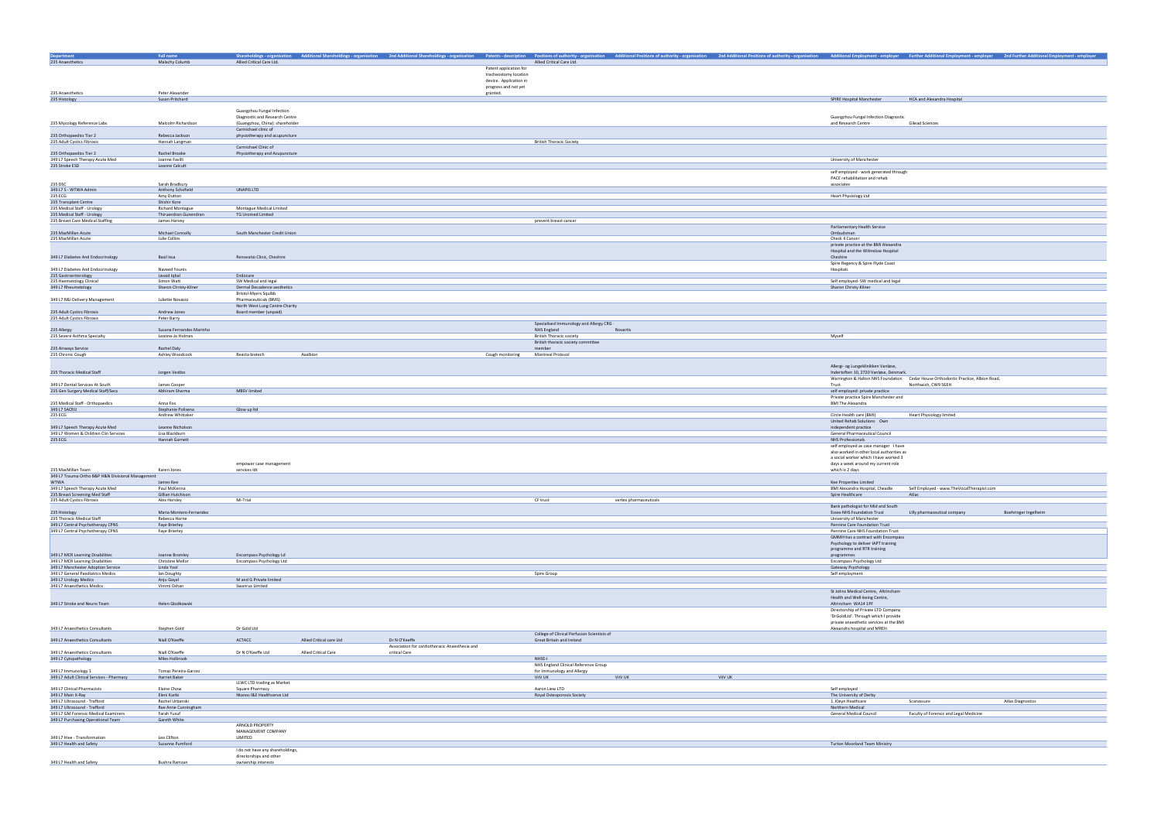|                                                          | <b>Full name</b>         |                                 |                                  |                                          |          |            |                                        | Shareholdings-organisation Additional Shareholdings-organisation 2nd Additional Shareholdings-organisation Patents-description Positions of authority-organisation Additional Positions of authority-organisation Additional P |
|----------------------------------------------------------|--------------------------|---------------------------------|----------------------------------|------------------------------------------|----------|------------|----------------------------------------|--------------------------------------------------------------------------------------------------------------------------------------------------------------------------------------------------------------------------------|
| <b>Department</b><br>235 Anaesthetics                    | Malachy Columb           | Allied Critical Care Ltd.       |                                  | Allied Critical Care Ltd.                |          |            |                                        |                                                                                                                                                                                                                                |
|                                                          |                          |                                 |                                  |                                          |          |            |                                        |                                                                                                                                                                                                                                |
|                                                          |                          |                                 | Patent application for           |                                          |          |            |                                        |                                                                                                                                                                                                                                |
|                                                          |                          |                                 | tracheostomy location            |                                          |          |            |                                        |                                                                                                                                                                                                                                |
|                                                          |                          |                                 | device. Application in           |                                          |          |            |                                        |                                                                                                                                                                                                                                |
| 235 Anaesthetics                                         | Peter Alexander          |                                 | progress and not yet<br>granted. |                                          |          |            |                                        |                                                                                                                                                                                                                                |
| 235 Histology                                            | Susan Pritchard          |                                 |                                  |                                          |          |            | SPIRE Hospital Manchester              | <b>HCA and Alexandra Hospital</b>                                                                                                                                                                                              |
|                                                          |                          |                                 |                                  |                                          |          |            |                                        |                                                                                                                                                                                                                                |
|                                                          |                          | Guangzhou Fungal Infection      |                                  |                                          |          |            |                                        |                                                                                                                                                                                                                                |
|                                                          |                          | Diagnostic and Research Centre  |                                  |                                          |          |            | Guangzhou Fungal Infection Diagnostic  |                                                                                                                                                                                                                                |
| 235 Mycology Reference Labs                              | Malcolm Richardson       | (Guangzhou, China): shareholder |                                  |                                          |          |            | and Research Centre                    | <b>Gilead Sciences</b>                                                                                                                                                                                                         |
|                                                          |                          | Carmichael clinic of            |                                  |                                          |          |            |                                        |                                                                                                                                                                                                                                |
| 235 Orthopaedics Tier 2                                  | Rebecca Jackson          | physiotherapy and acupuncture   |                                  |                                          |          |            |                                        |                                                                                                                                                                                                                                |
| 235 Adult Cystics Fibrosis                               | Hannah Langman           |                                 |                                  | <b>British Thoracic Society</b>          |          |            |                                        |                                                                                                                                                                                                                                |
|                                                          |                          | Carmichael Clinic of            |                                  |                                          |          |            |                                        |                                                                                                                                                                                                                                |
| 235 Orthopaedics Tier 2                                  | Rachel Brooke            | Physiotherapy and Acupuncture   |                                  |                                          |          |            |                                        |                                                                                                                                                                                                                                |
| 349 L7 Speech Therapy Acute Med                          | Joanne Favilli           |                                 |                                  |                                          |          |            | University of Manchester               |                                                                                                                                                                                                                                |
| 235 Stroke ESD                                           | Leanne Calcutt           |                                 |                                  |                                          |          |            |                                        |                                                                                                                                                                                                                                |
|                                                          |                          |                                 |                                  |                                          |          |            | self employed - work generated through |                                                                                                                                                                                                                                |
|                                                          |                          |                                 |                                  |                                          |          |            | PACE rehabilitation and rehab          |                                                                                                                                                                                                                                |
| 235 DSC                                                  | Sarah Bradbury           |                                 |                                  |                                          |          | associates |                                        |                                                                                                                                                                                                                                |
| 349 L7 S - WTWA Admin                                    | Anthony Schofield        | UNAPIS LTD                      |                                  |                                          |          |            |                                        |                                                                                                                                                                                                                                |
| 235 ECG                                                  | Amy Dutton               |                                 |                                  |                                          |          |            | <b>Heart Physiology Ltd</b>            |                                                                                                                                                                                                                                |
| 235 Transplant Centre                                    | Shishir Kore             |                                 |                                  |                                          |          |            |                                        |                                                                                                                                                                                                                                |
| 235 Medical Staff - Urology                              | <b>Richard Montague</b>  | Montague Medical Limited        |                                  |                                          |          |            |                                        |                                                                                                                                                                                                                                |
| 235 Medical Staff - Urology                              | Thiruendran Gunendran    | <b>TG Uromed Limited</b>        |                                  |                                          |          |            |                                        |                                                                                                                                                                                                                                |
| 235 Breast Care Medical Staffing                         | James Harvey             |                                 |                                  | prevent breast cancer                    |          |            |                                        |                                                                                                                                                                                                                                |
|                                                          |                          |                                 |                                  |                                          |          |            | Parliamentary Health Service           |                                                                                                                                                                                                                                |
| 235 MacMillan Acute                                      | Michael Connolly         | South Manchester Credit Union   |                                  |                                          |          |            | Ombudsman                              |                                                                                                                                                                                                                                |
| 235 MacMillan Acute                                      | Julie Collins            |                                 |                                  |                                          |          |            | Check 4 Cancer                         |                                                                                                                                                                                                                                |
|                                                          |                          |                                 |                                  |                                          |          |            | private practice at the BMI Alexandra  |                                                                                                                                                                                                                                |
|                                                          |                          |                                 |                                  |                                          |          |            | Hospital and the Wilmslow Hospital     |                                                                                                                                                                                                                                |
| 349 L7 Diabetes And Endocrinology                        | <b>Basil Issa</b>        | Renovatio Clinic, Cheshire      |                                  |                                          |          | Cheshire   |                                        |                                                                                                                                                                                                                                |
|                                                          |                          |                                 |                                  |                                          |          |            | Spire Regency & Spire Flyde Coast      |                                                                                                                                                                                                                                |
| 349 L7 Diabetes And Endocrinology                        | Naveed Younis            |                                 |                                  |                                          |          | Hospitals  |                                        |                                                                                                                                                                                                                                |
| 235 Gastroenterology                                     | Javaid Iqbal             | Endocare                        |                                  |                                          |          |            |                                        |                                                                                                                                                                                                                                |
| 235 Haematology Clinical                                 | Simon Watt               | SW Medical and legal            |                                  |                                          |          |            | Self employed- SW medical and legal    |                                                                                                                                                                                                                                |
| 349 L7 Rheumatology                                      | Sharon Christy-Kilner    | Dermal Decadence aesthetics     |                                  |                                          |          |            | Sharon Christy-Kilner                  |                                                                                                                                                                                                                                |
|                                                          |                          | <b>Bristol-Myers Squibb</b>     |                                  |                                          |          |            |                                        |                                                                                                                                                                                                                                |
| 349 L7 R&I Delivery Management                           | Juliette Novasio         | Pharmaceuticals (BMS)           |                                  |                                          |          |            |                                        |                                                                                                                                                                                                                                |
|                                                          |                          | North West Lung Centre Charity  |                                  |                                          |          |            |                                        |                                                                                                                                                                                                                                |
| 235 Adult Cystics Fibrosis<br>235 Adult Cystics Fibrosis | Andrew Jones             | Board member (unpaid)           |                                  |                                          |          |            |                                        |                                                                                                                                                                                                                                |
|                                                          | Peter Barry              |                                 |                                  | Specialised Immunology and Allergy CRG - |          |            |                                        |                                                                                                                                                                                                                                |
| 235 Allergy                                              | Susana Fernandes Marinho |                                 |                                  | NHS England                              | Novartis |            |                                        |                                                                                                                                                                                                                                |
| 235 Severe Asthma Specialty                              | Leanne-Jo Holmes         |                                 |                                  | <b>British Thoracic society</b>          |          | Myself     |                                        |                                                                                                                                                                                                                                |
|                                                          |                          |                                 |                                  | British thoracic society committee       |          |            |                                        |                                                                                                                                                                                                                                |
| 235 Airways Service                                      | Rachel Daly              |                                 |                                  | member                                   |          |            |                                        |                                                                                                                                                                                                                                |
| 235 Chronic Cough                                        | Ashley Woodcock          | Reacta biotech<br>Axalbion      | Cough monitoring                 | <b>Montreal Protocol</b>                 |          |            |                                        |                                                                                                                                                                                                                                |
|                                                          |                          |                                 |                                  |                                          |          |            |                                        |                                                                                                                                                                                                                                |
|                                                          |                          |                                 |                                  |                                          |          |            | Allergi- og Lungeklinikken Vanløse,    |                                                                                                                                                                                                                                |
| 235 Thoracic Medical Staff                               | Jorgen Vestbo            |                                 |                                  |                                          |          |            | Indertoften 10, 2720 Vanløse, Denmark. |                                                                                                                                                                                                                                |
|                                                          |                          |                                 |                                  |                                          |          |            |                                        | Warrington & Halton NHS Foundation Cedar House Orthodontic Practice, Albion Road,                                                                                                                                              |
| 349 L7 Dental Services At South                          | James Cooper             |                                 |                                  |                                          |          | Trust      |                                        | Northwich, CW9 56EH                                                                                                                                                                                                            |
| 235 Gen Surgery Medical Staff/Secs                       | Abhiram Sharma           | <b>MBSV limited</b>             |                                  |                                          |          |            | self employed: private practice        |                                                                                                                                                                                                                                |
|                                                          |                          |                                 |                                  |                                          |          |            | Private practice Spire Manchester and  |                                                                                                                                                                                                                                |
| 235 Medical Staff - Orthopaedics                         | Anna Fox                 |                                 |                                  |                                          |          |            | <b>BMI The Alexandra</b>               |                                                                                                                                                                                                                                |
| 349 L7 SACRU                                             | Stephanie Polisena       | Glow up ltd                     |                                  |                                          |          |            |                                        |                                                                                                                                                                                                                                |
| 235 ECG                                                  | Andrew Whittaker         |                                 |                                  |                                          |          |            | Circle Health care (BMI)               | <b>Heart Physiology limited</b>                                                                                                                                                                                                |
|                                                          |                          |                                 |                                  |                                          |          |            | United Rehab Solutions Own             |                                                                                                                                                                                                                                |
| 349 L7 Speech Therapy Acute Med                          | Leanne Nicholson         |                                 |                                  |                                          |          |            | independent practice                   |                                                                                                                                                                                                                                |
| 349 L7 Women & Children Clin Services                    | Lisa Blackburn           |                                 |                                  |                                          |          |            | General Pharmaceutical Council         |                                                                                                                                                                                                                                |
| 235 ECG                                                  | Hannah Garnett           |                                 |                                  |                                          |          |            | NHS Professionals                      |                                                                                                                                                                                                                                |
|                                                          |                          |                                 |                                  |                                          |          |            | self employed as case manager I have   |                                                                                                                                                                                                                                |

| <b>Additional Employment - employer</b>                                           | <b>Further Additional Employment - employer</b> | 2nd Further Additional Employment - employer |
|-----------------------------------------------------------------------------------|-------------------------------------------------|----------------------------------------------|
|                                                                                   |                                                 |                                              |
|                                                                                   |                                                 |                                              |
|                                                                                   |                                                 |                                              |
|                                                                                   |                                                 |                                              |
| SPIRE Hospital Manchester                                                         | <b>HCA and Alexandra Hospital</b>               |                                              |
|                                                                                   |                                                 |                                              |
| Guangzhou Fungal Infection Diagnostic<br>and Research Centre                      | <b>Gilead Sciences</b>                          |                                              |
|                                                                                   |                                                 |                                              |
|                                                                                   |                                                 |                                              |
|                                                                                   |                                                 |                                              |
| University of Manchester                                                          |                                                 |                                              |
|                                                                                   |                                                 |                                              |
| self employed - work generated through<br>PACE rehabilitation and rehab           |                                                 |                                              |
| associates                                                                        |                                                 |                                              |
| <b>Heart Physiology Ltd</b>                                                       |                                                 |                                              |
|                                                                                   |                                                 |                                              |
|                                                                                   |                                                 |                                              |
|                                                                                   |                                                 |                                              |
| Parliamentary Health Service<br>Ombudsman                                         |                                                 |                                              |
| Check 4 Cancer                                                                    |                                                 |                                              |
| private practice at the BMI Alexandra<br>Hospital and the Wilmslow Hospital       |                                                 |                                              |
| Cheshire                                                                          |                                                 |                                              |
| Spire Regency & Spire Flyde Coast<br>Hospitals                                    |                                                 |                                              |
|                                                                                   |                                                 |                                              |
| Self employed- SW medical and legal<br>Sharon Christy-Kilner                      |                                                 |                                              |
|                                                                                   |                                                 |                                              |
|                                                                                   |                                                 |                                              |
|                                                                                   |                                                 |                                              |
|                                                                                   |                                                 |                                              |
|                                                                                   |                                                 |                                              |
| Myself                                                                            |                                                 |                                              |
|                                                                                   |                                                 |                                              |
|                                                                                   |                                                 |                                              |
| Allergi- og Lungeklinikken Vanløse,                                               |                                                 |                                              |
| Indertoften 10, 2720 Vanløse, Denmark.<br>Warrington & Halton NHS Foundation      | Cedar House Orthodontic Practice, Albion Road,  |                                              |
| Trust                                                                             | Northwich, CW9 56EH                             |                                              |
| self employed: private practice<br>Private practice Spire Manchester and          |                                                 |                                              |
| <b>BMI The Alexandra</b>                                                          |                                                 |                                              |
| Circle Health care (BMI)                                                          | <b>Heart Physiology limited</b>                 |                                              |
| United Rehab Solutions Own                                                        |                                                 |                                              |
| independent practice<br>General Pharmaceutical Council                            |                                                 |                                              |
| <b>NHS Professionals</b>                                                          |                                                 |                                              |
| self employed as case manager I have<br>also worked in other local authorities as |                                                 |                                              |
| a social worker which I have worked 3<br>days a week around my current role       |                                                 |                                              |
| which is 2 days                                                                   |                                                 |                                              |
| Kee Properties Limited                                                            |                                                 |                                              |
| BMI Alexandra Hospital, Cheadle                                                   | Self Employed - www.TheVocalTherapist.com       |                                              |
| Spire Healthcare                                                                  | Atlas                                           |                                              |
| Bank pathologist for Mid and South                                                |                                                 |                                              |
| <b>Essex NHS Foundation Trust</b><br>University of Manchester                     | Lilly pharmaceutical company                    | Boehringer Ingelheim                         |
| Pennine Care Foundation Trust                                                     |                                                 |                                              |
| Pennine Care NHS Foundation Trust<br>GMMH has a contract with Encompass           |                                                 |                                              |
| Psychology to deliver IAPT training                                               |                                                 |                                              |
| programme and RTR training<br>programmes                                          |                                                 |                                              |
| Encompass Psychology Ltd                                                          |                                                 |                                              |
| Gateway Psychology<br>Self employment                                             |                                                 |                                              |
|                                                                                   |                                                 |                                              |
| St Johns Medical Centre, Altrincham                                               |                                                 |                                              |
| Health and Well-being Centre,                                                     |                                                 |                                              |
| Altrincham WA14 1PF<br>Directorship of Private LTD Company                        |                                                 |                                              |
| 'DrGoldLtd'. Through which I provide                                              |                                                 |                                              |
| private anaesthetic services at the BMI<br>Alexandra hospital and MREH.           |                                                 |                                              |
|                                                                                   |                                                 |                                              |
|                                                                                   |                                                 |                                              |
|                                                                                   |                                                 |                                              |
|                                                                                   |                                                 |                                              |
|                                                                                   |                                                 |                                              |
|                                                                                   |                                                 |                                              |
| Self employed<br>The University of Derby                                          |                                                 |                                              |
| 1. Kleyn Heathcare                                                                | Scanassure                                      | Atlas Diagnostics                            |
| Northern Medical<br>General Medical Council                                       | Faculty of Forensic and Legal Medicine          |                                              |
|                                                                                   |                                                 |                                              |
|                                                                                   |                                                 |                                              |
|                                                                                   |                                                 |                                              |
| <b>Turton Moorland Team Ministry</b>                                              |                                                 |                                              |
|                                                                                   |                                                 |                                              |

|                                                   |                         | empower case management |  |          |                        | days a week around my current role  |                                           |
|---------------------------------------------------|-------------------------|-------------------------|--|----------|------------------------|-------------------------------------|-------------------------------------------|
| 235 MacMillan Team                                | Karen Jones             | services ldt            |  |          |                        | which is 2 days                     |                                           |
| 349 L7 Trauma Ortho B&P H&N Divisional Management |                         |                         |  |          |                        |                                     |                                           |
| <b>WTWA</b>                                       | James Kee               |                         |  |          |                        | Kee Properties Limited              |                                           |
| 349 L7 Speech Therapy Acute Med                   | Paul McKenna            |                         |  |          |                        | BMI Alexandra Hospital, Cheadle     | Self Employed - www.TheVocalTherapist.con |
| 235 Breast Screening Med Staff                    | Gillian Hutchison       |                         |  |          |                        | Spire Healthcare                    | Atlas                                     |
| 235 Adult Cystics Fibrosis                        | Alex Horsley            | Mi-Trial                |  | CF trust | vertex pharmaceuticals |                                     |                                           |
|                                                   |                         |                         |  |          |                        | Bank pathologist for Mid and South  |                                           |
| 235 Histology                                     | Maria Montero-Fernandez |                         |  |          |                        | <b>Essex NHS Foundation Trust</b>   | Lilly pharmaceutical company              |
| 235 Thoracic Medical Staff                        | Rebecca Horne           |                         |  |          |                        | University of Manchester            |                                           |
| 349 L7 Central Psychotherapy CPNS                 | Faye Brierley           |                         |  |          |                        | Pennine Care Foundation Trust       |                                           |
| 349 L7 Central Psychotherapy CPNS                 | Faye Brierley           |                         |  |          |                        | Pennine Care NHS Foundation Trust   |                                           |
|                                                   |                         |                         |  |          |                        | GMMH has a contract with Encompass  |                                           |
|                                                   |                         |                         |  |          |                        | Psychology to deliver IAPT training |                                           |
|                                                   |                         |                         |  |          |                        | programme and RTR training          |                                           |

|                                    |                         |                          |             | <b>ProPramme and minimum</b>    |
|------------------------------------|-------------------------|--------------------------|-------------|---------------------------------|
| 349 L7 MCR Learning Disabilities   | Joanne Bromley          | Encompass Psychology Ld  |             | programmes                      |
| 349 L7 MCR Learning Disabilities   | <b>Christine Mellor</b> | Encompass Psychology Ltd |             | <b>Encompass Psychology Ltd</b> |
| 349 L7 Manchester Adoption Service | Linda Yool              |                          |             | Gateway Psychology              |
| 349 L7 General Paediatrics Medics  | lan Doughty             |                          | Spire Group | Self employment                 |
| 349 L7 Urology Medics              | Anju Goyal              | M and G Private limited  |             |                                 |
| 349 L7 Anaesthetics Medics         | Vimmi Oshan             | Swanrus Limited          |             |                                 |
|                                    |                         |                          |             | St Johns Medical Centre.        |

349 L7 Stroke and Neuro Team **Helen Glodkowski** 

|                                           |                             |                                  |                          |                                                |                                             |         |         | private anaesthelic services at the bivil |                                        |                  |
|-------------------------------------------|-----------------------------|----------------------------------|--------------------------|------------------------------------------------|---------------------------------------------|---------|---------|-------------------------------------------|----------------------------------------|------------------|
| 349 L7 Anaesthetics Consultants           | Stephen Gold                | Dr Gold Ltd                      |                          |                                                |                                             |         |         | Alexandra hospital and MREH.              |                                        |                  |
|                                           |                             |                                  |                          |                                                | College of Clinical Perfusion Scientists of |         |         |                                           |                                        |                  |
| 349 L7 Anaesthetics Consultants           | Niall O'Keeffe              | ACTACC                           | Allied Critical care Ltd | Dr N O'Keeffe                                  | Great Britain and Ireland                   |         |         |                                           |                                        |                  |
|                                           |                             |                                  |                          | Association for cardiothoracic Anaesthesia and |                                             |         |         |                                           |                                        |                  |
| 349 L7 Anaesthetics Consultants           | Niall O'Keeffe              | Dr N O'Keeffe Ltd                | Allied Critical Care     | critical Care                                  |                                             |         |         |                                           |                                        |                  |
| 349 L7 Cytopathology                      | Miles Holbrook              |                                  |                          |                                                | NHSE-I                                      |         |         |                                           |                                        |                  |
|                                           |                             |                                  |                          |                                                | NHS England Clinical Reference Group        |         |         |                                           |                                        |                  |
| 349 L7 Immunology 1                       | <b>Tomaz Pereira-Garcez</b> |                                  |                          |                                                | for Immunology and Allergy                  |         |         |                                           |                                        |                  |
| 349 L7 Adult Clinical Services - Pharmacy | Harriet Baker               |                                  |                          |                                                | ViiV UK                                     | ViiV UK | ViiV UK |                                           |                                        |                  |
|                                           |                             | LLWC LTD trading as Market       |                          |                                                |                                             |         |         |                                           |                                        |                  |
| 349 L7 Clinical Pharmacists               | Elaine Chow                 | Square Pharmacy                  |                          |                                                | Aaron Liew LTD                              |         |         | Self employed                             |                                        |                  |
| 349 L7 Main X-Ray                         | Eleni Kariki                | Ntanos I&E Healthserve Ltd       |                          |                                                | Royal Osteoporosis Society                  |         |         | The University of Derby                   |                                        |                  |
| 349 L7 Ultrasound - Trafford              | Rachel Urbanski             |                                  |                          |                                                |                                             |         |         | 1. Kleyn Heathcare                        | Scanassure                             | Atlas Diagnostic |
| 349 L7 Ultrasound - Trafford              | Rae Anne Cunningham         |                                  |                          |                                                |                                             |         |         | Northern Medical                          |                                        |                  |
| 349 L7 GM Forensic Medical Examiners      | Farah Yusuf                 |                                  |                          |                                                |                                             |         |         | <b>General Medical Council</b>            | Faculty of Forensic and Legal Medicine |                  |
| 349 L7 Purchasing Operational Team        | Gareth White                |                                  |                          |                                                |                                             |         |         |                                           |                                        |                  |
|                                           |                             | <b>ARNOLD PROPERTY</b>           |                          |                                                |                                             |         |         |                                           |                                        |                  |
|                                           |                             | MANAGEMENT COMPANY               |                          |                                                |                                             |         |         |                                           |                                        |                  |
| 349 L7 Hive - Transformation              | Leo Clifton                 | LIMITED                          |                          |                                                |                                             |         |         |                                           |                                        |                  |
| 349 L7 Health and Safety                  | Suzanne Pumford             |                                  |                          |                                                |                                             |         |         | <b>Turton Moorland Team Ministry</b>      |                                        |                  |
|                                           |                             | I do not have any shareholdings, |                          |                                                |                                             |         |         |                                           |                                        |                  |
|                                           |                             | directorships and other          |                          |                                                |                                             |         |         |                                           |                                        |                  |
| 349 L7 Health and Safety                  | Bushra Ramzan               | ownership interests              |                          |                                                |                                             |         |         |                                           |                                        |                  |
|                                           |                             |                                  |                          |                                                |                                             |         |         |                                           |                                        |                  |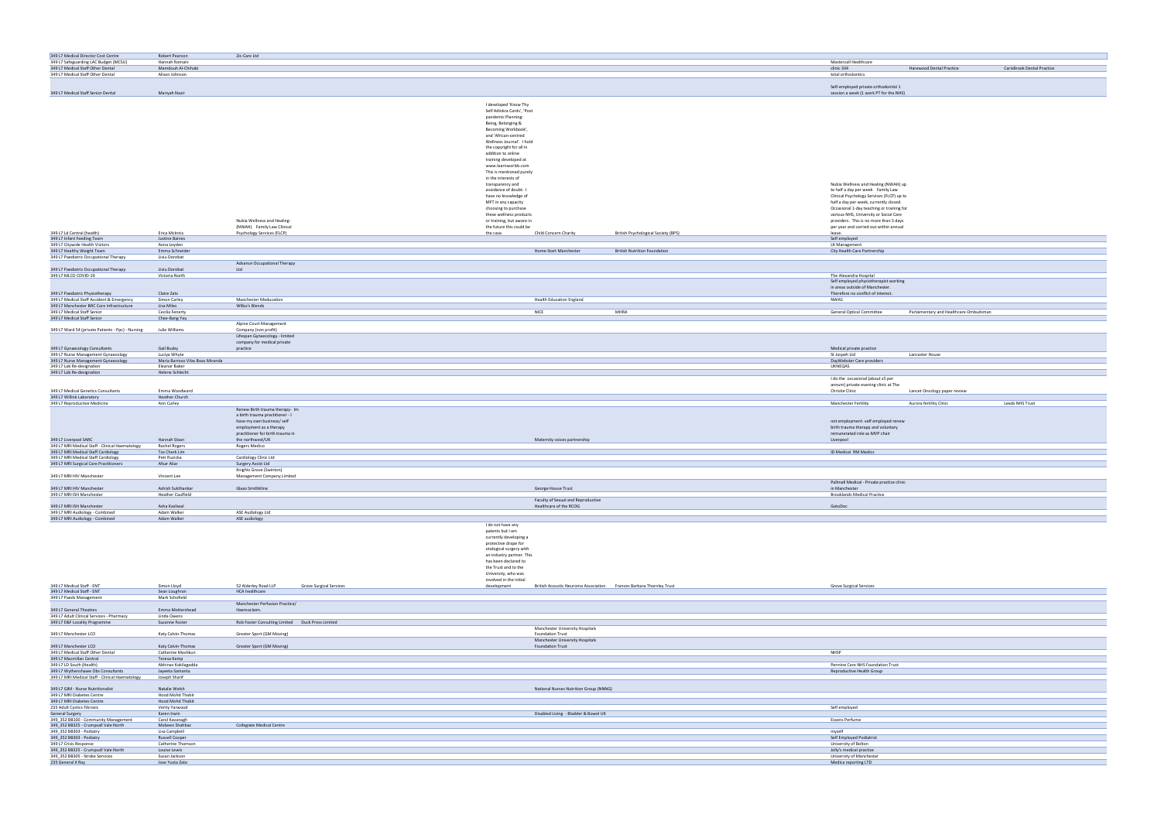| 349 L7 Medical Director Cost Centre<br>349 L7 Safeguarding LAC Budget (MCSU)                                                                                                                                                                                                                                                                                                                                                                                                                                                                                                                                                                                                                                                                                                                                                                                                                                                                                                                                                                                                                                                                                                                                                      | Robert Pearson<br>Hannah Romain         | 2ic-Care Ltd                                                |                                                                                    |                                            | <b>Mastercall Healthcare</b>                                                        |                            |
|-----------------------------------------------------------------------------------------------------------------------------------------------------------------------------------------------------------------------------------------------------------------------------------------------------------------------------------------------------------------------------------------------------------------------------------------------------------------------------------------------------------------------------------------------------------------------------------------------------------------------------------------------------------------------------------------------------------------------------------------------------------------------------------------------------------------------------------------------------------------------------------------------------------------------------------------------------------------------------------------------------------------------------------------------------------------------------------------------------------------------------------------------------------------------------------------------------------------------------------|-----------------------------------------|-------------------------------------------------------------|------------------------------------------------------------------------------------|--------------------------------------------|-------------------------------------------------------------------------------------|----------------------------|
| 349 L7 Medical Staff Other Dental                                                                                                                                                                                                                                                                                                                                                                                                                                                                                                                                                                                                                                                                                                                                                                                                                                                                                                                                                                                                                                                                                                                                                                                                 | Mamdouh Al-Chihabi                      |                                                             |                                                                                    |                                            | clinic 334<br>Harewood Dental Practice                                              | CarisBrook Dental Practice |
| 349 L7 Medical Staff Other Dental                                                                                                                                                                                                                                                                                                                                                                                                                                                                                                                                                                                                                                                                                                                                                                                                                                                                                                                                                                                                                                                                                                                                                                                                 | Alison Johnson                          |                                                             |                                                                                    |                                            | total orthodontics                                                                  |                            |
|                                                                                                                                                                                                                                                                                                                                                                                                                                                                                                                                                                                                                                                                                                                                                                                                                                                                                                                                                                                                                                                                                                                                                                                                                                   |                                         |                                                             |                                                                                    |                                            | Self-employed private orthodontist 1                                                |                            |
| 349 L7 Medical Staff Senior Dental                                                                                                                                                                                                                                                                                                                                                                                                                                                                                                                                                                                                                                                                                                                                                                                                                                                                                                                                                                                                                                                                                                                                                                                                | Mariyah Nazir                           |                                                             |                                                                                    |                                            | session a week (1 work PT for the NHS)                                              |                            |
|                                                                                                                                                                                                                                                                                                                                                                                                                                                                                                                                                                                                                                                                                                                                                                                                                                                                                                                                                                                                                                                                                                                                                                                                                                   |                                         |                                                             | I developed 'Know Thy                                                              |                                            |                                                                                     |                            |
|                                                                                                                                                                                                                                                                                                                                                                                                                                                                                                                                                                                                                                                                                                                                                                                                                                                                                                                                                                                                                                                                                                                                                                                                                                   |                                         |                                                             | Self Adinkra Cards', 'Post-                                                        |                                            |                                                                                     |                            |
|                                                                                                                                                                                                                                                                                                                                                                                                                                                                                                                                                                                                                                                                                                                                                                                                                                                                                                                                                                                                                                                                                                                                                                                                                                   |                                         |                                                             | pandemic Planning:                                                                 |                                            |                                                                                     |                            |
|                                                                                                                                                                                                                                                                                                                                                                                                                                                                                                                                                                                                                                                                                                                                                                                                                                                                                                                                                                                                                                                                                                                                                                                                                                   |                                         |                                                             | Being, Belonging &                                                                 |                                            |                                                                                     |                            |
|                                                                                                                                                                                                                                                                                                                                                                                                                                                                                                                                                                                                                                                                                                                                                                                                                                                                                                                                                                                                                                                                                                                                                                                                                                   |                                         |                                                             | Becoming Workbook',<br>and 'African-centred                                        |                                            |                                                                                     |                            |
|                                                                                                                                                                                                                                                                                                                                                                                                                                                                                                                                                                                                                                                                                                                                                                                                                                                                                                                                                                                                                                                                                                                                                                                                                                   |                                         |                                                             | Wellness Journal'. I hold                                                          |                                            |                                                                                     |                            |
|                                                                                                                                                                                                                                                                                                                                                                                                                                                                                                                                                                                                                                                                                                                                                                                                                                                                                                                                                                                                                                                                                                                                                                                                                                   |                                         |                                                             | the copyright for all in                                                           |                                            |                                                                                     |                            |
|                                                                                                                                                                                                                                                                                                                                                                                                                                                                                                                                                                                                                                                                                                                                                                                                                                                                                                                                                                                                                                                                                                                                                                                                                                   |                                         |                                                             | addition to online<br>training developed at                                        |                                            |                                                                                     |                            |
|                                                                                                                                                                                                                                                                                                                                                                                                                                                                                                                                                                                                                                                                                                                                                                                                                                                                                                                                                                                                                                                                                                                                                                                                                                   |                                         |                                                             | www.learnworlds.com                                                                |                                            |                                                                                     |                            |
|                                                                                                                                                                                                                                                                                                                                                                                                                                                                                                                                                                                                                                                                                                                                                                                                                                                                                                                                                                                                                                                                                                                                                                                                                                   |                                         |                                                             | This is mentioned purely                                                           |                                            |                                                                                     |                            |
|                                                                                                                                                                                                                                                                                                                                                                                                                                                                                                                                                                                                                                                                                                                                                                                                                                                                                                                                                                                                                                                                                                                                                                                                                                   |                                         |                                                             | in the interests of<br>transparency and                                            |                                            | Nubia Wellness and Healing (NWAH) up                                                |                            |
|                                                                                                                                                                                                                                                                                                                                                                                                                                                                                                                                                                                                                                                                                                                                                                                                                                                                                                                                                                                                                                                                                                                                                                                                                                   |                                         |                                                             | avoidance of doubt. I                                                              |                                            | to half a day per week Family Law                                                   |                            |
|                                                                                                                                                                                                                                                                                                                                                                                                                                                                                                                                                                                                                                                                                                                                                                                                                                                                                                                                                                                                                                                                                                                                                                                                                                   |                                         |                                                             | have no knowledge of                                                               |                                            | Clinical Psychology Services (FLCP) up to                                           |                            |
|                                                                                                                                                                                                                                                                                                                                                                                                                                                                                                                                                                                                                                                                                                                                                                                                                                                                                                                                                                                                                                                                                                                                                                                                                                   |                                         |                                                             | MFT in any capacity<br>choosing to purchase                                        |                                            | half a day per week, currently closed.<br>Occasional 1-day teaching or training for |                            |
|                                                                                                                                                                                                                                                                                                                                                                                                                                                                                                                                                                                                                                                                                                                                                                                                                                                                                                                                                                                                                                                                                                                                                                                                                                   |                                         |                                                             | these wellness products                                                            |                                            | various NHS, University or Social Care                                              |                            |
|                                                                                                                                                                                                                                                                                                                                                                                                                                                                                                                                                                                                                                                                                                                                                                                                                                                                                                                                                                                                                                                                                                                                                                                                                                   |                                         | Nubia Wellness and Healing-                                 | or training, but aware in                                                          |                                            | providers. This is no more than 5 days                                              |                            |
| 349 L7 Ld Central (health)                                                                                                                                                                                                                                                                                                                                                                                                                                                                                                                                                                                                                                                                                                                                                                                                                                                                                                                                                                                                                                                                                                                                                                                                        | Erica McInnis                           | (NWAH) Family Law Clinical<br>Psychology Services (FLCP)    | the future this could be<br>the case.<br>Child Concern Charity                     | <b>British Psychological Society (BPS)</b> | per year and carried out within annual<br>leave.                                    |                            |
| 349 L7 Infant Feeding Team                                                                                                                                                                                                                                                                                                                                                                                                                                                                                                                                                                                                                                                                                                                                                                                                                                                                                                                                                                                                                                                                                                                                                                                                        | Justine Baines                          |                                                             |                                                                                    |                                            | Self employed                                                                       |                            |
| 349 L7 Citywide Health Visitors                                                                                                                                                                                                                                                                                                                                                                                                                                                                                                                                                                                                                                                                                                                                                                                                                                                                                                                                                                                                                                                                                                                                                                                                   | Anna Leyden<br>Emma Schneider           |                                                             | Home-Start Manchester                                                              | <b>British Nutrition Foundation</b>        | LK Management<br>City Health Care Partnership                                       |                            |
| 349 L7 Healthy Weight Team<br>349 L7 Paediatric Occupational Therapy                                                                                                                                                                                                                                                                                                                                                                                                                                                                                                                                                                                                                                                                                                                                                                                                                                                                                                                                                                                                                                                                                                                                                              | Liviu Dorobat                           |                                                             |                                                                                    |                                            |                                                                                     |                            |
|                                                                                                                                                                                                                                                                                                                                                                                                                                                                                                                                                                                                                                                                                                                                                                                                                                                                                                                                                                                                                                                                                                                                                                                                                                   |                                         | Advance Occupational Therapy                                |                                                                                    |                                            |                                                                                     |                            |
| 349 L7 Paediatric Occupational Therapy<br>349 L7 MLCO COVID-19                                                                                                                                                                                                                                                                                                                                                                                                                                                                                                                                                                                                                                                                                                                                                                                                                                                                                                                                                                                                                                                                                                                                                                    | Liviu Dorobat<br>Victoria North         | Ltd                                                         |                                                                                    |                                            | The Alexandra Hospital                                                              |                            |
|                                                                                                                                                                                                                                                                                                                                                                                                                                                                                                                                                                                                                                                                                                                                                                                                                                                                                                                                                                                                                                                                                                                                                                                                                                   |                                         |                                                             |                                                                                    |                                            | Self employed physiotherapist working                                               |                            |
|                                                                                                                                                                                                                                                                                                                                                                                                                                                                                                                                                                                                                                                                                                                                                                                                                                                                                                                                                                                                                                                                                                                                                                                                                                   |                                         |                                                             |                                                                                    |                                            | in areas outside of Manchester.                                                     |                            |
| 349 L7 Paediatric Physiotherapy<br>349 L7 Medical Staff Accident & Emergency                                                                                                                                                                                                                                                                                                                                                                                                                                                                                                                                                                                                                                                                                                                                                                                                                                                                                                                                                                                                                                                                                                                                                      | Claire Zatz<br>Simon Carley             | <b>Manchester Meducation</b>                                | <b>Health Education England</b>                                                    |                                            | Therefore no conflict of interest.<br>NWAS                                          |                            |
| 349 L7 Manchester BRC Core Infrastructure                                                                                                                                                                                                                                                                                                                                                                                                                                                                                                                                                                                                                                                                                                                                                                                                                                                                                                                                                                                                                                                                                                                                                                                         | Lisa Miles                              | Wilbo's Blends                                              |                                                                                    |                                            |                                                                                     |                            |
| 349 L7 Medical Staff Senior                                                                                                                                                                                                                                                                                                                                                                                                                                                                                                                                                                                                                                                                                                                                                                                                                                                                                                                                                                                                                                                                                                                                                                                                       | Cecilia Fenerty                         |                                                             | <b>NICE</b>                                                                        | MHRA                                       | <b>General Optical Committee</b><br>Parlaimentary and Healthcare Ombudsman          |                            |
| 349 L7 Medical Staff Senior                                                                                                                                                                                                                                                                                                                                                                                                                                                                                                                                                                                                                                                                                                                                                                                                                                                                                                                                                                                                                                                                                                                                                                                                       | Chee-Bang Yau                           | Alpine Court Management                                     |                                                                                    |                                            |                                                                                     |                            |
| 349 L7 Ward 54 (private Patients - Ppc) - Nursing                                                                                                                                                                                                                                                                                                                                                                                                                                                                                                                                                                                                                                                                                                                                                                                                                                                                                                                                                                                                                                                                                                                                                                                 | Julie Williams                          | Company (non profit)                                        |                                                                                    |                                            |                                                                                     |                            |
|                                                                                                                                                                                                                                                                                                                                                                                                                                                                                                                                                                                                                                                                                                                                                                                                                                                                                                                                                                                                                                                                                                                                                                                                                                   |                                         | Lifespan Gynaecology - limited                              |                                                                                    |                                            |                                                                                     |                            |
| 349 L7 Gynaecology Consultants                                                                                                                                                                                                                                                                                                                                                                                                                                                                                                                                                                                                                                                                                                                                                                                                                                                                                                                                                                                                                                                                                                                                                                                                    | Gail Busby                              | company for medical private<br>practice                     |                                                                                    |                                            | Medical private practice                                                            |                            |
| 349 L7 Nurse Management Gynaecology                                                                                                                                                                                                                                                                                                                                                                                                                                                                                                                                                                                                                                                                                                                                                                                                                                                                                                                                                                                                                                                                                                                                                                                               | Luciya Whyte                            |                                                             |                                                                                    |                                            | St Jospeh Ltd<br>Lancaster House                                                    |                            |
| 349 L7 Nurse Management Gynaecology                                                                                                                                                                                                                                                                                                                                                                                                                                                                                                                                                                                                                                                                                                                                                                                                                                                                                                                                                                                                                                                                                                                                                                                               | Maria Barroso Vilas Boas Miranda        |                                                             |                                                                                    |                                            | DayWebster Care providers                                                           |                            |
| 349 L7 Lab Re-designation<br>349 L7 Lab Re-designation                                                                                                                                                                                                                                                                                                                                                                                                                                                                                                                                                                                                                                                                                                                                                                                                                                                                                                                                                                                                                                                                                                                                                                            | Eleanor Baker<br>Helene Schlecht        |                                                             |                                                                                    |                                            | <b>UKNEQAS</b>                                                                      |                            |
|                                                                                                                                                                                                                                                                                                                                                                                                                                                                                                                                                                                                                                                                                                                                                                                                                                                                                                                                                                                                                                                                                                                                                                                                                                   |                                         |                                                             |                                                                                    |                                            | I do the occasional (about x5 per                                                   |                            |
|                                                                                                                                                                                                                                                                                                                                                                                                                                                                                                                                                                                                                                                                                                                                                                                                                                                                                                                                                                                                                                                                                                                                                                                                                                   |                                         |                                                             |                                                                                    |                                            | annum) private evening clinic at The                                                |                            |
| 349 L7 Medical Genetics Consultants                                                                                                                                                                                                                                                                                                                                                                                                                                                                                                                                                                                                                                                                                                                                                                                                                                                                                                                                                                                                                                                                                                                                                                                               | Emma Woodward                           |                                                             |                                                                                    |                                            | Lancet Onoclogy paper review<br><b>Christie Clinic</b>                              |                            |
| 349 L7 Willink Laboratory<br>349 L7 Reproductive Medicine                                                                                                                                                                                                                                                                                                                                                                                                                                                                                                                                                                                                                                                                                                                                                                                                                                                                                                                                                                                                                                                                                                                                                                         | Heather Church<br>Ann Curley            |                                                             |                                                                                    |                                            | <b>Manchester Fertility</b><br>Aurora fertility Clinic                              | Leeds NHS Trust            |
|                                                                                                                                                                                                                                                                                                                                                                                                                                                                                                                                                                                                                                                                                                                                                                                                                                                                                                                                                                                                                                                                                                                                                                                                                                   |                                         | Renew Birth trauma therapy- Im                              |                                                                                    |                                            |                                                                                     |                            |
|                                                                                                                                                                                                                                                                                                                                                                                                                                                                                                                                                                                                                                                                                                                                                                                                                                                                                                                                                                                                                                                                                                                                                                                                                                   |                                         | a birth trauma practitioner - I                             |                                                                                    |                                            |                                                                                     |                            |
|                                                                                                                                                                                                                                                                                                                                                                                                                                                                                                                                                                                                                                                                                                                                                                                                                                                                                                                                                                                                                                                                                                                                                                                                                                   |                                         |                                                             |                                                                                    |                                            |                                                                                     |                            |
|                                                                                                                                                                                                                                                                                                                                                                                                                                                                                                                                                                                                                                                                                                                                                                                                                                                                                                                                                                                                                                                                                                                                                                                                                                   |                                         | have my own business/ self                                  |                                                                                    |                                            | not employment -self employed renew                                                 |                            |
|                                                                                                                                                                                                                                                                                                                                                                                                                                                                                                                                                                                                                                                                                                                                                                                                                                                                                                                                                                                                                                                                                                                                                                                                                                   |                                         | employment as a therapy<br>practitioner for birth trauma in |                                                                                    |                                            | birth trauma therapy and voluntary<br>remunerated role as MVP chair                 |                            |
|                                                                                                                                                                                                                                                                                                                                                                                                                                                                                                                                                                                                                                                                                                                                                                                                                                                                                                                                                                                                                                                                                                                                                                                                                                   | Hannah Sloan                            | the northwest/UK                                            | Maternity voices partnership                                                       |                                            | Liverpool                                                                           |                            |
|                                                                                                                                                                                                                                                                                                                                                                                                                                                                                                                                                                                                                                                                                                                                                                                                                                                                                                                                                                                                                                                                                                                                                                                                                                   | Rachel Rogers                           | Rogers Medico                                               |                                                                                    |                                            |                                                                                     |                            |
|                                                                                                                                                                                                                                                                                                                                                                                                                                                                                                                                                                                                                                                                                                                                                                                                                                                                                                                                                                                                                                                                                                                                                                                                                                   | Tze Cherk Lim<br>Petr Ruzicka           | Cardiology Clinic Ltd                                       |                                                                                    |                                            | ID Medical RM Medics                                                                |                            |
|                                                                                                                                                                                                                                                                                                                                                                                                                                                                                                                                                                                                                                                                                                                                                                                                                                                                                                                                                                                                                                                                                                                                                                                                                                   | Afsar Aliar                             | Surgery Assist Ltd                                          |                                                                                    |                                            |                                                                                     |                            |
|                                                                                                                                                                                                                                                                                                                                                                                                                                                                                                                                                                                                                                                                                                                                                                                                                                                                                                                                                                                                                                                                                                                                                                                                                                   |                                         | Knights Grove (Swinton)                                     |                                                                                    |                                            |                                                                                     |                            |
|                                                                                                                                                                                                                                                                                                                                                                                                                                                                                                                                                                                                                                                                                                                                                                                                                                                                                                                                                                                                                                                                                                                                                                                                                                   | Vincent Lee                             | Management Company Limited                                  |                                                                                    |                                            | Pallmall Medical - Private practice clinic                                          |                            |
|                                                                                                                                                                                                                                                                                                                                                                                                                                                                                                                                                                                                                                                                                                                                                                                                                                                                                                                                                                                                                                                                                                                                                                                                                                   | Ashish Sukthankar                       | Glaxo Smithkline                                            | George House Trust                                                                 |                                            | in Manchester                                                                       |                            |
|                                                                                                                                                                                                                                                                                                                                                                                                                                                                                                                                                                                                                                                                                                                                                                                                                                                                                                                                                                                                                                                                                                                                                                                                                                   | <b>Heather Caulfield</b>                |                                                             |                                                                                    |                                            | <b>Brooklands Medical Practice</b>                                                  |                            |
|                                                                                                                                                                                                                                                                                                                                                                                                                                                                                                                                                                                                                                                                                                                                                                                                                                                                                                                                                                                                                                                                                                                                                                                                                                   | Asha Kasliwal                           |                                                             | Faculty of Sexual and Reproductive<br>Healthcare of the RCOG                       |                                            | GotoDoc                                                                             |                            |
|                                                                                                                                                                                                                                                                                                                                                                                                                                                                                                                                                                                                                                                                                                                                                                                                                                                                                                                                                                                                                                                                                                                                                                                                                                   | Adam Walker                             | ASE Audiology Ltd                                           |                                                                                    |                                            |                                                                                     |                            |
|                                                                                                                                                                                                                                                                                                                                                                                                                                                                                                                                                                                                                                                                                                                                                                                                                                                                                                                                                                                                                                                                                                                                                                                                                                   | Adam Walker                             | ASE audiology                                               |                                                                                    |                                            |                                                                                     |                            |
|                                                                                                                                                                                                                                                                                                                                                                                                                                                                                                                                                                                                                                                                                                                                                                                                                                                                                                                                                                                                                                                                                                                                                                                                                                   |                                         |                                                             | I do not have any<br>patents but I am                                              |                                            |                                                                                     |                            |
|                                                                                                                                                                                                                                                                                                                                                                                                                                                                                                                                                                                                                                                                                                                                                                                                                                                                                                                                                                                                                                                                                                                                                                                                                                   |                                         |                                                             | currently developing a                                                             |                                            |                                                                                     |                            |
|                                                                                                                                                                                                                                                                                                                                                                                                                                                                                                                                                                                                                                                                                                                                                                                                                                                                                                                                                                                                                                                                                                                                                                                                                                   |                                         |                                                             | protective drape for                                                               |                                            |                                                                                     |                            |
|                                                                                                                                                                                                                                                                                                                                                                                                                                                                                                                                                                                                                                                                                                                                                                                                                                                                                                                                                                                                                                                                                                                                                                                                                                   |                                         |                                                             | otological surgery with<br>an industry partner. This                               |                                            |                                                                                     |                            |
|                                                                                                                                                                                                                                                                                                                                                                                                                                                                                                                                                                                                                                                                                                                                                                                                                                                                                                                                                                                                                                                                                                                                                                                                                                   |                                         |                                                             | has been declared to                                                               |                                            |                                                                                     |                            |
|                                                                                                                                                                                                                                                                                                                                                                                                                                                                                                                                                                                                                                                                                                                                                                                                                                                                                                                                                                                                                                                                                                                                                                                                                                   |                                         |                                                             | the Trust and to the                                                               |                                            |                                                                                     |                            |
|                                                                                                                                                                                                                                                                                                                                                                                                                                                                                                                                                                                                                                                                                                                                                                                                                                                                                                                                                                                                                                                                                                                                                                                                                                   |                                         |                                                             | University, who was<br>involved in the initial                                     |                                            |                                                                                     |                            |
|                                                                                                                                                                                                                                                                                                                                                                                                                                                                                                                                                                                                                                                                                                                                                                                                                                                                                                                                                                                                                                                                                                                                                                                                                                   | Simon Lloyd                             | 52 Alderley Road LLP<br>Grove Surgical Services             | British Acoustic Neuroma Association Frances Barbara Thornley Trust<br>development |                                            | <b>Grove Surgical Services</b>                                                      |                            |
|                                                                                                                                                                                                                                                                                                                                                                                                                                                                                                                                                                                                                                                                                                                                                                                                                                                                                                                                                                                                                                                                                                                                                                                                                                   | Sean Loughran                           | <b>HCA healthcare</b>                                       |                                                                                    |                                            |                                                                                     |                            |
|                                                                                                                                                                                                                                                                                                                                                                                                                                                                                                                                                                                                                                                                                                                                                                                                                                                                                                                                                                                                                                                                                                                                                                                                                                   | Mark Schofield                          | Manchester Perfusion Practice/                              |                                                                                    |                                            |                                                                                     |                            |
|                                                                                                                                                                                                                                                                                                                                                                                                                                                                                                                                                                                                                                                                                                                                                                                                                                                                                                                                                                                                                                                                                                                                                                                                                                   | Emma Mottershead                        | Haemoclaim.                                                 |                                                                                    |                                            |                                                                                     |                            |
|                                                                                                                                                                                                                                                                                                                                                                                                                                                                                                                                                                                                                                                                                                                                                                                                                                                                                                                                                                                                                                                                                                                                                                                                                                   | Linda Owens                             |                                                             |                                                                                    |                                            |                                                                                     |                            |
|                                                                                                                                                                                                                                                                                                                                                                                                                                                                                                                                                                                                                                                                                                                                                                                                                                                                                                                                                                                                                                                                                                                                                                                                                                   | Suzanne Foster                          | Rob Foster Consulting Limited Duck Press Limited            | Manchester University Hospitals                                                    |                                            |                                                                                     |                            |
|                                                                                                                                                                                                                                                                                                                                                                                                                                                                                                                                                                                                                                                                                                                                                                                                                                                                                                                                                                                                                                                                                                                                                                                                                                   | Katy Calvin-Thomas                      | Greater Sport (GM Moving)                                   | <b>Foundation Trust</b>                                                            |                                            |                                                                                     |                            |
|                                                                                                                                                                                                                                                                                                                                                                                                                                                                                                                                                                                                                                                                                                                                                                                                                                                                                                                                                                                                                                                                                                                                                                                                                                   |                                         |                                                             | <b>Manchester University Hospitals</b>                                             |                                            |                                                                                     |                            |
|                                                                                                                                                                                                                                                                                                                                                                                                                                                                                                                                                                                                                                                                                                                                                                                                                                                                                                                                                                                                                                                                                                                                                                                                                                   | Katy Calvin-Thomas<br>Catherine Moshkun | Greater Sport (GM Moving)                                   | <b>Foundation Trust</b>                                                            |                                            | NHSP                                                                                |                            |
|                                                                                                                                                                                                                                                                                                                                                                                                                                                                                                                                                                                                                                                                                                                                                                                                                                                                                                                                                                                                                                                                                                                                                                                                                                   | Teresa Kemp                             |                                                             |                                                                                    |                                            |                                                                                     |                            |
|                                                                                                                                                                                                                                                                                                                                                                                                                                                                                                                                                                                                                                                                                                                                                                                                                                                                                                                                                                                                                                                                                                                                                                                                                                   | Abhinav Kokilagadda                     |                                                             |                                                                                    |                                            | Pennine Care NHS Foundation Trust                                                   |                            |
|                                                                                                                                                                                                                                                                                                                                                                                                                                                                                                                                                                                                                                                                                                                                                                                                                                                                                                                                                                                                                                                                                                                                                                                                                                   | Jayeeta Samanta<br>Joseph Sharif        |                                                             |                                                                                    |                                            | Reproductive Health Group                                                           |                            |
|                                                                                                                                                                                                                                                                                                                                                                                                                                                                                                                                                                                                                                                                                                                                                                                                                                                                                                                                                                                                                                                                                                                                                                                                                                   |                                         |                                                             |                                                                                    |                                            |                                                                                     |                            |
|                                                                                                                                                                                                                                                                                                                                                                                                                                                                                                                                                                                                                                                                                                                                                                                                                                                                                                                                                                                                                                                                                                                                                                                                                                   | Natalie Welsh                           |                                                             | National Nurses Nutrition Group (NNNG)                                             |                                            |                                                                                     |                            |
|                                                                                                                                                                                                                                                                                                                                                                                                                                                                                                                                                                                                                                                                                                                                                                                                                                                                                                                                                                                                                                                                                                                                                                                                                                   | Hood Mohd Thabit                        |                                                             |                                                                                    |                                            |                                                                                     |                            |
|                                                                                                                                                                                                                                                                                                                                                                                                                                                                                                                                                                                                                                                                                                                                                                                                                                                                                                                                                                                                                                                                                                                                                                                                                                   | Hood Mohd Thabit<br>Verity Yarwood      |                                                             |                                                                                    |                                            | Self employed                                                                       |                            |
|                                                                                                                                                                                                                                                                                                                                                                                                                                                                                                                                                                                                                                                                                                                                                                                                                                                                                                                                                                                                                                                                                                                                                                                                                                   | Karen Irwin                             |                                                             | Disabled Living - Bladder & Bowel UK                                               |                                            |                                                                                     |                            |
|                                                                                                                                                                                                                                                                                                                                                                                                                                                                                                                                                                                                                                                                                                                                                                                                                                                                                                                                                                                                                                                                                                                                                                                                                                   | Carol Kavanagh                          |                                                             |                                                                                    |                                            | <b>Essens Perfume</b>                                                               |                            |
|                                                                                                                                                                                                                                                                                                                                                                                                                                                                                                                                                                                                                                                                                                                                                                                                                                                                                                                                                                                                                                                                                                                                                                                                                                   | Mobeen Shahbaz                          | <b>Collegiate Medical Centre</b>                            |                                                                                    |                                            |                                                                                     |                            |
|                                                                                                                                                                                                                                                                                                                                                                                                                                                                                                                                                                                                                                                                                                                                                                                                                                                                                                                                                                                                                                                                                                                                                                                                                                   | Lisa Campbell<br>Russell Cooper         |                                                             |                                                                                    |                                            | myself<br>Self Employed Podiatrist                                                  |                            |
|                                                                                                                                                                                                                                                                                                                                                                                                                                                                                                                                                                                                                                                                                                                                                                                                                                                                                                                                                                                                                                                                                                                                                                                                                                   | Catherine Thomson                       |                                                             |                                                                                    |                                            | University of Bolton                                                                |                            |
| 349 L7 Liverpool SARC<br>349 L7 MRI Medical Staff - Clinical Haematology<br>349 L7 MRI Medical Staff Cardiology<br>349 L7 MRI Medical Staff Cardiology<br>349 L7 MRI Surgical Care Practitioners<br>349 L7 MRI HIV Manchester<br>349 L7 MRI HIV Manchester<br>349 L7 MRI ISH Manchester<br>349 L7 MRI ISH Manchester<br>349 L7 MRI Audiology - Combined<br>349 L7 MRI Audiology - Combined<br>349 L7 Medical Staff - ENT<br>349 L7 Medical Staff - ENT<br>349 L7 Paeds Management<br>349 L7 General Theatres<br>349 L7 Adult Clinical Services - Pharmacy<br>349 L7 E&F Locality Programme<br>349 L7 Manchester LCO<br>349 L7 Manchester LCO<br>349 L7 Medical Staff Other Dental<br>349 L7 Macmillan Central<br>349 L7 LD South (Health)<br>349 L7 Wythenshawe Obs Consultants<br>349 L7 MRI Medical Staff - Clinical Haematology<br>349 L7 GIM - Nurse Nutritionalist<br>349 L7 MRI Diabetes Centre<br>349 L7 MRI Diabetes Centre<br>235 Adult Cystics Fibrosis<br>General Surgery<br>349_352 BB100 - Community Management<br>349_352 BB325 - Crumpsall Vale North<br>349_352 BB303 - Podiatry<br>349_352 BB303 - Podiatry<br>349 L7 Crisis Response<br>349_352 BB325 - Crumpsall Vale North<br>349_352 BB305 - Stroke Services | Louise Lewis<br>Susan Jackson           |                                                             |                                                                                    |                                            | Jolly's medical practice<br>University of Manchester                                |                            |

| lation Trust |  |
|--------------|--|
| up           |  |
|              |  |
|              |  |
|              |  |
|              |  |
|              |  |
|              |  |
|              |  |
|              |  |
|              |  |
|              |  |
|              |  |
|              |  |
|              |  |
|              |  |
|              |  |
|              |  |
|              |  |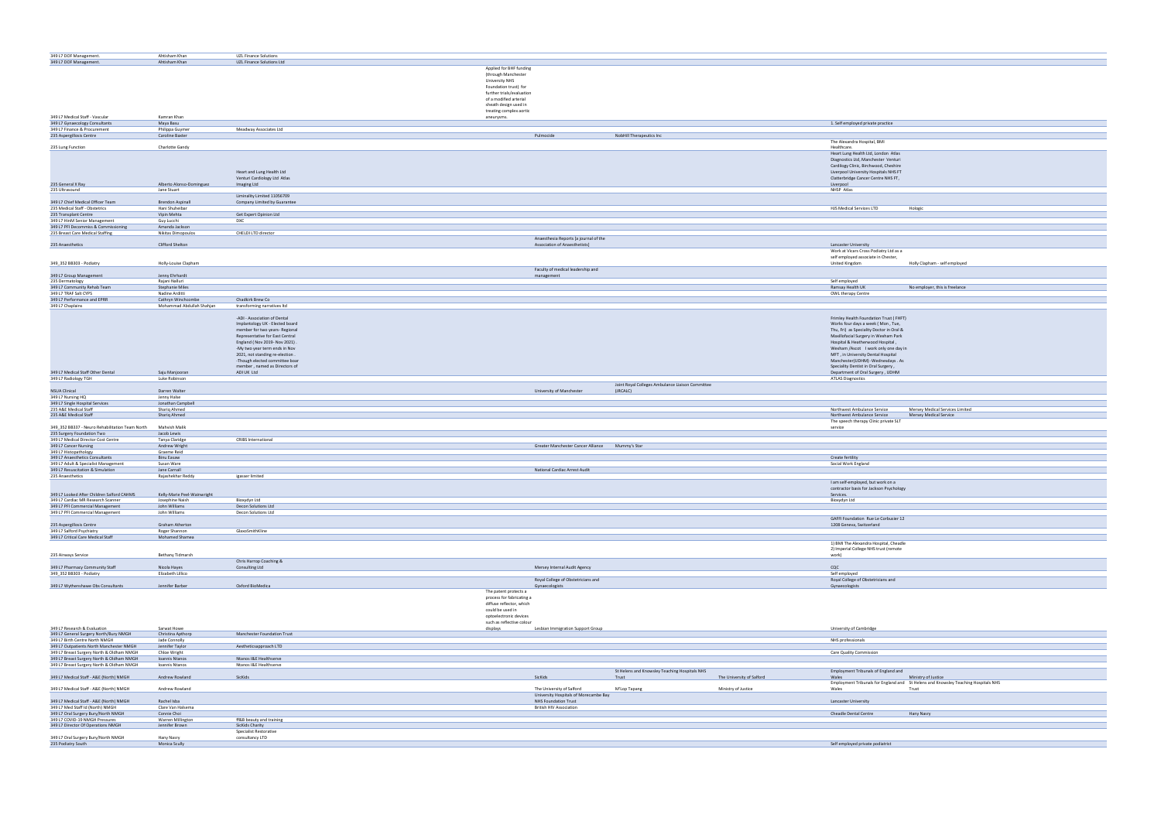| 349 L7 DOF Management.                                                                 | Ahtisham Khan                                   | UZL Finance Solutions                                             |                                                    |                                                  |                                                                                                      |
|----------------------------------------------------------------------------------------|-------------------------------------------------|-------------------------------------------------------------------|----------------------------------------------------|--------------------------------------------------|------------------------------------------------------------------------------------------------------|
| 349 L7 DOF Management.                                                                 | Ahtisham Khan                                   | UZL Finance Solutions Ltd                                         |                                                    |                                                  |                                                                                                      |
|                                                                                        |                                                 |                                                                   | Applied for BHF funding                            |                                                  |                                                                                                      |
|                                                                                        |                                                 |                                                                   | (through Manchester<br>University NHS              |                                                  |                                                                                                      |
|                                                                                        |                                                 |                                                                   | Foundation trust) for                              |                                                  |                                                                                                      |
|                                                                                        |                                                 |                                                                   | further trials/evaluation                          |                                                  |                                                                                                      |
|                                                                                        |                                                 |                                                                   | of a modified arterial<br>sheath design used in    |                                                  |                                                                                                      |
|                                                                                        |                                                 |                                                                   | treating complex aortic                            |                                                  |                                                                                                      |
| 349 L7 Medical Staff - Vascular                                                        | Kamran Khan                                     |                                                                   | aneurysms.                                         |                                                  |                                                                                                      |
| 349 L7 Gynaecology Consultants<br>349 L7 Finance & Procurement                         | Maya Basu                                       |                                                                   |                                                    |                                                  | 1. Self employed private practice                                                                    |
| 235 Aspergillosis Centre                                                               | Philippa Guymer<br>Caroline Baxter              | Meadway Associates Ltd                                            | Pulmocide                                          | NobHill Therapeutics Inc                         |                                                                                                      |
|                                                                                        |                                                 |                                                                   |                                                    |                                                  | The Alexandra Hospital, BMI                                                                          |
| 235 Lung Function                                                                      | Charlotte Gandy                                 |                                                                   |                                                    |                                                  | Healthcare.                                                                                          |
|                                                                                        |                                                 |                                                                   |                                                    |                                                  | Heart Lung Health Ltd, London Atlas<br>Diagnostics Ltd, Manchester Venturi                           |
|                                                                                        |                                                 |                                                                   |                                                    |                                                  | Cardilogy Clinic, Birchwood, Cheshire                                                                |
|                                                                                        |                                                 | Heart and Lung Health Ltd                                         |                                                    |                                                  | Liverpool University Hospitals NHS FT                                                                |
|                                                                                        |                                                 | Venturi Cardiology Ltd Atlas                                      |                                                    |                                                  | Clatterbridge Cancer Centre NHS FT,                                                                  |
| 235 General X Ray<br>235 Ultrasound                                                    | Alberto Alonso-Dominguez<br>Jane Stuart         | Imaging Ltd                                                       |                                                    |                                                  | Liverpool<br>NHSP Atlas                                                                              |
|                                                                                        |                                                 | Liminality Limited 11056709                                       |                                                    |                                                  |                                                                                                      |
| 349 L7 Chief Medical Officer Team                                                      | <b>Brendon Aspinall</b>                         | Company Limited by Guarantee                                      |                                                    |                                                  |                                                                                                      |
| 235 Medical Staff - Obstetrics                                                         | Hani Shuheibar                                  |                                                                   |                                                    |                                                  | HJS Medical Services LTD<br>Hologic                                                                  |
| 235 Transplant Centre<br>349 L7 HinM Senior Management                                 | Vipin Mehta<br>Guy Lucchi                       | Get Expert Opinion Ltd<br><b>DXC</b>                              |                                                    |                                                  |                                                                                                      |
| 349 L7 PFI Decommiss & Commissioning                                                   | Amanda Jackson                                  |                                                                   |                                                    |                                                  |                                                                                                      |
| 235 Breast Care Medical Staffing                                                       | Nikitas Dimopoulos                              | CHELDI LTD director                                               |                                                    |                                                  |                                                                                                      |
|                                                                                        |                                                 |                                                                   | Anaesthesia Reports [a journal of the              |                                                  |                                                                                                      |
| 235 Anaesthetics                                                                       | Clifford Shelton                                |                                                                   | <b>Association of Anaesthetists]</b>               |                                                  | Lancaster University<br>Work at Vicars Cross Podiatry Ltd as a                                       |
|                                                                                        |                                                 |                                                                   |                                                    |                                                  | self employed associate in Chester,                                                                  |
| 349_352 BB303 - Podiatry                                                               | Holly-Louise Clapham                            |                                                                   |                                                    |                                                  | United Kingdom<br>Holly Clapham - self employed                                                      |
|                                                                                        |                                                 |                                                                   | Faculty of medical leadership and                  |                                                  |                                                                                                      |
| 349 L7 Group Management<br>235 Dermatology                                             | Jenny Ehrhardt<br>Rajani Nalluri                |                                                                   | management                                         |                                                  | Self employed                                                                                        |
| 349 L7 Community Rehab Team                                                            | <b>Stephanie Miles</b>                          |                                                                   |                                                    |                                                  | Ramsay Health UK<br>No employer, this is freelance                                                   |
| 349 L7 TRAF Salt CYPS                                                                  | Nadine Arditti                                  |                                                                   |                                                    |                                                  | OWL therapy Centre                                                                                   |
| 349 L7 Performance and EPRR<br>349 L7 Chaplains                                        | Cathryn Winchcombe<br>Mohammad Abdullah Shahjan | Chadkirk Brew Co<br>transforming narratives ltd                   |                                                    |                                                  |                                                                                                      |
|                                                                                        |                                                 |                                                                   |                                                    |                                                  |                                                                                                      |
|                                                                                        |                                                 | -ADI - Association of Dental                                      |                                                    |                                                  | Frimley Health Foundation Trust (FHFT)                                                               |
|                                                                                        |                                                 | Implantology UK - Elected board                                   |                                                    |                                                  | Works four days a week (Mon, Tue,                                                                    |
|                                                                                        |                                                 | member for two years- Regional<br>Representative for East Central |                                                    |                                                  | Thu, Fri) as Speciality Doctor in Oral &<br>Maxillofacial Surgery in Wexham Park                     |
|                                                                                        |                                                 | England ( Nov 2019- Nov 2021).                                    |                                                    |                                                  | Hospital & Heatherwood Hospital,                                                                     |
|                                                                                        |                                                 | -My two year term ends in Nov                                     |                                                    |                                                  | Wexham /Ascot I work only one day in                                                                 |
|                                                                                        |                                                 | 2021, not standing re-election.                                   |                                                    |                                                  | MFT, in University Dental Hospital                                                                   |
|                                                                                        |                                                 | -Though elected committee boar                                    |                                                    |                                                  | Manchester(UDHM) -Wednesdays . As                                                                    |
| 349 L7 Medical Staff Other Dental                                                      | Saju Manjooran                                  | member, named as Directors of<br>ADI UK Ltd                       |                                                    |                                                  | Speciality Dentist in Oral Surgery,<br>Department of Oral Surgery, UDHM                              |
| 349 L7 Radiology TGH                                                                   | Luke Robinson                                   |                                                                   |                                                    |                                                  | <b>ATLAS Diagnostics</b>                                                                             |
|                                                                                        |                                                 |                                                                   |                                                    | Joint Royal Colleges Ambulance Liaison Committee |                                                                                                      |
| <b>NSUA Clinical</b><br>349 L7 Nursing HQ                                              | Darren Walter<br>Jenny Halse                    |                                                                   | University of Manchester                           | (JRCALC)                                         |                                                                                                      |
| 349 L7 Single Hospital Services                                                        | Jonathan Campbell                               |                                                                   |                                                    |                                                  |                                                                                                      |
|                                                                                        |                                                 |                                                                   |                                                    |                                                  |                                                                                                      |
| 235 A&E Medical Staff                                                                  | Shariq Ahmed                                    |                                                                   |                                                    |                                                  | Mersey Medical Services Limited<br>Northwest Ambulance Service                                       |
| 235 A&E Medical Staff                                                                  | Shariq Ahmed                                    |                                                                   |                                                    |                                                  | Northwest Ambulance Service<br>Mersey Medical Service                                                |
|                                                                                        |                                                 |                                                                   |                                                    |                                                  | The speech therapy Clinic private SLT                                                                |
| 349_352 BB337 - Neuro Rehabilitation Team North<br>235 Surgery Foundation Two          | Mahvish Malik<br>Jacob Lewis                    |                                                                   |                                                    |                                                  | service                                                                                              |
| 349 L7 Medical Director Cost Centre                                                    | Tanya Claridge                                  | <b>CRIBS International</b>                                        |                                                    |                                                  |                                                                                                      |
| 349 L7 Cancer Nursing                                                                  | Andrew Wright                                   |                                                                   | Greater Manchester Cancer Alliance Mummy's Star    |                                                  |                                                                                                      |
| 349 L7 Histopathology<br>349 L7 Anaesthetics Consultants                               | Graeme Reid<br><b>Binu Easaw</b>                |                                                                   |                                                    |                                                  | Create fertility                                                                                     |
| 349 L7 Adult & Specialist Management                                                   | Susan Ware                                      |                                                                   |                                                    |                                                  | Social Work England                                                                                  |
| 349 L7 Resuscitation & Simulation                                                      | Jane Carnall                                    |                                                                   | National Cardiac Arrest Audit                      |                                                  |                                                                                                      |
| 235 Anaesthetics                                                                       | Rajashekhar Reddy                               | igasser limited                                                   |                                                    |                                                  |                                                                                                      |
|                                                                                        |                                                 |                                                                   |                                                    |                                                  | I am self-employed, but work on a<br>contractor basis for Jackson Psychology                         |
| 349 L7 Looked After Children Salford CAHMS                                             | Kelly-Marie Peel-Wainwright                     |                                                                   |                                                    |                                                  | Services.                                                                                            |
| 349 L7 Cardiac MR Research Scanner                                                     | Josephine Naish                                 | Bioxydyn Ltd                                                      |                                                    |                                                  | Bioxydyn Ltd                                                                                         |
| 349 L7 PFI Commercial Management<br>349 L7 PFI Commercial Management                   | John Williams<br>John Williams                  | Decon Solutions Ltd<br>Decon Solutions Ltd                        |                                                    |                                                  |                                                                                                      |
|                                                                                        |                                                 |                                                                   |                                                    |                                                  | GAFFI Foundation Rue Le Corbusier 12                                                                 |
| 235 Aspergillosis Centre                                                               | Graham Atherton                                 |                                                                   |                                                    |                                                  | 1208 Geneva, Switzerland                                                                             |
| 349 L7 Salford Psychiatry                                                              | Roger Shannon                                   | GlaxoSmithKline                                                   |                                                    |                                                  |                                                                                                      |
| 349 L7 Critical Care Medical Staff                                                     | Mohamed Shamea                                  |                                                                   |                                                    |                                                  | 1) BMI The Alexandra Hospital, Cheadle                                                               |
|                                                                                        |                                                 |                                                                   |                                                    |                                                  | 2) Imperial College NHS trust (remote                                                                |
| 235 Airways Service                                                                    | Bethany Tidmarsh                                |                                                                   |                                                    |                                                  | work)                                                                                                |
| 349 L7 Pharmacy Community Staff                                                        |                                                 | Chris Harrop Coaching &                                           | Mersey Internal Audit Agency                       |                                                  | cac                                                                                                  |
| 349_352 BB303 - Podiatry                                                               | Nicola Hayes<br>Elizabeth Lillico               | Consulting Ltd                                                    |                                                    |                                                  | Self employed                                                                                        |
|                                                                                        |                                                 |                                                                   | Royal College of Obstetricians and                 |                                                  | Royal College of Obstetricians and                                                                   |
| 349 L7 Wythenshawe Obs Consultants                                                     | Jennifer Barber                                 | Oxford BioMedica                                                  | Gynaecologists                                     |                                                  | Gynaecologists                                                                                       |
|                                                                                        |                                                 |                                                                   | The patent protects a<br>process for fabricating a |                                                  |                                                                                                      |
|                                                                                        |                                                 |                                                                   | diffuse reflector, which                           |                                                  |                                                                                                      |
|                                                                                        |                                                 |                                                                   | could be used in                                   |                                                  |                                                                                                      |
|                                                                                        |                                                 |                                                                   | optoelectronic devices                             |                                                  |                                                                                                      |
| 349 L7 Research & Evaluation                                                           | Sarwat Howe                                     |                                                                   | such as reflective colour<br>displays              |                                                  | University of Cambridge                                                                              |
| 349 L7 General Surgery North/Bury NMGH                                                 | Christina Apthorp                               | Manchester Foundation Trust                                       | Lesbian Immigration Support Group                  |                                                  |                                                                                                      |
| 349 L7 Birth Centre North NMGH                                                         | Jade Connolly                                   |                                                                   |                                                    |                                                  | NHS professionals                                                                                    |
| 349 L7 Outpatients North Manchester NMGH                                               | Jennifer Taylor                                 | Aestheticsapproach LTD                                            |                                                    |                                                  |                                                                                                      |
| 349 L7 Breast Surgery North & Oldham NMGH<br>349 L7 Breast Surgery North & Oldham NMGH | Chloe Wright<br>Ioannis Ntanos                  | Ntanos I&E Healthserve                                            |                                                    |                                                  | <b>Care Quality Commission</b>                                                                       |
| 349 L7 Breast Surgery North & Oldham NMGH                                              | Ioannis Ntanos                                  | Ntanos I&E Healthserve                                            |                                                    |                                                  |                                                                                                      |
|                                                                                        |                                                 |                                                                   |                                                    | St Helens and Knowsley Teaching Hospitals NHS    | Employment Tribunals of England and                                                                  |
| 349 L7 Medical Staff - A&E (North) NMGH                                                | Andrew Rowland                                  | SicKids                                                           | SicKids                                            | The University of Salford<br>Trust               | Wales<br>Ministry of Justice                                                                         |
| 349 L7 Medical Staff - A&E (North) NMGH                                                | Andrew Rowland                                  |                                                                   | The University of Salford                          | M'Lop Tapang<br>Ministry of Justice              | Employment Tribunals for England and St Helens and Knowsley Teaching Hospitals NHS<br>Wales<br>Trust |
|                                                                                        |                                                 |                                                                   | University Hospitals of Morecambe Bay              |                                                  |                                                                                                      |
| 349 L7 Medical Staff - A&E (North) NMGH                                                | Rachel Isba                                     |                                                                   | NHS Foundation Trust                               |                                                  | Lancaster University                                                                                 |
| 349 L7 Med Staff Id (North) NMGH                                                       | Clare Van Halsema                               |                                                                   | <b>British HIV Association</b>                     |                                                  |                                                                                                      |
| 349 L7 Oral Surgery Bury/North NMGH<br>349 L7 COVID-19 NMGH Pressures                  | Connie Choi<br>Warren Millington                | ff&B beauty and training                                          |                                                    |                                                  | Cheadle Dental Centre<br>Hany Nasry                                                                  |
| 349 L7 Director Of Operations NMGH                                                     | Jennifer Brown                                  | <b>SicKids Charity</b>                                            |                                                    |                                                  |                                                                                                      |
| 349 L7 Oral Surgery Bury/North NMGH                                                    | Hany Nasry                                      | <b>Specialist Restorative</b><br>consultancy LTD                  |                                                    |                                                  |                                                                                                      |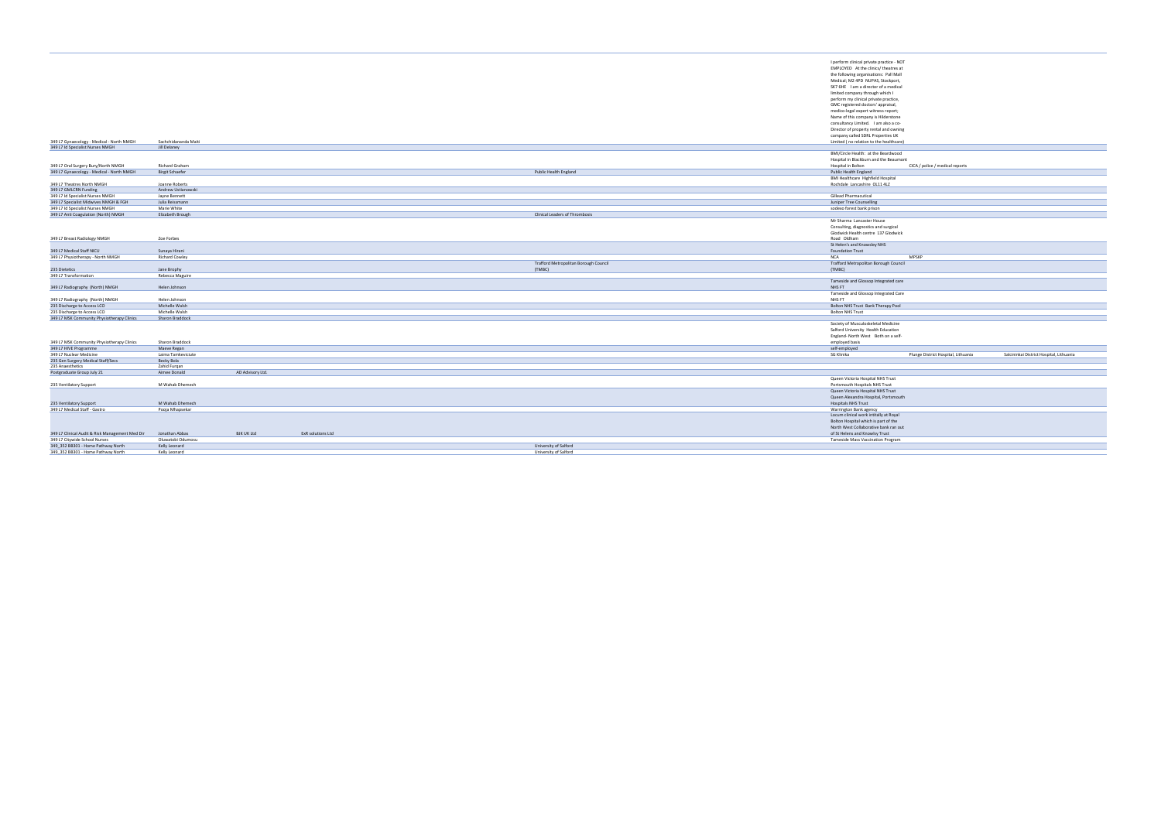|                                                                               |                                      |                   |                   |  |                                                |                                       |  | I perform clinical private practice - NOT                         |                                     |                                          |
|-------------------------------------------------------------------------------|--------------------------------------|-------------------|-------------------|--|------------------------------------------------|---------------------------------------|--|-------------------------------------------------------------------|-------------------------------------|------------------------------------------|
|                                                                               |                                      |                   |                   |  |                                                |                                       |  | EMPLOYED At the clinics/ theatres at                              |                                     |                                          |
|                                                                               |                                      |                   |                   |  |                                                |                                       |  | the following organisations: Pall Mall                            |                                     |                                          |
|                                                                               |                                      |                   |                   |  |                                                |                                       |  | Medical; M2 4PD NUPAS, Stockport,                                 |                                     |                                          |
|                                                                               |                                      |                   |                   |  |                                                |                                       |  | SK7 6HE I am a director of a medical                              |                                     |                                          |
|                                                                               |                                      |                   |                   |  |                                                |                                       |  | limited company through which I                                   |                                     |                                          |
|                                                                               |                                      |                   |                   |  |                                                |                                       |  | perform my clinical private practice,                             |                                     |                                          |
|                                                                               |                                      |                   |                   |  |                                                |                                       |  | GMC registered doctors' appraisal,                                |                                     |                                          |
|                                                                               |                                      |                   |                   |  |                                                |                                       |  | medico-legal expert witness report;                               |                                     |                                          |
|                                                                               |                                      |                   |                   |  |                                                |                                       |  | Name of this company is Hilderstone                               |                                     |                                          |
|                                                                               |                                      |                   |                   |  |                                                |                                       |  | consultancy Limited. I am also a co-                              |                                     |                                          |
|                                                                               |                                      |                   |                   |  |                                                |                                       |  | Director of property rental and owning                            |                                     |                                          |
|                                                                               |                                      |                   |                   |  |                                                |                                       |  | company called SDRL Properties UK                                 |                                     |                                          |
| 349 L7 Gynaecology - Medical - North NMGH<br>349 L7 Id Specialist Nurses NMGH | Sachchidananda Maiti<br>Jill Delaney |                   |                   |  |                                                |                                       |  | Limited (no relation to the healthcare)                           |                                     |                                          |
|                                                                               |                                      |                   |                   |  |                                                |                                       |  | BMI/Circle Health: at the Beardwood                               |                                     |                                          |
|                                                                               |                                      |                   |                   |  |                                                |                                       |  |                                                                   |                                     |                                          |
| 349 L7 Oral Surgery Bury/North NMGH                                           | Richard Graham                       |                   |                   |  |                                                |                                       |  | Hospital in Blackburn and the Beaumont<br>Hospital in Bolton      | CICA / police / medical reports     |                                          |
| 349 L7 Gynaecology - Medical - North NMGH                                     | <b>Birgit Schaefer</b>               |                   |                   |  | Public Health England                          |                                       |  |                                                                   |                                     |                                          |
|                                                                               |                                      |                   |                   |  |                                                |                                       |  | Public Health England<br><b>BMI Healthcare Highfield Hospital</b> |                                     |                                          |
| 349 L7 Theatres North NMGH                                                    | Joanne Roberts                       |                   |                   |  |                                                |                                       |  | Rochdale Lancashire OL11 4LZ                                      |                                     |                                          |
| 349 L7 GMLCRN Funding                                                         | Andrew Ustianowski                   |                   |                   |  |                                                |                                       |  |                                                                   |                                     |                                          |
| 349 L7 Id Specialist Nurses NMGH                                              | Jayne Bennett                        |                   |                   |  |                                                |                                       |  | Gillead Pharmacutical                                             |                                     |                                          |
| 349 L7 Specialist Midwives NMGH & FGH                                         | Julia Reissmann                      |                   |                   |  |                                                |                                       |  | Juniper Tree Counselling                                          |                                     |                                          |
| 349 L7 Id Specialist Nurses NMGH                                              | Marie White                          |                   |                   |  |                                                |                                       |  | sodexo forest bank prison                                         |                                     |                                          |
| 349 L7 Anti Coagulation (North) NMGH                                          | Elizabeth Brough                     |                   |                   |  | Clinical Leaders of Thrombosis                 |                                       |  |                                                                   |                                     |                                          |
|                                                                               |                                      |                   |                   |  |                                                |                                       |  | Mr Sharma Lancaster House                                         |                                     |                                          |
|                                                                               |                                      |                   |                   |  |                                                |                                       |  | Consulting, diagnostics and surgical                              |                                     |                                          |
|                                                                               |                                      |                   |                   |  |                                                |                                       |  | Glodwick Health centre 137 Glodwick                               |                                     |                                          |
| 349 L7 Breast Radiology NMGH                                                  | Zoe Forbes                           |                   |                   |  |                                                |                                       |  | Road Oldham                                                       |                                     |                                          |
|                                                                               |                                      |                   |                   |  |                                                |                                       |  | St Helen's and Knowsley NHS                                       |                                     |                                          |
| 349 L7 Medical Staff NICU                                                     | Sunaya Hirani                        |                   |                   |  |                                                |                                       |  | <b>Foundation Trust</b>                                           |                                     |                                          |
| 349 L7 Physiotherapy - North NMGH                                             | <b>Richard Cowley</b>                |                   |                   |  |                                                |                                       |  | <b>NCA</b>                                                        | MPSKP                               |                                          |
|                                                                               |                                      |                   |                   |  |                                                |                                       |  |                                                                   |                                     |                                          |
|                                                                               |                                      |                   |                   |  |                                                |                                       |  |                                                                   |                                     |                                          |
|                                                                               |                                      |                   |                   |  | (TMBC)                                         | Trafford Metropolitan Borough Council |  | Trafford Metropolitan Borough Council<br>(TMBC)                   |                                     |                                          |
| 235 Dietetics<br>349 L7 Transformation                                        | Jane Brophy<br>Rebecca Maguire       |                   |                   |  |                                                |                                       |  |                                                                   |                                     |                                          |
|                                                                               |                                      |                   |                   |  |                                                |                                       |  |                                                                   |                                     |                                          |
| 349 L7 Radiography (North) NMGH                                               | Helen Johnson                        |                   |                   |  |                                                |                                       |  | Tameside and Glossop Integrated care<br>NHS FT                    |                                     |                                          |
|                                                                               |                                      |                   |                   |  |                                                |                                       |  | Tameside and Glossop Integrated Care                              |                                     |                                          |
| 349 L7 Radiography (North) NMGH                                               | Helen Johnson                        |                   |                   |  |                                                |                                       |  | NHS FT                                                            |                                     |                                          |
| 235 Discharge to Access LCO                                                   | Michelle Walsh                       |                   |                   |  |                                                |                                       |  | Bolton NHS Trust Bank Therapy Pool                                |                                     |                                          |
| 235 Discharge to Access LCO                                                   | Michelle Walsh                       |                   |                   |  |                                                |                                       |  | <b>Bolton NHS Trust</b>                                           |                                     |                                          |
| 349 L7 MSK Community Physiotherapy Clinics                                    | Sharon Braddock                      |                   |                   |  |                                                |                                       |  |                                                                   |                                     |                                          |
|                                                                               |                                      |                   |                   |  |                                                |                                       |  | Society of Musculoskeletal Medicine                               |                                     |                                          |
|                                                                               |                                      |                   |                   |  |                                                |                                       |  | Salford University Health Education                               |                                     |                                          |
|                                                                               |                                      |                   |                   |  |                                                |                                       |  | England- North West Both on a self-                               |                                     |                                          |
| 349 L7 MSK Community Physiotherapy Clinics                                    | Sharon Braddock                      |                   |                   |  |                                                |                                       |  | employed basis                                                    |                                     |                                          |
| 349 L7 HIVE Programme                                                         | Maeve Regan                          |                   |                   |  |                                                |                                       |  | self-employed                                                     |                                     |                                          |
| 349 L7 Nuclear Medicine                                                       | Laima Tamkeviciute                   |                   |                   |  |                                                |                                       |  | SG Klinika                                                        | Plunge District Hospital, Lithuania | Salcininkai District Hospital, Lithuania |
| 235 Gen Surgery Medical Staff/Secs                                            | Becky Bola                           |                   |                   |  |                                                |                                       |  |                                                                   |                                     |                                          |
| 235 Anaesthetics                                                              | Zahid Furgan                         |                   |                   |  |                                                |                                       |  |                                                                   |                                     |                                          |
| Postgraduate Group July 21                                                    | Aimee Donald                         | AD Advisory Ltd.  |                   |  |                                                |                                       |  |                                                                   |                                     |                                          |
|                                                                               |                                      |                   |                   |  |                                                |                                       |  | Queen Victoria Hospital NHS Trust                                 |                                     |                                          |
| 235 Ventilatory Support                                                       | M Wahab Dhemech                      |                   |                   |  |                                                |                                       |  | Portsmouth Hospitals NHS Trust                                    |                                     |                                          |
|                                                                               |                                      |                   |                   |  |                                                |                                       |  | Queen Victoria Hospital NHS Trust                                 |                                     |                                          |
|                                                                               |                                      |                   |                   |  |                                                |                                       |  | Queen Alexandra Hospital, Portsmouth                              |                                     |                                          |
| 235 Ventilatory Support                                                       | M Wahab Dhemech                      |                   |                   |  |                                                |                                       |  | Hospitals NHS Trust                                               |                                     |                                          |
| 349 L7 Medical Staff - Gastro                                                 | Pooja Mhapsekar                      |                   |                   |  |                                                |                                       |  | Warrington Bank agency                                            |                                     |                                          |
|                                                                               |                                      |                   |                   |  |                                                |                                       |  | Locum clinical work intitally at Royal                            |                                     |                                          |
|                                                                               |                                      |                   |                   |  |                                                |                                       |  | Bolton Hospital which is part of the                              |                                     |                                          |
|                                                                               |                                      |                   |                   |  |                                                |                                       |  | North West Collaborative bank ran out                             |                                     |                                          |
| 349 L7 Clinical Audit & Risk Management Med Dir                               | Jonathan Abbas                       | <b>BJK UK Ltd</b> | ExR solutions Ltd |  |                                                |                                       |  | of St Helens and Knowlsy Trust                                    |                                     |                                          |
| 349 L7 Citywide School Nurses                                                 | Oluwatobi Odumosu                    |                   |                   |  |                                                |                                       |  | Tameside Mass Vaccination Program                                 |                                     |                                          |
| 349_352 BB301 - Home Pathway North<br>349_352 BB301 - Home Pathway North      | Kelly Leonard<br>Kelly Leonard       |                   |                   |  | University of Salford<br>University of Salford |                                       |  |                                                                   |                                     |                                          |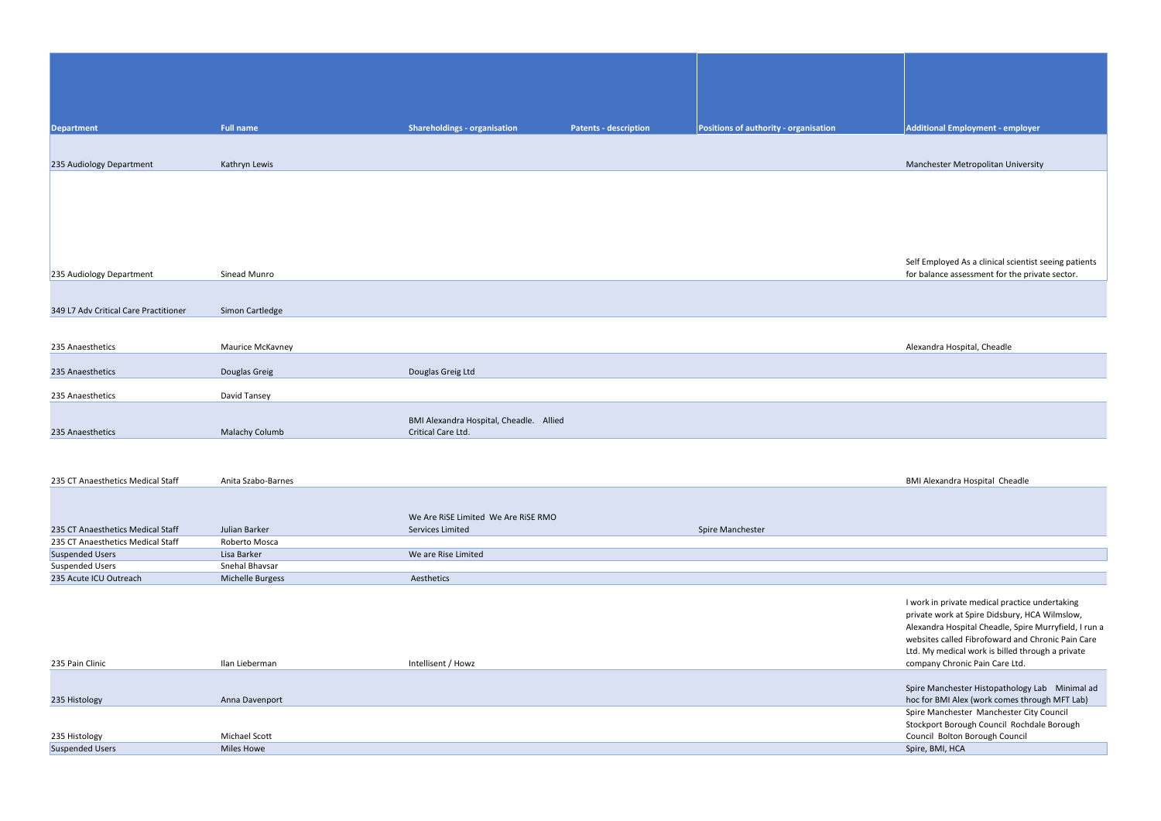| <b>Department</b>                     | <b>Full name</b>      | <b>Shareholdings - organisation</b>     | <b>Patents - description</b> | Positions of authority - organisation | <b>Additional Employment - er</b>                           |
|---------------------------------------|-----------------------|-----------------------------------------|------------------------------|---------------------------------------|-------------------------------------------------------------|
|                                       |                       |                                         |                              |                                       |                                                             |
|                                       |                       |                                         |                              |                                       |                                                             |
| 235 Audiology Department              | Kathryn Lewis         |                                         |                              |                                       | Manchester Metropolitan U                                   |
|                                       |                       |                                         |                              |                                       |                                                             |
|                                       |                       |                                         |                              |                                       |                                                             |
|                                       |                       |                                         |                              |                                       |                                                             |
|                                       |                       |                                         |                              |                                       |                                                             |
|                                       |                       |                                         |                              |                                       |                                                             |
|                                       |                       |                                         |                              |                                       |                                                             |
|                                       |                       |                                         |                              |                                       | Self Employed As a clinical s                               |
| 235 Audiology Department              | Sinead Munro          |                                         |                              |                                       | for balance assessment for t                                |
|                                       |                       |                                         |                              |                                       |                                                             |
| 349 L7 Adv Critical Care Practitioner | Simon Cartledge       |                                         |                              |                                       |                                                             |
|                                       |                       |                                         |                              |                                       |                                                             |
|                                       |                       |                                         |                              |                                       |                                                             |
| 235 Anaesthetics                      | Maurice McKavney      |                                         |                              |                                       | Alexandra Hospital, Cheadle                                 |
|                                       |                       |                                         |                              |                                       |                                                             |
| 235 Anaesthetics                      | Douglas Greig         | Douglas Greig Ltd                       |                              |                                       |                                                             |
|                                       |                       |                                         |                              |                                       |                                                             |
| 235 Anaesthetics                      | David Tansey          |                                         |                              |                                       |                                                             |
|                                       |                       | BMI Alexandra Hospital, Cheadle. Allied |                              |                                       |                                                             |
| 235 Anaesthetics                      | <b>Malachy Columb</b> | Critical Care Ltd.                      |                              |                                       |                                                             |
|                                       |                       |                                         |                              |                                       |                                                             |
|                                       |                       |                                         |                              |                                       |                                                             |
|                                       |                       |                                         |                              |                                       |                                                             |
| 235 CT Anaesthetics Medical Staff     | Anita Szabo-Barnes    |                                         |                              |                                       | <b>BMI Alexandra Hospital Che</b>                           |
|                                       |                       |                                         |                              |                                       |                                                             |
|                                       |                       | We Are RiSE Limited We Are RiSE RMO     |                              |                                       |                                                             |
| 235 CT Anaesthetics Medical Staff     | Julian Barker         | Services Limited                        |                              | Spire Manchester                      |                                                             |
| 235 CT Anaesthetics Medical Staff     | Roberto Mosca         |                                         |                              |                                       |                                                             |
| <b>Suspended Users</b>                | Lisa Barker           | We are Rise Limited                     |                              |                                       |                                                             |
| <b>Suspended Users</b>                | Snehal Bhavsar        |                                         |                              |                                       |                                                             |
| 235 Acute ICU Outreach                | Michelle Burgess      | Aesthetics                              |                              |                                       |                                                             |
|                                       |                       |                                         |                              |                                       |                                                             |
|                                       |                       |                                         |                              |                                       | I work in private medical pra                               |
|                                       |                       |                                         |                              |                                       | private work at Spire Didsbu<br>Alexandra Hospital Cheadle, |
|                                       |                       |                                         |                              |                                       | websites called Fibrofoward                                 |
|                                       |                       |                                         |                              |                                       | Ltd. My medical work is bille                               |
| 235 Pain Clinic                       | Ilan Lieberman        | Intellisent / Howz                      |                              |                                       | company Chronic Pain Care                                   |
|                                       |                       |                                         |                              |                                       |                                                             |
|                                       |                       |                                         |                              |                                       | Spire Manchester Histopath                                  |
| 235 Histology                         | Anna Davenport        |                                         |                              |                                       | hoc for BMI Alex (work com                                  |
|                                       |                       |                                         |                              |                                       | Spire Manchester Manches<br>Stocknort Porough Council       |
|                                       |                       |                                         |                              |                                       |                                                             |

|                        |               | <b>SLUCKDOLL BULU</b> |
|------------------------|---------------|-----------------------|
| 235 Histology          | Michael Scott | Council Bolton        |
| <b>Suspended Users</b> | Miles Howe    | Spire, BMI, HCA       |
|                        |               |                       |

**Additional Employment - employer** 

Manchester Metropolitan University

Self Employed As a clinical scientist seeing patients for balance assessment for the private sector.

### BMI Alexandra Hospital Cheadle

I work in private medical practice undertaking private work at Spire Didsbury, HCA Wilmslow, Alexandra Hospital Cheadle, Spire Murryfield, I run a websites called Fibrofoward and Chronic Pain Care Ltd. My medical work is billed through a private company Chronic Pain Care Ltd.

Spire Manchester Histopathology Lab Minimal ad hoc for BMI Alex (work comes through MFT Lab) Spire Manchester Manchester City Council Stockport Borough Council Rochdale Borough Council Bolton Borough Council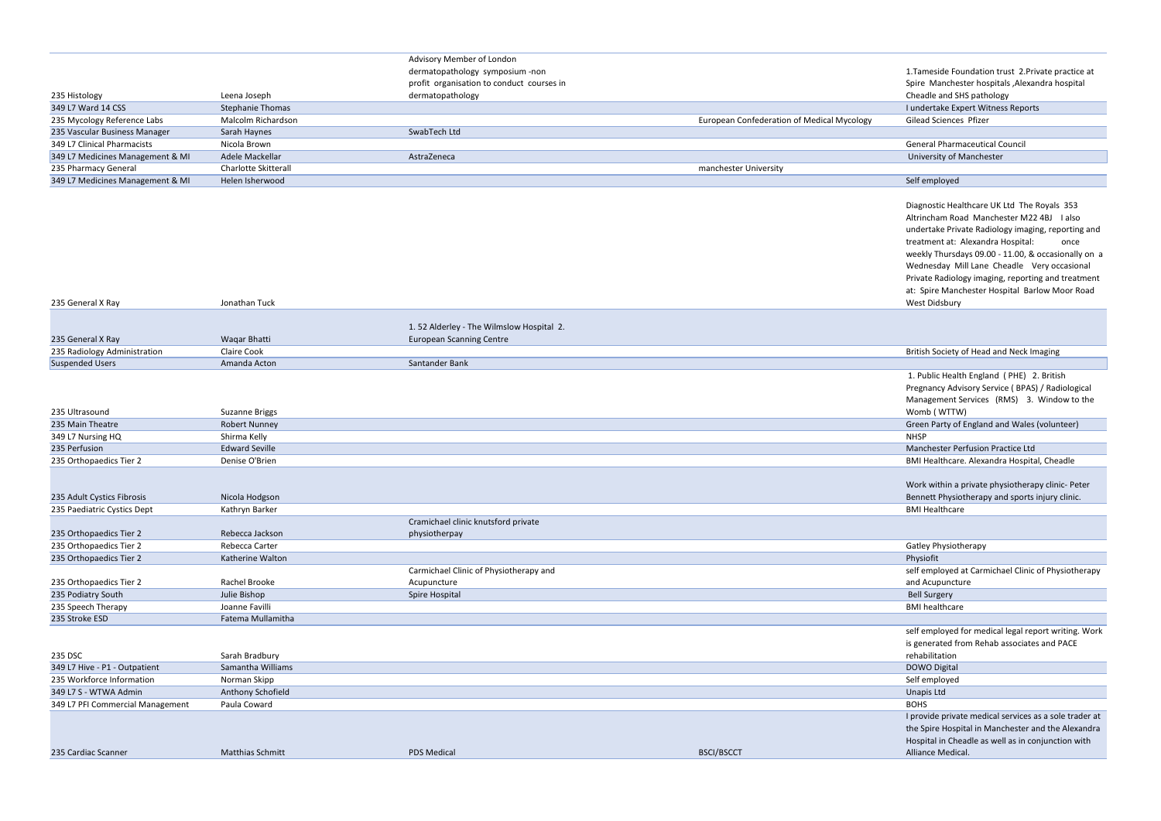## Advisory Member of London

# dermatopathology symposium -non

|                                  |                         | profit organisation to conduct courses in |                                                   | Spire Manchester hospitals, Alexar    |
|----------------------------------|-------------------------|-------------------------------------------|---------------------------------------------------|---------------------------------------|
| 235 Histology                    | Leena Joseph            | dermatopathology                          |                                                   | Cheadle and SHS pathology             |
| 349 L7 Ward 14 CSS               | <b>Stephanie Thomas</b> |                                           |                                                   | I undertake Expert Witness Reports    |
| 235 Mycology Reference Labs      | Malcolm Richardson      |                                           | <b>European Confederation of Medical Mycology</b> | Gilead Sciences Pfizer                |
| 235 Vascular Business Manager    | Sarah Haynes            | SwabTech Ltd                              |                                                   |                                       |
| 349 L7 Clinical Pharmacists      | Nicola Brown            |                                           |                                                   | <b>General Pharmaceutical Council</b> |
| 349 L7 Medicines Management & MI | Adele Mackellar         | AstraZeneca                               |                                                   | University of Manchester              |
| 235 Pharmacy General             | Charlotte Skitterall    |                                           | manchester University                             |                                       |
| 349 L7 Medicines Management & MI | Helen Isherwood         |                                           |                                                   | Self employed                         |

| 235 General X Ray            | Jonathan Tuck |                                          | West Didsbury                            |
|------------------------------|---------------|------------------------------------------|------------------------------------------|
|                              |               |                                          |                                          |
|                              |               | 1.52 Alderley - The Wilmslow Hospital 2. |                                          |
| 235 General X Ray            | Wagar Bhatti  | <b>European Scanning Centre</b>          |                                          |
| 235 Radiology Administration | Claire Cook   |                                          | British Society of Head and Neck Imaging |
| <b>Suspended Users</b>       | Amanda Acton  | Santander Bank                           |                                          |

| 235 Ultrasound                   | <b>Suzanne Briggs</b>   |                                        |                   | Womb (WTTW)                                      |
|----------------------------------|-------------------------|----------------------------------------|-------------------|--------------------------------------------------|
| 235 Main Theatre                 | <b>Robert Nunney</b>    |                                        |                   | Green Party of England and Wales (volunteer)     |
| 349 L7 Nursing HQ                | Shirma Kelly            |                                        |                   | <b>NHSP</b>                                      |
| 235 Perfusion                    | <b>Edward Seville</b>   |                                        |                   | Manchester Perfusion Practice Ltd                |
| 235 Orthopaedics Tier 2          | Denise O'Brien          |                                        |                   | BMI Healthcare. Alexandra Hospital, Cheadle      |
|                                  |                         |                                        |                   |                                                  |
|                                  |                         |                                        |                   | Work within a private physiotherapy clinic-Pe    |
| 235 Adult Cystics Fibrosis       | Nicola Hodgson          |                                        |                   | Bennett Physiotherapy and sports injury clinic   |
| 235 Paediatric Cystics Dept      | Kathryn Barker          |                                        |                   | <b>BMI Healthcare</b>                            |
|                                  |                         | Cramichael clinic knutsford private    |                   |                                                  |
| 235 Orthopaedics Tier 2          | Rebecca Jackson         | physiotherpay                          |                   |                                                  |
| 235 Orthopaedics Tier 2          | Rebecca Carter          |                                        |                   | Gatley Physiotherapy                             |
| 235 Orthopaedics Tier 2          | Katherine Walton        |                                        |                   | Physiofit                                        |
|                                  |                         | Carmichael Clinic of Physiotherapy and |                   | self employed at Carmichael Clinic of Physioth   |
| 235 Orthopaedics Tier 2          | Rachel Brooke           | Acupuncture                            |                   | and Acupuncture                                  |
| 235 Podiatry South               | Julie Bishop            | Spire Hospital                         |                   | <b>Bell Surgery</b>                              |
| 235 Speech Therapy               | Joanne Favilli          |                                        |                   | <b>BMI</b> healthcare                            |
| 235 Stroke ESD                   | Fatema Mullamitha       |                                        |                   |                                                  |
|                                  |                         |                                        |                   | self employed for medical legal report writing   |
|                                  |                         |                                        |                   | is generated from Rehab associates and PACE      |
| 235 DSC                          | Sarah Bradbury          |                                        |                   | rehabilitation                                   |
| 349 L7 Hive - P1 - Outpatient    | Samantha Williams       |                                        |                   | DOWO Digital                                     |
| 235 Workforce Information        | Norman Skipp            |                                        |                   | Self employed                                    |
| 349 L7 S - WTWA Admin            | Anthony Schofield       |                                        |                   | Unapis Ltd                                       |
| 349 L7 PFI Commercial Management | Paula Coward            |                                        |                   | <b>BOHS</b>                                      |
|                                  |                         |                                        |                   | I provide private medical services as a sole tra |
|                                  |                         |                                        |                   | the Spire Hospital in Manchester and the Alex    |
|                                  |                         |                                        |                   | Hospital in Cheadle as well as in conjunction v  |
| 235 Cardiac Scanner              | <b>Matthias Schmitt</b> | <b>PDS Medical</b>                     | <b>BSCI/BSCCT</b> | Alliance Medical.                                |
|                                  |                         |                                        |                   |                                                  |

| 1. Tameside Foundation trust 2. Private practice at<br>Spire Manchester hospitals , Alexandra hospital                                                                                                                                                                                                                                                     |
|------------------------------------------------------------------------------------------------------------------------------------------------------------------------------------------------------------------------------------------------------------------------------------------------------------------------------------------------------------|
| Cheadle and SHS pathology                                                                                                                                                                                                                                                                                                                                  |
| I undertake Expert Witness Reports                                                                                                                                                                                                                                                                                                                         |
| <b>Gilead Sciences Pfizer</b>                                                                                                                                                                                                                                                                                                                              |
|                                                                                                                                                                                                                                                                                                                                                            |
| <b>General Pharmaceutical Council</b>                                                                                                                                                                                                                                                                                                                      |
| University of Manchester                                                                                                                                                                                                                                                                                                                                   |
|                                                                                                                                                                                                                                                                                                                                                            |
| Self employed                                                                                                                                                                                                                                                                                                                                              |
| Diagnostic Healthcare UK Ltd The Royals 353<br>Altrincham Road Manchester M22 4BJ<br>I also<br>undertake Private Radiology imaging, reporting and<br>treatment at: Alexandra Hospital:<br>once<br>weekly Thursdays 09.00 - 11.00, & occasionally on a<br>Wednesday Mill Lane Cheadle Very occasional<br>Private Radiology imaging, reporting and treatment |
| at: Spire Manchester Hospital Barlow Moor Road<br>West Didsbury                                                                                                                                                                                                                                                                                            |
|                                                                                                                                                                                                                                                                                                                                                            |
| British Society of Head and Neck Imaging                                                                                                                                                                                                                                                                                                                   |
|                                                                                                                                                                                                                                                                                                                                                            |
| 1. Public Health England (PHE) 2. British<br>Pregnancy Advisory Service (BPAS) / Radiological<br>Management Services (RMS) 3. Window to the<br>Womb (WTTW)                                                                                                                                                                                                 |
| Green Party of England and Wales (volunteer)                                                                                                                                                                                                                                                                                                               |
| <b>NHSP</b>                                                                                                                                                                                                                                                                                                                                                |
| <b>Manchester Perfusion Practice Ltd</b>                                                                                                                                                                                                                                                                                                                   |
| BMI Healthcare. Alexandra Hospital, Cheadle                                                                                                                                                                                                                                                                                                                |
| Work within a private physiotherapy clinic- Peter<br>Bennett Physiotherapy and sports injury clinic.<br><b>BMI Healthcare</b>                                                                                                                                                                                                                              |
|                                                                                                                                                                                                                                                                                                                                                            |
| Gatley Physiotherapy<br>Physiofit                                                                                                                                                                                                                                                                                                                          |
| self employed at Carmichael Clinic of Physiotherapy                                                                                                                                                                                                                                                                                                        |
| and Acupuncture                                                                                                                                                                                                                                                                                                                                            |
| <b>Bell Surgery</b>                                                                                                                                                                                                                                                                                                                                        |
| <b>BMI</b> healthcare                                                                                                                                                                                                                                                                                                                                      |
|                                                                                                                                                                                                                                                                                                                                                            |
| self employed for medical legal report writing. Work                                                                                                                                                                                                                                                                                                       |
| is generated from Rehab associates and PACE<br>rehabilitation                                                                                                                                                                                                                                                                                              |
| <b>DOWO Digital</b>                                                                                                                                                                                                                                                                                                                                        |
| Self employed                                                                                                                                                                                                                                                                                                                                              |
| <b>Unapis Ltd</b>                                                                                                                                                                                                                                                                                                                                          |
| <b>BOHS</b>                                                                                                                                                                                                                                                                                                                                                |
| I provide private medical services as a sole trader at<br>the Spire Hospital in Manchester and the Alexandra<br>Hospital in Cheadle as well as in conjunction with<br>Alliance Medical.                                                                                                                                                                    |
|                                                                                                                                                                                                                                                                                                                                                            |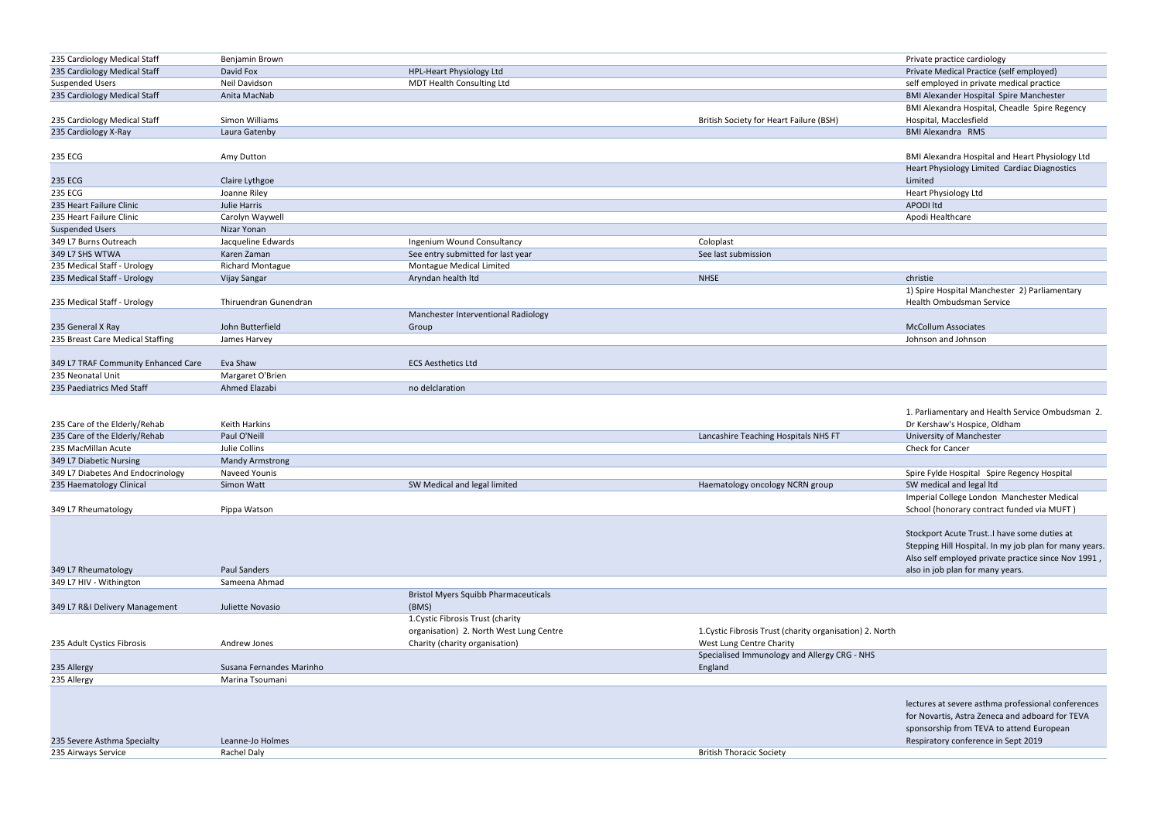| 235 Cardiology Medical Staff        | Benjamin Brown                                          |                                     |                                         | Private practice cardiology                     |
|-------------------------------------|---------------------------------------------------------|-------------------------------------|-----------------------------------------|-------------------------------------------------|
| 235 Cardiology Medical Staff        | David Fox                                               | <b>HPL-Heart Physiology Ltd</b>     |                                         | Private Medical Practice (self employed)        |
| <b>Suspended Users</b>              | <b>Neil Davidson</b>                                    | MDT Health Consulting Ltd           |                                         | self employed in private medical practice       |
| 235 Cardiology Medical Staff        | Anita MacNab                                            |                                     |                                         | <b>BMI Alexander Hospital Spire Manchester</b>  |
|                                     |                                                         |                                     |                                         | BMI Alexandra Hospital, Cheadle Spire Regency   |
| 235 Cardiology Medical Staff        | Simon Williams                                          |                                     | British Society for Heart Failure (BSH) | Hospital, Macclesfield                          |
| 235 Cardiology X-Ray                | Laura Gatenby                                           |                                     |                                         | <b>BMI Alexandra RMS</b>                        |
|                                     |                                                         |                                     |                                         |                                                 |
| 235 ECG                             | Amy Dutton                                              |                                     |                                         | BMI Alexandra Hospital and Heart Physiology Ltd |
|                                     |                                                         |                                     |                                         | Heart Physiology Limited Cardiac Diagnostics    |
| 235 ECG                             | Claire Lythgoe                                          |                                     |                                         | Limited                                         |
| 235 ECG                             | Joanne Riley                                            |                                     |                                         | <b>Heart Physiology Ltd</b>                     |
| 235 Heart Failure Clinic            | Julie Harris                                            |                                     |                                         | <b>APODI</b> Itd                                |
| 235 Heart Failure Clinic            | Carolyn Waywell                                         |                                     |                                         | Apodi Healthcare                                |
| <b>Suspended Users</b>              | Nizar Yonan                                             |                                     |                                         |                                                 |
| 349 L7 Burns Outreach               | Jacqueline Edwards                                      | Ingenium Wound Consultancy          | Coloplast                               |                                                 |
| 349 L7 SHS WTWA                     | Karen Zaman                                             | See entry submitted for last year   | See last submission                     |                                                 |
| 235 Medical Staff - Urology         | <b>Richard Montague</b>                                 | Montague Medical Limited            |                                         |                                                 |
| 235 Medical Staff - Urology         | Vijay Sangar                                            | Aryndan health Itd                  | <b>NHSE</b>                             | christie                                        |
|                                     |                                                         |                                     |                                         | 1) Spire Hospital Manchester 2) Parliamentary   |
| 235 Medical Staff - Urology         | Thiruendran Gunendran                                   |                                     |                                         | <b>Health Ombudsman Service</b>                 |
|                                     |                                                         | Manchester Interventional Radiology |                                         |                                                 |
| 235 General X Ray                   | John Butterfield                                        | Group                               |                                         | <b>McCollum Associates</b>                      |
| 235 Breast Care Medical Staffing    | James Harvey                                            |                                     |                                         | Johnson and Johnson                             |
|                                     |                                                         |                                     |                                         |                                                 |
| 349 L7 TRAF Community Enhanced Care | Eva Shaw                                                | <b>ECS Aesthetics Ltd</b>           |                                         |                                                 |
| 235 Neonatal Unit                   | Margaret O'Brien                                        |                                     |                                         |                                                 |
| 235 Paediatrics Med Staff           | Ahmed Elazabi                                           | no delclaration                     |                                         |                                                 |
|                                     |                                                         |                                     |                                         |                                                 |
|                                     |                                                         |                                     |                                         | 1. Parliamentary and Health Service Ombudsmar   |
| 235 Care of the Elderly/Rehab       | Keith Harkins                                           |                                     |                                         | Dr Kershaw's Hospice, Oldham                    |
| 335 Cano of the Flderhilpsheep      | $D_{\alpha}$ . $D_{\alpha}$ $N_{\alpha}$ : $U_{\alpha}$ |                                     | Lancechine Tenghing Hospitale NUC FT    | University of Managerator                       |

|       | Private practice cardiology                                                                                                                                                                     |
|-------|-------------------------------------------------------------------------------------------------------------------------------------------------------------------------------------------------|
|       | Private Medical Practice (self employed)                                                                                                                                                        |
|       | self employed in private medical practice                                                                                                                                                       |
|       | <b>BMI Alexander Hospital Spire Manchester</b>                                                                                                                                                  |
|       | BMI Alexandra Hospital, Cheadle Spire Regency<br>Hospital, Macclesfield                                                                                                                         |
|       | <b>BMI Alexandra RMS</b>                                                                                                                                                                        |
|       |                                                                                                                                                                                                 |
|       | BMI Alexandra Hospital and Heart Physiology Ltd                                                                                                                                                 |
|       | Heart Physiology Limited Cardiac Diagnostics<br>Limited                                                                                                                                         |
|       | Heart Physiology Ltd                                                                                                                                                                            |
|       | <b>APODI</b> Itd                                                                                                                                                                                |
|       | Apodi Healthcare                                                                                                                                                                                |
|       |                                                                                                                                                                                                 |
|       |                                                                                                                                                                                                 |
|       |                                                                                                                                                                                                 |
|       |                                                                                                                                                                                                 |
|       | christie                                                                                                                                                                                        |
|       |                                                                                                                                                                                                 |
|       | 1) Spire Hospital Manchester 2) Parliamentary<br><b>Health Ombudsman Service</b>                                                                                                                |
|       | <b>McCollum Associates</b>                                                                                                                                                                      |
|       | Johnson and Johnson                                                                                                                                                                             |
|       |                                                                                                                                                                                                 |
|       |                                                                                                                                                                                                 |
|       |                                                                                                                                                                                                 |
|       |                                                                                                                                                                                                 |
|       |                                                                                                                                                                                                 |
|       | 1. Parliamentary and Health Service Ombudsman 2.<br>Dr Kershaw's Hospice, Oldham                                                                                                                |
|       | University of Manchester                                                                                                                                                                        |
|       | <b>Check for Cancer</b>                                                                                                                                                                         |
|       |                                                                                                                                                                                                 |
|       |                                                                                                                                                                                                 |
|       | Spire Fylde Hospital Spire Regency Hospital                                                                                                                                                     |
|       | SW medical and legal Itd                                                                                                                                                                        |
|       | Imperial College London Manchester Medical                                                                                                                                                      |
|       | School (honorary contract funded via MUFT)                                                                                                                                                      |
|       | Stockport Acute TrustI have some duties at<br>Stepping Hill Hospital. In my job plan for many years.<br>Also self employed private practice since Nov 1991,<br>also in job plan for many years. |
|       |                                                                                                                                                                                                 |
|       |                                                                                                                                                                                                 |
|       |                                                                                                                                                                                                 |
| lorth |                                                                                                                                                                                                 |
|       |                                                                                                                                                                                                 |
|       |                                                                                                                                                                                                 |
|       | lectures at severe asthma professional conferences<br>for Novartis, Astra Zeneca and adboard for TEVA<br>sponsorship from TEVA to attend European                                               |

| 235 Care of the Elderly/Rehab     | Paul O'Neill           |                              | Lancashire Teaching Hospitals NHS FT | University of Manchester                   |
|-----------------------------------|------------------------|------------------------------|--------------------------------------|--------------------------------------------|
| 235 MacMillan Acute               | Julie Collins          |                              |                                      | <b>Check for Cancer</b>                    |
| 349 L7 Diabetic Nursing           | <b>Mandy Armstrong</b> |                              |                                      |                                            |
| 349 L7 Diabetes And Endocrinology | Naveed Younis          |                              |                                      | Spire Fylde Hospital Spire Regency Hospita |
| 235 Haematology Clinical          | Simon Watt             | SW Medical and legal limited | Haematology oncology NCRN group      | SW medical and legal ltd                   |
|                                   |                        |                              |                                      | Imperial College London Manchester Medio   |
| 349 L7 Rheumatology               | Pippa Watson           |                              |                                      | School (honorary contract funded via MUFT  |

| 349 L7 Rheumatology            | <b>Paul Sanders</b>      |                                             |                                                          |
|--------------------------------|--------------------------|---------------------------------------------|----------------------------------------------------------|
| 349 L7 HIV - Withington        | Sameena Ahmad            |                                             |                                                          |
|                                |                          | <b>Bristol Myers Squibb Pharmaceuticals</b> |                                                          |
| 349 L7 R&I Delivery Management | Juliette Novasio         | (BMS)                                       |                                                          |
|                                |                          | 1. Cystic Fibrosis Trust (charity           |                                                          |
|                                |                          | organisation) 2. North West Lung Centre     | 1. Cystic Fibrosis Trust (charity organisation) 2. North |
| 235 Adult Cystics Fibrosis     | Andrew Jones             | Charity (charity organisation)              | West Lung Centre Charity                                 |
|                                |                          |                                             | Specialised Immunology and Allergy CRG - NHS             |
| 235 Allergy                    | Susana Fernandes Marinho |                                             | England                                                  |
| 235 Allergy                    | Marina Tsoumani          |                                             |                                                          |
|                                |                          |                                             |                                                          |
|                                |                          |                                             |                                                          |
|                                |                          |                                             |                                                          |

| 235 Severe Asthma Specialty | Leanne-Jo Holmes |                          |
|-----------------------------|------------------|--------------------------|
| 235 Airways Service         | Rachel Daly      | British Thoracic Society |

Respiratory conference in Sept 2019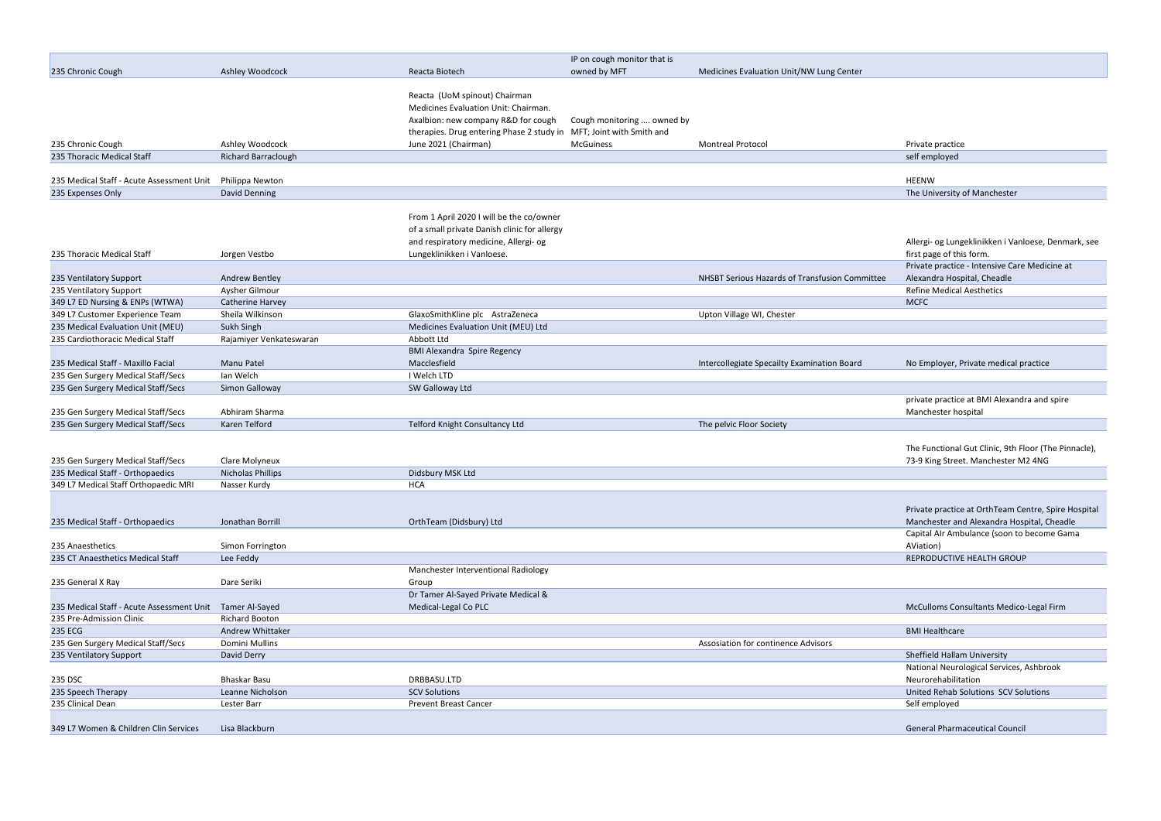|                                           |                                  |                                                                     | IP on cough monitor that is |                                                |                                              |
|-------------------------------------------|----------------------------------|---------------------------------------------------------------------|-----------------------------|------------------------------------------------|----------------------------------------------|
| 235 Chronic Cough                         | Ashley Woodcock                  | Reacta Biotech                                                      | owned by MFT                | Medicines Evaluation Unit/NW Lung Center       |                                              |
|                                           |                                  | Reacta (UoM spinout) Chairman                                       |                             |                                                |                                              |
|                                           |                                  | Medicines Evaluation Unit: Chairman.                                |                             |                                                |                                              |
|                                           |                                  | Axalbion: new company R&D for cough                                 | Cough monitoring  owned by  |                                                |                                              |
|                                           |                                  | therapies. Drug entering Phase 2 study in MFT; Joint with Smith and |                             |                                                |                                              |
| 235 Chronic Cough                         | Ashley Woodcock                  | June 2021 (Chairman)                                                | <b>McGuiness</b>            | <b>Montreal Protocol</b>                       | Private practice                             |
| 235 Thoracic Medical Staff                | <b>Richard Barraclough</b>       |                                                                     |                             |                                                | self employed                                |
|                                           |                                  |                                                                     |                             |                                                |                                              |
| 235 Medical Staff - Acute Assessment Unit | Philippa Newton<br>David Denning |                                                                     |                             |                                                | <b>HEENW</b>                                 |
| 235 Expenses Only                         |                                  |                                                                     |                             |                                                | The University of Manchester                 |
|                                           |                                  | From 1 April 2020 I will be the co/owner                            |                             |                                                |                                              |
|                                           |                                  | of a small private Danish clinic for allergy                        |                             |                                                |                                              |
|                                           |                                  | and respiratory medicine, Allergi- og                               |                             |                                                | Allergi- og Lungeklinikken i Vanloese, Denn  |
| 235 Thoracic Medical Staff                | Jorgen Vestbo                    | Lungeklinikken i Vanloese.                                          |                             |                                                | first page of this form.                     |
|                                           |                                  |                                                                     |                             |                                                | Private practice - Intensive Care Medicine a |
| 235 Ventilatory Support                   | <b>Andrew Bentley</b>            |                                                                     |                             | NHSBT Serious Hazards of Transfusion Committee | Alexandra Hospital, Cheadle                  |
| 235 Ventilatory Support                   | Aysher Gilmour                   |                                                                     |                             |                                                | <b>Refine Medical Aesthetics</b>             |
| 349 L7 ED Nursing & ENPs (WTWA)           | Catherine Harvey                 |                                                                     |                             |                                                | <b>MCFC</b>                                  |
| 349 L7 Customer Experience Team           | Sheila Wilkinson                 | GlaxoSmithKline plc AstraZeneca                                     |                             | Upton Village WI, Chester                      |                                              |
| 235 Medical Evaluation Unit (MEU)         | Sukh Singh                       | Medicines Evaluation Unit (MEU) Ltd                                 |                             |                                                |                                              |
| 235 Cardiothoracic Medical Staff          | Rajamiyer Venkateswaran          | Abbott Ltd                                                          |                             |                                                |                                              |
|                                           |                                  | <b>BMI Alexandra Spire Regency</b>                                  |                             |                                                |                                              |
| 235 Medical Staff - Maxillo Facial        | Manu Patel                       | Macclesfield                                                        |                             |                                                | No Employer, Private medical practice        |
|                                           |                                  | I Welch LTD                                                         |                             | Intercollegiate Specailty Examination Board    |                                              |
| 235 Gen Surgery Medical Staff/Secs        | Ian Welch                        |                                                                     |                             |                                                |                                              |
| 235 Gen Surgery Medical Staff/Secs        | Simon Galloway                   | SW Galloway Ltd                                                     |                             |                                                |                                              |
|                                           |                                  |                                                                     |                             |                                                | private practice at BMI Alexandra and spire  |
| 235 Gen Surgery Medical Staff/Secs        | Abhiram Sharma                   |                                                                     |                             |                                                | Manchester hospital                          |
| 235 Gen Surgery Medical Staff/Secs        | Karen Telford                    | Telford Knight Consultancy Ltd                                      |                             | The pelvic Floor Society                       |                                              |
|                                           |                                  |                                                                     |                             |                                                | The Functional Gut Clinic, 9th Floor (The Pi |
|                                           |                                  |                                                                     |                             |                                                |                                              |
| 235 Gen Surgery Medical Staff/Secs        | Clare Molyneux                   |                                                                     |                             |                                                | 73-9 King Street. Manchester M2 4NG          |
| 235 Medical Staff - Orthopaedics          | Nicholas Phillips                | Didsbury MSK Ltd                                                    |                             |                                                |                                              |
| 349 L7 Medical Staff Orthopaedic MRI      | Nasser Kurdy                     | HCA                                                                 |                             |                                                |                                              |
|                                           |                                  |                                                                     |                             |                                                |                                              |
|                                           |                                  |                                                                     |                             |                                                | Private practice at OrthTeam Centre, Spire   |
| 235 Medical Staff - Orthopaedics          | Jonathan Borrill                 | OrthTeam (Didsbury) Ltd                                             |                             |                                                | Manchester and Alexandra Hospital, Chead     |
|                                           |                                  |                                                                     |                             |                                                | Capital AIr Ambulance (soon to become Ga     |
| 235 Anaesthetics                          | Simon Forrington                 |                                                                     |                             |                                                | AViation)                                    |
| 235 CT Anaesthetics Medical Staff         | Lee Feddy                        |                                                                     |                             |                                                | REPRODUCTIVE HEALTH GROUP                    |
|                                           |                                  | Manchester Interventional Radiology                                 |                             |                                                |                                              |
| 235 General X Ray                         | Dare Seriki                      | Group                                                               |                             |                                                |                                              |
|                                           |                                  | Dr Tamer Al-Sayed Private Medical &                                 |                             |                                                |                                              |
| 235 Medical Staff - Acute Assessment Unit | Tamer Al-Sayed                   | Medical-Legal Co PLC                                                |                             |                                                | McCulloms Consultants Medico-Legal Firm      |
| 235 Pre-Admission Clinic                  | <b>Richard Booton</b>            |                                                                     |                             |                                                |                                              |
| <b>235 ECG</b>                            | Andrew Whittaker                 |                                                                     |                             |                                                | <b>BMI Healthcare</b>                        |
| 235 Gen Surgery Medical Staff/Secs        | Domini Mullins                   |                                                                     |                             | Assosiation for continence Advisors            |                                              |
| 235 Ventilatory Support                   | David Derry                      |                                                                     |                             |                                                | Sheffield Hallam University                  |
|                                           |                                  |                                                                     |                             |                                                | National Neurological Services, Ashbrook     |
| 235 DSC                                   | <b>Bhaskar Basu</b>              | DRBBASU.LTD                                                         |                             |                                                | Neurorehabilitation                          |
| 235 Speech Therapy                        | Leanne Nicholson                 | <b>SCV Solutions</b>                                                |                             |                                                | United Rehab Solutions SCV Solutions         |
| 235 Clinical Dean                         | Lester Barr                      | <b>Prevent Breast Cancer</b>                                        |                             |                                                | Self employed                                |
|                                           |                                  |                                                                     |                             |                                                |                                              |
| 349 L7 Women & Children Clin Services     | Lisa Blackburn                   |                                                                     |                             |                                                | <b>General Pharmaceutical Council</b>        |

| Private practice                                     |
|------------------------------------------------------|
| self employed                                        |
| <b>HEENW</b>                                         |
| The University of Manchester                         |
|                                                      |
|                                                      |
|                                                      |
| Allergi- og Lungeklinikken i Vanloese, Denmark, see  |
| first page of this form.                             |
| Private practice - Intensive Care Medicine at        |
| Alexandra Hospital, Cheadle                          |
| <b>Refine Medical Aesthetics</b>                     |
| <b>MCFC</b>                                          |
|                                                      |
|                                                      |
|                                                      |
|                                                      |
| No Employer, Private medical practice                |
|                                                      |
|                                                      |
| private practice at BMI Alexandra and spire          |
| Manchester hospital                                  |
|                                                      |
|                                                      |
| The Functional Gut Clinic, 9th Floor (The Pinnacle), |
| 73-9 King Street. Manchester M2 4NG                  |
|                                                      |
|                                                      |
|                                                      |
| Private practice at OrthTeam Centre, Spire Hospital  |
| Manchester and Alexandra Hospital, Cheadle           |
| Capital AIr Ambulance (soon to become Gama           |
| AViation)                                            |
| REPRODUCTIVE HEALTH GROUP                            |
|                                                      |
|                                                      |
|                                                      |
| McCulloms Consultants Medico-Legal Firm              |
|                                                      |
| <b>BMI Healthcare</b>                                |
|                                                      |
| <b>Sheffield Hallam University</b>                   |
| National Neurological Services, Ashbrook             |
| Neurorehabilitation                                  |
|                                                      |
|                                                      |
| United Rehab Solutions SCV Solutions                 |
| Self employed                                        |
| General Pharmaceutical Council                       |
|                                                      |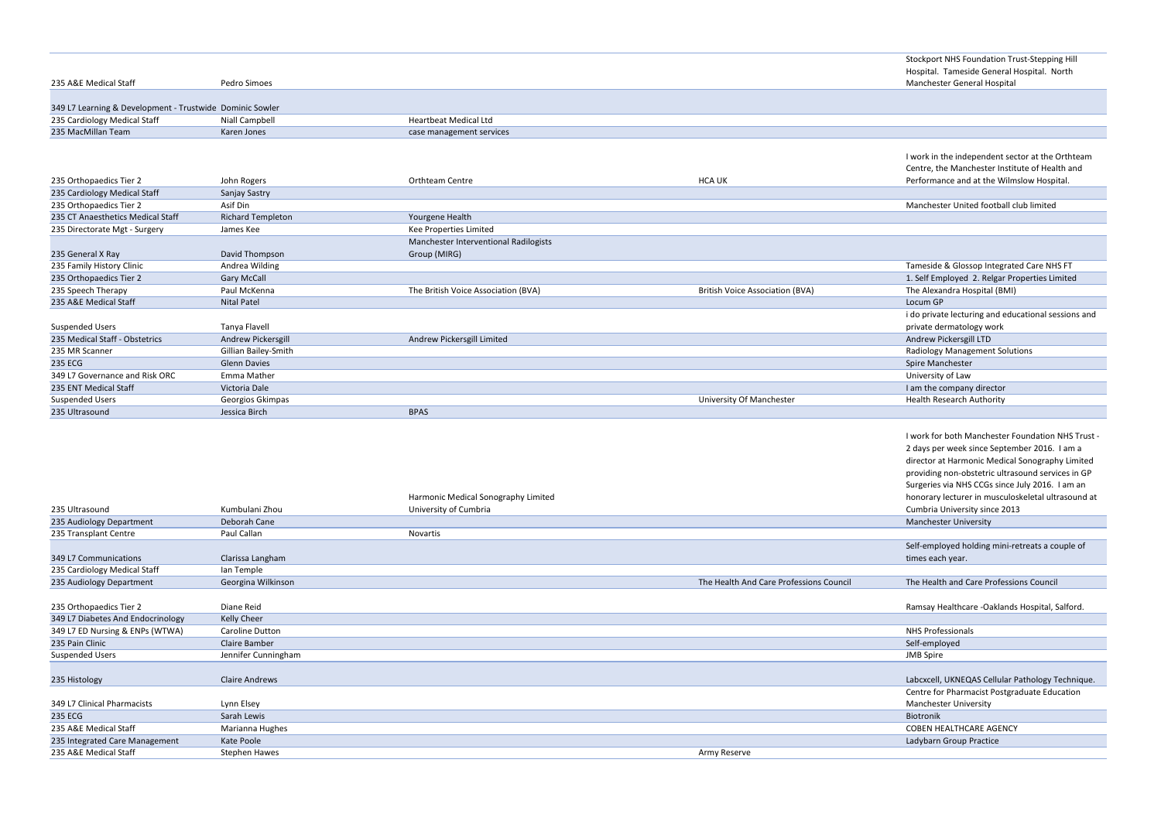|                                                          |                          |                                       |        | Hospital. Tameside General Hospital. North    |
|----------------------------------------------------------|--------------------------|---------------------------------------|--------|-----------------------------------------------|
| 235 A&E Medical Staff                                    | Pedro Simoes             |                                       |        | Manchester General Hospital                   |
|                                                          |                          |                                       |        |                                               |
| 349 L7 Learning & Development - Trustwide Dominic Sowler |                          |                                       |        |                                               |
| 235 Cardiology Medical Staff                             | Niall Campbell           | Heartbeat Medical Ltd                 |        |                                               |
| 235 MacMillan Team                                       | Karen Jones              | case management services              |        |                                               |
|                                                          |                          |                                       |        |                                               |
|                                                          |                          |                                       |        | I work in the independent sector at the Ortht |
|                                                          |                          |                                       |        | Centre, the Manchester Institute of Health ar |
| 235 Orthopaedics Tier 2                                  | John Rogers              | Orthteam Centre                       | HCA UK | Performance and at the Wilmslow Hospital.     |
| 235 Cardiology Medical Staff                             | Sanjay Sastry            |                                       |        |                                               |
| 235 Orthopaedics Tier 2                                  | Asif Din                 |                                       |        | Manchester United football club limited       |
| 235 CT Anaesthetics Medical Staff                        | <b>Richard Templeton</b> | Yourgene Health                       |        |                                               |
| 235 Directorate Mgt - Surgery                            | James Kee                | Kee Properties Limited                |        |                                               |
|                                                          |                          | Manchester Interventional Radilogists |        |                                               |
| 235 General X Ray                                        | David Thompson           | Group (MIRG)                          |        |                                               |
| 235 Family History Clinic                                | Andrea Wilding           |                                       |        | Tameside & Glossop Integrated Care NHS FT     |
| 235 Orthopaedics Tier 2                                  | <b>Gary McCall</b>       |                                       |        | 1. Self Employed 2. Relgar Properties Limited |

| 235 Speech Therapy             | Paul McKenna         | The British Voice Association (BVA) | British Voice Association (BVA) | The Alexandra Hospital (BMI)          |
|--------------------------------|----------------------|-------------------------------------|---------------------------------|---------------------------------------|
| 235 A&E Medical Staff          | <b>Nital Patel</b>   |                                     |                                 | Locum GP                              |
|                                |                      |                                     |                                 | i do private lecturing and educati    |
| Suspended Users                | Tanya Flavell        |                                     |                                 | private dermatology work              |
| 235 Medical Staff - Obstetrics | Andrew Pickersgill   | Andrew Pickersgill Limited          |                                 | Andrew Pickersgill LTD                |
| 235 MR Scanner                 | Gillian Bailey-Smith |                                     |                                 | <b>Radiology Management Solutions</b> |
| 235 ECG                        | <b>Glenn Davies</b>  |                                     |                                 | Spire Manchester                      |
| 349 L7 Governance and Risk ORC | Emma Mather          |                                     |                                 | University of Law                     |
| 235 ENT Medical Staff          | Victoria Dale        |                                     |                                 | I am the company director             |
| Suspended Users                | Georgios Gkimpas     |                                     | University Of Manchester        | <b>Health Research Authority</b>      |
| 235 Ultrasound                 | Jessica Birch        | <b>BPAS</b>                         |                                 |                                       |

| <b>Stockport NHS Foundation Trust-Stepping Hill</b><br>Hospital. Tameside General Hospital. North  |
|----------------------------------------------------------------------------------------------------|
| Manchester General Hospital                                                                        |
|                                                                                                    |
|                                                                                                    |
|                                                                                                    |
| I work in the independent sector at the Orthteam<br>Centre, the Manchester Institute of Health and |
| Performance and at the Wilmslow Hospital.                                                          |
|                                                                                                    |
| Manchester United football club limited                                                            |
|                                                                                                    |
|                                                                                                    |
| Tameside & Glossop Integrated Care NHS FT                                                          |
| 1. Self Employed 2. Relgar Properties Limited                                                      |
| The Alexandra Hospital (BMI)                                                                       |
| Locum GP                                                                                           |
| i do private lecturing and educational sessions and                                                |
| private dermatology work                                                                           |
| Andrew Pickersgill LTD                                                                             |
| <b>Radiology Management Solutions</b><br>Spire Manchester                                          |
| University of Law                                                                                  |
| I am the company director                                                                          |
| Health Research Authority                                                                          |
|                                                                                                    |
|                                                                                                    |
| I work for both Manchester Foundation NHS Trust -                                                  |
| 2 days per week since September 2016. I am a                                                       |
| director at Harmonic Medical Sonography Limited                                                    |
| providing non-obstetric ultrasound services in GP                                                  |
| Surgeries via NHS CCGs since July 2016. I am an                                                    |
| honorary lecturer in musculoskeletal ultrasound at                                                 |
| Cumbria University since 2013<br>Manchester University                                             |
|                                                                                                    |
| Self-employed holding mini-retreats a couple of                                                    |
| times each year.                                                                                   |
|                                                                                                    |
| The Health and Care Professions Council                                                            |
|                                                                                                    |
| Ramsay Healthcare -Oaklands Hospital, Salford.                                                     |
| <b>NHS Professionals</b>                                                                           |
| Self-employed                                                                                      |
| <b>JMB Spire</b>                                                                                   |
|                                                                                                    |
| Labcxcell, UKNEQAS Cellular Pathology Technique.                                                   |
| Centre for Pharmacist Postgraduate Education                                                       |
| <b>Manchester University</b>                                                                       |
|                                                                                                    |
| <b>Biotronik</b>                                                                                   |
| <b>COBEN HEALTHCARE AGENCY</b>                                                                     |
| Ladybarn Group Practice                                                                            |
|                                                                                                    |

|                                   |                       | Harmonic Medical Sonography Limited |                                         | honorary lecturer in musculoskeletal ultrasound a |
|-----------------------------------|-----------------------|-------------------------------------|-----------------------------------------|---------------------------------------------------|
| 235 Ultrasound                    | Kumbulani Zhou        | University of Cumbria               |                                         | Cumbria University since 2013                     |
| 235 Audiology Department          | Deborah Cane          |                                     |                                         | <b>Manchester University</b>                      |
| 235 Transplant Centre             | Paul Callan           | Novartis                            |                                         |                                                   |
|                                   |                       |                                     |                                         | Self-employed holding mini-retreats a couple of   |
| 349 L7 Communications             | Clarissa Langham      |                                     |                                         | times each year.                                  |
| 235 Cardiology Medical Staff      | lan Temple            |                                     |                                         |                                                   |
| 235 Audiology Department          | Georgina Wilkinson    |                                     | The Health And Care Professions Council | The Health and Care Professions Council           |
|                                   |                       |                                     |                                         |                                                   |
| 235 Orthopaedics Tier 2           | Diane Reid            |                                     |                                         | Ramsay Healthcare -Oaklands Hospital, Salford.    |
| 349 L7 Diabetes And Endocrinology | Kelly Cheer           |                                     |                                         |                                                   |
| 349 L7 ED Nursing & ENPs (WTWA)   | Caroline Dutton       |                                     |                                         | NHS Professionals                                 |
| 235 Pain Clinic                   | Claire Bamber         |                                     |                                         | Self-employed                                     |
| <b>Suspended Users</b>            | Jennifer Cunningham   |                                     |                                         | <b>JMB</b> Spire                                  |
|                                   |                       |                                     |                                         |                                                   |
| 235 Histology                     | <b>Claire Andrews</b> |                                     |                                         | Labcxcell, UKNEQAS Cellular Pathology Technique   |
|                                   |                       |                                     |                                         | Centre for Pharmacist Postgraduate Education      |
| 349 L7 Clinical Pharmacists       | Lynn Elsey            |                                     |                                         | Manchester University                             |
| 235 ECG                           | Sarah Lewis           |                                     |                                         | Biotronik                                         |
| 235 A&E Medical Staff             | Marianna Hughes       |                                     |                                         | <b>COBEN HEALTHCARE AGENCY</b>                    |
| 235 Integrated Care Management    | Kate Poole            |                                     |                                         | Ladybarn Group Practice                           |
| 235 A&E Medical Staff             | Stephen Hawes         |                                     | Army Reserve                            |                                                   |
|                                   |                       |                                     |                                         |                                                   |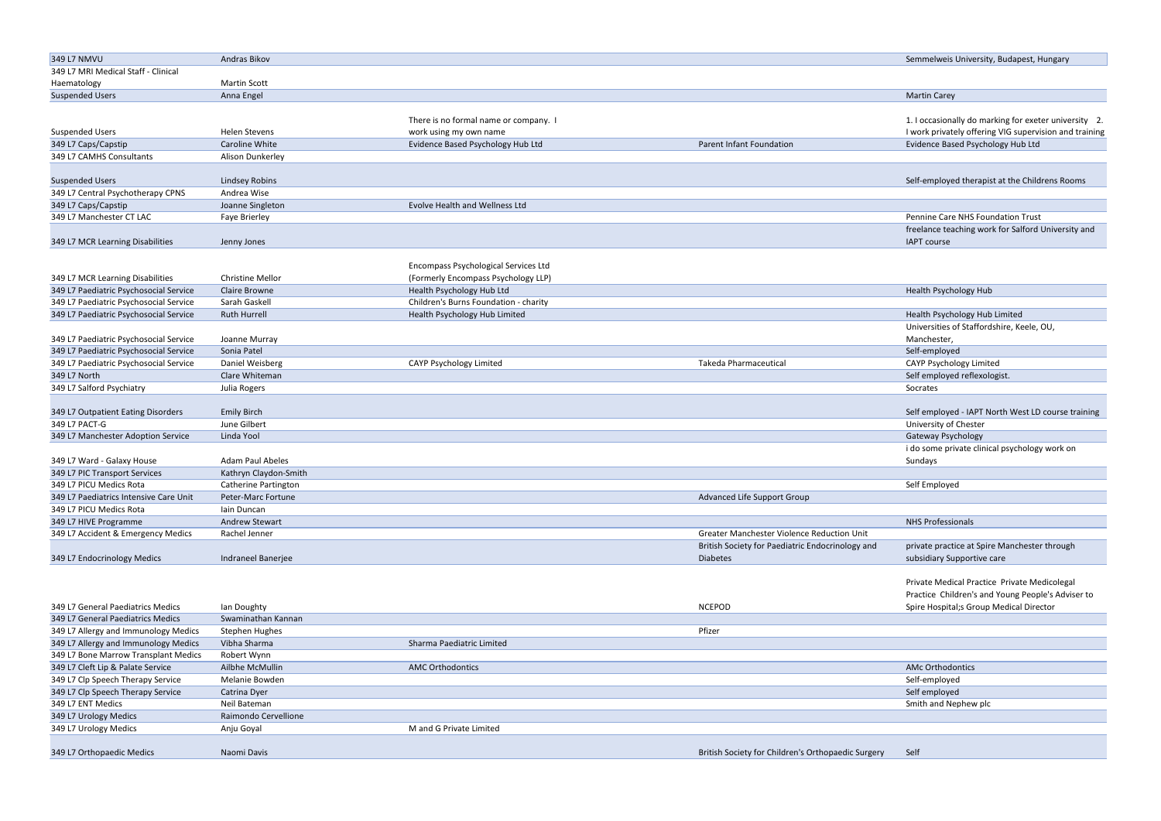| 349 L7 NMVU                            | Andras Bikov            |                                       |                                                    | Semmelweis University, Budapest, Hungary               |
|----------------------------------------|-------------------------|---------------------------------------|----------------------------------------------------|--------------------------------------------------------|
| 349 L7 MRI Medical Staff - Clinical    |                         |                                       |                                                    |                                                        |
| Haematology                            | <b>Martin Scott</b>     |                                       |                                                    |                                                        |
| <b>Suspended Users</b>                 | Anna Engel              |                                       |                                                    | <b>Martin Carey</b>                                    |
|                                        |                         |                                       |                                                    |                                                        |
|                                        |                         | There is no formal name or company. I |                                                    | 1. I occasionally do marking for exeter university 2.  |
| <b>Suspended Users</b>                 | <b>Helen Stevens</b>    | work using my own name                |                                                    | I work privately offering VIG supervision and training |
| 349 L7 Caps/Capstip                    | Caroline White          | Evidence Based Psychology Hub Ltd     | Parent Infant Foundation                           | Evidence Based Psychology Hub Ltd                      |
| 349 L7 CAMHS Consultants               | Alison Dunkerley        |                                       |                                                    |                                                        |
|                                        |                         |                                       |                                                    |                                                        |
| <b>Suspended Users</b>                 | Lindsey Robins          |                                       |                                                    | Self-employed therapist at the Childrens Rooms         |
| 349 L7 Central Psychotherapy CPNS      | Andrea Wise             |                                       |                                                    |                                                        |
| 349 L7 Caps/Capstip                    | Joanne Singleton        | Evolve Health and Wellness Ltd        |                                                    |                                                        |
| 349 L7 Manchester CT LAC               | Faye Brierley           |                                       |                                                    | Pennine Care NHS Foundation Trust                      |
|                                        |                         |                                       |                                                    | freelance teaching work for Salford University and     |
| 349 L7 MCR Learning Disabilities       | Jenny Jones             |                                       |                                                    | <b>IAPT</b> course                                     |
|                                        |                         |                                       |                                                    |                                                        |
|                                        |                         | Encompass Psychological Services Ltd  |                                                    |                                                        |
| 349 L7 MCR Learning Disabilities       | <b>Christine Mellor</b> | (Formerly Encompass Psychology LLP)   |                                                    |                                                        |
| 349 L7 Paediatric Psychosocial Service | Claire Browne           | Health Psychology Hub Ltd             |                                                    | Health Psychology Hub                                  |
| 349 L7 Paediatric Psychosocial Service | Sarah Gaskell           | Children's Burns Foundation - charity |                                                    |                                                        |
| 349 L7 Paediatric Psychosocial Service | <b>Ruth Hurrell</b>     | Health Psychology Hub Limited         |                                                    | Health Psychology Hub Limited                          |
|                                        |                         |                                       |                                                    | Universities of Staffordshire, Keele, OU,              |
| 349 L7 Paediatric Psychosocial Service | Joanne Murray           |                                       |                                                    | Manchester,                                            |
| 349 L7 Paediatric Psychosocial Service | Sonia Patel             |                                       |                                                    | Self-employed                                          |
| 349 L7 Paediatric Psychosocial Service | Daniel Weisberg         | CAYP Psychology Limited               | <b>Takeda Pharmaceutical</b>                       |                                                        |
|                                        | Clare Whiteman          |                                       |                                                    | CAYP Psychology Limited                                |
| 349 L7 North                           |                         |                                       |                                                    | Self employed reflexologist.                           |
| 349 L7 Salford Psychiatry              | Julia Rogers            |                                       |                                                    | Socrates                                               |
| 349 L7 Outpatient Eating Disorders     | <b>Emily Birch</b>      |                                       |                                                    | Self employed - IAPT North West LD course training     |
| 349 L7 PACT-G                          | June Gilbert            |                                       |                                                    | University of Chester                                  |
| 349 L7 Manchester Adoption Service     |                         |                                       |                                                    |                                                        |
|                                        | Linda Yool              |                                       |                                                    | Gateway Psychology                                     |
|                                        |                         |                                       |                                                    | i do some private clinical psychology work on          |
| 349 L7 Ward - Galaxy House             | Adam Paul Abeles        |                                       |                                                    | Sundays                                                |
| 349 L7 PIC Transport Services          | Kathryn Claydon-Smith   |                                       |                                                    |                                                        |
| 349 L7 PICU Medics Rota                | Catherine Partington    |                                       |                                                    | Self Employed                                          |
| 349 L7 Paediatrics Intensive Care Unit | Peter-Marc Fortune      |                                       | Advanced Life Support Group                        |                                                        |
| 349 L7 PICU Medics Rota                | lain Duncan             |                                       |                                                    |                                                        |
| 349 L7 HIVE Programme                  | Andrew Stewart          |                                       |                                                    | <b>NHS Professionals</b>                               |
| 349 L7 Accident & Emergency Medics     | Rachel Jenner           |                                       | Greater Manchester Violence Reduction Unit         |                                                        |
|                                        |                         |                                       | British Society for Paediatric Endocrinology and   | private practice at Spire Manchester through           |
| 349 L7 Endocrinology Medics            | Indraneel Banerjee      |                                       | <b>Diabetes</b>                                    | subsidiary Supportive care                             |
|                                        |                         |                                       |                                                    |                                                        |
|                                        |                         |                                       |                                                    | Private Medical Practice Private Medicolegal           |
|                                        |                         |                                       |                                                    | Practice Children's and Young People's Adviser to      |
| 349 L7 General Paediatrics Medics      | Ian Doughty             |                                       | <b>NCEPOD</b>                                      | Spire Hospital;s Group Medical Director                |
| 349 L7 General Paediatrics Medics      | Swaminathan Kannan      |                                       |                                                    |                                                        |
| 349 L7 Allergy and Immunology Medics   | <b>Stephen Hughes</b>   |                                       | Pfizer                                             |                                                        |
| 349 L7 Allergy and Immunology Medics   | Vibha Sharma            | Sharma Paediatric Limited             |                                                    |                                                        |
| 349 L7 Bone Marrow Transplant Medics   | Robert Wynn             |                                       |                                                    |                                                        |
| 349 L7 Cleft Lip & Palate Service      | Ailbhe McMullin         | <b>AMC Orthodontics</b>               |                                                    | <b>AMc Orthodontics</b>                                |
| 349 L7 Clp Speech Therapy Service      | Melanie Bowden          |                                       |                                                    | Self-employed                                          |
| 349 L7 Clp Speech Therapy Service      | Catrina Dyer            |                                       |                                                    | Self employed                                          |
| 349 L7 ENT Medics                      | Neil Bateman            |                                       |                                                    | Smith and Nephew plc                                   |
| 349 L7 Urology Medics                  | Raimondo Cervellione    |                                       |                                                    |                                                        |
| 349 L7 Urology Medics                  | Anju Goyal              | M and G Private Limited               |                                                    |                                                        |
|                                        |                         |                                       |                                                    |                                                        |
| 349 L7 Orthopaedic Medics              | Naomi Davis             |                                       | British Society for Children's Orthopaedic Surgery | Self                                                   |
|                                        |                         |                                       |                                                    |                                                        |

| 349 L7 NMVU                            | Andras Bikov            |                                       |                                                  | Semmelweis University, Budapest, Hungary              |
|----------------------------------------|-------------------------|---------------------------------------|--------------------------------------------------|-------------------------------------------------------|
| 349 L7 MRI Medical Staff - Clinical    |                         |                                       |                                                  |                                                       |
| Haematology                            | <b>Martin Scott</b>     |                                       |                                                  |                                                       |
| <b>Suspended Users</b>                 | Anna Engel              |                                       |                                                  | <b>Martin Carey</b>                                   |
|                                        |                         |                                       |                                                  |                                                       |
|                                        |                         | There is no formal name or company. I |                                                  | 1. I occasionally do marking for exeter university 2  |
| <b>Suspended Users</b>                 | <b>Helen Stevens</b>    | work using my own name                |                                                  | I work privately offering VIG supervision and trainir |
| 349 L7 Caps/Capstip                    | Caroline White          | Evidence Based Psychology Hub Ltd     | Parent Infant Foundation                         | Evidence Based Psychology Hub Ltd                     |
| 349 L7 CAMHS Consultants               | Alison Dunkerley        |                                       |                                                  |                                                       |
|                                        |                         |                                       |                                                  |                                                       |
| <b>Suspended Users</b>                 | <b>Lindsey Robins</b>   |                                       |                                                  | Self-employed therapist at the Childrens Rooms        |
| 349 L7 Central Psychotherapy CPNS      | Andrea Wise             |                                       |                                                  |                                                       |
| 349 L7 Caps/Capstip                    | Joanne Singleton        | Evolve Health and Wellness Ltd        |                                                  |                                                       |
| 349 L7 Manchester CT LAC               | Faye Brierley           |                                       |                                                  | Pennine Care NHS Foundation Trust                     |
|                                        |                         |                                       |                                                  | freelance teaching work for Salford University and    |
| 349 L7 MCR Learning Disabilities       | Jenny Jones             |                                       |                                                  | <b>IAPT</b> course                                    |
|                                        |                         |                                       |                                                  |                                                       |
|                                        |                         | Encompass Psychological Services Ltd  |                                                  |                                                       |
| 349 L7 MCR Learning Disabilities       | <b>Christine Mellor</b> | (Formerly Encompass Psychology LLP)   |                                                  |                                                       |
| 349 L7 Paediatric Psychosocial Service | Claire Browne           | Health Psychology Hub Ltd             |                                                  | Health Psychology Hub                                 |
| 349 L7 Paediatric Psychosocial Service | Sarah Gaskell           | Children's Burns Foundation - charity |                                                  |                                                       |
| 349 L7 Paediatric Psychosocial Service | <b>Ruth Hurrell</b>     | Health Psychology Hub Limited         |                                                  | Health Psychology Hub Limited                         |
|                                        |                         |                                       |                                                  | Universities of Staffordshire, Keele, OU,             |
| 349 L7 Paediatric Psychosocial Service | Joanne Murray           |                                       |                                                  | Manchester,                                           |
| 349 L7 Paediatric Psychosocial Service | Sonia Patel             |                                       |                                                  | Self-employed                                         |
| 349 L7 Paediatric Psychosocial Service | Daniel Weisberg         | CAYP Psychology Limited               | <b>Takeda Pharmaceutical</b>                     | CAYP Psychology Limited                               |
| 349 L7 North                           | Clare Whiteman          |                                       |                                                  | Self employed reflexologist.                          |
| 349 L7 Salford Psychiatry              | Julia Rogers            |                                       |                                                  | Socrates                                              |
|                                        |                         |                                       |                                                  |                                                       |
| 349 L7 Outpatient Eating Disorders     | <b>Emily Birch</b>      |                                       |                                                  | Self employed - IAPT North West LD course training    |
| 349 L7 PACT-G                          | June Gilbert            |                                       |                                                  | University of Chester                                 |
| 349 L7 Manchester Adoption Service     | Linda Yool              |                                       |                                                  | Gateway Psychology                                    |
|                                        |                         |                                       |                                                  | i do some private clinical psychology work on         |
| 349 L7 Ward - Galaxy House             | <b>Adam Paul Abeles</b> |                                       |                                                  | Sundays                                               |
| 349 L7 PIC Transport Services          | Kathryn Claydon-Smith   |                                       |                                                  |                                                       |
| 349 L7 PICU Medics Rota                | Catherine Partington    |                                       |                                                  | Self Employed                                         |
| 349 L7 Paediatrics Intensive Care Unit | Peter-Marc Fortune      |                                       | Advanced Life Support Group                      |                                                       |
| 349 L7 PICU Medics Rota                | Iain Duncan             |                                       |                                                  |                                                       |
| 349 L7 HIVE Programme                  | Andrew Stewart          |                                       |                                                  | <b>NHS Professionals</b>                              |
| 349 L7 Accident & Emergency Medics     | Rachel Jenner           |                                       | Greater Manchester Violence Reduction Unit       |                                                       |
|                                        |                         |                                       | British Society for Paediatric Endocrinology and | private practice at Spire Manchester through          |
| 349 L7 Endocrinology Medics            | Indraneel Banerjee      |                                       | <b>Diabetes</b>                                  | subsidiary Supportive care                            |
|                                        |                         |                                       |                                                  |                                                       |
|                                        |                         |                                       |                                                  | Private Medical Practice Private Medicolegal          |
|                                        |                         |                                       |                                                  | Practice Children's and Young People's Adviser to     |
| 349 L7 General Paediatrics Medics      | lan Doughty             |                                       | <b>NCEPOD</b>                                    | Spire Hospital;s Group Medical Director               |
| 349 L7 General Paediatrics Medics      | Swaminathan Kannan      |                                       |                                                  |                                                       |
| 349 L7 Allergy and Immunology Medics   | <b>Stephen Hughes</b>   |                                       | Pfizer                                           |                                                       |
| 349 L7 Allergy and Immunology Medics   | Vibha Sharma            | Sharma Paediatric Limited             |                                                  |                                                       |
| 349 L7 Bone Marrow Transplant Medics   | Robert Wynn             |                                       |                                                  |                                                       |
| 349 L7 Cleft Lip & Palate Service      | Ailbhe McMullin         | <b>AMC Orthodontics</b>               |                                                  | <b>AMc Orthodontics</b>                               |
| 349 L7 Clp Speech Therapy Service      | Melanie Bowden          |                                       |                                                  | Self-employed                                         |
| 349 L7 Clp Speech Therapy Service      | Catrina Dyer            |                                       |                                                  | Self employed                                         |
| 349 L7 ENT Medics                      | Neil Bateman            |                                       |                                                  | Smith and Nephew plc                                  |
| 349 L7 Urology Medics                  | Raimondo Cervellione    |                                       |                                                  |                                                       |
| 349 L7 Urology Medics                  | Anju Goyal              | M and G Private Limited               |                                                  |                                                       |
|                                        |                         |                                       |                                                  |                                                       |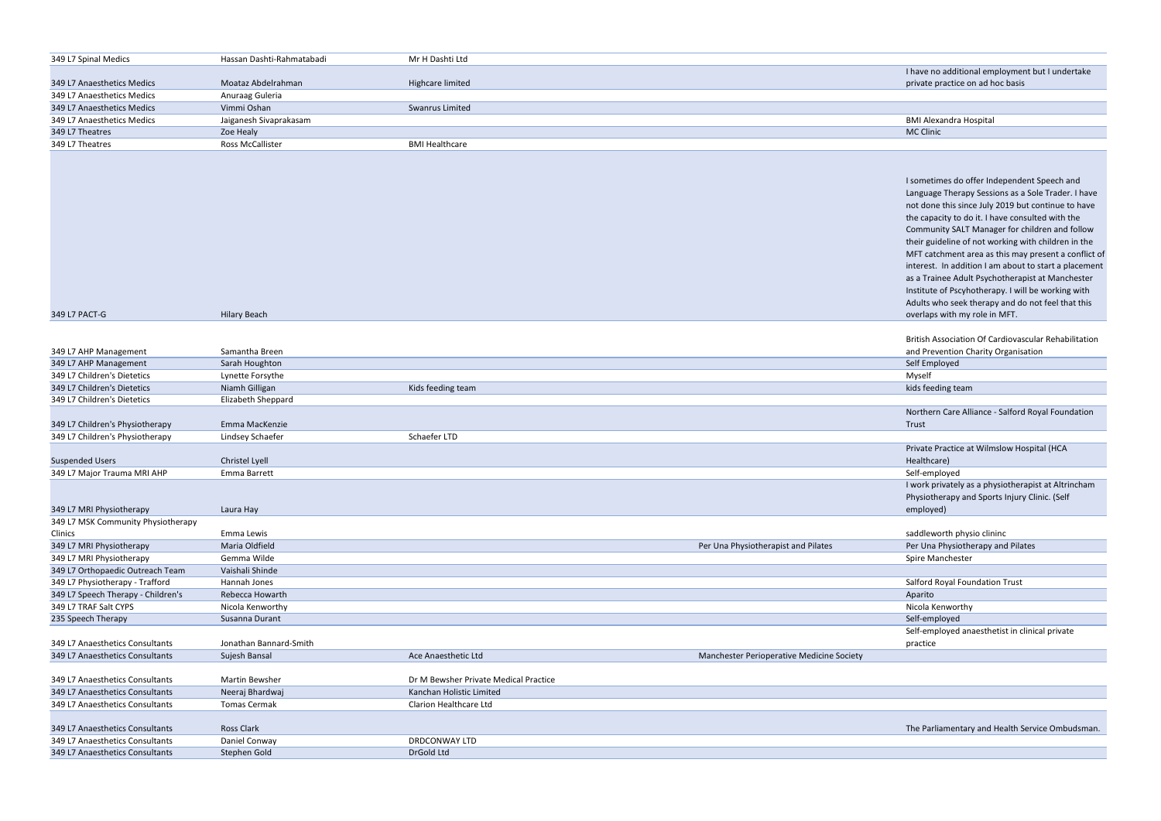| I have no additional employment but I undertake |
|-------------------------------------------------|
| private practice on ad hoc basis                |

I sometimes do offer Independent Speech and Language Therapy Sessions as a Sole Trader. I have not done this since July 2019 but continue to have the capacity to do it. I have consulted with the Community SALT Manager for children and follow their guideline of not working with children in the MFT catchment area as this may present a conflict of interest. In addition I am about to start a placement as a Trainee Adult Psychotherapist at Manchester Institute of Pscyhotherapy. I will be working with Adults who seek therapy and do not feel that this overlaps with my role in MFT.

British Association Of Cardiovascular Rehabilitation and Prevention Charity Organisation

Northern Care Alliance - Salford Royal Foundation Trust

| 349 L7 Spinal Medics                                               | Hassan Dashti-Rahmatabadi          | Mr H Dashti Ltd                       |                                           |                                        |
|--------------------------------------------------------------------|------------------------------------|---------------------------------------|-------------------------------------------|----------------------------------------|
|                                                                    |                                    |                                       |                                           | I have no additional employme          |
| 349 L7 Anaesthetics Medics                                         | Moataz Abdelrahman                 | Highcare limited                      |                                           | private practice on ad hoc basi        |
| 349 L7 Anaesthetics Medics                                         | Anuraag Guleria                    |                                       |                                           |                                        |
| 349 L7 Anaesthetics Medics                                         | Vimmi Oshan                        | Swanrus Limited                       |                                           |                                        |
| 349 L7 Anaesthetics Medics                                         | Jaiganesh Sivaprakasam             |                                       |                                           | <b>BMI Alexandra Hospital</b>          |
| 349 L7 Theatres                                                    | Zoe Healy                          |                                       |                                           | <b>MC Clinic</b>                       |
| 349 L7 Theatres                                                    | Ross McCallister                   | <b>BMI Healthcare</b>                 |                                           |                                        |
|                                                                    |                                    |                                       |                                           |                                        |
|                                                                    |                                    |                                       |                                           |                                        |
|                                                                    |                                    |                                       |                                           | I sometimes do offer Independ          |
|                                                                    |                                    |                                       |                                           | Language Therapy Sessions as           |
|                                                                    |                                    |                                       |                                           | not done this since July 2019 b        |
|                                                                    |                                    |                                       |                                           | the capacity to do it. I have cor      |
|                                                                    |                                    |                                       |                                           | Community SALT Manager for             |
|                                                                    |                                    |                                       |                                           | their guideline of not working         |
|                                                                    |                                    |                                       |                                           | MFT catchment area as this ma          |
|                                                                    |                                    |                                       |                                           | interest. In addition I am abou        |
|                                                                    |                                    |                                       |                                           | as a Trainee Adult Psychothera         |
|                                                                    |                                    |                                       |                                           | Institute of Pscyhotherapy. I w        |
|                                                                    |                                    |                                       |                                           |                                        |
|                                                                    |                                    |                                       |                                           | Adults who seek therapy and d          |
| 349 L7 PACT-G                                                      | <b>Hilary Beach</b>                |                                       |                                           | overlaps with my role in MFT.          |
|                                                                    |                                    |                                       |                                           | <b>British Association Of Cardiova</b> |
|                                                                    | Samantha Breen                     |                                       |                                           | and Prevention Charity Organis         |
| 349 L7 AHP Management                                              |                                    |                                       |                                           |                                        |
| 349 L7 AHP Management<br>349 L7 Children's Dietetics               | Sarah Houghton<br>Lynette Forsythe |                                       |                                           | Self Employed<br>Myself                |
| 349 L7 Children's Dietetics                                        | Niamh Gilligan                     | Kids feeding team                     |                                           | kids feeding team                      |
| 349 L7 Children's Dietetics                                        | Elizabeth Sheppard                 |                                       |                                           |                                        |
|                                                                    |                                    |                                       |                                           | Northern Care Alliance - Salfor        |
|                                                                    | Emma MacKenzie                     |                                       |                                           |                                        |
| 349 L7 Children's Physiotherapy<br>349 L7 Children's Physiotherapy | Lindsey Schaefer                   | Schaefer LTD                          |                                           | Trust                                  |
|                                                                    |                                    |                                       |                                           | Private Practice at Wilmslow H         |
| <b>Suspended Users</b>                                             | Christel Lyell                     |                                       |                                           | Healthcare)                            |
| 349 L7 Major Trauma MRI AHP                                        | Emma Barrett                       |                                       |                                           | Self-employed                          |
|                                                                    |                                    |                                       |                                           | I work privately as a physiothe        |
|                                                                    |                                    |                                       |                                           | Physiotherapy and Sports Injur         |
| 349 L7 MRI Physiotherapy                                           | Laura Hay                          |                                       |                                           | employed)                              |
| 349 L7 MSK Community Physiotherapy                                 |                                    |                                       |                                           |                                        |
| Clinics                                                            | Emma Lewis                         |                                       |                                           | saddleworth physio clininc             |
| 349 L7 MRI Physiotherapy                                           | Maria Oldfield                     |                                       | Per Una Physiotherapist and Pilates       | Per Una Physiotherapy and Pila         |
| 349 L7 MRI Physiotherapy                                           | Gemma Wilde                        |                                       |                                           | Spire Manchester                       |
| 349 L7 Orthopaedic Outreach Team                                   | Vaishali Shinde                    |                                       |                                           |                                        |
| 349 L7 Physiotherapy - Trafford                                    | Hannah Jones                       |                                       |                                           | Salford Royal Foundation Trust         |
| 349 L7 Speech Therapy - Children's                                 | Rebecca Howarth                    |                                       |                                           | Aparito                                |
| 349 L7 TRAF Salt CYPS                                              | Nicola Kenworthy                   |                                       |                                           | Nicola Kenworthy                       |
| 235 Speech Therapy                                                 | Susanna Durant                     |                                       |                                           | Self-employed                          |
|                                                                    |                                    |                                       |                                           | Self-employed anaesthetist in          |
| 349 L7 Anaesthetics Consultants                                    | Jonathan Bannard-Smith             |                                       |                                           | practice                               |
| 349 L7 Anaesthetics Consultants                                    | Sujesh Bansal                      | Ace Anaesthetic Ltd                   | Manchester Perioperative Medicine Society |                                        |
|                                                                    |                                    |                                       |                                           |                                        |
| 349 L7 Anaesthetics Consultants                                    | Martin Bewsher                     | Dr M Bewsher Private Medical Practice |                                           |                                        |
| 349 L7 Anaesthetics Consultants                                    | Neeraj Bhardwaj                    | Kanchan Holistic Limited              |                                           |                                        |
| 349 L7 Anaesthetics Consultants                                    | <b>Tomas Cermak</b>                | Clarion Healthcare Ltd                |                                           |                                        |
|                                                                    |                                    |                                       |                                           |                                        |
| 349 L7 Anaesthetics Consultants                                    | Ross Clark                         |                                       |                                           | The Parliamentary and Health           |
| 349 L7 Anaesthetics Consultants                                    | Daniel Conway                      | DRDCONWAY LTD                         |                                           |                                        |
| 349 L7 Anaesthetics Consultants                                    | Stephen Gold                       | DrGold Ltd                            |                                           |                                        |
|                                                                    |                                    |                                       |                                           |                                        |

Private Practice at Wilmslow Hospital (HCA Healthcare) I work privately as a physiotherapist at Altrincham Physiotherapy and Sports Injury Clinic. (Self employed)

saddleworth physio clininc Per Una Physiotherapy and Pilates

| Salford Royal Foundation Trust                 |
|------------------------------------------------|
| Aparito                                        |
| Nicola Kenworthy                               |
| Self-employed                                  |
| Self-employed anaesthetist in clinical private |
| practice                                       |
|                                                |

The Parliamentary and Health Service Ombudsman.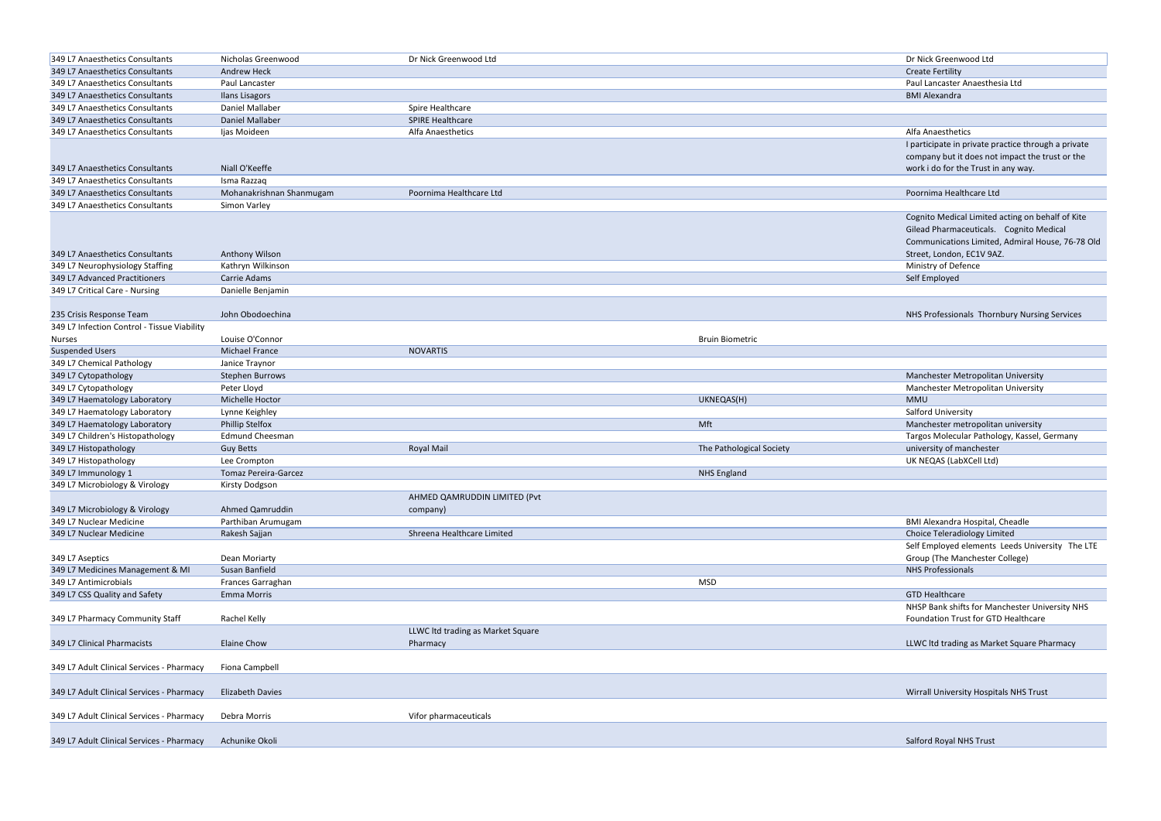| 349 L7 Anaesthetics Consultants             | Nicholas Greenwood          | Dr Nick Greenwood Ltd             |                          | Dr Nick Greenwood Ltd                               |
|---------------------------------------------|-----------------------------|-----------------------------------|--------------------------|-----------------------------------------------------|
| 349 L7 Anaesthetics Consultants             | <b>Andrew Heck</b>          |                                   |                          | <b>Create Fertility</b>                             |
| 349 L7 Anaesthetics Consultants             | Paul Lancaster              |                                   |                          | Paul Lancaster Anaesthesia Ltd                      |
| 349 L7 Anaesthetics Consultants             | <b>Ilans Lisagors</b>       |                                   |                          | <b>BMI Alexandra</b>                                |
| 349 L7 Anaesthetics Consultants             | Daniel Mallaber             | Spire Healthcare                  |                          |                                                     |
| 349 L7 Anaesthetics Consultants             | Daniel Mallaber             | <b>SPIRE Healthcare</b>           |                          |                                                     |
| 349 L7 Anaesthetics Consultants             | Ijas Moideen                | Alfa Anaesthetics                 |                          | Alfa Anaesthetics                                   |
|                                             |                             |                                   |                          | I participate in private practice through a private |
|                                             |                             |                                   |                          | company but it does not impact the trust or the     |
| 349 L7 Anaesthetics Consultants             | Niall O'Keeffe              |                                   |                          | work i do for the Trust in any way.                 |
| 349 L7 Anaesthetics Consultants             | Isma Razzaq                 |                                   |                          |                                                     |
| 349 L7 Anaesthetics Consultants             | Mohanakrishnan Shanmugam    | Poornima Healthcare Ltd           |                          | Poornima Healthcare Ltd                             |
| 349 L7 Anaesthetics Consultants             | Simon Varley                |                                   |                          |                                                     |
|                                             |                             |                                   |                          | Cognito Medical Limited acting on behalf of Kite    |
|                                             |                             |                                   |                          | Gilead Pharmaceuticals. Cognito Medical             |
|                                             |                             |                                   |                          |                                                     |
| 349 L7 Anaesthetics Consultants             |                             |                                   |                          | Communications Limited, Admiral House, 76-78 Old    |
|                                             | Anthony Wilson              |                                   |                          | Street, London, EC1V 9AZ.                           |
| 349 L7 Neurophysiology Staffing             | Kathryn Wilkinson           |                                   |                          | Ministry of Defence                                 |
| 349 L7 Advanced Practitioners               | Carrie Adams                |                                   |                          | Self Employed                                       |
| 349 L7 Critical Care - Nursing              | Danielle Benjamin           |                                   |                          |                                                     |
|                                             |                             |                                   |                          |                                                     |
| 235 Crisis Response Team                    | John Obodoechina            |                                   |                          | NHS Professionals Thornbury Nursing Services        |
| 349 L7 Infection Control - Tissue Viability |                             |                                   |                          |                                                     |
| <b>Nurses</b>                               | Louise O'Connor             |                                   | <b>Bruin Biometric</b>   |                                                     |
| <b>Suspended Users</b>                      | Michael France              | <b>NOVARTIS</b>                   |                          |                                                     |
| 349 L7 Chemical Pathology                   | Janice Traynor              |                                   |                          |                                                     |
| 349 L7 Cytopathology                        | Stephen Burrows             |                                   |                          | Manchester Metropolitan University                  |
| 349 L7 Cytopathology                        | Peter Lloyd                 |                                   |                          | Manchester Metropolitan University                  |
| 349 L7 Haematology Laboratory               | Michelle Hoctor             |                                   | UKNEQAS(H)               | <b>MMU</b>                                          |
| 349 L7 Haematology Laboratory               | Lynne Keighley              |                                   |                          | Salford University                                  |
| 349 L7 Haematology Laboratory               | <b>Phillip Stelfox</b>      |                                   | Mft                      | Manchester metropolitan university                  |
| 349 L7 Children's Histopathology            | <b>Edmund Cheesman</b>      |                                   |                          | Targos Molecular Pathology, Kassel, Germany         |
| 349 L7 Histopathology                       | <b>Guy Betts</b>            | Royal Mail                        | The Pathological Society | university of manchester                            |
| 349 L7 Histopathology                       | Lee Crompton                |                                   |                          | UK NEQAS (LabXCell Ltd)                             |
| 349 L7 Immunology 1                         | <b>Tomaz Pereira-Garcez</b> |                                   | <b>NHS England</b>       |                                                     |
| 349 L7 Microbiology & Virology              | <b>Kirsty Dodgson</b>       |                                   |                          |                                                     |
|                                             |                             | AHMED QAMRUDDIN LIMITED (Pvt      |                          |                                                     |
| 349 L7 Microbiology & Virology              | Ahmed Qamruddin             | company)                          |                          |                                                     |
| 349 L7 Nuclear Medicine                     | Parthiban Arumugam          |                                   |                          | <b>BMI Alexandra Hospital, Cheadle</b>              |
| 349 L7 Nuclear Medicine                     | Rakesh Sajjan               | Shreena Healthcare Limited        |                          | Choice Teleradiology Limited                        |
|                                             |                             |                                   |                          | Self Employed elements Leeds University The LTE     |
| 349 L7 Aseptics                             | Dean Moriarty               |                                   |                          | Group (The Manchester College)                      |
| 349 L7 Medicines Management & MI            | Susan Banfield              |                                   |                          | <b>NHS Professionals</b>                            |
| 349 L7 Antimicrobials                       | Frances Garraghan           |                                   | <b>MSD</b>               |                                                     |
| 349 L7 CSS Quality and Safety               | Emma Morris                 |                                   |                          | <b>GTD Healthcare</b>                               |
|                                             |                             |                                   |                          | NHSP Bank shifts for Manchester University NHS      |
| 349 L7 Pharmacy Community Staff             | Rachel Kelly                |                                   |                          | Foundation Trust for GTD Healthcare                 |
|                                             |                             |                                   |                          |                                                     |
|                                             |                             | LLWC Itd trading as Market Square |                          |                                                     |
| 349 L7 Clinical Pharmacists                 | Elaine Chow                 | Pharmacy                          |                          | LLWC Itd trading as Market Square Pharmacy          |
|                                             |                             |                                   |                          |                                                     |
| 349 L7 Adult Clinical Services - Pharmacy   | Fiona Campbell              |                                   |                          |                                                     |
|                                             |                             |                                   |                          |                                                     |
| 349 L7 Adult Clinical Services - Pharmacy   | <b>Elizabeth Davies</b>     |                                   |                          | Wirrall University Hospitals NHS Trust              |
|                                             |                             |                                   |                          |                                                     |
| 349 L7 Adult Clinical Services - Pharmacy   | Debra Morris                | Vifor pharmaceuticals             |                          |                                                     |
|                                             |                             |                                   |                          |                                                     |
| 349 L7 Adult Clinical Services - Pharmacy   | Achunike Okoli              |                                   |                          | Salford Royal NHS Trust                             |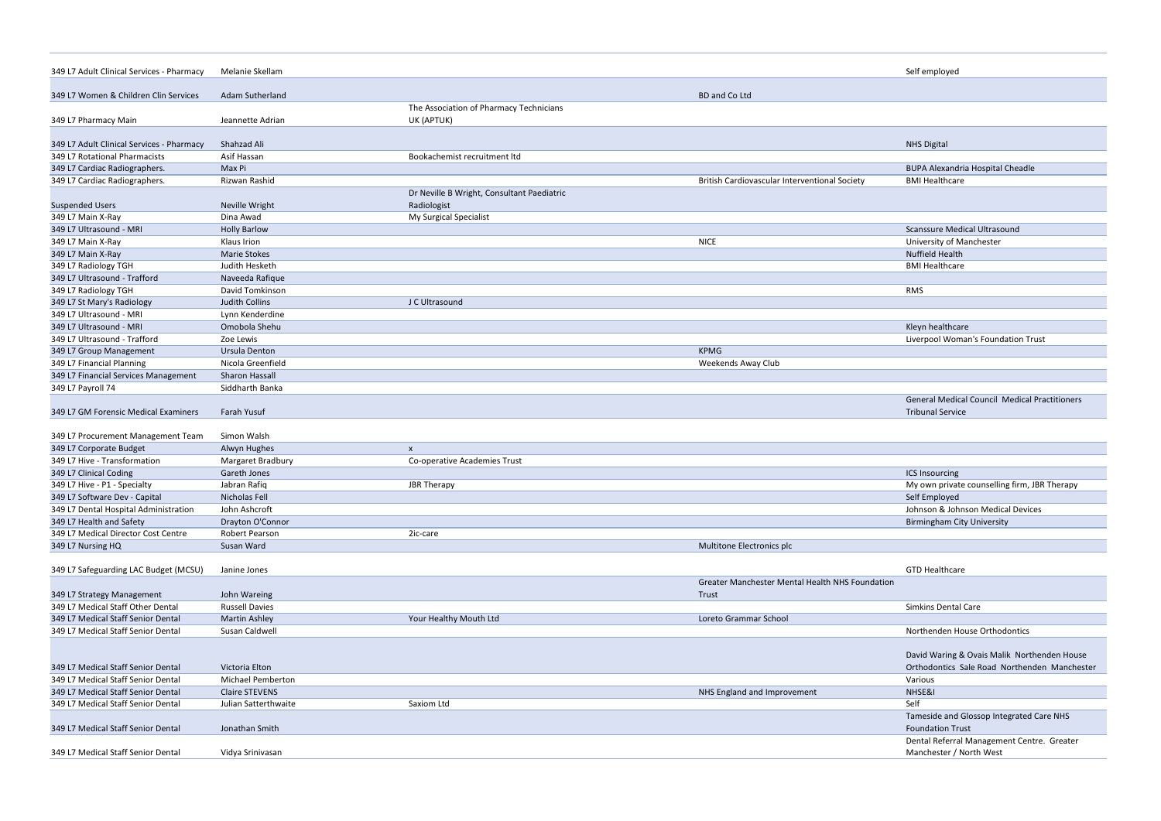| 349 L7 Adult Clinical Services - Pharmacy | Melanie Skellam          |                                            |                                                 | Self employed                                                                  |
|-------------------------------------------|--------------------------|--------------------------------------------|-------------------------------------------------|--------------------------------------------------------------------------------|
| 349 L7 Women & Children Clin Services     | <b>Adam Sutherland</b>   |                                            | <b>BD</b> and Co Ltd                            |                                                                                |
|                                           |                          | The Association of Pharmacy Technicians    |                                                 |                                                                                |
| 349 L7 Pharmacy Main                      | Jeannette Adrian         | UK (APTUK)                                 |                                                 |                                                                                |
| 349 L7 Adult Clinical Services - Pharmacy | Shahzad Ali              |                                            |                                                 | <b>NHS Digital</b>                                                             |
| 349 L7 Rotational Pharmacists             | Asif Hassan              | Bookachemist recruitment ltd               |                                                 |                                                                                |
| 349 L7 Cardiac Radiographers.             | Max Pi                   |                                            |                                                 | <b>BUPA Alexandria Hospital Cheadle</b>                                        |
| 349 L7 Cardiac Radiographers.             | Rizwan Rashid            |                                            | British Cardiovascular Interventional Society   | <b>BMI Healthcare</b>                                                          |
|                                           |                          | Dr Neville B Wright, Consultant Paediatric |                                                 |                                                                                |
| <b>Suspended Users</b>                    | Neville Wright           | Radiologist                                |                                                 |                                                                                |
| 349 L7 Main X-Ray                         | Dina Awad                | My Surgical Specialist                     |                                                 |                                                                                |
| 349 L7 Ultrasound - MRI                   | <b>Holly Barlow</b>      |                                            |                                                 | <b>Scanssure Medical Ultrasound</b>                                            |
| 349 L7 Main X-Ray                         | Klaus Irion              |                                            | <b>NICE</b>                                     | University of Manchester                                                       |
| 349 L7 Main X-Ray                         | <b>Marie Stokes</b>      |                                            |                                                 | Nuffield Health                                                                |
| 349 L7 Radiology TGH                      | Judith Hesketh           |                                            |                                                 | <b>BMI Healthcare</b>                                                          |
| 349 L7 Ultrasound - Trafford              | Naveeda Rafique          |                                            |                                                 |                                                                                |
| 349 L7 Radiology TGH                      | David Tomkinson          |                                            |                                                 | <b>RMS</b>                                                                     |
| 349 L7 St Mary's Radiology                | <b>Judith Collins</b>    | J C Ultrasound                             |                                                 |                                                                                |
| 349 L7 Ultrasound - MRI                   | Lynn Kenderdine          |                                            |                                                 |                                                                                |
| 349 L7 Ultrasound - MRI                   | Omobola Shehu            |                                            |                                                 | Kleyn healthcare                                                               |
| 349 L7 Ultrasound - Trafford              | Zoe Lewis                |                                            |                                                 | Liverpool Woman's Foundation Trust                                             |
| 349 L7 Group Management                   | Ursula Denton            |                                            | <b>KPMG</b>                                     |                                                                                |
| 349 L7 Financial Planning                 | Nicola Greenfield        |                                            | <b>Weekends Away Club</b>                       |                                                                                |
| 349 L7 Financial Services Management      | Sharon Hassall           |                                            |                                                 |                                                                                |
| 349 L7 Payroll 74                         | Siddharth Banka          |                                            |                                                 |                                                                                |
| 349 L7 GM Forensic Medical Examiners      | Farah Yusuf              |                                            |                                                 | <b>General Medical Council Medical Practitioner</b><br><b>Tribunal Service</b> |
| 349 L7 Procurement Management Team        | Simon Walsh              |                                            |                                                 |                                                                                |
| 349 L7 Corporate Budget                   | Alwyn Hughes             | X                                          |                                                 |                                                                                |
| 349 L7 Hive - Transformation              | Margaret Bradbury        | Co-operative Academies Trust               |                                                 |                                                                                |
| 349 L7 Clinical Coding                    | Gareth Jones             |                                            |                                                 | ICS Insourcing                                                                 |
| 349 L7 Hive - P1 - Specialty              | Jabran Rafiq             | <b>JBR Therapy</b>                         |                                                 | My own private counselling firm, JBR Therapy                                   |
| 349 L7 Software Dev - Capital             | Nicholas Fell            |                                            |                                                 | Self Employed                                                                  |
| 349 L7 Dental Hospital Administration     | John Ashcroft            |                                            |                                                 | Johnson & Johnson Medical Devices                                              |
| 349 L7 Health and Safety                  | Drayton O'Connor         |                                            |                                                 | <b>Birmingham City University</b>                                              |
| 349 L7 Medical Director Cost Centre       | Robert Pearson           | 2ic-care                                   |                                                 |                                                                                |
| 349 L7 Nursing HQ                         | Susan Ward               |                                            | Multitone Electronics plc                       |                                                                                |
|                                           |                          |                                            |                                                 |                                                                                |
| 349 L7 Safeguarding LAC Budget (MCSU)     | Janine Jones             |                                            |                                                 | <b>GTD Healthcare</b>                                                          |
|                                           |                          |                                            | Greater Manchester Mental Health NHS Foundation |                                                                                |
| 349 L7 Strategy Management                | John Wareing             |                                            | Trust                                           |                                                                                |
| 349 L7 Medical Staff Other Dental         | <b>Russell Davies</b>    |                                            |                                                 | Simkins Dental Care                                                            |
| 349 L7 Medical Staff Senior Dental        | <b>Martin Ashley</b>     | Your Healthy Mouth Ltd                     | Loreto Grammar School                           |                                                                                |
| 349 L7 Medical Staff Senior Dental        | Susan Caldwell           |                                            |                                                 | Northenden House Orthodontics                                                  |
|                                           |                          |                                            |                                                 | David Waring & Ovais Malik Northenden Hou                                      |
| 349 L7 Medical Staff Senior Dental        | Victoria Elton           |                                            |                                                 | Orthodontics Sale Road Northenden Manch                                        |
| 349 L7 Medical Staff Senior Dental        | <b>Michael Pemberton</b> |                                            |                                                 | Various                                                                        |
| 349 L7 Medical Staff Senior Dental        | <b>Claire STEVENS</b>    |                                            | NHS England and Improvement                     | NHSE&I                                                                         |
| 349 L7 Medical Staff Senior Dental        | Julian Satterthwaite     | Saxiom Ltd                                 |                                                 | Self                                                                           |
| 349 L7 Medical Staff Senior Dental        | Jonathan Smith           |                                            |                                                 | Tameside and Glossop Integrated Care NHS<br><b>Foundation Trust</b>            |
| 349 L7 Medical Staff Senior Dental        | Vidya Srinivasan         |                                            |                                                 | Dental Referral Management Centre. Greate<br>Manchester / North West           |
|                                           |                          |                                            |                                                 |                                                                                |

|       | Self employed                                        |
|-------|------------------------------------------------------|
|       |                                                      |
|       |                                                      |
|       |                                                      |
|       |                                                      |
|       |                                                      |
|       | <b>NHS Digital</b>                                   |
|       |                                                      |
|       | <b>BUPA Alexandria Hospital Cheadle</b>              |
|       | <b>BMI Healthcare</b>                                |
|       |                                                      |
|       |                                                      |
|       |                                                      |
|       | <b>Scanssure Medical Ultrasound</b>                  |
|       |                                                      |
|       | University of Manchester                             |
|       | <b>Nuffield Health</b>                               |
|       | <b>BMI Healthcare</b>                                |
|       |                                                      |
|       | <b>RMS</b>                                           |
|       |                                                      |
|       |                                                      |
|       | Kleyn healthcare                                     |
|       | Liverpool Woman's Foundation Trust                   |
|       |                                                      |
|       |                                                      |
|       |                                                      |
|       |                                                      |
|       | <b>General Medical Council Medical Practitioners</b> |
|       | <b>Tribunal Service</b>                              |
|       |                                                      |
|       |                                                      |
|       |                                                      |
|       |                                                      |
|       |                                                      |
|       | <b>ICS Insourcing</b>                                |
|       | My own private counselling firm, JBR Therapy         |
|       | Self Employed                                        |
|       | Johnson & Johnson Medical Devices                    |
|       | <b>Birmingham City University</b>                    |
|       |                                                      |
|       |                                                      |
|       |                                                      |
|       | <b>GTD Healthcare</b>                                |
| ation |                                                      |
|       |                                                      |
|       | <b>Simkins Dental Care</b>                           |
|       |                                                      |
|       | Northenden House Orthodontics                        |
|       |                                                      |
|       | David Waring & Ovais Malik Northenden House          |
|       | Orthodontics Sale Road Northenden Manchester         |
|       | Various                                              |
|       |                                                      |
|       | NHSE&I                                               |
|       | Self                                                 |
|       | Tameside and Glossop Integrated Care NHS             |
|       | <b>Foundation Trust</b>                              |
|       | Dental Referral Management Centre. Greater           |
|       | Manchester / North West                              |
|       |                                                      |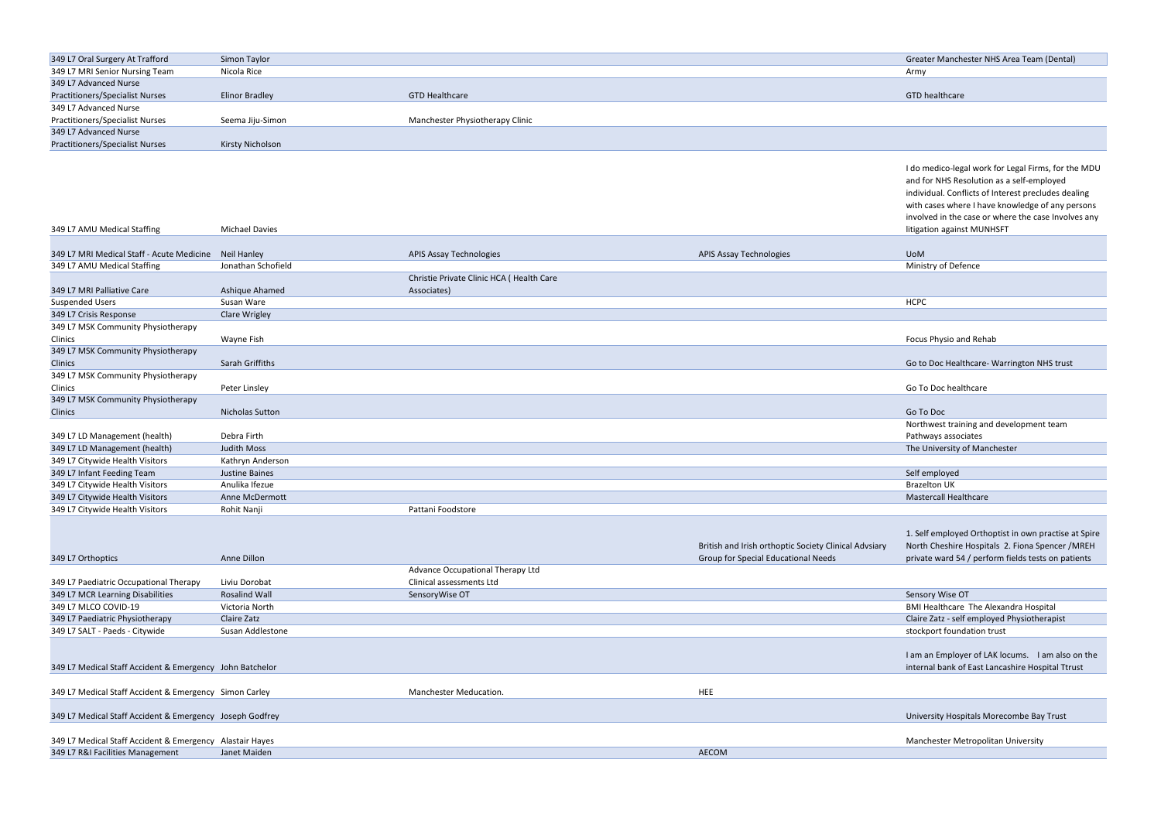| 349 L7 Oral Surgery At Trafford        | Simon Taylor     |                                 |
|----------------------------------------|------------------|---------------------------------|
| 349 L7 MRI Senior Nursing Team         | Nicola Rice      |                                 |
| 349 L7 Advanced Nurse                  |                  |                                 |
| <b>Practitioners/Specialist Nurses</b> | Elinor Bradley   | <b>GTD Healthcare</b>           |
| 349 L7 Advanced Nurse                  |                  |                                 |
| <b>Practitioners/Specialist Nurses</b> | Seema Jiju-Simon | Manchester Physiotherapy Clinic |
| 349 L7 Advanced Nurse                  |                  |                                 |
| <b>Practitioners/Specialist Nurses</b> | Kirsty Nicholson |                                 |

| 349 L7 Oral Surgery At Trafford                          | Simon Taylor          |                                          |                                                       | Greater Manchester NHS Area Team (Dental)                      |
|----------------------------------------------------------|-----------------------|------------------------------------------|-------------------------------------------------------|----------------------------------------------------------------|
| 349 L7 MRI Senior Nursing Team                           | Nicola Rice           |                                          |                                                       | Army                                                           |
| 349 L7 Advanced Nurse                                    |                       |                                          |                                                       |                                                                |
| <b>Practitioners/Specialist Nurses</b>                   | <b>Elinor Bradley</b> | <b>GTD Healthcare</b>                    |                                                       | GTD healthcare                                                 |
| 349 L7 Advanced Nurse                                    |                       |                                          |                                                       |                                                                |
| <b>Practitioners/Specialist Nurses</b>                   | Seema Jiju-Simon      | Manchester Physiotherapy Clinic          |                                                       |                                                                |
| 349 L7 Advanced Nurse                                    |                       |                                          |                                                       |                                                                |
| <b>Practitioners/Specialist Nurses</b>                   | Kirsty Nicholson      |                                          |                                                       |                                                                |
|                                                          |                       |                                          |                                                       |                                                                |
|                                                          |                       |                                          |                                                       | I do medico-legal work for Legal Firms, for the MDU            |
|                                                          |                       |                                          |                                                       | and for NHS Resolution as a self-employed                      |
|                                                          |                       |                                          |                                                       | individual. Conflicts of Interest precludes dealing            |
|                                                          |                       |                                          |                                                       | with cases where I have knowledge of any persons               |
|                                                          |                       |                                          |                                                       | involved in the case or where the case Involves any            |
| 349 L7 AMU Medical Staffing                              | <b>Michael Davies</b> |                                          |                                                       | litigation against MUNHSFT                                     |
|                                                          |                       |                                          |                                                       |                                                                |
| 349 L7 MRI Medical Staff - Acute Medicine Neil Hanley    |                       | <b>APIS Assay Technologies</b>           | <b>APIS Assay Technologies</b>                        | UoM                                                            |
| 349 L7 AMU Medical Staffing                              | Jonathan Schofield    |                                          |                                                       | Ministry of Defence                                            |
|                                                          |                       | Christie Private Clinic HCA (Health Care |                                                       |                                                                |
| 349 L7 MRI Palliative Care                               | Ashique Ahamed        | Associates)                              |                                                       |                                                                |
| <b>Suspended Users</b>                                   | Susan Ware            |                                          |                                                       | <b>HCPC</b>                                                    |
| 349 L7 Crisis Response                                   | Clare Wrigley         |                                          |                                                       |                                                                |
| 349 L7 MSK Community Physiotherapy                       |                       |                                          |                                                       |                                                                |
| Clinics                                                  | Wayne Fish            |                                          |                                                       | Focus Physio and Rehab                                         |
| 349 L7 MSK Community Physiotherapy                       |                       |                                          |                                                       |                                                                |
| <b>Clinics</b>                                           | Sarah Griffiths       |                                          |                                                       | Go to Doc Healthcare- Warrington NHS trust                     |
| 349 L7 MSK Community Physiotherapy                       |                       |                                          |                                                       |                                                                |
| Clinics                                                  | Peter Linsley         |                                          |                                                       | Go To Doc healthcare                                           |
| 349 L7 MSK Community Physiotherapy                       |                       |                                          |                                                       |                                                                |
| <b>Clinics</b>                                           | Nicholas Sutton       |                                          |                                                       | Go To Doc                                                      |
| 349 L7 LD Management (health)                            | Debra Firth           |                                          |                                                       | Northwest training and development team<br>Pathways associates |
| 349 L7 LD Management (health)                            | Judith Moss           |                                          |                                                       | The University of Manchester                                   |
| 349 L7 Citywide Health Visitors                          | Kathryn Anderson      |                                          |                                                       |                                                                |
| 349 L7 Infant Feeding Team                               | <b>Justine Baines</b> |                                          |                                                       | Self employed                                                  |
| 349 L7 Citywide Health Visitors                          | Anulika Ifezue        |                                          |                                                       | <b>Brazelton UK</b>                                            |
| 349 L7 Citywide Health Visitors                          | Anne McDermott        |                                          |                                                       | <b>Mastercall Healthcare</b>                                   |
| 349 L7 Citywide Health Visitors                          | Rohit Nanji           | Pattani Foodstore                        |                                                       |                                                                |
|                                                          |                       |                                          |                                                       |                                                                |
|                                                          |                       |                                          |                                                       | 1. Self employed Orthoptist in own practise at Spire           |
|                                                          |                       |                                          | British and Irish orthoptic Society Clinical Advsiary | North Cheshire Hospitals 2. Fiona Spencer / MREH               |
| 349 L7 Orthoptics                                        | Anne Dillon           |                                          | Group for Special Educational Needs                   | private ward 54 / perform fields tests on patients             |
|                                                          |                       | Advance Occupational Therapy Ltd         |                                                       |                                                                |
| 349 L7 Paediatric Occupational Therapy                   | Liviu Dorobat         | Clinical assessments Ltd                 |                                                       |                                                                |
| 349 L7 MCR Learning Disabilities                         | <b>Rosalind Wall</b>  | SensoryWise OT                           |                                                       | Sensory Wise OT                                                |
| 349 L7 MLCO COVID-19                                     | Victoria North        |                                          |                                                       | <b>BMI Healthcare The Alexandra Hospital</b>                   |
| 349 L7 Paediatric Physiotherapy                          | Claire Zatz           |                                          |                                                       | Claire Zatz - self employed Physiotherapist                    |
| 349 L7 SALT - Paeds - Citywide                           | Susan Addlestone      |                                          |                                                       | stockport foundation trust                                     |
|                                                          |                       |                                          |                                                       |                                                                |
|                                                          |                       |                                          |                                                       | I am an Employer of LAK locums. I am also on the               |
| 349 L7 Medical Staff Accident & Emergency John Batchelor |                       |                                          |                                                       | internal bank of East Lancashire Hospital Ttrust               |
|                                                          |                       |                                          |                                                       |                                                                |
| 349 L7 Medical Staff Accident & Emergency Simon Carley   |                       | Manchester Meducation.                   | HEE                                                   |                                                                |
| 349 L7 Medical Staff Accident & Emergency Joseph Godfrey |                       |                                          |                                                       | University Hospitals Morecombe Bay Trust                       |
|                                                          |                       |                                          |                                                       |                                                                |
| 349 L7 Medical Staff Accident & Emergency Alastair Hayes |                       |                                          |                                                       | Manchester Metropolitan University                             |
| 349 L7 R&I Facilities Management                         | Janet Maiden          |                                          | AECOM                                                 |                                                                |
|                                                          |                       |                                          |                                                       |                                                                |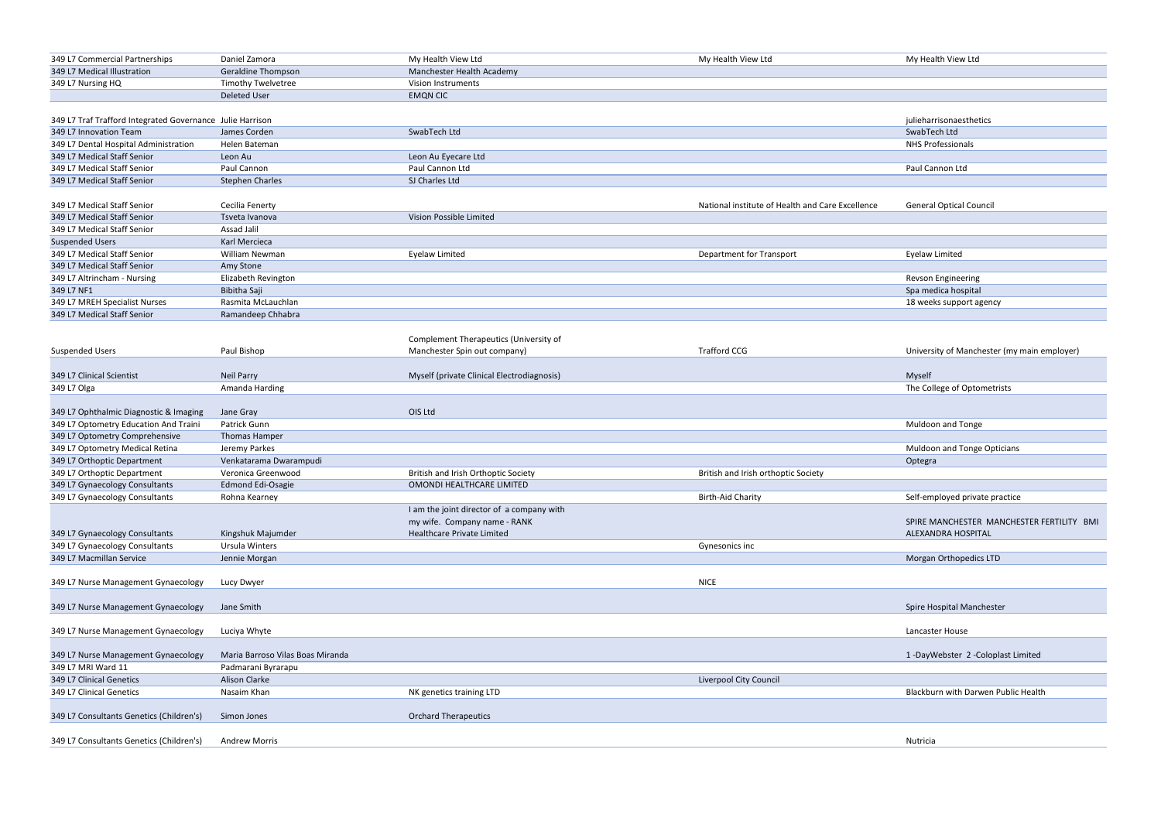| 349 L7 Commercial Partnerships                             | Daniel Zamora                    | My Health View Ltd<br>My Health View Ltd                                   | My Health View Ltd                        |
|------------------------------------------------------------|----------------------------------|----------------------------------------------------------------------------|-------------------------------------------|
| 349 L7 Medical Illustration                                | <b>Geraldine Thompson</b>        | Manchester Health Academy                                                  |                                           |
| 349 L7 Nursing HQ                                          | <b>Timothy Twelvetree</b>        | Vision Instruments                                                         |                                           |
|                                                            | <b>Deleted User</b>              | <b>EMQN CIC</b>                                                            |                                           |
|                                                            |                                  |                                                                            |                                           |
| 349 L7 Traf Trafford Integrated Governance Julie Harrison  |                                  |                                                                            | julieharrisonaesthetics                   |
| 349 L7 Innovation Team                                     | James Corden                     | SwabTech Ltd                                                               | SwabTech Ltd                              |
| 349 L7 Dental Hospital Administration                      | Helen Bateman                    |                                                                            | <b>NHS Professionals</b>                  |
| 349 L7 Medical Staff Senior                                | Leon Au                          | Leon Au Eyecare Ltd                                                        |                                           |
| 349 L7 Medical Staff Senior                                | Paul Cannon                      | Paul Cannon Ltd                                                            | Paul Cannon Ltd                           |
| 349 L7 Medical Staff Senior                                | <b>Stephen Charles</b>           | SJ Charles Ltd                                                             |                                           |
|                                                            |                                  |                                                                            |                                           |
| 349 L7 Medical Staff Senior                                | Cecilia Fenerty                  | National institute of Health and Care Excellence                           | <b>General Optical Council</b>            |
| 349 L7 Medical Staff Senior                                | Tsveta Ivanova                   | Vision Possible Limited                                                    |                                           |
| 349 L7 Medical Staff Senior                                | Assad Jalil                      |                                                                            |                                           |
| <b>Suspended Users</b><br>349 L7 Medical Staff Senior      | Karl Mercieca<br>William Newman  |                                                                            |                                           |
|                                                            |                                  | <b>Department for Transport</b><br><b>Eyelaw Limited</b>                   | Eyelaw Limited                            |
| 349 L7 Medical Staff Senior<br>349 L7 Altrincham - Nursing | Amy Stone<br>Elizabeth Revington |                                                                            |                                           |
| 349 L7 NF1                                                 | Bibitha Saji                     |                                                                            | Revson Engineering<br>Spa medica hospital |
| 349 L7 MREH Specialist Nurses                              | Rasmita McLauchlan               |                                                                            | 18 weeks support agen                     |
| 349 L7 Medical Staff Senior                                | Ramandeep Chhabra                |                                                                            |                                           |
|                                                            |                                  |                                                                            |                                           |
|                                                            |                                  | Complement Therapeutics (University of                                     |                                           |
| <b>Suspended Users</b>                                     | Paul Bishop                      | Manchester Spin out company)<br><b>Trafford CCG</b>                        | University of Manchest                    |
|                                                            |                                  |                                                                            |                                           |
| 349 L7 Clinical Scientist                                  | <b>Neil Parry</b>                | Myself (private Clinical Electrodiagnosis)                                 | Myself                                    |
| 349 L7 Olga                                                | Amanda Harding                   |                                                                            | The College of Optome                     |
|                                                            |                                  |                                                                            |                                           |
| 349 L7 Ophthalmic Diagnostic & Imaging                     | Jane Gray                        | OIS Ltd                                                                    |                                           |
| 349 L7 Optometry Education And Traini                      | Patrick Gunn                     |                                                                            | <b>Muldoon and Tonge</b>                  |
| 349 L7 Optometry Comprehensive                             | <b>Thomas Hamper</b>             |                                                                            |                                           |
| 349 L7 Optometry Medical Retina                            | Jeremy Parkes                    |                                                                            | Muldoon and Tonge Op                      |
| 349 L7 Orthoptic Department                                | Venkatarama Dwarampudi           |                                                                            | Optegra                                   |
| 349 L7 Orthoptic Department                                | Veronica Greenwood               | British and Irish Orthoptic Society<br>British and Irish orthoptic Society |                                           |
| 349 L7 Gynaecology Consultants                             | <b>Edmond Edi-Osagie</b>         | OMONDI HEALTHCARE LIMITED                                                  |                                           |
| 349 L7 Gynaecology Consultants                             | Rohna Kearney                    | <b>Birth-Aid Charity</b>                                                   | Self-employed private p                   |
|                                                            |                                  | I am the joint director of a company with                                  |                                           |
|                                                            |                                  | my wife. Company name - RANK                                               | SPIRE MANCHESTER M                        |
| 349 L7 Gynaecology Consultants                             | Kingshuk Majumder                | Healthcare Private Limited                                                 | ALEXANDRA HOSPITAL                        |
| 349 L7 Gynaecology Consultants                             | Ursula Winters                   | Gynesonics inc                                                             |                                           |
| 349 L7 Macmillan Service                                   | Jennie Morgan                    |                                                                            | Morgan Orthopedics LT                     |
|                                                            |                                  |                                                                            |                                           |
| 349 L7 Nurse Management Gynaecology                        | Lucy Dwyer                       | <b>NICE</b>                                                                |                                           |
|                                                            |                                  |                                                                            |                                           |
| 349 L7 Nurse Management Gynaecology                        | Jane Smith                       |                                                                            | Spire Hospital Manches                    |
|                                                            |                                  |                                                                            |                                           |
| 349 L7 Nurse Management Gynaecology                        | Luciya Whyte                     |                                                                            | Lancaster House                           |
|                                                            |                                  |                                                                            |                                           |
| 349 L7 Nurse Management Gynaecology                        | Maria Barroso Vilas Boas Miranda |                                                                            | 1-DayWebster 2-Colo                       |
| 349 L7 MRI Ward 11                                         | Padmarani Byrarapu               |                                                                            |                                           |
| 349 L7 Clinical Genetics                                   | Alison Clarke                    | Liverpool City Council                                                     |                                           |
| 349 L7 Clinical Genetics                                   | Nasaim Khan                      | NK genetics training LTD                                                   | <b>Blackburn with Darwen</b>              |
|                                                            |                                  |                                                                            |                                           |
| 349 L7 Consultants Genetics (Children's)                   | Simon Jones                      | <b>Orchard Therapeutics</b>                                                |                                           |
|                                                            |                                  |                                                                            |                                           |
| 349 L7 Consultants Genetics (Children's)                   | <b>Andrew Morris</b>             |                                                                            | Nutricia                                  |
|                                                            |                                  |                                                                            |                                           |

18 weeks support agency

University of Manchester (my main employer)

The College of Optometrists

Muldoon and Tonge Opticians

Self-employed private practice

SPIRE MANCHESTER MANCHESTER FERTILITY BMI ALEXANDRA HOSPITAL

Morgan Orthopedics LTD

Spire Hospital Manchester

1 -DayWebster 2 -Coloplast Limited

Blackburn with Darwen Public Health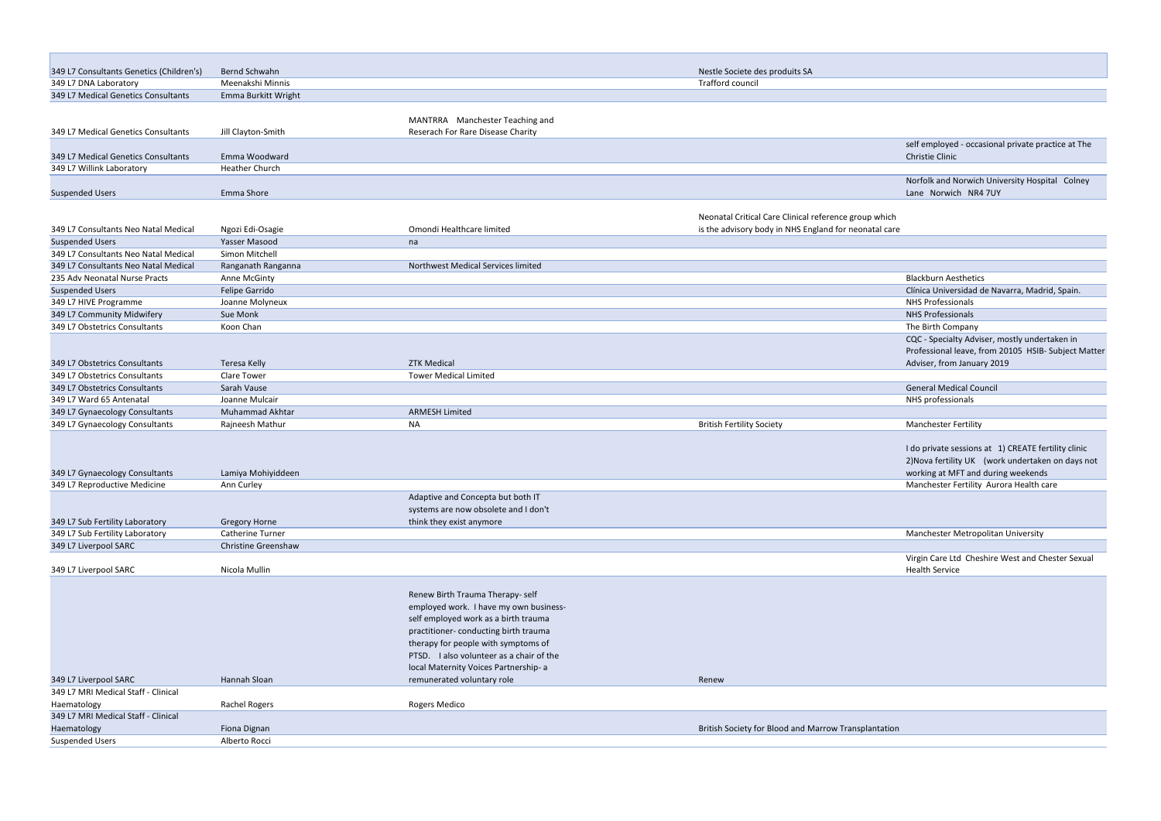| 349 L7 Consultants Genetics (Children's) | Bernd Schwahn                     |                                          | Nestle Societe des produits SA                                                                                 |                                                                           |
|------------------------------------------|-----------------------------------|------------------------------------------|----------------------------------------------------------------------------------------------------------------|---------------------------------------------------------------------------|
| 349 L7 DNA Laboratory                    | Meenakshi Minnis                  |                                          | Trafford council                                                                                               |                                                                           |
| 349 L7 Medical Genetics Consultants      | Emma Burkitt Wright               |                                          |                                                                                                                |                                                                           |
|                                          |                                   | MANTRRA Manchester Teaching and          |                                                                                                                |                                                                           |
| 349 L7 Medical Genetics Consultants      | Jill Clayton-Smith                | Reserach For Rare Disease Charity        |                                                                                                                |                                                                           |
|                                          |                                   |                                          |                                                                                                                | self employed - occasional private practice at The                        |
| 349 L7 Medical Genetics Consultants      | Emma Woodward                     |                                          |                                                                                                                | Christie Clinic                                                           |
| 349 L7 Willink Laboratory                | Heather Church                    |                                          |                                                                                                                |                                                                           |
|                                          |                                   |                                          |                                                                                                                | Norfolk and Norwich University Hospital Colney                            |
| <b>Suspended Users</b>                   | Emma Shore                        |                                          |                                                                                                                | Lane Norwich NR4 7UY                                                      |
|                                          |                                   |                                          |                                                                                                                |                                                                           |
| 349 L7 Consultants Neo Natal Medical     |                                   | Omondi Healthcare limited                | Neonatal Critical Care Clinical reference group which<br>is the advisory body in NHS England for neonatal care |                                                                           |
| <b>Suspended Users</b>                   | Ngozi Edi-Osagie<br>Yasser Masood |                                          |                                                                                                                |                                                                           |
| 349 L7 Consultants Neo Natal Medical     | Simon Mitchell                    | na                                       |                                                                                                                |                                                                           |
| 349 L7 Consultants Neo Natal Medical     | Ranganath Ranganna                | Northwest Medical Services limited       |                                                                                                                |                                                                           |
| 235 Adv Neonatal Nurse Practs            | Anne McGinty                      |                                          |                                                                                                                | <b>Blackburn Aesthetics</b>                                               |
| <b>Suspended Users</b>                   | Felipe Garrido                    |                                          |                                                                                                                | Clínica Universidad de Navarra, Madrid, Spain.                            |
| 349 L7 HIVE Programme                    | Joanne Molyneux                   |                                          |                                                                                                                | <b>NHS Professionals</b>                                                  |
| 349 L7 Community Midwifery               | Sue Monk                          |                                          |                                                                                                                | <b>NHS Professionals</b>                                                  |
| 349 L7 Obstetrics Consultants            | Koon Chan                         |                                          |                                                                                                                | The Birth Company                                                         |
|                                          |                                   |                                          |                                                                                                                | CQC - Specialty Adviser, mostly undertaken in                             |
|                                          |                                   |                                          |                                                                                                                | Professional leave, from 20105 HSIB- Subject Matter                       |
| 349 L7 Obstetrics Consultants            | Teresa Kelly                      | <b>ZTK Medical</b>                       |                                                                                                                | Adviser, from January 2019                                                |
| 349 L7 Obstetrics Consultants            | Clare Tower                       | <b>Tower Medical Limited</b>             |                                                                                                                |                                                                           |
| 349 L7 Obstetrics Consultants            | Sarah Vause                       |                                          |                                                                                                                | <b>General Medical Council</b>                                            |
| 349 L7 Ward 65 Antenatal                 | Joanne Mulcair                    |                                          |                                                                                                                | NHS professionals                                                         |
| 349 L7 Gynaecology Consultants           | Muhammad Akhtar                   | <b>ARMESH Limited</b>                    |                                                                                                                |                                                                           |
| 349 L7 Gynaecology Consultants           | Rajneesh Mathur                   | <b>NA</b>                                | <b>British Fertility Society</b>                                                                               | <b>Manchester Fertility</b>                                               |
|                                          |                                   |                                          |                                                                                                                |                                                                           |
|                                          |                                   |                                          |                                                                                                                | I do private sessions at 1) CREATE fertility clinic                       |
|                                          |                                   |                                          |                                                                                                                | 2) Nova fertility UK (work undertaken on days not                         |
| 349 L7 Gynaecology Consultants           | Lamiya Mohiyiddeen                |                                          |                                                                                                                | working at MFT and during weekends                                        |
| 349 L7 Reproductive Medicine             | Ann Curley                        |                                          |                                                                                                                | Manchester Fertility Aurora Health care                                   |
|                                          |                                   | Adaptive and Concepta but both IT        |                                                                                                                |                                                                           |
|                                          |                                   | systems are now obsolete and I don't     |                                                                                                                |                                                                           |
| 349 L7 Sub Fertility Laboratory          | <b>Gregory Horne</b>              | think they exist anymore                 |                                                                                                                |                                                                           |
| 349 L7 Sub Fertility Laboratory          | Catherine Turner                  |                                          |                                                                                                                | Manchester Metropolitan University                                        |
| 349 L7 Liverpool SARC                    | Christine Greenshaw               |                                          |                                                                                                                |                                                                           |
| 349 L7 Liverpool SARC                    | Nicola Mullin                     |                                          |                                                                                                                | Virgin Care Ltd Cheshire West and Chester Sexual<br><b>Health Service</b> |
|                                          |                                   |                                          |                                                                                                                |                                                                           |
|                                          |                                   | Renew Birth Trauma Therapy- self         |                                                                                                                |                                                                           |
|                                          |                                   | employed work. I have my own business-   |                                                                                                                |                                                                           |
|                                          |                                   | self employed work as a birth trauma     |                                                                                                                |                                                                           |
|                                          |                                   | practitioner-conducting birth trauma     |                                                                                                                |                                                                           |
|                                          |                                   | therapy for people with symptoms of      |                                                                                                                |                                                                           |
|                                          |                                   | PTSD. I also volunteer as a chair of the |                                                                                                                |                                                                           |
|                                          |                                   | local Maternity Voices Partnership- a    |                                                                                                                |                                                                           |
| 349 L7 Liverpool SARC                    | Hannah Sloan                      | remunerated voluntary role               | Renew                                                                                                          |                                                                           |
| 349 L7 MRI Medical Staff - Clinical      |                                   |                                          |                                                                                                                |                                                                           |
| Haematology                              | <b>Rachel Rogers</b>              | Rogers Medico                            |                                                                                                                |                                                                           |
| 349 L7 MRI Medical Staff - Clinical      |                                   |                                          |                                                                                                                |                                                                           |
| Haematology                              | Fiona Dignan                      |                                          | British Society for Blood and Marrow Transplantation                                                           |                                                                           |
| <b>Suspended Users</b>                   | Alberto Rocci                     |                                          |                                                                                                                |                                                                           |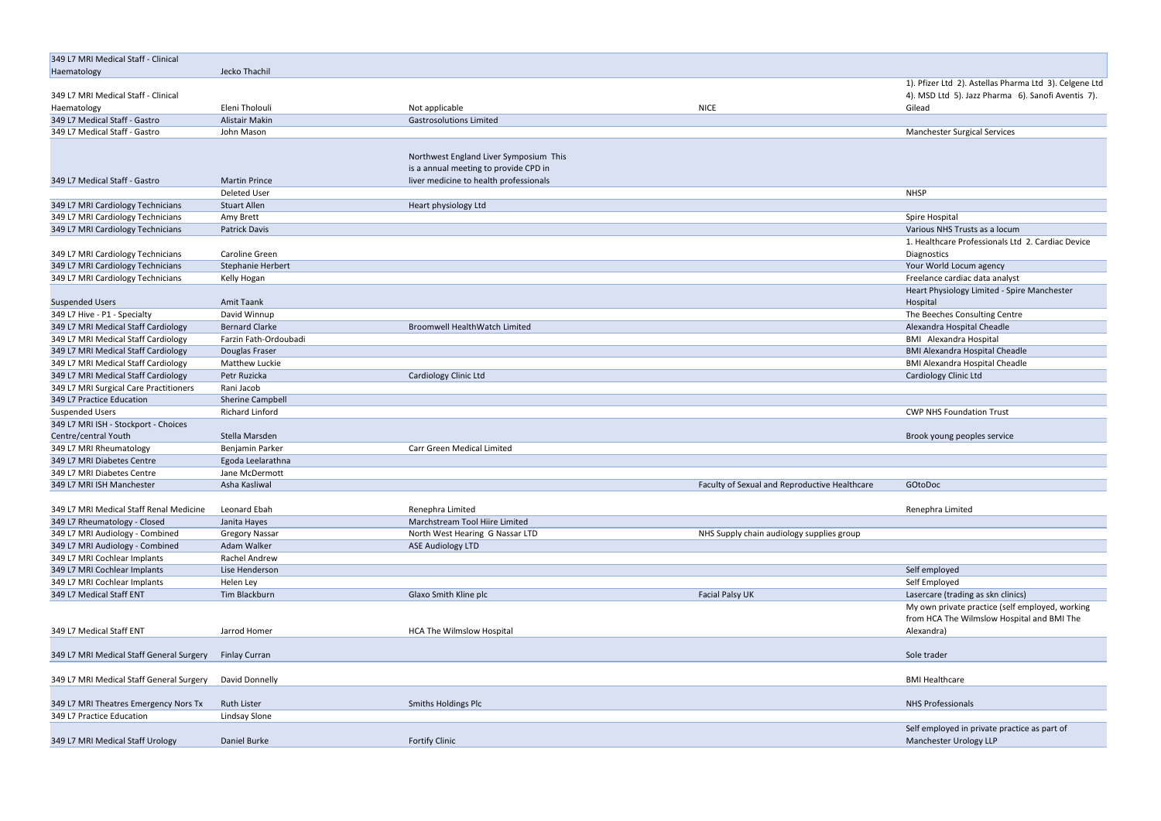| 349 L7 MRI Medical Staff - Clinical                                    |                            |                                        |                                               |                                                        |
|------------------------------------------------------------------------|----------------------------|----------------------------------------|-----------------------------------------------|--------------------------------------------------------|
| Haematology                                                            | Jecko Thachil              |                                        |                                               |                                                        |
|                                                                        |                            |                                        |                                               | 1). Pfizer Ltd 2). Astellas Pharma Ltd 3). Celgene Ltd |
| 349 L7 MRI Medical Staff - Clinical                                    |                            |                                        |                                               | 4). MSD Ltd 5). Jazz Pharma 6). Sanofi Aventis 7).     |
| Haematology                                                            | Eleni Tholouli             | Not applicable                         | <b>NICE</b>                                   | Gilead                                                 |
| 349 L7 Medical Staff - Gastro                                          | Alistair Makin             | <b>Gastrosolutions Limited</b>         |                                               |                                                        |
| 349 L7 Medical Staff - Gastro                                          | John Mason                 |                                        |                                               | <b>Manchester Surgical Services</b>                    |
|                                                                        |                            |                                        |                                               |                                                        |
|                                                                        |                            | Northwest England Liver Symposium This |                                               |                                                        |
| 349 L7 Medical Staff - Gastro                                          | <b>Martin Prince</b>       | is a annual meeting to provide CPD in  |                                               |                                                        |
|                                                                        | Deleted User               | liver medicine to health professionals |                                               | <b>NHSP</b>                                            |
|                                                                        |                            |                                        |                                               |                                                        |
| 349 L7 MRI Cardiology Technicians<br>349 L7 MRI Cardiology Technicians | <b>Stuart Allen</b>        | Heart physiology Ltd                   |                                               |                                                        |
| 349 L7 MRI Cardiology Technicians                                      | Amy Brett<br>Patrick Davis |                                        |                                               | Spire Hospital<br>Various NHS Trusts as a locum        |
|                                                                        |                            |                                        |                                               | 1. Healthcare Professionals Ltd 2. Cardiac Device      |
| 349 L7 MRI Cardiology Technicians                                      | Caroline Green             |                                        |                                               |                                                        |
| 349 L7 MRI Cardiology Technicians                                      | Stephanie Herbert          |                                        |                                               | Diagnostics<br>Your World Locum agency                 |
| 349 L7 MRI Cardiology Technicians                                      | Kelly Hogan                |                                        |                                               | Freelance cardiac data analyst                         |
|                                                                        |                            |                                        |                                               | Heart Physiology Limited - Spire Manchester            |
| <b>Suspended Users</b>                                                 | Amit Taank                 |                                        |                                               | Hospital                                               |
| 349 L7 Hive - P1 - Specialty                                           | David Winnup               |                                        |                                               | The Beeches Consulting Centre                          |
| 349 L7 MRI Medical Staff Cardiology                                    | <b>Bernard Clarke</b>      | <b>Broomwell HealthWatch Limited</b>   |                                               | Alexandra Hospital Cheadle                             |
| 349 L7 MRI Medical Staff Cardiology                                    | Farzin Fath-Ordoubadi      |                                        |                                               | <b>BMI</b> Alexandra Hospital                          |
| 349 L7 MRI Medical Staff Cardiology                                    | Douglas Fraser             |                                        |                                               | <b>BMI Alexandra Hospital Cheadle</b>                  |
| 349 L7 MRI Medical Staff Cardiology                                    | <b>Matthew Luckie</b>      |                                        |                                               | <b>BMI Alexandra Hospital Cheadle</b>                  |
| 349 L7 MRI Medical Staff Cardiology                                    | Petr Ruzicka               | Cardiology Clinic Ltd                  |                                               | <b>Cardiology Clinic Ltd</b>                           |
| 349 L7 MRI Surgical Care Practitioners                                 | Rani Jacob                 |                                        |                                               |                                                        |
| 349 L7 Practice Education                                              | Sherine Campbell           |                                        |                                               |                                                        |
| <b>Suspended Users</b>                                                 | Richard Linford            |                                        |                                               | <b>CWP NHS Foundation Trust</b>                        |
| 349 L7 MRI ISH - Stockport - Choices                                   |                            |                                        |                                               |                                                        |
| Centre/central Youth                                                   | Stella Marsden             |                                        |                                               | Brook young peoples service                            |
| 349 L7 MRI Rheumatology                                                | Benjamin Parker            | Carr Green Medical Limited             |                                               |                                                        |
| 349 L7 MRI Diabetes Centre                                             | Egoda Leelarathna          |                                        |                                               |                                                        |
| 349 L7 MRI Diabetes Centre                                             | Jane McDermott             |                                        |                                               |                                                        |
| 349 L7 MRI ISH Manchester                                              | Asha Kasliwal              |                                        | Faculty of Sexual and Reproductive Healthcare | GOtoDoc                                                |
|                                                                        |                            |                                        |                                               |                                                        |
| 349 L7 MRI Medical Staff Renal Medicine                                | Leonard Ebah               | Renephra Limited                       |                                               | Renephra Limited                                       |
| 349 L7 Rheumatology - Closed                                           | Janita Hayes               | Marchstream Tool Hiire Limited         |                                               |                                                        |
| 349 L7 MRI Audiology - Combined                                        | <b>Gregory Nassar</b>      | North West Hearing G Nassar LTD        | NHS Supply chain audiology supplies group     |                                                        |
| 349 L7 MRI Audiology - Combined                                        | Adam Walker                | <b>ASE Audiology LTD</b>               |                                               |                                                        |
| 349 L7 MRI Cochlear Implants                                           | Rachel Andrew              |                                        |                                               |                                                        |
| 349 L7 MRI Cochlear Implants                                           | Lise Henderson             |                                        |                                               | Self employed                                          |
| 349 L7 MRI Cochlear Implants                                           | Helen Ley                  |                                        |                                               | Self Employed                                          |
| 349 L7 Medical Staff ENT                                               | Tim Blackburn              | Glaxo Smith Kline plc                  | Facial Palsy UK                               | Lasercare (trading as skn clinics)                     |
|                                                                        |                            |                                        |                                               | My own private practice (self employed, working        |
|                                                                        |                            |                                        |                                               | from HCA The Wilmslow Hospital and BMI The             |
| 349 L7 Medical Staff ENT                                               | Jarrod Homer               | <b>HCA The Wilmslow Hospital</b>       |                                               | Alexandra)                                             |
|                                                                        |                            |                                        |                                               |                                                        |
| 349 L7 MRI Medical Staff General Surgery                               | <b>Finlay Curran</b>       |                                        |                                               | Sole trader                                            |
|                                                                        |                            |                                        |                                               |                                                        |
| 349 L7 MRI Medical Staff General Surgery                               | David Donnelly             |                                        |                                               | <b>BMI Healthcare</b>                                  |
|                                                                        |                            |                                        |                                               |                                                        |
| 349 L7 MRI Theatres Emergency Nors Tx                                  | <b>Ruth Lister</b>         | Smiths Holdings Plc                    |                                               | <b>NHS Professionals</b>                               |
| 349 L7 Practice Education                                              | Lindsay Slone              |                                        |                                               |                                                        |
|                                                                        |                            |                                        |                                               | Self employed in private practice as part of           |
| 349 L7 MRI Medical Staff Urology                                       | Daniel Burke               | <b>Fortify Clinic</b>                  |                                               | Manchester Urology LLP                                 |
|                                                                        |                            |                                        |                                               |                                                        |

| 1). Pfizer Ltd 2). Astellas Pharma Ltd 3). Celgene Ltd |  |
|--------------------------------------------------------|--|
| 4). MSD Ltd 5). Jazz Pharma 6). Sanofi Aventis 7).     |  |
| Gilead                                                 |  |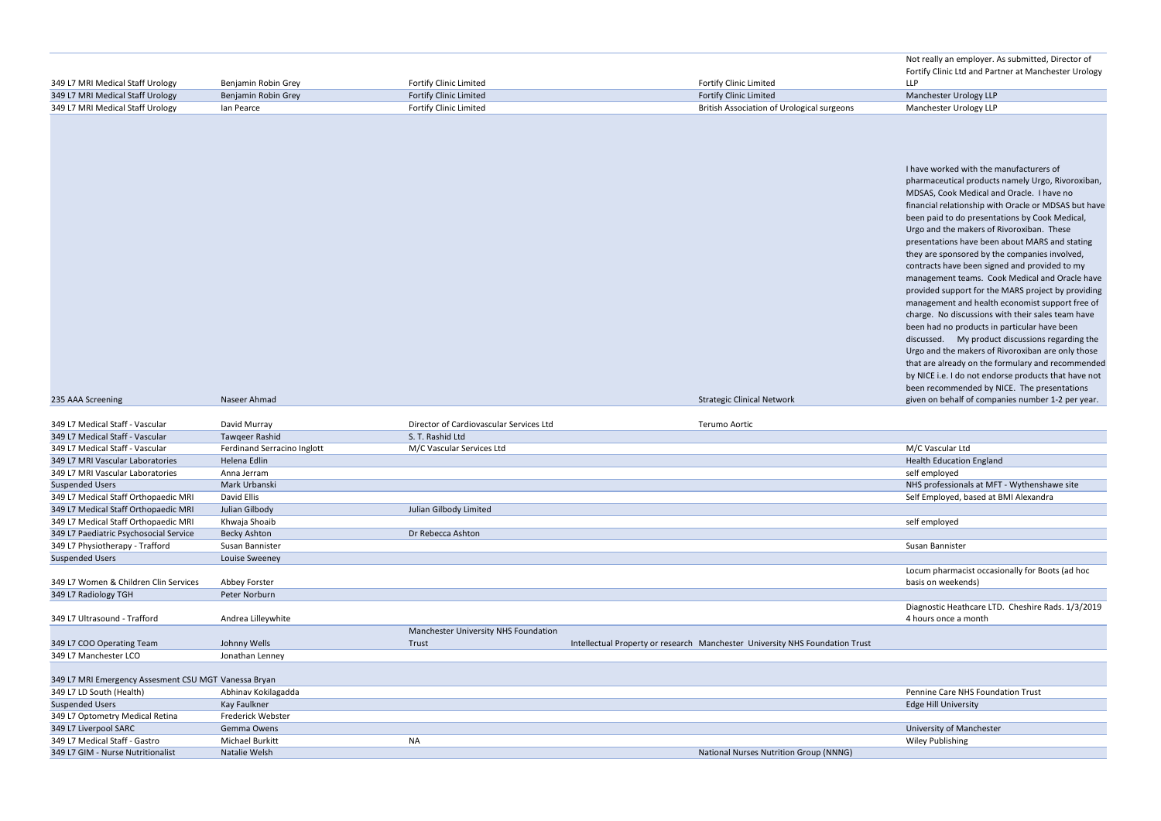Not really an employer. As submitted, Director of Fortify Clinic Ltd and Partner at Manchester Urology LLP

I have worked with the manufacturers of pharmaceutical products namely Urgo, Rivoroxiban, MDSAS, Cook Medical and Oracle. I have no financial relationship with Oracle or MDSAS but have been paid to do presentations by Cook Medical, Urgo and the makers of Rivoroxiban. These presentations have been about MARS and stating they are sponsored by the companies involved, contracts have been signed and provided to my management teams. Cook Medical and Oracle have provided support for the MARS project by providing management and health economist support free of charge. No discussions with their sales team have been had no products in particular have been discussed. My product discussions regarding the Urgo and the makers of Rivoroxiban are only those that are already on the formulary and recommended by NICE i.e. I do not endorse products that have not been recommended by NICE. The presentations given on behalf of companies number 1-2 per year.

Health Education England NHS professionals at MFT - Wythenshawe site Self Employed, based at BMI Alexandra

| 349 L7 MRI Medical Staff Urology                              | Benjamin Robin Grey            | Fortify Clinic Limited                  | <b>Fortify Clinic Limited</b>                                                | Fortify Clinic Ltd and Par<br><b>LLP</b>               |
|---------------------------------------------------------------|--------------------------------|-----------------------------------------|------------------------------------------------------------------------------|--------------------------------------------------------|
| 349 L7 MRI Medical Staff Urology                              | Benjamin Robin Grey            | Fortify Clinic Limited                  | <b>Fortify Clinic Limited</b>                                                | Manchester Urology LLP                                 |
| 349 L7 MRI Medical Staff Urology                              | lan Pearce                     | <b>Fortify Clinic Limited</b>           | <b>British Association of Urological surgeons</b>                            | Manchester Urology LLP                                 |
|                                                               |                                |                                         |                                                                              |                                                        |
|                                                               |                                |                                         |                                                                              |                                                        |
|                                                               |                                |                                         |                                                                              |                                                        |
|                                                               |                                |                                         |                                                                              |                                                        |
|                                                               |                                |                                         |                                                                              | I have worked with the i                               |
|                                                               |                                |                                         |                                                                              | pharmaceutical product                                 |
|                                                               |                                |                                         |                                                                              | MDSAS, Cook Medical a                                  |
|                                                               |                                |                                         |                                                                              | financial relationship wi                              |
|                                                               |                                |                                         |                                                                              | been paid to do present                                |
|                                                               |                                |                                         |                                                                              | Urgo and the makers of                                 |
|                                                               |                                |                                         |                                                                              | presentations have been                                |
|                                                               |                                |                                         |                                                                              | they are sponsored by t                                |
|                                                               |                                |                                         |                                                                              | contracts have been sign                               |
|                                                               |                                |                                         |                                                                              | management teams. Co                                   |
|                                                               |                                |                                         |                                                                              | provided support for the                               |
|                                                               |                                |                                         |                                                                              | management and health                                  |
|                                                               |                                |                                         |                                                                              | charge. No discussions                                 |
|                                                               |                                |                                         |                                                                              | been had no products in                                |
|                                                               |                                |                                         |                                                                              | discussed. My produc                                   |
|                                                               |                                |                                         |                                                                              | Urgo and the makers of                                 |
|                                                               |                                |                                         |                                                                              | that are already on the f<br>by NICE i.e. I do not end |
|                                                               |                                |                                         |                                                                              | been recommended by                                    |
| 235 AAA Screening                                             | Naseer Ahmad                   |                                         | <b>Strategic Clinical Network</b>                                            | given on behalf of comp                                |
|                                                               |                                |                                         |                                                                              |                                                        |
| 349 L7 Medical Staff - Vascular                               | David Murray                   | Director of Cardiovascular Services Ltd | Terumo Aortic                                                                |                                                        |
| 349 L7 Medical Staff - Vascular                               | Tawqeer Rashid                 | S. T. Rashid Ltd                        |                                                                              |                                                        |
| 349 L7 Medical Staff - Vascular                               | Ferdinand Serracino Inglott    | M/C Vascular Services Ltd               |                                                                              | M/C Vascular Ltd                                       |
| 349 L7 MRI Vascular Laboratories                              | Helena Edlin                   |                                         |                                                                              | <b>Health Education Englan</b>                         |
| 349 L7 MRI Vascular Laboratories                              | Anna Jerram                    |                                         |                                                                              | self employed                                          |
| <b>Suspended Users</b>                                        | Mark Urbanski                  |                                         |                                                                              | NHS professionals at MF                                |
| 349 L7 Medical Staff Orthopaedic MRI                          | David Ellis                    |                                         |                                                                              | Self Employed, based at                                |
| 349 L7 Medical Staff Orthopaedic MRI                          | Julian Gilbody                 | Julian Gilbody Limited                  |                                                                              |                                                        |
| 349 L7 Medical Staff Orthopaedic MRI                          | Khwaja Shoaib                  |                                         |                                                                              | self employed                                          |
| 349 L7 Paediatric Psychosocial Service                        | <b>Becky Ashton</b>            | Dr Rebecca Ashton                       |                                                                              |                                                        |
| 349 L7 Physiotherapy - Trafford                               | Susan Bannister                |                                         |                                                                              | Susan Bannister                                        |
| <b>Suspended Users</b>                                        | Louise Sweeney                 |                                         |                                                                              |                                                        |
|                                                               |                                |                                         |                                                                              | Locum pharmacist occas<br>basis on weekends)           |
| 349 L7 Women & Children Clin Services<br>349 L7 Radiology TGH | Abbey Forster<br>Peter Norburn |                                         |                                                                              |                                                        |
|                                                               |                                |                                         |                                                                              | Diagnostic Heathcare LT                                |
| 349 L7 Ultrasound - Trafford                                  | Andrea Lilleywhite             |                                         |                                                                              | 4 hours once a month                                   |
|                                                               |                                | Manchester University NHS Foundation    |                                                                              |                                                        |
| 349 L7 COO Operating Team                                     | Johnny Wells                   | Trust                                   | Intellectual Property or research Manchester University NHS Foundation Trust |                                                        |
| 349 L7 Manchester LCO                                         | Jonathan Lenney                |                                         |                                                                              |                                                        |
|                                                               |                                |                                         |                                                                              |                                                        |
| 349 L7 MRI Emergency Assesment CSU MGT Vanessa Bryan          |                                |                                         |                                                                              |                                                        |
| 349 L7 LD South (Health)                                      | Abhinav Kokilagadda            |                                         |                                                                              | Pennine Care NHS Foun                                  |
| <b>Suspended Users</b>                                        | Kay Faulkner                   |                                         |                                                                              | <b>Edge Hill University</b>                            |
| 349 L7 Optometry Medical Retina                               | Frederick Webster              |                                         |                                                                              |                                                        |
| 349 L7 Liverpool SARC                                         | Gemma Owens                    |                                         |                                                                              | <b>University of Mancheste</b>                         |
| 349 L7 Medical Staff - Gastro                                 | <b>Michael Burkitt</b>         | <b>NA</b>                               |                                                                              | <b>Wiley Publishing</b>                                |
| 349 L7 GIM - Nurse Nutritionalist                             | Natalie Welsh                  |                                         | National Nurses Nutrition Group (NNNG)                                       |                                                        |

Locum pharmacist occasionally for Boots (ad hoc basis on weekends)

Diagnostic Heathcare LTD. Cheshire Rads. 1/3/2019 4 hours once a month

Pennine Care NHS Foundation Trust

University of Manchester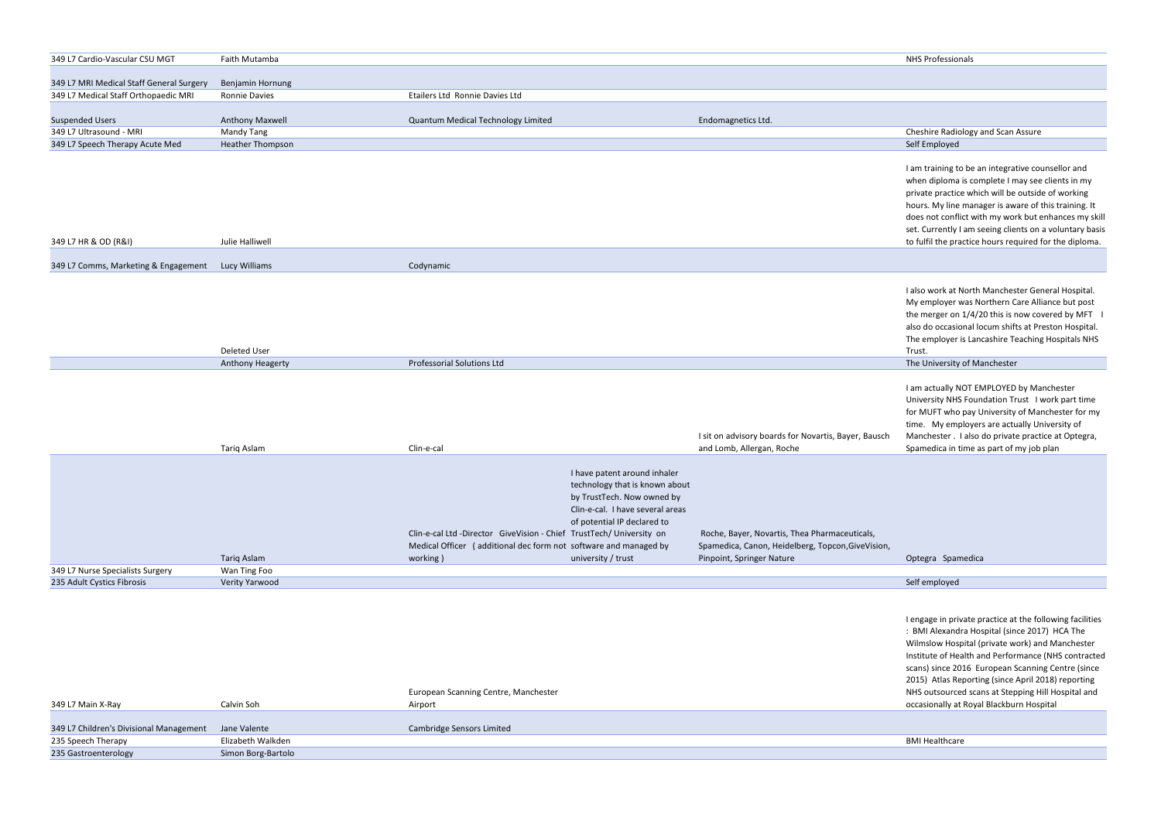| 349 L7 Cardio-Vascular CSU MGT           | Faith Mutamba        |                                    |                    | <b>NHS Professionals</b>           |
|------------------------------------------|----------------------|------------------------------------|--------------------|------------------------------------|
|                                          |                      |                                    |                    |                                    |
| 349 L7 MRI Medical Staff General Surgery | Benjamin Hornung     |                                    |                    |                                    |
| 349 L7 Medical Staff Orthopaedic MRI     | <b>Ronnie Davies</b> | Etailers Ltd Ronnie Davies Ltd     |                    |                                    |
|                                          |                      |                                    |                    |                                    |
| <b>Suspended Users</b>                   | Anthony Maxwell      | Quantum Medical Technology Limited | Endomagnetics Ltd. |                                    |
| 349 L7 Ultrasound - MRI                  | Mandy Tang           |                                    |                    | Cheshire Radiology and Scan Assure |
| 349 L7 Speech Therapy Acute Med          | Heather Thompson     |                                    |                    | Self Employed                      |

| 349 L7 HR & OD (R&I)                               | Julie Halliwell |           |
|----------------------------------------------------|-----------------|-----------|
| 349 L7 Comms, Marketing & Engagement Lucy Williams |                 | Codynamic |
|                                                    |                 |           |
|                                                    |                 |           |

|     | <b>NHS Professionals</b>                                                                                                                                                                                                                                                                                                                                                                        |
|-----|-------------------------------------------------------------------------------------------------------------------------------------------------------------------------------------------------------------------------------------------------------------------------------------------------------------------------------------------------------------------------------------------------|
|     |                                                                                                                                                                                                                                                                                                                                                                                                 |
|     |                                                                                                                                                                                                                                                                                                                                                                                                 |
|     |                                                                                                                                                                                                                                                                                                                                                                                                 |
|     |                                                                                                                                                                                                                                                                                                                                                                                                 |
|     | Cheshire Radiology and Scan Assure                                                                                                                                                                                                                                                                                                                                                              |
|     | Self Employed                                                                                                                                                                                                                                                                                                                                                                                   |
|     | I am training to be an integrative counsellor and<br>when diploma is complete I may see clients in my<br>private practice which will be outside of working<br>hours. My line manager is aware of this training. It<br>does not conflict with my work but enhances my skill<br>set. Currently I am seeing clients on a voluntary basis<br>to fulfil the practice hours required for the diploma. |
|     |                                                                                                                                                                                                                                                                                                                                                                                                 |
|     | I also work at North Manchester General Hospital.<br>My employer was Northern Care Alliance but post<br>the merger on 1/4/20 this is now covered by MFT<br>I<br>also do occasional locum shifts at Preston Hospital.<br>The employer is Lancashire Teaching Hospitals NHS<br>Trust.                                                                                                             |
|     | The University of Manchester                                                                                                                                                                                                                                                                                                                                                                    |
| sch | I am actually NOT EMPLOYED by Manchester<br>University NHS Foundation Trust I work part time<br>for MUFT who pay University of Manchester for my<br>time. My employers are actually University of<br>Manchester . I also do private practice at Optegra,<br>Spamedica in time as part of my job plan                                                                                            |
|     |                                                                                                                                                                                                                                                                                                                                                                                                 |
| on, |                                                                                                                                                                                                                                                                                                                                                                                                 |
|     | Spamedica<br>Optegra                                                                                                                                                                                                                                                                                                                                                                            |
|     | Self employed                                                                                                                                                                                                                                                                                                                                                                                   |
|     |                                                                                                                                                                                                                                                                                                                                                                                                 |
|     | Lengage in private practice at the following facilities                                                                                                                                                                                                                                                                                                                                         |

| Deleted User            |                            | . I rus                      |
|-------------------------|----------------------------|------------------------------|
| <b>Anthony Heagerty</b> | Professorial Solutions Ltd | The University of Manchester |

ngage in private pra : BMI Alexandra Hospital (since 2017) HCA The Wilmslow Hospital (private work) and Manchester Institute of Health and Performance (NHS contracted scans) since 2016 European Scanning Centre (since 2015) Atlas Reporting (since April 2018) reporting NHS outsourced scans at Stepping Hill Hospital and occasionally at Royal Blackburn Hospital

|                                  |                |            |                                                                     | I sit on advisory boards for Novartis, Bayer, Bausch | Manchester . I also d |
|----------------------------------|----------------|------------|---------------------------------------------------------------------|------------------------------------------------------|-----------------------|
|                                  | Tariq Aslam    | Clin-e-cal |                                                                     | and Lomb, Allergan, Roche                            | Spamedica in time as  |
|                                  |                |            |                                                                     |                                                      |                       |
|                                  |                |            | I have patent around inhaler                                        |                                                      |                       |
|                                  |                |            | technology that is known about                                      |                                                      |                       |
|                                  |                |            | by TrustTech. Now owned by                                          |                                                      |                       |
|                                  |                |            | Clin-e-cal. I have several areas                                    |                                                      |                       |
|                                  |                |            | of potential IP declared to                                         |                                                      |                       |
|                                  |                |            | Clin-e-cal Ltd -Director GiveVision - Chief TrustTech/University on | Roche, Bayer, Novartis, Thea Pharmaceuticals,        |                       |
|                                  |                |            | Medical Officer (additional dec form not software and managed by    | Spamedica, Canon, Heidelberg, Topcon, Give Vision,   |                       |
|                                  | Tariq Aslam    | working)   | university / trust                                                  | Pinpoint, Springer Nature                            | Optegra Spamedica     |
| 349 L7 Nurse Specialists Surgery | Wan Ting Foo   |            |                                                                     |                                                      |                       |
| 235 Adult Cystics Fibrosis       | Verity Yarwood |            |                                                                     |                                                      | Self employed         |

|                                                      |                    | European Scanning Centre, Manchester | <b>NHS outsourced</b> |
|------------------------------------------------------|--------------------|--------------------------------------|-----------------------|
| 349 L7 Main X-Ray                                    | Calvin Soh         | Airport                              | occasionally at I     |
|                                                      |                    |                                      |                       |
| 349 L7 Children's Divisional Management Jane Valente |                    | Cambridge Sensors Limited            |                       |
| 235 Speech Therapy                                   | Elizabeth Walkden  |                                      | <b>BMI Healthcare</b> |
| 235 Gastroenterology                                 | Simon Borg-Bartolo |                                      |                       |
|                                                      |                    |                                      |                       |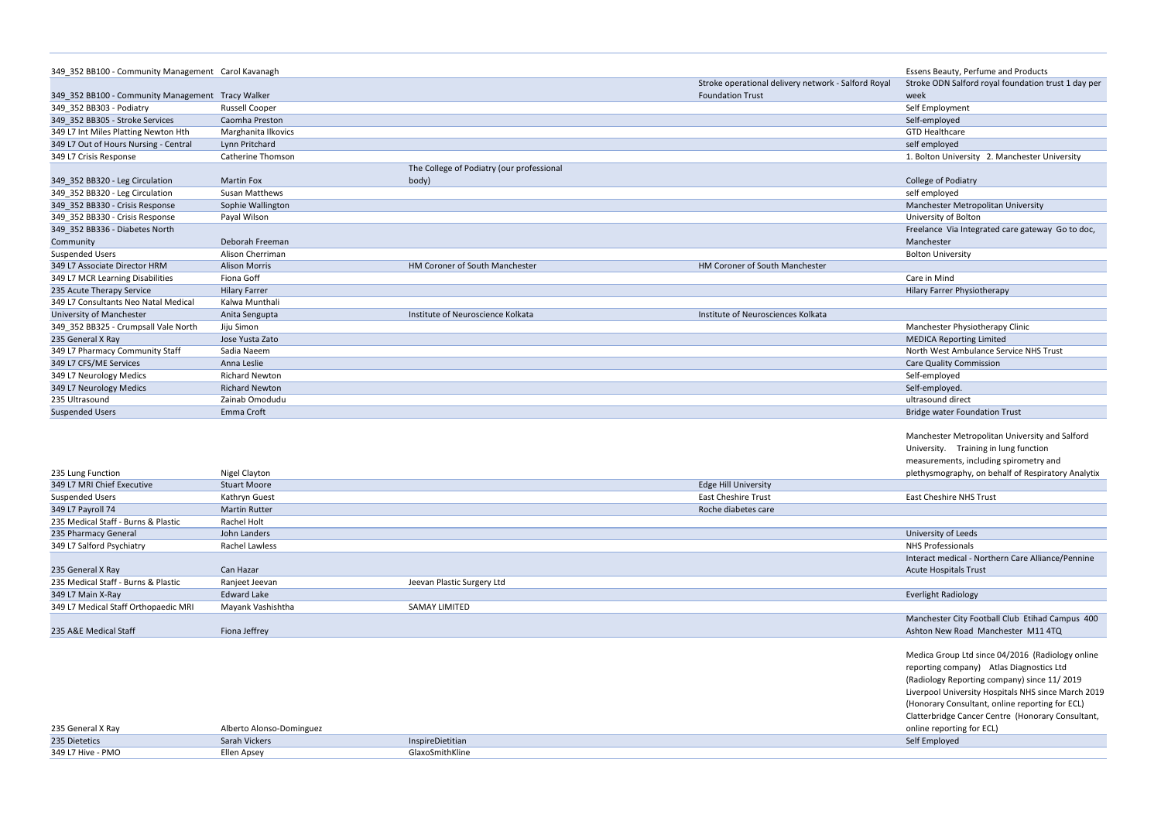| 349 352 BB100 - Community Management Carol Kavanagh |                       |                                           |                                                     | Essens Beauty, Perfume and Products            |
|-----------------------------------------------------|-----------------------|-------------------------------------------|-----------------------------------------------------|------------------------------------------------|
|                                                     |                       |                                           | Stroke operational delivery network - Salford Royal | Stroke ODN Salford royal foundation trust 1 da |
| 349 352 BB100 - Community Management Tracy Walker   |                       |                                           | <b>Foundation Trust</b>                             | week                                           |
| 349 352 BB303 - Podiatry                            | <b>Russell Cooper</b> |                                           |                                                     | Self Employment                                |
| 349 352 BB305 - Stroke Services                     | Caomha Preston        |                                           |                                                     | Self-employed                                  |
| 349 L7 Int Miles Platting Newton Hth                | Marghanita Ilkovics   |                                           |                                                     | <b>GTD Healthcare</b>                          |
| 349 L7 Out of Hours Nursing - Central               | Lynn Pritchard        |                                           |                                                     | self employed                                  |
| 349 L7 Crisis Response                              | Catherine Thomson     |                                           |                                                     | 1. Bolton University 2. Manchester University  |
|                                                     |                       | The College of Podiatry (our professional |                                                     |                                                |
| 349_352 BB320 - Leg Circulation                     | <b>Martin Fox</b>     | body)                                     |                                                     | College of Podiatry                            |
| 349 352 BB320 - Leg Circulation                     | <b>Susan Matthews</b> |                                           |                                                     | self employed                                  |
| 349 352 BB330 - Crisis Response                     | Sophie Wallington     |                                           |                                                     | Manchester Metropolitan University             |
| 349_352 BB330 - Crisis Response                     | Payal Wilson          |                                           |                                                     | University of Bolton                           |
| 349 352 BB336 - Diabetes North                      |                       |                                           |                                                     | Freelance Via Integrated care gateway Go to o  |
| Community                                           | Deborah Freeman       |                                           |                                                     | Manchester                                     |
| <b>Suspended Users</b>                              | Alison Cherriman      |                                           |                                                     | <b>Bolton University</b>                       |
| 349 L7 Associate Director HRM                       | <b>Alison Morris</b>  | HM Coroner of South Manchester            | HM Coroner of South Manchester                      |                                                |
| 349 L7 MCR Learning Disabilities                    | Fiona Goff            |                                           |                                                     | Care in Mind                                   |
| 235 Acute Therapy Service                           | <b>Hilary Farrer</b>  |                                           |                                                     | Hilary Farrer Physiotherapy                    |
| 349 L7 Consultants Neo Natal Medical                | Kalwa Munthali        |                                           |                                                     |                                                |
| <b>University of Manchester</b>                     | Anita Sengupta        | Institute of Neuroscience Kolkata         | Institute of Neurosciences Kolkata                  |                                                |
| 349 352 BB325 - Crumpsall Vale North                | Jiju Simon            |                                           |                                                     | Manchester Physiotherapy Clinic                |
| 235 General X Rav                                   | Jose Yusta Zato       |                                           |                                                     | <b>MEDICA Reporting Limited</b>                |
| 349 L7 Pharmacy Community Staff                     | Sadia Naeem           |                                           |                                                     | North West Ambulance Service NHS Trust         |
| 349 L7 CFS/ME Services                              | Anna Leslie           |                                           |                                                     | <b>Care Quality Commission</b>                 |
| 349 L7 Neurology Medics                             | <b>Richard Newton</b> |                                           |                                                     | Self-employed                                  |
| 349 L7 Neurology Medics                             | <b>Richard Newton</b> |                                           |                                                     | Self-employed.                                 |
| 235 Ultrasound                                      | Zainab Omodudu        |                                           |                                                     | ultrasound direct                              |
| <b>Suspended Users</b>                              | Emma Croft            |                                           |                                                     | <b>Bridge water Foundation Trust</b>           |

| 235 General X Ray | Alberto Alonso-Dominguez |                  | online reporti |
|-------------------|--------------------------|------------------|----------------|
| 235 Dietetics     | Sarah Vickers            | InspireDietitian | Self Employed  |
| 349 L7 Hive - PMO | Ellen Apsey              | GlaxoSmithKline  |                |

|      | <b>Essens Beauty, Perfume and Products</b>          |
|------|-----------------------------------------------------|
| ıyal | Stroke ODN Salford royal foundation trust 1 day per |
|      | week                                                |
|      | Self Employment                                     |
|      | Self-employed                                       |
|      | <b>GTD Healthcare</b>                               |
|      |                                                     |
|      | self employed                                       |
|      | 1. Bolton University 2. Manchester University       |
|      |                                                     |
|      | College of Podiatry                                 |
|      | self employed                                       |
|      | Manchester Metropolitan University                  |
|      | University of Bolton                                |
|      | Freelance Via Integrated care gateway Go to doc,    |
|      | Manchester                                          |
|      | <b>Bolton University</b>                            |
|      |                                                     |
|      | Care in Mind                                        |
|      | <b>Hilary Farrer Physiotherapy</b>                  |
|      |                                                     |
|      |                                                     |
|      | Manchester Physiotherapy Clinic                     |
|      | <b>MEDICA Reporting Limited</b>                     |
|      | North West Ambulance Service NHS Trust              |
|      | <b>Care Quality Commission</b>                      |
|      | Self-employed                                       |
|      | Self-employed.                                      |
|      | ultrasound direct                                   |
|      | <b>Bridge water Foundation Trust</b>                |
|      |                                                     |
|      | Manchester Metropolitan University and Salford      |
|      | University. Training in lung function               |
|      | measurements, including spirometry and              |
|      | plethysmography, on behalf of Respiratory Analytix  |
|      |                                                     |
|      | <b>East Cheshire NHS Trust</b>                      |
|      |                                                     |
|      |                                                     |
|      | University of Leeds                                 |
|      | <b>NHS Professionals</b>                            |
|      | Interact medical - Northern Care Alliance/Pennine   |
|      | <b>Acute Hospitals Trust</b>                        |
|      |                                                     |
|      | <b>Everlight Radiology</b>                          |
|      |                                                     |
|      | Manchester City Football Club Etihad Campus 400     |
|      | Ashton New Road Manchester M11 4TQ                  |
|      |                                                     |
|      | Medica Group Ltd since 04/2016 (Radiology online    |
|      | reporting company) Atlas Diagnostics Ltd            |
|      | (Radiology Reporting company) since 11/2019         |
|      | Liverpool University Hospitals NHS since March 2019 |
|      |                                                     |
|      | (Honorary Consultant, online reporting for ECL)     |
|      | Clatterbridge Cancer Centre (Honorary Consultant,   |
|      | online reporting for ECL)                           |
|      | Self Employed                                       |
|      |                                                     |

| 235 Lung Function                    | Nigel Clayton        |                            |                             | plethysmography, on be       |
|--------------------------------------|----------------------|----------------------------|-----------------------------|------------------------------|
| 349 L7 MRI Chief Executive           | <b>Stuart Moore</b>  |                            | <b>Edge Hill University</b> |                              |
| Suspended Users                      | Kathryn Guest        |                            | <b>East Cheshire Trust</b>  | East Cheshire NHS Trust      |
| 349 L7 Payroll 74                    | <b>Martin Rutter</b> |                            | Roche diabetes care         |                              |
| 235 Medical Staff - Burns & Plastic  | Rachel Holt          |                            |                             |                              |
| 235 Pharmacy General                 | John Landers         |                            |                             | University of Leeds          |
| 349 L7 Salford Psychiatry            | Rachel Lawless       |                            |                             | <b>NHS Professionals</b>     |
|                                      |                      |                            |                             | Interact medical - North     |
| 235 General X Ray                    | Can Hazar            |                            |                             | <b>Acute Hospitals Trust</b> |
| 235 Medical Staff - Burns & Plastic  | Ranjeet Jeevan       | Jeevan Plastic Surgery Ltd |                             |                              |
| 349 L7 Main X-Ray                    | <b>Edward Lake</b>   |                            |                             | <b>Everlight Radiology</b>   |
| 349 L7 Medical Staff Orthopaedic MRI | Mayank Vashishtha    | SAMAY LIMITED              |                             |                              |
|                                      |                      |                            |                             | Manchester City Footba       |
| 235 A&E Medical Staff                | Fiona Jeffrey        |                            |                             | Ashton New Road Man          |
|                                      |                      |                            |                             |                              |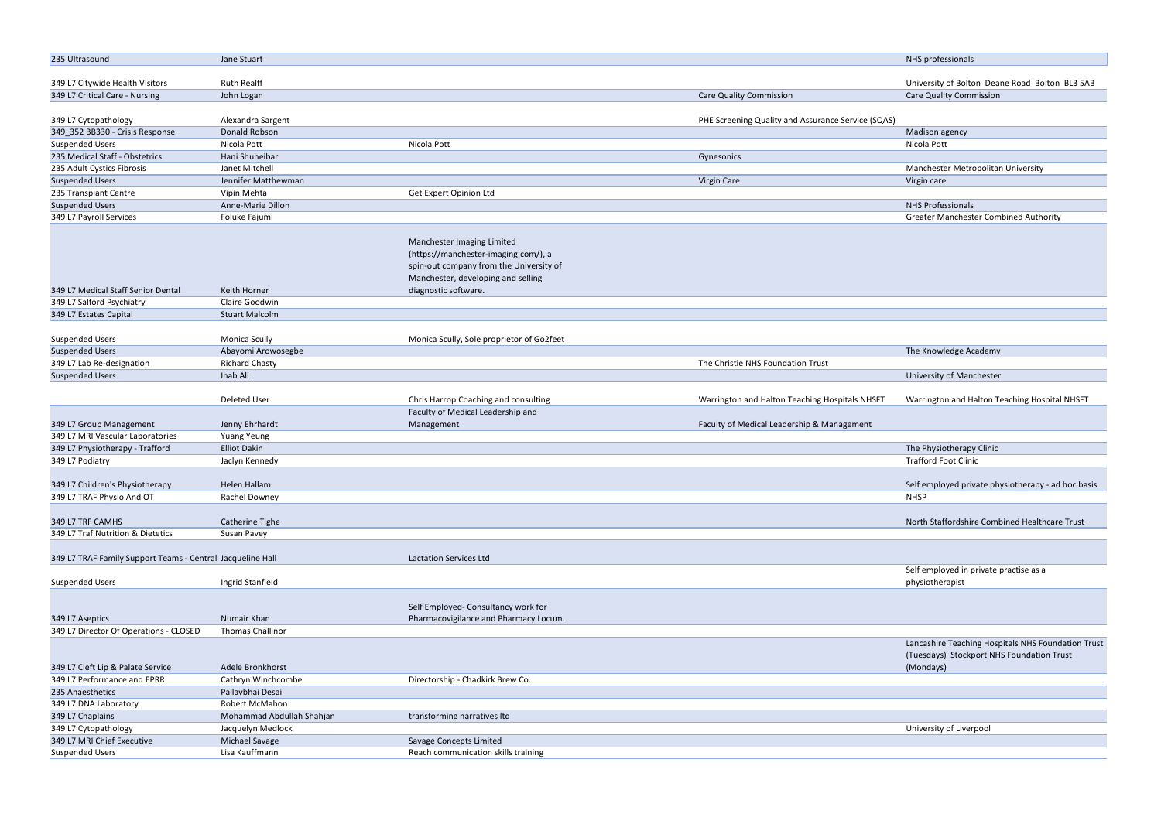| 235 Ultrasound                                                   | Jane Stuart               |                                                                                                                                                     |                                                    | NHS professionals                                  |
|------------------------------------------------------------------|---------------------------|-----------------------------------------------------------------------------------------------------------------------------------------------------|----------------------------------------------------|----------------------------------------------------|
|                                                                  |                           |                                                                                                                                                     |                                                    |                                                    |
| 349 L7 Citywide Health Visitors                                  | <b>Ruth Realff</b>        |                                                                                                                                                     |                                                    | University of Bolton Deane Road Bolton BL3 5AB     |
| 349 L7 Critical Care - Nursing                                   | John Logan                |                                                                                                                                                     | <b>Care Quality Commission</b>                     | <b>Care Quality Commission</b>                     |
| 349 L7 Cytopathology                                             | Alexandra Sargent         |                                                                                                                                                     | PHE Screening Quality and Assurance Service (SQAS) |                                                    |
| 349_352 BB330 - Crisis Response                                  | Donald Robson             |                                                                                                                                                     |                                                    | Madison agency                                     |
| <b>Suspended Users</b>                                           | Nicola Pott               | Nicola Pott                                                                                                                                         |                                                    | Nicola Pott                                        |
|                                                                  |                           |                                                                                                                                                     |                                                    |                                                    |
| 235 Medical Staff - Obstetrics                                   | Hani Shuheibar            |                                                                                                                                                     | Gynesonics                                         |                                                    |
| 235 Adult Cystics Fibrosis                                       | Janet Mitchell            |                                                                                                                                                     |                                                    | Manchester Metropolitan University                 |
| <b>Suspended Users</b>                                           | Jennifer Matthewman       |                                                                                                                                                     | Virgin Care                                        | Virgin care                                        |
| 235 Transplant Centre                                            | Vipin Mehta               | Get Expert Opinion Ltd                                                                                                                              |                                                    |                                                    |
| <b>Suspended Users</b>                                           | Anne-Marie Dillon         |                                                                                                                                                     |                                                    | <b>NHS Professionals</b>                           |
| 349 L7 Payroll Services                                          | Foluke Fajumi             |                                                                                                                                                     |                                                    | <b>Greater Manchester Combined Authority</b>       |
|                                                                  |                           | Manchester Imaging Limited<br>(https://manchester-imaging.com/), a<br>spin-out company from the University of<br>Manchester, developing and selling |                                                    |                                                    |
| 349 L7 Medical Staff Senior Dental                               | Keith Horner              | diagnostic software.                                                                                                                                |                                                    |                                                    |
| 349 L7 Salford Psychiatry                                        | Claire Goodwin            |                                                                                                                                                     |                                                    |                                                    |
| 349 L7 Estates Capital                                           | <b>Stuart Malcolm</b>     |                                                                                                                                                     |                                                    |                                                    |
| <b>Suspended Users</b>                                           | Monica Scully             | Monica Scully, Sole proprietor of Go2feet                                                                                                           |                                                    |                                                    |
| <b>Suspended Users</b>                                           | Abayomi Arowosegbe        |                                                                                                                                                     |                                                    | The Knowledge Academy                              |
| 349 L7 Lab Re-designation                                        | <b>Richard Chasty</b>     |                                                                                                                                                     | The Christie NHS Foundation Trust                  |                                                    |
| <b>Suspended Users</b>                                           | Ihab Ali                  |                                                                                                                                                     |                                                    | University of Manchester                           |
|                                                                  |                           |                                                                                                                                                     |                                                    |                                                    |
|                                                                  | <b>Deleted User</b>       | Chris Harrop Coaching and consulting                                                                                                                | Warrington and Halton Teaching Hospitals NHSFT     | Warrington and Halton Teaching Hospital NHSFT      |
|                                                                  |                           | Faculty of Medical Leadership and                                                                                                                   |                                                    |                                                    |
| 349 L7 Group Management                                          | Jenny Ehrhardt            | Management                                                                                                                                          | Faculty of Medical Leadership & Management         |                                                    |
| 349 L7 MRI Vascular Laboratories                                 | <b>Yuang Yeung</b>        |                                                                                                                                                     |                                                    |                                                    |
| 349 L7 Physiotherapy - Trafford                                  | <b>Elliot Dakin</b>       |                                                                                                                                                     |                                                    | The Physiotherapy Clinic                           |
| 349 L7 Podiatry                                                  | Jaclyn Kennedy            |                                                                                                                                                     |                                                    | <b>Trafford Foot Clinic</b>                        |
|                                                                  |                           |                                                                                                                                                     |                                                    |                                                    |
| 349 L7 Children's Physiotherapy                                  | Helen Hallam              |                                                                                                                                                     |                                                    | Self employed private physiotherapy - ad hoc basis |
| 349 L7 TRAF Physio And OT                                        | Rachel Downey             |                                                                                                                                                     |                                                    | <b>NHSP</b>                                        |
|                                                                  |                           |                                                                                                                                                     |                                                    |                                                    |
| 349 L7 TRF CAMHS                                                 | Catherine Tighe           |                                                                                                                                                     |                                                    | North Staffordshire Combined Healthcare Trust      |
| 349 L7 Traf Nutrition & Dietetics                                | Susan Pavey               |                                                                                                                                                     |                                                    |                                                    |
|                                                                  |                           |                                                                                                                                                     |                                                    |                                                    |
| 349 L7 TRAF Family Support Teams - Central Jacqueline Hall       |                           | Lactation Services Ltd                                                                                                                              |                                                    |                                                    |
|                                                                  |                           |                                                                                                                                                     |                                                    | Self employed in private practise as a             |
| <b>Suspended Users</b>                                           | Ingrid Stanfield          |                                                                                                                                                     |                                                    | physiotherapist                                    |
|                                                                  |                           |                                                                                                                                                     |                                                    |                                                    |
|                                                                  |                           | Self Employed- Consultancy work for                                                                                                                 |                                                    |                                                    |
| 349 L7 Aseptics                                                  | Numair Khan               | Pharmacovigilance and Pharmacy Locum.                                                                                                               |                                                    |                                                    |
| 349 L7 Director Of Operations - CLOSED                           | Thomas Challinor          |                                                                                                                                                     |                                                    |                                                    |
|                                                                  |                           |                                                                                                                                                     |                                                    | Lancashire Teaching Hospitals NHS Foundation Trust |
|                                                                  | Adele Bronkhorst          |                                                                                                                                                     |                                                    | (Tuesdays) Stockport NHS Foundation Trust          |
| 349 L7 Cleft Lip & Palate Service<br>349 L7 Performance and EPRR |                           |                                                                                                                                                     |                                                    | (Mondays)                                          |
|                                                                  | Cathryn Winchcombe        | Directorship - Chadkirk Brew Co.                                                                                                                    |                                                    |                                                    |
| 235 Anaesthetics                                                 | Pallavbhai Desai          |                                                                                                                                                     |                                                    |                                                    |
| 349 L7 DNA Laboratory                                            | Robert McMahon            |                                                                                                                                                     |                                                    |                                                    |
| 349 L7 Chaplains                                                 | Mohammad Abdullah Shahjan | transforming narratives ltd                                                                                                                         |                                                    |                                                    |
| 349 L7 Cytopathology                                             | Jacquelyn Medlock         |                                                                                                                                                     |                                                    | University of Liverpool                            |
| 349 L7 MRI Chief Executive                                       | Michael Savage            | Savage Concepts Limited                                                                                                                             |                                                    |                                                    |
| <b>Suspended Users</b>                                           | Lisa Kauffmann            | Reach communication skills training                                                                                                                 |                                                    |                                                    |
|                                                                  |                           |                                                                                                                                                     |                                                    |                                                    |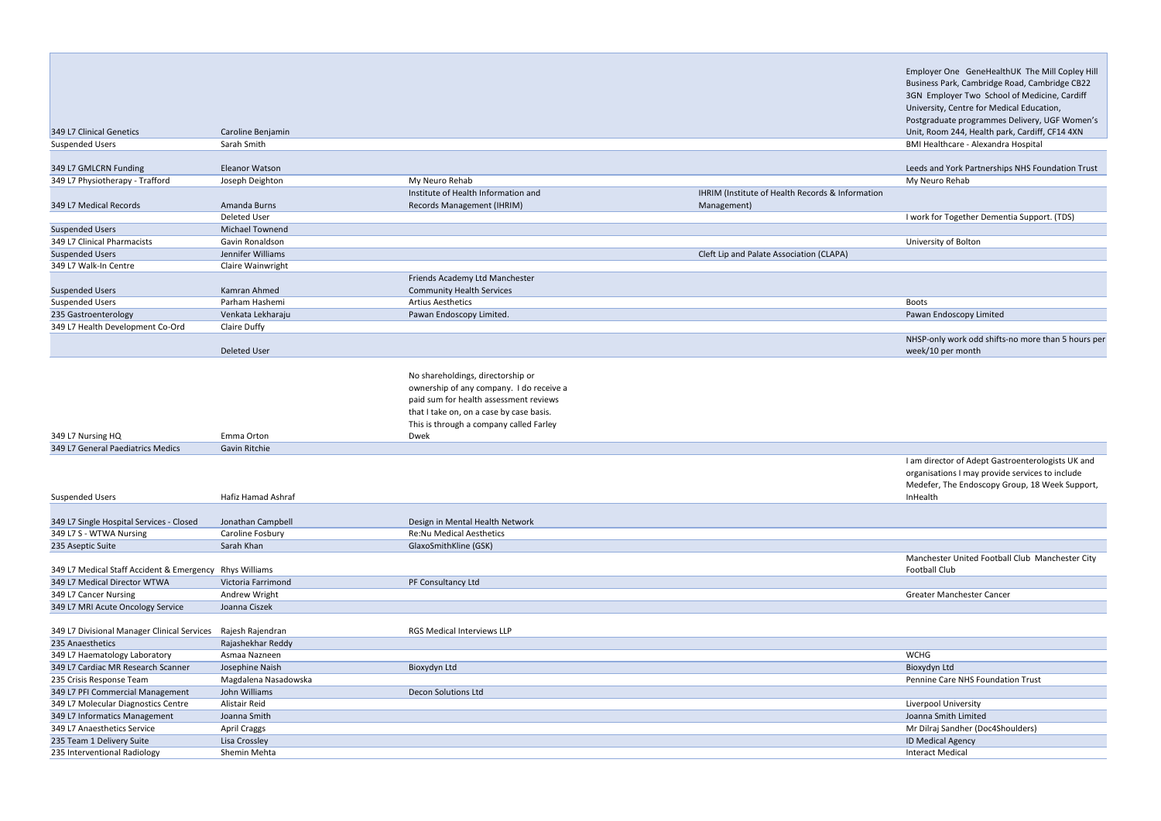|                                  |                        |                                          |                                                  | University, Centre for Medical Education,        |
|----------------------------------|------------------------|------------------------------------------|--------------------------------------------------|--------------------------------------------------|
|                                  |                        |                                          |                                                  | Postgraduate programmes Delivery, UGF Women's    |
| 349 L7 Clinical Genetics         | Caroline Benjamin      |                                          |                                                  | Unit, Room 244, Health park, Cardiff, CF14 4XN   |
| <b>Suspended Users</b>           | Sarah Smith            |                                          |                                                  | BMI Healthcare - Alexandra Hospital              |
|                                  |                        |                                          |                                                  |                                                  |
| 349 L7 GMLCRN Funding            | <b>Eleanor Watson</b>  |                                          |                                                  | Leeds and York Partnerships NHS Foundation Trust |
| 349 L7 Physiotherapy - Trafford  | Joseph Deighton        | My Neuro Rehab                           |                                                  | My Neuro Rehab                                   |
|                                  |                        | Institute of Health Information and      | IHRIM (Institute of Health Records & Information |                                                  |
| 349 L7 Medical Records           | Amanda Burns           | Records Management (IHRIM)               | Management)                                      |                                                  |
|                                  | <b>Deleted User</b>    |                                          |                                                  | I work for Together Dementia Support. (TDS)      |
| <b>Suspended Users</b>           | <b>Michael Townend</b> |                                          |                                                  |                                                  |
| 349 L7 Clinical Pharmacists      | <b>Gavin Ronaldson</b> |                                          |                                                  | University of Bolton                             |
| <b>Suspended Users</b>           | Jennifer Williams      |                                          | Cleft Lip and Palate Association (CLAPA)         |                                                  |
| 349 L7 Walk-In Centre            | Claire Wainwright      |                                          |                                                  |                                                  |
|                                  |                        | Friends Academy Ltd Manchester           |                                                  |                                                  |
| <b>Suspended Users</b>           | Kamran Ahmed           | <b>Community Health Services</b>         |                                                  |                                                  |
| <b>Suspended Users</b>           | Parham Hashemi         | <b>Artius Aesthetics</b>                 |                                                  | <b>Boots</b>                                     |
| 235 Gastroenterology             | Venkata Lekharaju      | Pawan Endoscopy Limited.                 |                                                  | Pawan Endoscopy Limited                          |
| 349 L7 Health Development Co-Ord | Claire Duffy           |                                          |                                                  |                                                  |
|                                  |                        |                                          |                                                  | NHSP-only work odd shifts-no more than 5 hours p |
|                                  | <b>Deleted User</b>    |                                          |                                                  | week/10 per month                                |
|                                  |                        |                                          |                                                  |                                                  |
|                                  |                        | No shareholdings, directorship or        |                                                  |                                                  |
|                                  |                        | ownership of any company. I do receive a |                                                  |                                                  |
|                                  |                        | paid sum for health assessment reviews   |                                                  |                                                  |
|                                  |                        | that I take on, on a case by case basis. |                                                  |                                                  |
|                                  |                        | This is through a company called Farley  |                                                  |                                                  |
| $24017$ Nursing HO               | Emma                   | بامس                                     |                                                  |                                                  |

|   | Employer One GeneHealthUK The Mill Copley Hill                                            |
|---|-------------------------------------------------------------------------------------------|
|   | Business Park, Cambridge Road, Cambridge CB22                                             |
|   | 3GN Employer Two School of Medicine, Cardiff<br>University, Centre for Medical Education, |
|   | Postgraduate programmes Delivery, UGF Women's                                             |
|   | Unit, Room 244, Health park, Cardiff, CF14 4XN                                            |
|   | <b>BMI Healthcare - Alexandra Hospital</b>                                                |
|   | Leeds and York Partnerships NHS Foundation Trust<br>My Neuro Rehab                        |
| n |                                                                                           |
|   |                                                                                           |
|   | I work for Together Dementia Support. (TDS)                                               |
|   | University of Bolton                                                                      |
|   |                                                                                           |
|   |                                                                                           |
|   |                                                                                           |
|   | <b>Boots</b>                                                                              |
|   | Pawan Endoscopy Limited                                                                   |
|   | NHSP-only work odd shifts-no more than 5 hours per                                        |
|   | week/10 per month                                                                         |
|   |                                                                                           |
|   |                                                                                           |
|   |                                                                                           |
|   |                                                                                           |
|   |                                                                                           |
|   |                                                                                           |
|   | I am director of Adept Gastroenterologists UK and                                         |
|   | organisations I may provide services to include                                           |
|   | Medefer, The Endoscopy Group, 18 Week Support,<br><b>InHealth</b>                         |
|   |                                                                                           |
|   |                                                                                           |
|   |                                                                                           |
|   | Manchester United Football Club Manchester City<br>Football Club                          |
|   | Greater Manchester Cancer                                                                 |
|   |                                                                                           |
|   |                                                                                           |
|   |                                                                                           |

| 349 L7 Nursing HQ                 | Emma Orton    | Dwek |
|-----------------------------------|---------------|------|
| 349 L7 General Paediatrics Medics | Gavin Ritchie |      |
|                                   |               |      |

| <b>Suspended Users</b>                                  | Hafiz Hamad Ashraf   |                                   | InHealth                                        |
|---------------------------------------------------------|----------------------|-----------------------------------|-------------------------------------------------|
|                                                         |                      |                                   |                                                 |
| 349 L7 Single Hospital Services - Closed                | Jonathan Campbell    | Design in Mental Health Network   |                                                 |
| 349 L7 S - WTWA Nursing                                 | Caroline Fosbury     | <b>Re:Nu Medical Aesthetics</b>   |                                                 |
| 235 Aseptic Suite                                       | Sarah Khan           | GlaxoSmithKline (GSK)             |                                                 |
|                                                         |                      |                                   | Manchester United Football Club Manchester City |
| 349 L7 Medical Staff Accident & Emergency Rhys Williams |                      |                                   | Football Club                                   |
| 349 L7 Medical Director WTWA                            | Victoria Farrimond   | PF Consultancy Ltd                |                                                 |
| 349 L7 Cancer Nursing                                   | Andrew Wright        |                                   | Greater Manchester Cancer                       |
| 349 L7 MRI Acute Oncology Service                       | Joanna Ciszek        |                                   |                                                 |
|                                                         |                      |                                   |                                                 |
| 349 L7 Divisional Manager Clinical Services             | Rajesh Rajendran     | <b>RGS Medical Interviews LLP</b> |                                                 |
| 235 Anaesthetics                                        | Rajashekhar Reddy    |                                   |                                                 |
| 349 L7 Haematology Laboratory                           | Asmaa Nazneen        |                                   | <b>WCHG</b>                                     |
| 349 L7 Cardiac MR Research Scanner                      | Josephine Naish      | Bioxydyn Ltd                      | Bioxydyn Ltd                                    |
| 235 Crisis Response Team                                | Magdalena Nasadowska |                                   | Pennine Care NHS Foundation Trust               |
| 349 L7 PFI Commercial Management                        | John Williams        | Decon Solutions Ltd               |                                                 |
| 349 L7 Molecular Diagnostics Centre                     | Alistair Reid        |                                   | Liverpool University                            |
| 349 L7 Informatics Management                           | Joanna Smith         |                                   | Joanna Smith Limited                            |
| 349 L7 Anaesthetics Service                             | <b>April Craggs</b>  |                                   | Mr Dilraj Sandher (Doc4Shoulders)               |
| 235 Team 1 Delivery Suite                               | Lisa Crossley        |                                   | ID Medical Agency                               |
| 235 Interventional Radiology                            | Shemin Mehta         |                                   | <b>Interact Medical</b>                         |
|                                                         |                      |                                   |                                                 |